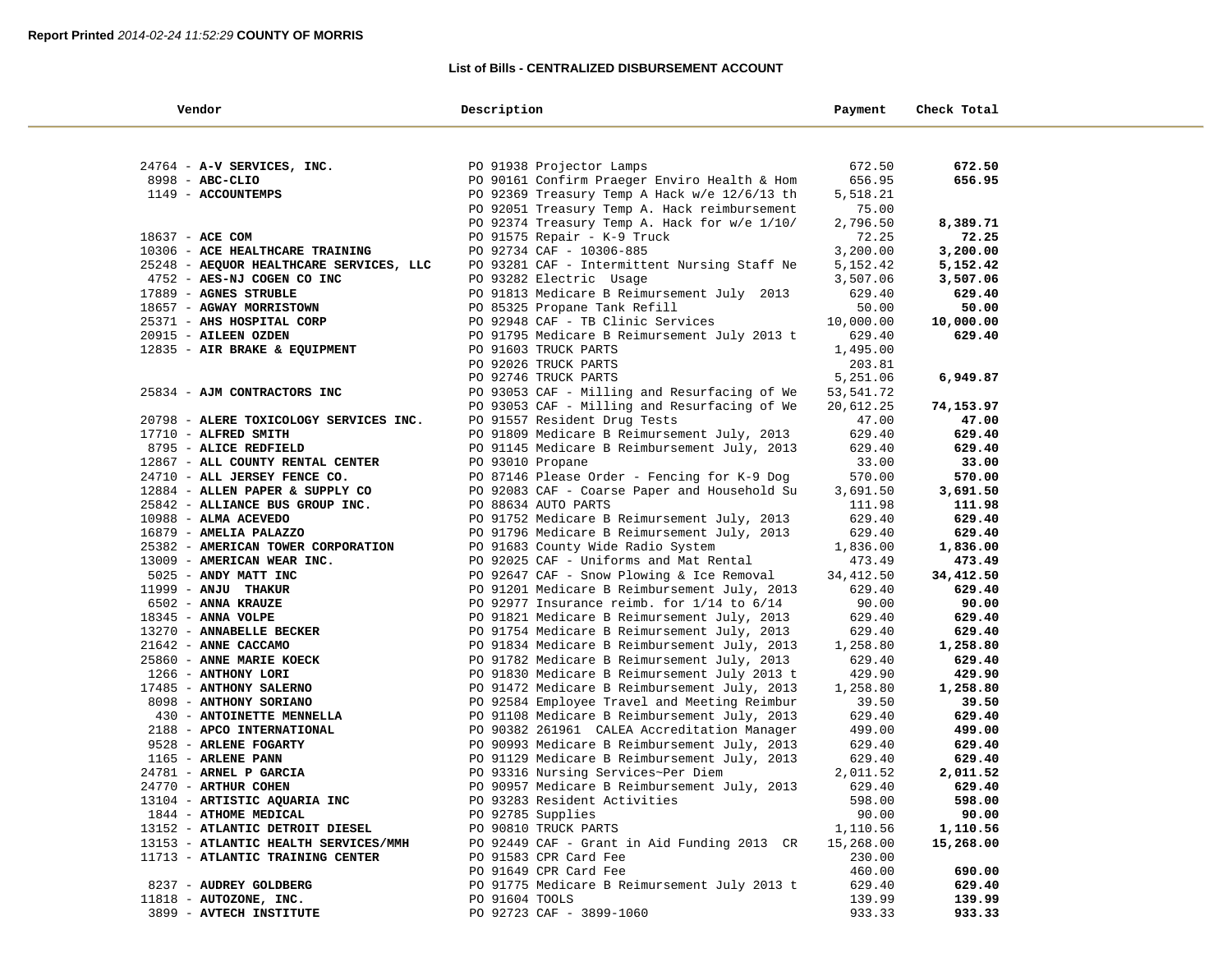### **List of Bills - CENTRALIZED DISBURSEMENT ACCOUNT**

| Vendor                                      | Description                                                                               | Payment             | Check Total         |  |
|---------------------------------------------|-------------------------------------------------------------------------------------------|---------------------|---------------------|--|
|                                             |                                                                                           |                     |                     |  |
| 24764 - A-V SERVICES, INC.                  | PO 91938 Projector Lamps                                                                  | 672.50              | 672.50              |  |
| 8998 - ABC-CLIO                             | PO 90161 Confirm Praeger Enviro Health & Hom                                              | 656.95              | 656.95              |  |
| 1149 - ACCOUNTEMPS                          | PO 92369 Treasury Temp A Hack w/e 12/6/13 th                                              | 5,518.21            |                     |  |
|                                             | PO 92051 Treasury Temp A. Hack reimbursement                                              | 75.00               |                     |  |
|                                             | PO 92374 Treasury Temp A. Hack for w/e 1/10/                                              | 2,796.50            | 8,389.71            |  |
| 18637 - ACE COM                             | PO 91575 Repair - K-9 Truck                                                               | 72.25               | 72.25               |  |
| 10306 - ACE HEALTHCARE TRAINING             | PO 92734 CAF - 10306-885                                                                  | 3,200.00            | 3,200.00            |  |
| 25248 - AEQUOR HEALTHCARE SERVICES, LLC     | PO 93281 CAF - Intermittent Nursing Staff Ne                                              | 5,152.42            | 5,152.42            |  |
| 4752 - AES-NJ COGEN CO INC                  | PO 93282 Electric Usage                                                                   | 3,507.06            | 3,507.06            |  |
| 17889 - AGNES STRUBLE                       | PO 91813 Medicare B Reimursement July 2013                                                | 629.40              | 629.40              |  |
| 18657 - AGWAY MORRISTOWN                    | PO 85325 Propane Tank Refill                                                              | 50.00               | 50.00               |  |
| 25371 - AHS HOSPITAL CORP                   | PO 92948 CAF - TB Clinic Services                                                         | 10,000.00           | 10,000.00           |  |
| 20915 - AILEEN OZDEN                        | PO 91795 Medicare B Reimursement July 2013 t                                              | 629.40              | 629.40              |  |
| 12835 - AIR BRAKE & EQUIPMENT               | PO 91603 TRUCK PARTS                                                                      | 1,495.00            |                     |  |
|                                             | PO 92026 TRUCK PARTS                                                                      | 203.81              |                     |  |
|                                             | PO 92746 TRUCK PARTS                                                                      | 5,251.06            | 6,949.87            |  |
| 25834 - AJM CONTRACTORS INC                 | PO 93053 CAF - Milling and Resurfacing of We                                              | 53,541.72           |                     |  |
|                                             | PO 93053 CAF - Milling and Resurfacing of We                                              | 20,612.25           | 74,153.97           |  |
| 20798 - ALERE TOXICOLOGY SERVICES INC.      | PO 91557 Resident Drug Tests                                                              | 47.00               | 47.00               |  |
| 17710 - ALFRED SMITH                        | PO 91809 Medicare B Reimursement July, 2013                                               | 629.40              | 629.40              |  |
| 8795 - ALICE REDFIELD                       | PO 91145 Medicare B Reimbursement July, 2013                                              | 629.40              | 629.40              |  |
| 12867 - ALL COUNTY RENTAL CENTER            | PO 93010 Propane                                                                          | 33.00               | 33.00               |  |
| 24710 - ALL JERSEY FENCE CO.                | PO 87146 Please Order - Fencing for K-9 Dog                                               | 570.00              | 570.00              |  |
| 12884 - ALLEN PAPER & SUPPLY CO             | PO 92083 CAF - Coarse Paper and Household Su                                              | 3,691.50            | 3,691.50            |  |
| 25842 - ALLIANCE BUS GROUP INC.             | PO 88634 AUTO PARTS                                                                       | 111.98              | 111.98              |  |
| $10988 - ALMA$ ACEVEDO                      | PO 91752 Medicare B Reimursement July, 2013                                               | 629.40              | 629.40              |  |
| 16879 - AMELIA PALAZZO                      | PO 91796 Medicare B Reimursement July, 2013                                               | 629.40              | 629.40              |  |
| 25382 - AMERICAN TOWER CORPORATION          | PO 91683 County Wide Radio System                                                         | 1,836.00            | 1,836.00            |  |
| 13009 - AMERICAN WEAR INC.                  | PO 92025 CAF - Uniforms and Mat Rental                                                    | 473.49<br>34,412.50 | 473.49<br>34,412.50 |  |
| 5025 - ANDY MATT INC<br>11999 - ANJU THAKUR | PO 92647 CAF - Snow Plowing & Ice Removal<br>PO 91201 Medicare B Reimbursement July, 2013 | 629.40              | 629.40              |  |
| 6502 - ANNA KRAUZE                          | PO 92977 Insurance reimb. for 1/14 to 6/14                                                | 90.00               | 90.00               |  |
| 18345 - ANNA VOLPE                          | PO 91821 Medicare B Reimursement July, 2013                                               | 629.40              | 629.40              |  |
| 13270 - ANNABELLE BECKER                    | PO 91754 Medicare B Reimursement July, 2013                                               | 629.40              | 629.40              |  |
| 21642 - ANNE CACCAMO                        | PO 91834 Medicare B Reimbursement July, 2013                                              | 1,258.80            | 1,258.80            |  |
| 25860 - ANNE MARIE KOECK                    | PO 91782 Medicare B Reimursement July, 2013                                               | 629.40              | 629.40              |  |
| 1266 - ANTHONY LORI                         | PO 91830 Medicare B Reimursement July 2013 t                                              | 429.90              | 429.90              |  |
| 17485 - ANTHONY SALERNO                     | PO 91472 Medicare B Reimbursement July, 2013                                              | 1,258.80            | 1,258.80            |  |
| 8098 - ANTHONY SORIANO                      | PO 92584 Employee Travel and Meeting Reimbur                                              | 39.50               | 39.50               |  |
| 430 - ANTOINETTE MENNELLA                   | PO 91108 Medicare B Reimbursement July, 2013                                              | 629.40              | 629.40              |  |
| 2188 - APCO INTERNATIONAL                   | PO 90382 261961 CALEA Accreditation Manager                                               | 499.00              | 499.00              |  |
| 9528 - ARLENE FOGARTY                       | PO 90993 Medicare B Reimbursement July, 2013                                              | 629.40              | 629.40              |  |
| 1165 - ARLENE PANN                          | PO 91129 Medicare B Reimbursement July, 2013                                              | 629.40              | 629.40              |  |
| 24781 - ARNEL P GARCIA                      | PO 93316 Nursing Services~Per Diem                                                        | 2,011.52            | 2,011.52            |  |
| 24770 - ARTHUR COHEN                        | PO 90957 Medicare B Reimbursement July, 2013                                              | 629.40              | 629.40              |  |
| 13104 - ARTISTIC AQUARIA INC                | PO 93283 Resident Activities                                                              | 598.00              | 598.00              |  |
| 1844 - ATHOME MEDICAL                       | PO 92785 Supplies                                                                         | 90.00               | 90.00               |  |
| 13152 - ATLANTIC DETROIT DIESEL             | PO 90810 TRUCK PARTS                                                                      | 1,110.56            | 1,110.56            |  |
| 13153 - ATLANTIC HEALTH SERVICES/MMH        | PO 92449 CAF - Grant in Aid Funding 2013 CR                                               | 15,268.00           | 15,268.00           |  |
| 11713 - ATLANTIC TRAINING CENTER            | PO 91583 CPR Card Fee                                                                     | 230.00              |                     |  |
|                                             | PO 91649 CPR Card Fee                                                                     | 460.00              | 690.00              |  |
| 8237 - AUDREY GOLDBERG                      | PO 91775 Medicare B Reimursement July 2013 t                                              | 629.40              | 629.40              |  |
| $11818$ - AUTOZONE, INC.                    | PO 91604 TOOLS                                                                            | 139.99              | 139.99              |  |
| 3899 - AVTECH INSTITUTE                     | PO 92723 CAF - 3899-1060                                                                  | 933.33              | 933.33              |  |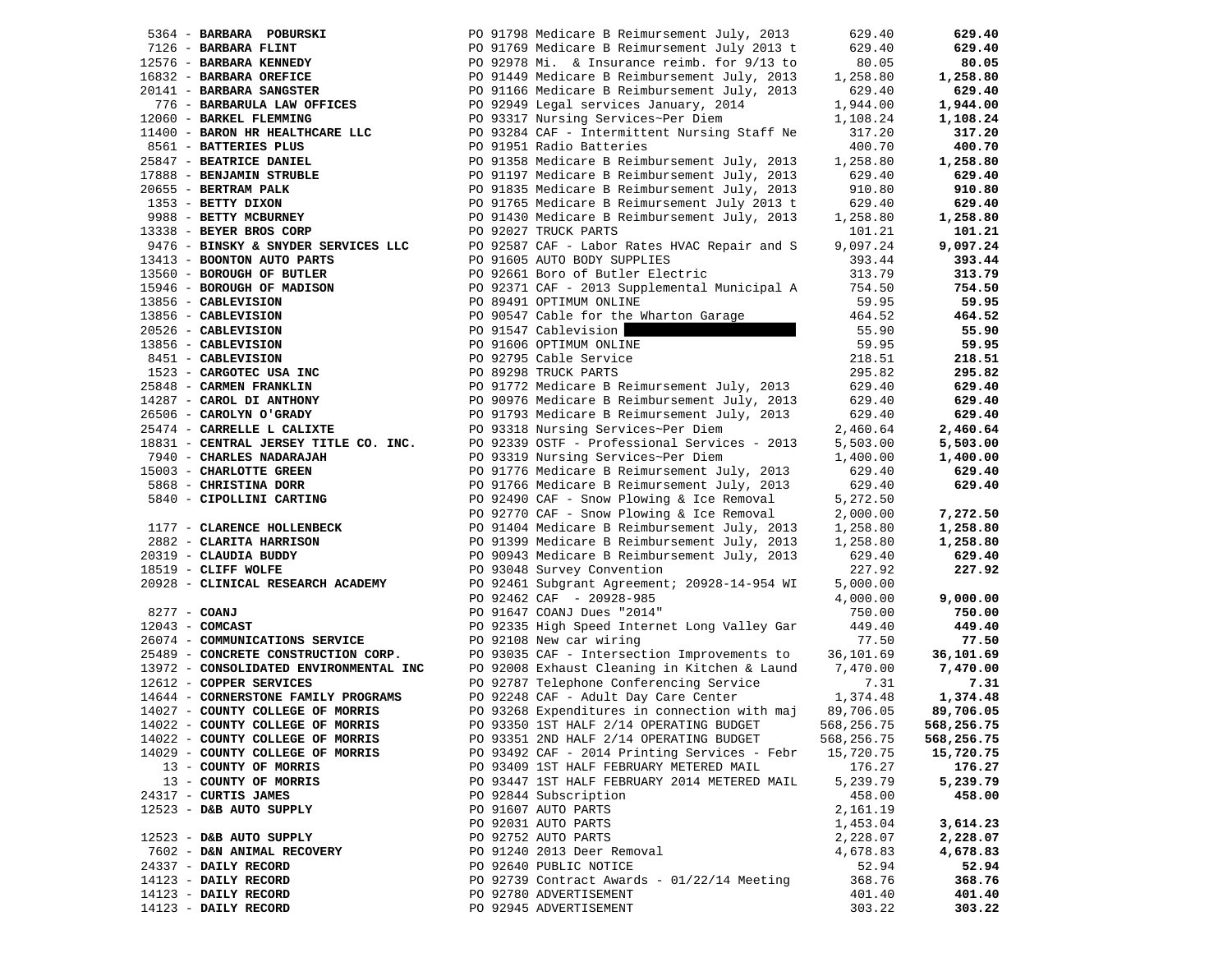|                | 5364 - BARBARA POBURSKI                | PO 91798 Medicare B Reimursement July, 2013  | 629.40     | 629.40     |
|----------------|----------------------------------------|----------------------------------------------|------------|------------|
|                | 7126 - BARBARA FLINT                   | PO 91769 Medicare B Reimursement July 2013 t | 629.40     | 629.40     |
|                | 12576 - BARBARA KENNEDY                | PO 92978 Mi. & Insurance reimb. for 9/13 to  | 80.05      | 80.05      |
|                | 16832 - BARBARA OREFICE                | PO 91449 Medicare B Reimbursement July, 2013 | 1,258.80   | 1,258.80   |
|                | 20141 - BARBARA SANGSTER               | PO 91166 Medicare B Reimbursement July, 2013 | 629.40     | 629.40     |
|                | 776 - BARBARULA LAW OFFICES            | PO 92949 Legal services January, 2014        | 1,944.00   | 1,944.00   |
|                | 12060 - BARKEL FLEMMING                | PO 93317 Nursing Services~Per Diem           | 1,108.24   | 1,108.24   |
|                | 11400 - BARON HR HEALTHCARE LLC        | PO 93284 CAF - Intermittent Nursing Staff Ne | 317.20     | 317.20     |
|                | 8561 - BATTERIES PLUS                  | PO 91951 Radio Batteries                     | 400.70     | 400.70     |
|                |                                        |                                              |            |            |
|                | 25847 - BEATRICE DANIEL                | PO 91358 Medicare B Reimbursement July, 2013 | 1,258.80   | 1,258.80   |
|                | 17888 - BENJAMIN STRUBLE               | PO 91197 Medicare B Reimbursement July, 2013 | 629.40     | 629.40     |
|                | 20655 - BERTRAM PALK                   | PO 91835 Medicare B Reimbursement July, 2013 | 910.80     | 910.80     |
|                | 1353 - BETTY DIXON                     | PO 91765 Medicare B Reimursement July 2013 t | 629.40     | 629.40     |
|                | 9988 - BETTY MCBURNEY                  | PO 91430 Medicare B Reimbursement July, 2013 | 1,258.80   | 1,258.80   |
|                | 13338 - BEYER BROS CORP                | PO 92027 TRUCK PARTS                         | 101.21     | 101.21     |
|                | 9476 - BINSKY & SNYDER SERVICES LLC    | PO 92587 CAF - Labor Rates HVAC Repair and S | 9,097.24   | 9,097.24   |
|                | 13413 - BOONTON AUTO PARTS             | PO 91605 AUTO BODY SUPPLIES                  | 393.44     | 393.44     |
|                | 13560 - BOROUGH OF BUTLER              | PO 92661 Boro of Butler Electric             | 313.79     | 313.79     |
|                | 15946 - BOROUGH OF MADISON             | PO 92371 CAF - 2013 Supplemental Municipal A | 754.50     | 754.50     |
|                | 13856 - CABLEVISION                    | PO 89491 OPTIMUM ONLINE                      | 59.95      | 59.95      |
|                | 13856 - CABLEVISION                    | PO 90547 Cable for the Wharton Garage        | 464.52     | 464.52     |
|                | 20526 - CABLEVISION                    | PO 91547 Cablevision                         | 55.90      | 55.90      |
|                | 13856 - CABLEVISION                    | PO 91606 OPTIMUM ONLINE                      | 59.95      | 59.95      |
|                | 8451 - CABLEVISION                     | PO 92795 Cable Service                       | 218.51     | 218.51     |
|                |                                        |                                              |            |            |
|                | 1523 - CARGOTEC USA INC                | PO 89298 TRUCK PARTS                         | 295.82     | 295.82     |
|                | 25848 - CARMEN FRANKLIN                | PO 91772 Medicare B Reimursement July, 2013  | 629.40     | 629.40     |
|                | 14287 - CAROL DI ANTHONY               | PO 90976 Medicare B Reimbursement July, 2013 | 629.40     | 629.40     |
|                | 26506 - CAROLYN O'GRADY                | PO 91793 Medicare B Reimursement July, 2013  | 629.40     | 629.40     |
|                | 25474 - CARRELLE L CALIXTE             | PO 93318 Nursing Services~Per Diem           | 2,460.64   | 2,460.64   |
|                | 18831 - CENTRAL JERSEY TITLE CO. INC.  | PO 92339 OSTF - Professional Services - 2013 | 5,503.00   | 5,503.00   |
|                | 7940 - CHARLES NADARAJAH               | PO 93319 Nursing Services~Per Diem           | 1,400.00   | 1,400.00   |
|                | 15003 - CHARLOTTE GREEN                | PO 91776 Medicare B Reimursement July, 2013  | 629.40     | 629.40     |
|                | 5868 - CHRISTINA DORR                  | PO 91766 Medicare B Reimursement July, 2013  | 629.40     | 629.40     |
|                | 5840 - CIPOLLINI CARTING               | PO 92490 CAF - Snow Plowing & Ice Removal    | 5,272.50   |            |
|                |                                        | PO 92770 CAF - Snow Plowing & Ice Removal    | 2,000.00   | 7,272.50   |
|                | 1177 - CLARENCE HOLLENBECK             | PO 91404 Medicare B Reimbursement July, 2013 | 1,258.80   | 1,258.80   |
|                | 2882 - CLARITA HARRISON                | PO 91399 Medicare B Reimbursement July, 2013 | 1,258.80   | 1,258.80   |
|                | 20319 - CLAUDIA BUDDY                  | PO 90943 Medicare B Reimbursement July, 2013 | 629.40     | 629.40     |
|                | 18519 - CLIFF WOLFE                    | PO 93048 Survey Convention                   | 227.92     | 227.92     |
|                | 20928 - CLINICAL RESEARCH ACADEMY      | PO 92461 Subgrant Agreement; 20928-14-954 WI | 5,000.00   |            |
|                |                                        | PO 92462 CAF - 20928-985                     | 4,000.00   | 9,000.00   |
| $8277 - COANJ$ |                                        | PO 91647 COANJ Dues "2014"                   | 750.00     | 750.00     |
|                |                                        |                                              |            |            |
|                | $12043$ - COMCAST                      | PO 92335 High Speed Internet Long Valley Gar | 449.40     | 449.40     |
|                | 26074 - COMMUNICATIONS SERVICE         | PO 92108 New car wiring                      | 77.50      | 77.50      |
|                | 25489 - CONCRETE CONSTRUCTION CORP.    | PO 93035 CAF - Intersection Improvements to  | 36,101.69  | 36,101.69  |
|                | 13972 - CONSOLIDATED ENVIRONMENTAL INC | PO 92008 Exhaust Cleaning in Kitchen & Laund | 7,470.00   | 7,470.00   |
|                | 12612 - COPPER SERVICES                | PO 92787 Telephone Conferencing Service      | 7.31       | 7.31       |
|                | 14644 - CORNERSTONE FAMILY PROGRAMS    | PO 92248 CAF - Adult Day Care Center         | 1,374.48   | 1,374.48   |
|                | 14027 - COUNTY COLLEGE OF MORRIS       | PO 93268 Expenditures in connection with maj | 89,706.05  | 89,706.05  |
|                | 14022 - COUNTY COLLEGE OF MORRIS       | PO 93350 1ST HALF 2/14 OPERATING BUDGET      | 568,256.75 | 568,256.75 |
|                | 14022 - COUNTY COLLEGE OF MORRIS       | PO 93351 2ND HALF 2/14 OPERATING BUDGET      | 568,256.75 | 568,256.75 |
|                | 14029 - COUNTY COLLEGE OF MORRIS       | PO 93492 CAF - 2014 Printing Services - Febr | 15,720.75  | 15,720.75  |
|                | 13 - COUNTY OF MORRIS                  | PO 93409 1ST HALF FEBRUARY METERED MAIL      | 176.27     | 176.27     |
|                | 13 - COUNTY OF MORRIS                  | PO 93447 1ST HALF FEBRUARY 2014 METERED MAIL | 5,239.79   | 5,239.79   |
|                | 24317 - CURTIS JAMES                   | PO 92844 Subscription                        | 458.00     | 458.00     |
|                | 12523 - D&B AUTO SUPPLY                | PO 91607 AUTO PARTS                          | 2,161.19   |            |
|                |                                        | PO 92031 AUTO PARTS                          | 1,453.04   | 3,614.23   |
|                | 12523 - D&B AUTO SUPPLY                | PO 92752 AUTO PARTS                          | 2,228.07   | 2,228.07   |
|                | 7602 - D&N ANIMAL RECOVERY             | PO 91240 2013 Deer Removal                   | 4,678.83   | 4,678.83   |
|                | 24337 - DAILY RECORD                   | PO 92640 PUBLIC NOTICE                       | 52.94      | 52.94      |
|                | 14123 - DAILY RECORD                   | PO 92739 Contract Awards - 01/22/14 Meeting  | 368.76     | 368.76     |
|                | 14123 - DAILY RECORD                   | PO 92780 ADVERTISEMENT                       | 401.40     | 401.40     |
|                |                                        | PO 92945 ADVERTISEMENT                       |            | 303.22     |
|                | 14123 - DAILY RECORD                   |                                              | 303.22     |            |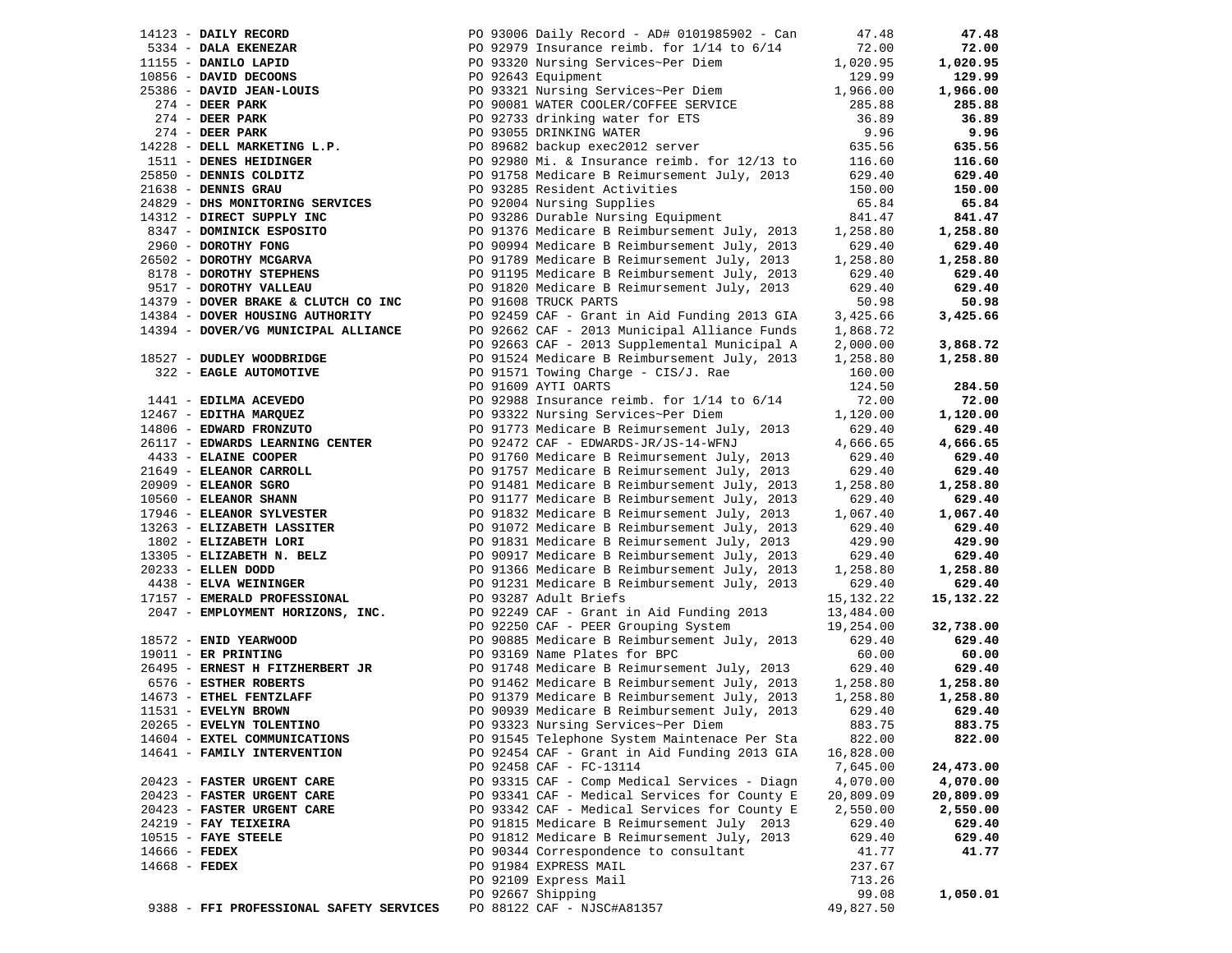| 14123 - DAILY RECORD        |                                         | PO 93006 Daily Record - AD# 0101985902 - Can                                                       | 47.48              | 47.48              |
|-----------------------------|-----------------------------------------|----------------------------------------------------------------------------------------------------|--------------------|--------------------|
| 5334 - DALA EKENEZAR        |                                         | PO 92979 Insurance reimb. for $1/14$ to $6/14$                                                     | 72.00              | 72.00              |
| 11155 - DANILO LAPID        |                                         | PO 93320 Nursing Services~Per Diem                                                                 | 1,020.95           | 1,020.95           |
| 10856 - DAVID DECOONS       |                                         | PO 92643 Equipment                                                                                 | 129.99             | 129.99             |
|                             | 25386 - DAVID JEAN-LOUIS                | PO 93321 Nursing Services~Per Diem                                                                 | 1,966.00           | 1,966.00           |
| $274$ - DEER PARK           |                                         |                                                                                                    | 285.88             | 285.88             |
| $274$ - DEER PARK           |                                         | PO 93321 Nursing Services<br>PO 90081 WATER COOLER/COFFEE SERVICE<br>Cooler deinking water for ETS | 36.89              | 36.89              |
| $274$ - DEER PARK           |                                         | PO 93055 DRINKING WATER                                                                            | 9.96               | 9.96               |
|                             | 14228 - DELL MARKETING L.P.             | PO 89682 backup exec2012 server                                                                    | 635.56             | 635.56             |
| 1511 - DENES HEIDINGER      |                                         | PO 92980 Mi. & Insurance reimb. for 12/13 to                                                       | 116.60             | 116.60             |
| 25850 - DENNIS COLDITZ      |                                         | PO 91758 Medicare B Reimursement July, 2013                                                        | 629.40             | 629.40             |
| 21638 - DENNIS GRAU         |                                         | PO 93285 Resident Activities                                                                       | 150.00             | 150.00             |
|                             | 24829 - DHS MONITORING SERVICES         | PO 92004 Nursing Supplies                                                                          | 65.84              | 65.84              |
| 14312 - DIRECT SUPPLY INC   |                                         | PO 93286 Durable Nursing Equipment                                                                 | 841.47             | 841.47             |
| 8347 - DOMINICK ESPOSITO    |                                         | PO 91376 Medicare B Reimbursement July, 2013                                                       | 1,258.80           | 1,258.80           |
| 2960 - DOROTHY FONG         |                                         | PO 90994 Medicare B Reimbursement July, 2013                                                       | 629.40             | 629.40             |
| 26502 - DOROTHY MCGARVA     |                                         | PO 91789 Medicare B Reimursement July, 2013                                                        | 1,258.80           | 1,258.80           |
| 8178 - DOROTHY STEPHENS     |                                         | PO 91195 Medicare B Reimbursement July, 2013                                                       | 629.40             | 629.40             |
| 9517 - DOROTHY VALLEAU      |                                         | PO 91820 Medicare B Reimursement July, 2013                                                        | 629.40             | 629.40             |
|                             | 14379 - DOVER BRAKE & CLUTCH CO INC     | PO 91608 TRUCK PARTS                                                                               | 50.98              | 50.98              |
|                             | 14384 - DOVER HOUSING AUTHORITY         | PO 92459 CAF - Grant in Aid Funding 2013 GIA                                                       | 3,425.66           | 3,425.66           |
|                             | 14394 - DOVER/VG MUNICIPAL ALLIANCE     | PO 92662 CAF - 2013 Municipal Alliance Funds                                                       | 1,868.72           |                    |
|                             |                                         | PO 92663 CAF - 2013 Supplemental Municipal A                                                       | 2,000.00           | 3,868.72           |
| 18527 - DUDLEY WOODBRIDGE   |                                         | PO 91524 Medicare B Reimbursement July, 2013                                                       | 1,258.80           | 1,258.80           |
| 322 - EAGLE AUTOMOTIVE      |                                         | PO 91571 Towing Charge - CIS/J. Rae                                                                | 160.00             |                    |
|                             |                                         | PO 91609 AYTI OARTS                                                                                | 124.50             | 284.50             |
| 1441 - EDILMA ACEVEDO       |                                         | PO 92988 Insurance reimb. for 1/14 to 6/14                                                         | 72.00              | 72.00              |
| 12467 - EDITHA MARQUEZ      |                                         | PO 93322 Nursing Services~Per Diem                                                                 | 1,120.00           | 1,120.00           |
| 14806 - EDWARD FRONZUTO     |                                         | PO 91773 Medicare B Reimursement July, 2013                                                        | 629.40             | 629.40             |
|                             | 26117 - EDWARDS LEARNING CENTER         | PO 92472 CAF - EDWARDS-JR/JS-14-WFNJ                                                               | 4,666.65           | 4,666.65           |
| 4433 - ELAINE COOPER        |                                         | PO 91760 Medicare B Reimursement July, 2013                                                        | 629.40             | 629.40             |
| 21649 - ELEANOR CARROLL     |                                         | PO 91757 Medicare B Reimursement July, 2013                                                        | 629.40             | 629.40             |
| 20909 - ELEANOR SGRO        |                                         | PO 91481 Medicare B Reimbursement July, 2013                                                       | 1,258.80           | 1,258.80           |
| 10560 - ELEANOR SHANN       | 17946 - ELEANOR SYLVESTER               | PO 91177 Medicare B Reimbursement July, 2013<br>PO 91832 Medicare B Reimursement July, 2013        | 629.40<br>1,067.40 | 629.40<br>1,067.40 |
|                             | 13263 - ELIZABETH LASSITER              | PO 91072 Medicare B Reimbursement July, 2013                                                       | 629.40             | 629.40             |
| 1802 - ELIZABETH LORI       |                                         | PO 91831 Medicare B Reimursement July, 2013                                                        | 429.90             | 429.90             |
|                             | 13305 - ELIZABETH N. BELZ               | PO 90917 Medicare B Reimbursement July, 2013                                                       | 629.40             | 629.40             |
| 20233 - ELLEN DODD          |                                         | PO 91366 Medicare B Reimbursement July, 2013                                                       | 1,258.80           | 1,258.80           |
| 4438 - ELVA WEININGER       |                                         | PO 91231 Medicare B Reimbursement July, 2013                                                       | 629.40             | 629.40             |
|                             | 17157 - EMERALD PROFESSIONAL            | PO 93287 Adult Briefs                                                                              | 15, 132. 22        | 15,132.22          |
|                             | 2047 - EMPLOYMENT HORIZONS, INC.        | PO 92249 CAF - Grant in Aid Funding 2013                                                           | 13,484.00          |                    |
|                             |                                         | PO 92250 CAF - PEER Grouping System                                                                | 19,254.00          | 32,738.00          |
| 18572 - ENID YEARWOOD       |                                         | PO 90885 Medicare B Reimbursement July, 2013                                                       | 629.40             | 629.40             |
| $19011$ - ER PRINTING       |                                         | PO 93169 Name Plates for BPC                                                                       | 60.00              | 60.00              |
|                             | 26495 - ERNEST H FITZHERBERT JR         | PO 91748 Medicare B Reimursement July, 2013                                                        | 629.40             | 629.40             |
| 6576 - ESTHER ROBERTS       |                                         | PO 91462 Medicare B Reimbursement July, 2013                                                       | 1,258.80           | 1,258.80           |
| 14673 - ETHEL FENTZLAFF     |                                         | PO 91379 Medicare B Reimbursement July, 2013                                                       | 1,258.80           | 1,258.80           |
| 11531 - EVELYN BROWN        |                                         | PO 90939 Medicare B Reimbursement July, 2013                                                       | 629.40             | 629.40             |
| 20265 - EVELYN TOLENTINO    |                                         | PO 93323 Nursing Services~Per Diem                                                                 | 883.75             | 883.75             |
|                             | 14604 - EXTEL COMMUNICATIONS            | PO 91545 Telephone System Maintenace Per Sta                                                       | 822.00             | 822.00             |
| 14641 - FAMILY INTERVENTION |                                         | PO 92454 CAF - Grant in Aid Funding 2013 GIA                                                       | 16,828.00          |                    |
|                             |                                         | PO 92458 CAF - FC-13114                                                                            | 7,645.00           | 24,473.00          |
| 20423 - FASTER URGENT CARE  |                                         | PO 93315 CAF - Comp Medical Services - Diagn                                                       | 4,070.00           | 4,070.00           |
| 20423 - FASTER URGENT CARE  |                                         | PO 93341 CAF - Medical Services for County E                                                       | 20,809.09          | 20,809.09          |
| 20423 - FASTER URGENT CARE  |                                         | PO 93342 CAF - Medical Services for County E                                                       | 2,550.00           | 2,550.00           |
| 24219 - FAY TEIXEIRA        |                                         | PO 91815 Medicare B Reimursement July 2013                                                         | 629.40             | 629.40             |
| $10515$ - FAYE STEELE       |                                         | PO 91812 Medicare B Reimursement July, 2013                                                        | 629.40             | 629.40             |
| $14666$ - FEDEX             |                                         | PO 90344 Correspondence to consultant                                                              | 41.77              | 41.77              |
| 14668 - FEDEX               |                                         | PO 91984 EXPRESS MAIL                                                                              | 237.67             |                    |
|                             |                                         | PO 92109 Express Mail                                                                              | 713.26             |                    |
|                             |                                         | PO 92667 Shipping                                                                                  | 99.08              | 1,050.01           |
|                             | 9388 - FFI PROFESSIONAL SAFETY SERVICES | PO 88122 CAF - NJSC#A81357                                                                         | 49,827.50          |                    |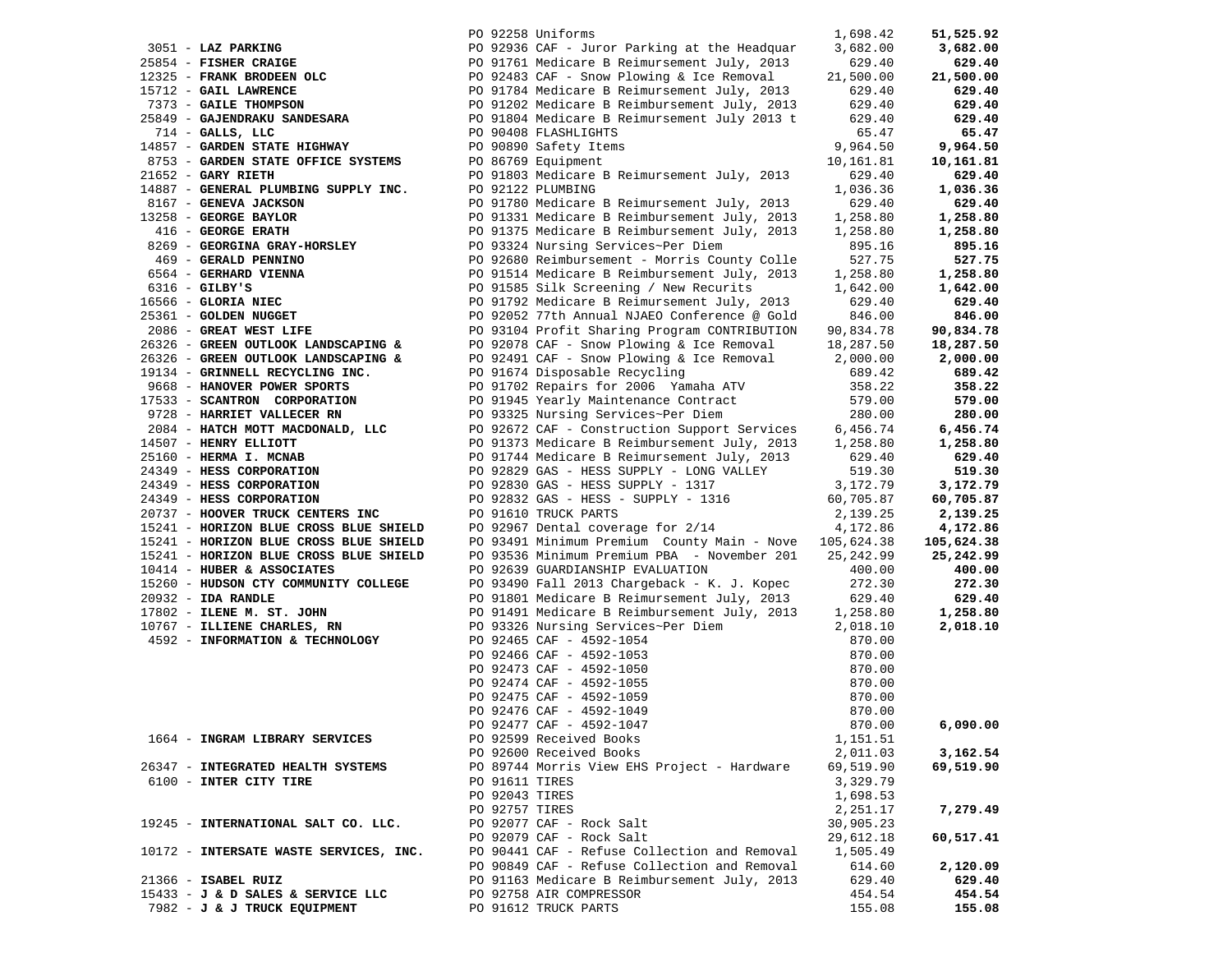|                                        |                | PO 92258 Uniforms                            | 1,698.42   | 51,525.92  |
|----------------------------------------|----------------|----------------------------------------------|------------|------------|
| 3051 - LAZ PARKING                     |                | PO 92936 CAF - Juror Parking at the Headquar | 3,682.00   | 3,682.00   |
| 25854 - FISHER CRAIGE                  |                | PO 91761 Medicare B Reimursement July, 2013  | 629.40     | 629.40     |
| 12325 - FRANK BRODEEN OLC              |                | PO 92483 CAF - Snow Plowing & Ice Removal    | 21,500.00  | 21,500.00  |
| 15712 - GAIL LAWRENCE                  |                | PO 91784 Medicare B Reimursement July, 2013  | 629.40     | 629.40     |
| 7373 - GAILE THOMPSON                  |                | PO 91202 Medicare B Reimbursement July, 2013 | 629.40     | 629.40     |
| 25849 - GAJENDRAKU SANDESARA           |                | PO 91804 Medicare B Reimursement July 2013 t | 629.40     | 629.40     |
| $714$ - GALLS, LLC                     |                | PO 90408 FLASHLIGHTS                         | 65.47      | 65.47      |
| 14857 - GARDEN STATE HIGHWAY           |                | PO 90890 Safety Items                        | 9,964.50   | 9,964.50   |
| 8753 - GARDEN STATE OFFICE SYSTEMS     |                | PO 86769 Equipment                           | 10,161.81  | 10,161.81  |
| $21652$ - GARY RIETH                   |                | PO 91803 Medicare B Reimursement July, 2013  | 629.40     | 629.40     |
| 14887 - GENERAL PLUMBING SUPPLY INC.   |                | PO 92122 PLUMBING                            | 1,036.36   | 1,036.36   |
| 8167 - GENEVA JACKSON                  |                | PO 91780 Medicare B Reimursement July, 2013  | 629.40     | 629.40     |
| 13258 - GEORGE BAYLOR                  |                | PO 91331 Medicare B Reimbursement July, 2013 | 1,258.80   | 1,258.80   |
| 416 - GEORGE ERATH                     |                | PO 91375 Medicare B Reimbursement July, 2013 | 1,258.80   | 1,258.80   |
| 8269 - GEORGINA GRAY-HORSLEY           |                | PO 93324 Nursing Services~Per Diem           | 895.16     | 895.16     |
| 469 - GERALD PENNINO                   |                | PO 92680 Reimbursement - Morris County Colle | 527.75     | 527.75     |
| 6564 - GERHARD VIENNA                  |                | PO 91514 Medicare B Reimbursement July, 2013 | 1,258.80   | 1,258.80   |
| $6316$ - GILBY'S                       |                | PO 91585 Silk Screening / New Recurits       | 1,642.00   | 1,642.00   |
| 16566 - GLORIA NIEC                    |                | PO 91792 Medicare B Reimursement July, 2013  | 629.40     | 629.40     |
| 25361 - GOLDEN NUGGET                  |                | PO 92052 77th Annual NJAEO Conference @ Gold | 846.00     | 846.00     |
| 2086 - GREAT WEST LIFE                 |                | PO 93104 Profit Sharing Program CONTRIBUTION | 90,834.78  | 90,834.78  |
| 26326 - GREEN OUTLOOK LANDSCAPING &    |                | PO 92078 CAF - Snow Plowing & Ice Removal    | 18,287.50  | 18,287.50  |
| 26326 - GREEN OUTLOOK LANDSCAPING &    |                | PO 92491 CAF - Snow Plowing & Ice Removal    | 2,000.00   | 2,000.00   |
| 19134 - GRINNELL RECYCLING INC.        |                | PO 91674 Disposable Recycling                | 689.42     | 689.42     |
| 9668 - HANOVER POWER SPORTS            |                | PO 91702 Repairs for 2006 Yamaha ATV         | 358.22     | 358.22     |
| 17533 - SCANTRON CORPORATION           |                | PO 91945 Yearly Maintenance Contract         | 579.00     | 579.00     |
| 9728 - HARRIET VALLECER RN             |                | PO 93325 Nursing Services~Per Diem           | 280.00     | 280.00     |
| 2084 - HATCH MOTT MACDONALD, LLC       |                | PO 92672 CAF - Construction Support Services | 6,456.74   | 6,456.74   |
| 14507 - HENRY ELLIOTT                  |                | PO 91373 Medicare B Reimbursement July, 2013 | 1,258.80   | 1,258.80   |
| 25160 - HERMA I. MCNAB                 |                | PO 91744 Medicare B Reimursement July, 2013  | 629.40     | 629.40     |
| 24349 - HESS CORPORATION               |                | PO 92829 GAS - HESS SUPPLY - LONG VALLEY     | 519.30     | 519.30     |
| 24349 - HESS CORPORATION               |                | PO 92830 GAS - HESS SUPPLY - 1317            | 3,172.79   | 3,172.79   |
| 24349 - HESS CORPORATION               |                | PO 92832 GAS - HESS - SUPPLY - 1316          | 60,705.87  | 60,705.87  |
| 20737 - HOOVER TRUCK CENTERS INC       |                | PO 91610 TRUCK PARTS                         | 2,139.25   | 2,139.25   |
| 15241 - HORIZON BLUE CROSS BLUE SHIELD |                | PO 92967 Dental coverage for 2/14            | 4,172.86   | 4,172.86   |
| 15241 - HORIZON BLUE CROSS BLUE SHIELD |                | PO 93491 Minimum Premium County Main - Nove  | 105,624.38 | 105,624.38 |
| 15241 - HORIZON BLUE CROSS BLUE SHIELD |                | PO 93536 Minimum Premium PBA - November 201  | 25, 242.99 | 25,242.99  |
| 10414 - HUBER & ASSOCIATES             |                | PO 92639 GUARDIANSHIP EVALUATION             | 400.00     | 400.00     |
| 15260 - HUDSON CTY COMMUNITY COLLEGE   |                | PO 93490 Fall 2013 Chargeback - K. J. Kopec  | 272.30     | 272.30     |
| 20932 - IDA RANDLE                     |                | PO 91801 Medicare B Reimursement July, 2013  | 629.40     | 629.40     |
| 17802 - ILENE M. ST. JOHN              |                | PO 91491 Medicare B Reimbursement July, 2013 | 1,258.80   | 1,258.80   |
| 10767 - ILLIENE CHARLES, RN            |                | PO 93326 Nursing Services~Per Diem           | 2,018.10   | 2,018.10   |
| 4592 - INFORMATION & TECHNOLOGY        |                | PO 92465 CAF - 4592-1054                     | 870.00     |            |
|                                        |                | PO 92466 CAF - 4592-1053                     | 870.00     |            |
|                                        |                | PO 92473 CAF - 4592-1050                     | 870.00     |            |
|                                        |                | PO 92474 CAF - 4592-1055                     | 870.00     |            |
|                                        |                | PO 92475 CAF - 4592-1059                     | 870.00     |            |
|                                        |                | PO 92476 CAF - 4592-1049                     | 870.00     |            |
|                                        |                | PO 92477 CAF - 4592-1047                     | 870.00     | 6,090.00   |
| 1664 - INGRAM LIBRARY SERVICES         |                | PO 92599 Received Books                      | 1,151.51   |            |
|                                        |                | PO 92600 Received Books                      | 2,011.03   | 3,162.54   |
| 26347 - INTEGRATED HEALTH SYSTEMS      |                | PO 89744 Morris View EHS Project - Hardware  | 69,519.90  | 69,519.90  |
| 6100 - INTER CITY TIRE                 | PO 91611 TIRES |                                              | 3,329.79   |            |
|                                        | PO 92043 TIRES |                                              | 1,698.53   |            |
|                                        | PO 92757 TIRES |                                              | 2,251.17   | 7,279.49   |
| 19245 - INTERNATIONAL SALT CO. LLC.    |                | PO 92077 CAF - Rock Salt                     | 30,905.23  |            |
|                                        |                | PO 92079 CAF - Rock Salt                     | 29,612.18  | 60,517.41  |
| 10172 - INTERSATE WASTE SERVICES, INC. |                | PO 90441 CAF - Refuse Collection and Removal | 1,505.49   |            |
|                                        |                | PO 90849 CAF - Refuse Collection and Removal | 614.60     | 2,120.09   |
| 21366 - ISABEL RUIZ                    |                | PO 91163 Medicare B Reimbursement July, 2013 | 629.40     | 629.40     |
| 15433 - J & D SALES & SERVICE LLC      |                | PO 92758 AIR COMPRESSOR                      | 454.54     | 454.54     |
| 7982 - J & J TRUCK EQUIPMENT           |                | PO 91612 TRUCK PARTS                         | 155.08     | 155.08     |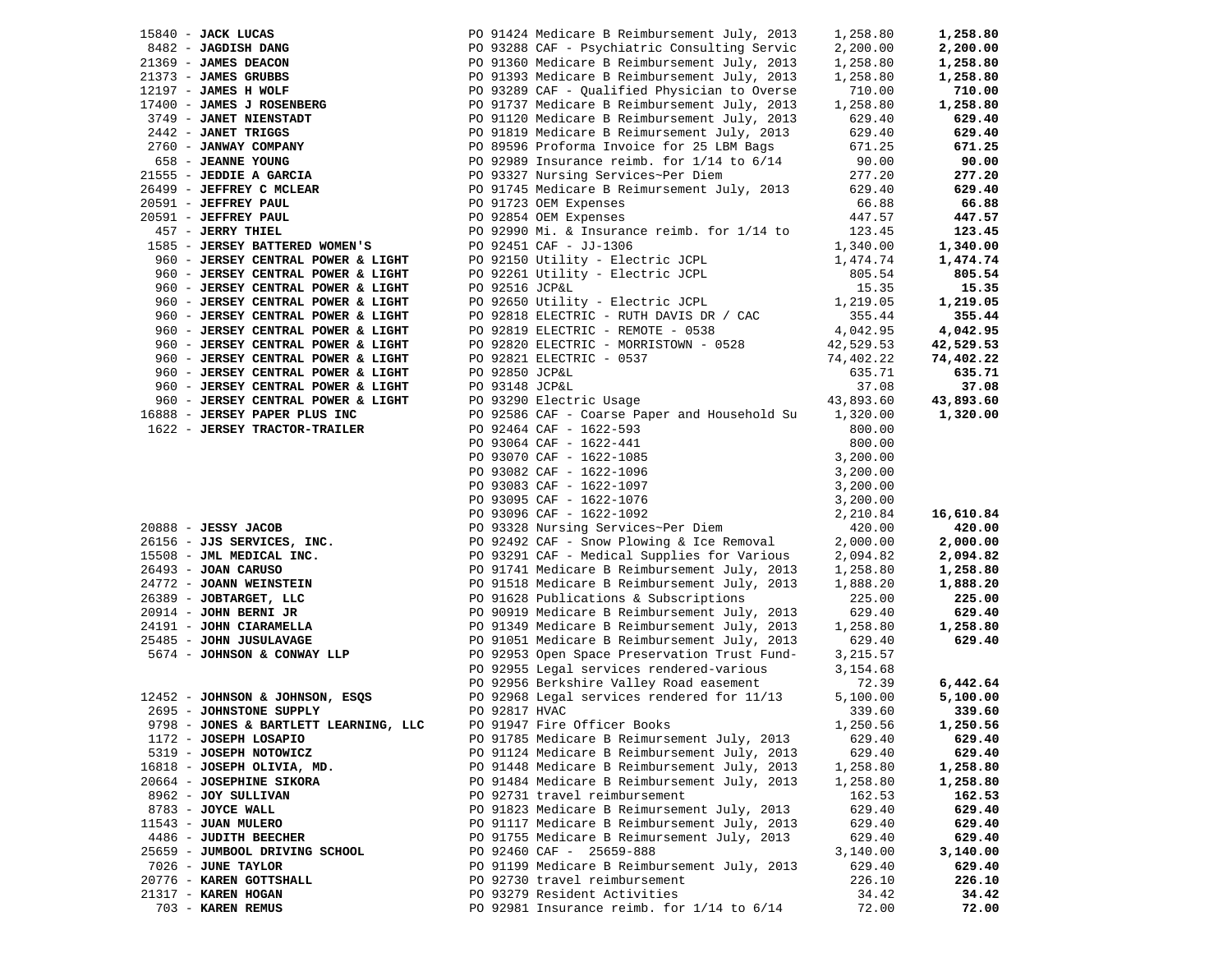| $15840$ - JACK LUCAS                                                                                                                                        |                | PO 91424 Medicare B Reimbursement July, 2013                                                                                                                                                                                         | 1,258.80               | 1,258.80  |
|-------------------------------------------------------------------------------------------------------------------------------------------------------------|----------------|--------------------------------------------------------------------------------------------------------------------------------------------------------------------------------------------------------------------------------------|------------------------|-----------|
| 8482 - JAGDISH DANG                                                                                                                                         |                | PO 93288 CAF - Psychiatric Consulting Servic                                                                                                                                                                                         | 2,200.00               | 2,200.00  |
| 21369 - JAMES DEACON                                                                                                                                        |                | PO 91360 Medicare B Reimbursement July, 2013                                                                                                                                                                                         | 1,258.80               | 1,258.80  |
| 21373 - JAMES GRUBBS                                                                                                                                        |                | PO 91393 Medicare B Reimbursement July, 2013                                                                                                                                                                                         | 1,258.80               | 1,258.80  |
| 12197 - JAMES H WOLF                                                                                                                                        |                | PO 93289 CAF - Qualified Physician to Overse                                                                                                                                                                                         | 710.00                 | 710.00    |
| 17400 - JAMES J ROSENBERG                                                                                                                                   |                | PO 91737 Medicare B Reimbursement July, 2013                                                                                                                                                                                         | 1,258.80               | 1,258.80  |
| 3749 - JANET NIENSTADT                                                                                                                                      |                | PO 91120 Medicare B Reimbursement July, 2013                                                                                                                                                                                         | 629.40                 | 629.40    |
| 2442 - JANET TRIGGS                                                                                                                                         |                |                                                                                                                                                                                                                                      |                        | 629.40    |
|                                                                                                                                                             |                | PO 91819 Medicare B Reimursement July, 2013                                                                                                                                                                                          | 629.40                 |           |
| 2760 - JANWAY COMPANY                                                                                                                                       |                | PO 89596 Proforma Invoice for 25 LBM Bags                                                                                                                                                                                            | 671.25                 | 671.25    |
| 658 - JEANNE YOUNG                                                                                                                                          |                | PO 92989 Insurance reimb. for $1/14$ to $6/14$                                                                                                                                                                                       | 90.00                  | 90.00     |
| 21555 - JEDDIE A GARCIA                                                                                                                                     |                | PO 93327 Nursing Services~Per Diem                                                                                                                                                                                                   | 277.20                 | 277.20    |
| 26499 - JEFFREY C MCLEAR                                                                                                                                    |                | PO 91745 Medicare B Reimursement July, 2013 629.40                                                                                                                                                                                   |                        | 629.40    |
| 20591 - JEFFREY PAUL                                                                                                                                        |                | PO 91723 OEM Expenses                                                                                                                                                                                                                | 66.88                  | 66.88     |
| 20591 - JEFFREY PAUL                                                                                                                                        |                | PO 92854 OEM Expenses                                                                                                                                                                                                                | 447.57                 | 447.57    |
| 457 - JERRY THIEL                                                                                                                                           |                | PO 92990 Mi. & Insurance reimb. for 1/14 to                                                                                                                                                                                          | 123.45                 | 123.45    |
| 1585 - JERSEY BATTERED WOMEN'S                                                                                                                              |                | PO 92451 CAF - JJ-1306                                                                                                                                                                                                               | 1,340.00               | 1,340.00  |
| 960 - JERSEY CENTRAL POWER & LIGHT                                                                                                                          |                | PO 92150 Utility - Electric JCPL<br>PO 92261 Utility - Electric JCPL                                                                                                                                                                 | 1,474.74               | 1,474.74  |
| 960 - JERSEY CENTRAL POWER & LIGHT                                                                                                                          |                |                                                                                                                                                                                                                                      | 805.54                 | 805.54    |
| 960 - JERSEY CENTRAL POWER & LIGHT                                                                                                                          | PO 92516 JCP&L |                                                                                                                                                                                                                                      | 15.35                  | 15.35     |
| 960 - JERSEY CENTRAL POWER & LIGHT                                                                                                                          |                | PO 92650 Utility - Electric JCPL                                                                                                                                                                                                     | 1,219.05               | 1,219.05  |
| 960 - JERSEY CENTRAL POWER & LIGHT                                                                                                                          |                | PO 92818 ELECTRIC - RUTH DAVIS DR / CAC                                                                                                                                                                                              | 355.44                 | 355.44    |
| 960 - JERSEY CENTRAL POWER & LIGHT                                                                                                                          |                | PO 92819 ELECTRIC - REMOTE - 0538                                                                                                                                                                                                    | 4,042.95               | 4,042.95  |
|                                                                                                                                                             |                |                                                                                                                                                                                                                                      |                        |           |
| 960 - JERSEY CENTRAL POWER & LIGHT                                                                                                                          |                | PO 92820 ELECTRIC - MORRISTOWN - 0528<br>PO 92821 ELECTRIC - 0537                                                                                                                                                                    | 42,529.53<br>74,402.22 | 42,529.53 |
| 960 - JERSEY CENTRAL POWER & LIGHT                                                                                                                          |                |                                                                                                                                                                                                                                      |                        | 74,402.22 |
| 960 - JERSEY CENTRAL POWER & LIGHT                                                                                                                          | PO 92850 JCP&L |                                                                                                                                                                                                                                      | 635.71                 | 635.71    |
| 960 - JERSEY CENTRAL POWER & LIGHT                                                                                                                          | PO 93148 JCP&L |                                                                                                                                                                                                                                      | 37.08                  | 37.08     |
| 960 - JERSEY CENTRAL POWER & LIGHT                                                                                                                          |                | PO 93290 Electric Usage                                                                                                                                                                                                              | 43,893.60              | 43,893.60 |
| 16888 - JERSEY PAPER PLUS INC                                                                                                                               |                | PO 92586 CAF - Coarse Paper and Household Su 1,320.00                                                                                                                                                                                |                        | 1,320.00  |
| 1622 - JERSEY TRACTOR-TRAILER                                                                                                                               |                | PO 92464 CAF - 1622-593                                                                                                                                                                                                              | 800.00                 |           |
|                                                                                                                                                             |                | PO 92464 CAF - 1622-593<br>PO 93064 CAF - 1622-441<br>PO 93070 CAF - 1622-1085<br>PO 93082 CAF - 1622-1096<br>PO 93083 CAF - 1622-1097<br>PO 93095 CAF - 1622-1076<br>PO 93096 CAF - 1622-1092<br>PO 93328 Nursing Services~Per Diem | 800.00                 |           |
|                                                                                                                                                             |                |                                                                                                                                                                                                                                      | 3,200.00               |           |
|                                                                                                                                                             |                |                                                                                                                                                                                                                                      | 3,200.00               |           |
|                                                                                                                                                             |                |                                                                                                                                                                                                                                      | 3,200.00               |           |
|                                                                                                                                                             |                |                                                                                                                                                                                                                                      | 3,200.00               |           |
|                                                                                                                                                             |                |                                                                                                                                                                                                                                      | 2,210.84               | 16,610.84 |
| $20888 - JESSY JACOB$                                                                                                                                       |                |                                                                                                                                                                                                                                      | 420.00                 | 420.00    |
| 26156 - JJS SERVICES, INC.<br>15508 - JML MEDICAL INC.<br>26493 - JOAN CARUSO<br>24772 - JOANN WEINSTEIN<br>26389 - JOBTARGET, LLC<br>20914 - JOHN BERNI JR |                | PO 92492 CAF - Snow Plowing & Ice Removal                                                                                                                                                                                            | 2,000.00               | 2,000.00  |
|                                                                                                                                                             |                | PO 93291 CAF - Medical Supplies for Various                                                                                                                                                                                          |                        |           |
|                                                                                                                                                             |                |                                                                                                                                                                                                                                      | 2,094.82               | 2,094.82  |
|                                                                                                                                                             |                | PO 91741 Medicare B Reimbursement July, 2013                                                                                                                                                                                         | 1,258.80               | 1,258.80  |
|                                                                                                                                                             |                | PO 91518 Medicare B Reimbursement July, 2013                                                                                                                                                                                         | 1,888.20               | 1,888.20  |
|                                                                                                                                                             |                | PO 91628 Publications & Subscriptions                                                                                                                                                                                                | 225.00                 | 225.00    |
|                                                                                                                                                             |                | PO 90919 Medicare B Reimbursement July, 2013                                                                                                                                                                                         | 629.40                 | 629.40    |
| $24191 - $ JOHN CIARAMELLA                                                                                                                                  |                | PO 91349 Medicare B Reimbursement July, 2013                                                                                                                                                                                         | 1,258.80               | 1,258.80  |
|                                                                                                                                                             |                | PO 91051 Medicare B Reimbursement July, 2013                                                                                                                                                                                         | 629.40                 | 629.40    |
| 5674 - JOHNSON & CONWAY LLP                                                                                                                                 |                | PO 92953 Open Space Preservation Trust Fund-                                                                                                                                                                                         | 3,215.57               |           |
|                                                                                                                                                             |                | PO 92955 Legal services rendered-various                                                                                                                                                                                             | 3,154.68               |           |
|                                                                                                                                                             |                | PO 92956 Berkshire Valley Road easement                                                                                                                                                                                              | 72.39                  | 6,442.64  |
| 12452 - JOHNSON & JOHNSON, ESQS                                                                                                                             |                | PO 92968 Legal services rendered for 11/13                                                                                                                                                                                           | 5,100.00               | 5,100.00  |
| 2695 - JOHNSTONE SUPPLY                                                                                                                                     | PO 92817 HVAC  |                                                                                                                                                                                                                                      | 339.60                 | 339.60    |
| 9798 - JONES & BARTLETT LEARNING, LLC                                                                                                                       |                | PO 91947 Fire Officer Books                                                                                                                                                                                                          | 1,250.56               | 1,250.56  |
| 1172 - JOSEPH LOSAPIO                                                                                                                                       |                | PO 91785 Medicare B Reimursement July, 2013                                                                                                                                                                                          | 629.40                 | 629.40    |
| 5319 - JOSEPH NOTOWICZ                                                                                                                                      |                | PO 91124 Medicare B Reimbursement July, 2013                                                                                                                                                                                         | 629.40                 | 629.40    |
| 16818 - JOSEPH OLIVIA, MD.                                                                                                                                  |                | PO 91448 Medicare B Reimbursement July, 2013                                                                                                                                                                                         | 1,258.80               | 1,258.80  |
| 20664 - JOSEPHINE SIKORA                                                                                                                                    |                | PO 91484 Medicare B Reimbursement July, 2013                                                                                                                                                                                         | 1,258.80               | 1,258.80  |
| 8962 - JOY SULLIVAN                                                                                                                                         |                | PO 92731 travel reimbursement                                                                                                                                                                                                        | 162.53                 | 162.53    |
|                                                                                                                                                             |                | PO 91823 Medicare B Reimursement July, 2013                                                                                                                                                                                          | 629.40                 | 629.40    |
| 8783 - JOYCE WALL                                                                                                                                           |                |                                                                                                                                                                                                                                      |                        |           |
| 11543 - JUAN MULERO                                                                                                                                         |                | PO 91117 Medicare B Reimbursement July, 2013                                                                                                                                                                                         | 629.40                 | 629.40    |
| 4486 - JUDITH BEECHER                                                                                                                                       |                | PO 91755 Medicare B Reimursement July, 2013                                                                                                                                                                                          | 629.40                 | 629.40    |
| 25659 - JUMBOOL DRIVING SCHOOL                                                                                                                              |                | PO 92460 CAF - 25659-888                                                                                                                                                                                                             | 3,140.00               | 3,140.00  |
| 7026 - JUNE TAYLOR                                                                                                                                          |                | PO 91199 Medicare B Reimbursement July, 2013                                                                                                                                                                                         | 629.40                 | 629.40    |
| 20776 - KAREN GOTTSHALL                                                                                                                                     |                | PO 92730 travel reimbursement                                                                                                                                                                                                        | 226.10                 | 226.10    |
| 21317 - KAREN HOGAN                                                                                                                                         |                | PO 93279 Resident Activities                                                                                                                                                                                                         | 34.42                  | 34.42     |
| 703 - KAREN REMUS                                                                                                                                           |                | PO 92981 Insurance reimb. for 1/14 to 6/14                                                                                                                                                                                           | 72.00                  | 72.00     |

| $15840$ - JACK LUCAS                                                                                                                                         |                | PO 91424 Medicare B Reimbursement July, 2013                                                                                                                                                                                        | 1,258.80  | 1,258.80  |
|--------------------------------------------------------------------------------------------------------------------------------------------------------------|----------------|-------------------------------------------------------------------------------------------------------------------------------------------------------------------------------------------------------------------------------------|-----------|-----------|
| 8482 - JAGDISH DANG                                                                                                                                          |                | PO 93288 CAF - Psychiatric Consulting Servic                                                                                                                                                                                        | 2,200.00  | 2,200.00  |
| 21369 - JAMES DEACON                                                                                                                                         |                | PO 91360 Medicare B Reimbursement July, 2013                                                                                                                                                                                        | 1,258.80  | 1,258.80  |
| 21373 - JAMES GRUBBS                                                                                                                                         |                | PO 91393 Medicare B Reimbursement July, 2013                                                                                                                                                                                        | 1,258.80  | 1,258.80  |
| 12197 - JAMES H WOLF                                                                                                                                         |                | PO 93289 CAF - Qualified Physician to Overse                                                                                                                                                                                        | 710.00    | 710.00    |
| 17400 - JAMES J ROSENBERG                                                                                                                                    |                | PO 91737 Medicare B Reimbursement July, 2013                                                                                                                                                                                        | 1,258.80  | 1,258.80  |
| 3749 - JANET NIENSTADT                                                                                                                                       |                | PO 91120 Medicare B Reimbursement July, 2013                                                                                                                                                                                        | 629.40    | 629.40    |
| 2442 - JANET TRIGGS                                                                                                                                          |                | PO 91819 Medicare B Reimursement July, 2013                                                                                                                                                                                         | 629.40    | 629.40    |
| 2760 - JANWAY COMPANY                                                                                                                                        |                | PO 89596 Proforma Invoice for 25 LBM Bags                                                                                                                                                                                           | 671.25    | 671.25    |
| 658 - JEANNE YOUNG<br>21555 - JEDDIE A GARCIA                                                                                                                |                | PO 92989 Insurance reimb. for $1/14$ to $6/14$                                                                                                                                                                                      | 90.00     | 90.00     |
|                                                                                                                                                              |                | PO 93327 Nursing Services~Per Diem                                                                                                                                                                                                  | 277.20    | 277.20    |
| 26499 - <b>JEFFREY C MCLEAR</b><br>20591 - <b>JEFFREY PAUL</b>                                                                                               |                | PO 91745 Medicare B Reimursement July, 2013                                                                                                                                                                                         | 629.40    | 629.40    |
| 20591 - JEFFREY PAUL                                                                                                                                         |                | PO 91723 OEM Expenses                                                                                                                                                                                                               | 66.88     | 66.88     |
| 20591 - JEFFREY PAUL                                                                                                                                         |                | PO 92854 OEM Expenses                                                                                                                                                                                                               | 447.57    | 447.57    |
| 457 - JERRY THIEL                                                                                                                                            |                | PO 92990 Mi. & Insurance reimb. for $1/14$ to                                                                                                                                                                                       | 123.45    | 123.45    |
| 1585 - JERSEY BATTERED WOMEN'S                                                                                                                               |                | PO 92451 CAF - JJ-1306                                                                                                                                                                                                              | 1,340.00  | 1,340.00  |
| 960 - JERSEY CENTRAL POWER & LIGHT                                                                                                                           |                | PO 92150 Utility - Electric JCPL                                                                                                                                                                                                    | 1,474.74  | 1,474.74  |
| 960 - JERSEY CENTRAL POWER & LIGHT                                                                                                                           |                | PO 92261 Utility - Electric JCPL                                                                                                                                                                                                    | 805.54    | 805.54    |
| 960 - JERSEY CENTRAL POWER & LIGHT                                                                                                                           | PO 92516 JCP&L |                                                                                                                                                                                                                                     | 15.35     | 15.35     |
| 960 - JERSEY CENTRAL POWER & LIGHT                                                                                                                           |                | PO 92650 Utility - Electric JCPL<br>PO 92818 ELECTRIC - RUTH DAVIS DR / CAC<br>PO 92819 ELECTRIC - REMOTE - 0538                                                                                                                    | 1,219.05  | 1,219.05  |
| 960 - JERSEY CENTRAL POWER & LIGHT                                                                                                                           |                |                                                                                                                                                                                                                                     | 355.44    | 355.44    |
| 960 - JERSEY CENTRAL POWER & LIGHT                                                                                                                           |                |                                                                                                                                                                                                                                     | 4,042.95  | 4,042.95  |
| 960 - JERSEY CENTRAL POWER & LIGHT                                                                                                                           |                | PO 92820 ELECTRIC - MORRISTOWN - 0528                                                                                                                                                                                               | 42,529.53 | 42,529.53 |
| 960 - JERSEY CENTRAL POWER & LIGHT                                                                                                                           |                | PO 92821 ELECTRIC - 0537                                                                                                                                                                                                            | 74,402.22 | 74,402.22 |
| 960 - JERSEY CENTRAL POWER & LIGHT                                                                                                                           | PO 92850 JCP&L |                                                                                                                                                                                                                                     | 635.71    | 635.71    |
| 960 - JERSEY CENTRAL POWER & LIGHT                                                                                                                           |                |                                                                                                                                                                                                                                     | 37.08     | 37.08     |
| 960 - JERSEY CENTRAL POWER & LIGHT                                                                                                                           |                | PO 93148 JCP&L<br>PO 93290 Electric Usage                                                                                                                                                                                           | 43,893.60 | 43,893.60 |
| 16888 - JERSEY PAPER PLUS INC                                                                                                                                |                | PO 92586 CAF - Coarse Paper and Household Su                                                                                                                                                                                        | 1,320.00  | 1,320.00  |
| 1622 - JERSEY TRACTOR-TRAILER                                                                                                                                |                | PO 92464 CAF - 1622-593                                                                                                                                                                                                             | 800.00    |           |
|                                                                                                                                                              |                |                                                                                                                                                                                                                                     | 800.00    |           |
|                                                                                                                                                              |                |                                                                                                                                                                                                                                     | 3,200.00  |           |
|                                                                                                                                                              |                |                                                                                                                                                                                                                                     | 3,200.00  |           |
|                                                                                                                                                              |                |                                                                                                                                                                                                                                     | 3,200.00  |           |
|                                                                                                                                                              |                |                                                                                                                                                                                                                                     | 3,200.00  |           |
|                                                                                                                                                              |                |                                                                                                                                                                                                                                     | 2,210.84  | 16,610.84 |
| $20888 - JESSY JACOB$                                                                                                                                        |                | PO 93064 CAF - 1622-93<br>PO 93064 CAF - 1622-441<br>PO 93070 CAF - 1622-1085<br>PO 93082 CAF - 1622-1096<br>PO 93083 CAF - 1622-1097<br>PO 93095 CAF - 1622-1076<br>PO 93096 CAF - 1622-1092<br>PO 93328 Nursing Services-Per Diem | 420.00    | 420.00    |
| 26156 - JJS SERVICES, INC.<br>15508 - JML MEDICAL INC.<br>26493 - JOAN CARUSO<br>24772 - JOANN WEINSTEIN<br>26389 - JOBTARGET, LLC<br>20914 - JOHN BERNI JR. |                | PO 92492 CAF - Snow Plowing & Ice Removal                                                                                                                                                                                           | 2,000.00  | 2,000.00  |
|                                                                                                                                                              |                | PO 93291 CAF - Medical Supplies for Various                                                                                                                                                                                         | 2,094.82  | 2,094.82  |
|                                                                                                                                                              |                | PO 91741 Medicare B Reimbursement July, 2013                                                                                                                                                                                        | 1,258.80  | 1,258.80  |
|                                                                                                                                                              |                | PO 91518 Medicare B Reimbursement July, 2013                                                                                                                                                                                        | 1,888.20  | 1,888.20  |
|                                                                                                                                                              |                | PO 91628 Publications & Subscriptions                                                                                                                                                                                               | 225.00    | 225.00    |
|                                                                                                                                                              |                | PO 90919 Medicare B Reimbursement July, 2013                                                                                                                                                                                        | 629.40    | 629.40    |
| 24191 - JOHN CIARAMELLA<br>25485 - JOHN JUSULAVAGE                                                                                                           |                | PO 91349 Medicare B Reimbursement July, 2013                                                                                                                                                                                        | 1,258.80  | 1,258.80  |
|                                                                                                                                                              |                | PO 91051 Medicare B Reimbursement July, 2013                                                                                                                                                                                        | 629.40    | 629.40    |
| 5674 - JOHNSON & CONWAY LLP                                                                                                                                  |                | PO 92953 Open Space Preservation Trust Fund-                                                                                                                                                                                        | 3,215.57  |           |
|                                                                                                                                                              |                | PO 92955 Legal services rendered-various                                                                                                                                                                                            | 3,154.68  |           |
|                                                                                                                                                              |                | PO 92956 Berkshire Valley Road easement                                                                                                                                                                                             | 72.39     | 6,442.64  |
| 12452 - JOHNSON & JOHNSON, ESQS                                                                                                                              |                | PO 92968 Legal services rendered for 11/13                                                                                                                                                                                          | 5,100.00  | 5,100.00  |
| 2695 - JOHNSTONE SUPPLY                                                                                                                                      | PO 92817 HVAC  |                                                                                                                                                                                                                                     | 339.60    | 339.60    |
| 9798 - JONES & BARTLETT LEARNING, LLC                                                                                                                        |                | PO 91947 Fire Officer Books                                                                                                                                                                                                         | 1,250.56  | 1,250.56  |
| 1172 - JOSEPH LOSAPIO                                                                                                                                        |                | PO 91785 Medicare B Reimursement July, 2013                                                                                                                                                                                         | 629.40    | 629.40    |
| 5319 - JOSEPH NOTOWICZ                                                                                                                                       |                | PO 91124 Medicare B Reimbursement July, 2013                                                                                                                                                                                        | 629.40    | 629.40    |
| 16818 - JOSEPH OLIVIA, MD.                                                                                                                                   |                | PO 91448 Medicare B Reimbursement July, 2013                                                                                                                                                                                        | 1,258.80  | 1,258.80  |
| 20664 - JOSEPHINE SIKORA                                                                                                                                     |                | PO 91484 Medicare B Reimbursement July, 2013                                                                                                                                                                                        | 1,258.80  | 1,258.80  |
| 8962 - JOY SULLIVAN                                                                                                                                          |                | PO 92731 travel reimbursement                                                                                                                                                                                                       | 162.53    | 162.53    |
| 8783 - JOYCE WALL                                                                                                                                            |                | PO 91823 Medicare B Reimursement July, 2013                                                                                                                                                                                         | 629.40    | 629.40    |
| 11543 - JUAN MULERO                                                                                                                                          |                | PO 91117 Medicare B Reimbursement July, 2013                                                                                                                                                                                        | 629.40    | 629.40    |
| 4486 - JUDITH BEECHER                                                                                                                                        |                | PO 91755 Medicare B Reimursement July, 2013                                                                                                                                                                                         | 629.40    | 629.40    |
| 25659 - JUMBOOL DRIVING SCHOOL                                                                                                                               |                | PO 92460 CAF - 25659-888                                                                                                                                                                                                            | 3,140.00  | 3,140.00  |
| 7026 - JUNE TAYLOR                                                                                                                                           |                | PO 91199 Medicare B Reimbursement July, 2013                                                                                                                                                                                        | 629.40    | 629.40    |
| 20776 - KAREN GOTTSHALL                                                                                                                                      |                | PO 92730 travel reimbursement                                                                                                                                                                                                       | 226.10    | 226.10    |
| 21317 - KAREN HOGAN                                                                                                                                          |                | PO 93279 Resident Activities                                                                                                                                                                                                        | 34.42     | 34.42     |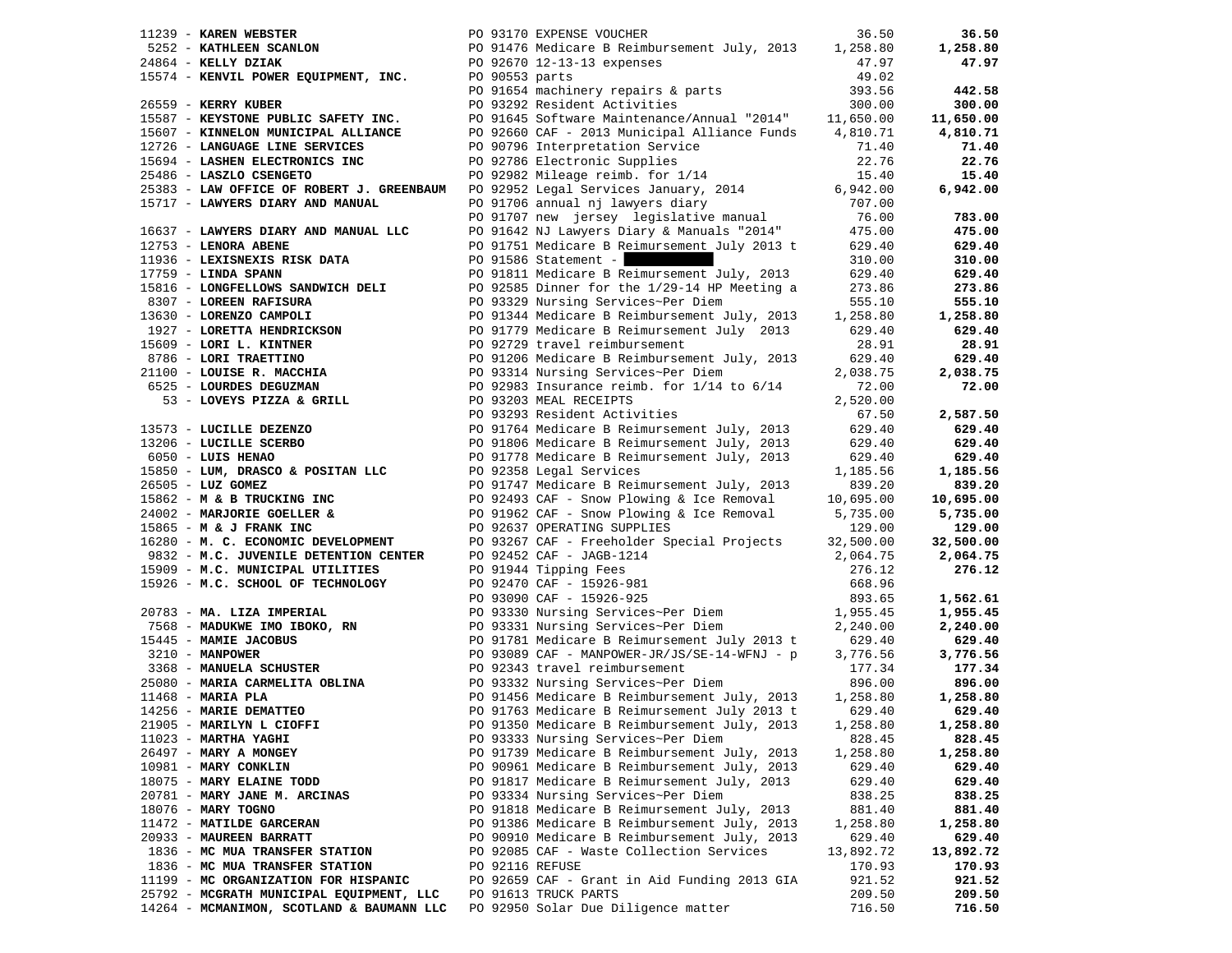| PO 93170 EXPENSE VOUCHER<br>$11239$ - KAREN WEBSTER                                                                           |                 |                                                                                                                                                                                                                                                  | 36.50     | 36.50     |
|-------------------------------------------------------------------------------------------------------------------------------|-----------------|--------------------------------------------------------------------------------------------------------------------------------------------------------------------------------------------------------------------------------------------------|-----------|-----------|
|                                                                                                                               |                 | 5252 - <b>KATHLEEN SCANLON</b> PO 91476 Medicare B Reimbursement July, 2013 1,258.80<br>24864 - <b>KELLY DZIAK</b> PO 92670 12-13-13 expenses 47.97                                                                                              |           | 1,258.80  |
| 24864 - KELLY DZIAK                                                                                                           |                 |                                                                                                                                                                                                                                                  | 47.97     | 47.97     |
| 15574 - KENVIL POWER EQUIPMENT, INC. PO 90553 parts                                                                           |                 |                                                                                                                                                                                                                                                  | 49.02     |           |
|                                                                                                                               |                 | PO 91654 machinery repairs & parts                                                                                                                                                                                                               | 393.56    | 442.58    |
| 26559 - KERRY KUBER                                                                                                           |                 | PO 93292 Resident Activities                                                                                                                                                                                                                     | 300.00    | 300.00    |
| 15587 - KEYSTONE PUBLIC SAFETY INC.                                                                                           |                 | PO 91645 Software Maintenance/Annual "2014" 11,650.00                                                                                                                                                                                            |           | 11,650.00 |
| 15607 - KINNELON MUNICIPAL ALLIANCE                                                                                           |                 | PO 92660 CAF - 2013 Municipal Alliance Funds 4,810.71                                                                                                                                                                                            |           | 4,810.71  |
| 12726 - LANGUAGE LINE SERVICES                                                                                                |                 | PO 90796 Interpretation Service                                                                                                                                                                                                                  | 71.40     | 71.40     |
| 15694 - LASHEN ELECTRONICS INC                                                                                                |                 |                                                                                                                                                                                                                                                  | 22.76     | 22.76     |
| 25486 - LASZLO CSENGETO                                                                                                       |                 | PO 92982 Mileage reimb. for 1/14<br>PO 92952 Legal Services of 1/14                                                                                                                                                                              | 15.40     | 15.40     |
|                                                                                                                               |                 | 25383 - LAW OFFICE OF ROBERT J. GREENBAUM PO 92952 Legal Services January, 2014<br>15717 - LAWYERS DIARY AND MANUAL PO 91706 annual nj lawyers diary                                                                                             | 6,942.00  | 6,942.00  |
|                                                                                                                               |                 |                                                                                                                                                                                                                                                  | 707.00    |           |
|                                                                                                                               |                 | PO 91707 new jersey legislative manual<br>PO 91642 NJ Lawyers Diary & Manuals "2014"                                                                                                                                                             | 76.00     | 783.00    |
| 16637 - LAWYERS DIARY AND MANUAL LLC                                                                                          |                 |                                                                                                                                                                                                                                                  | 475.00    | 475.00    |
| $12753$ - LENORA ABENE                                                                                                        |                 | PO 91751 Medicare B Reimursement July 2013 t 629.40                                                                                                                                                                                              |           | 629.40    |
| 11936 - LEXISNEXIS RISK DATA                                                                                                  |                 | PO 91586 Statement -                                                                                                                                                                                                                             | 310.00    | 310.00    |
| $17759$ - LINDA SPANN                                                                                                         |                 | PO 91811 Medicare B Reimursement July, 2013 629.40                                                                                                                                                                                               |           | 629.40    |
| 15816 - LONGFELLOWS SANDWICH DELI                                                                                             |                 | PO 92585 Dinner for the 1/29-14 HP Meeting a                                                                                                                                                                                                     | 273.86    | 273.86    |
| <b>1967 - LOREEN RAFISURA<br/>13630 - LORENZO CAMPOLI</b><br>1927 - LORENZO CAMPOLI                                           |                 |                                                                                                                                                                                                                                                  |           | 555.10    |
|                                                                                                                               |                 |                                                                                                                                                                                                                                                  |           | 1,258.80  |
|                                                                                                                               |                 |                                                                                                                                                                                                                                                  | 629.40    | 629.40    |
|                                                                                                                               |                 |                                                                                                                                                                                                                                                  | 28.91     | 28.91     |
|                                                                                                                               |                 |                                                                                                                                                                                                                                                  | 629.40    | 629.40    |
|                                                                                                                               |                 |                                                                                                                                                                                                                                                  | 2,038.75  | 2,038.75  |
|                                                                                                                               |                 |                                                                                                                                                                                                                                                  | 72.00     | 72.00     |
|                                                                                                                               |                 |                                                                                                                                                                                                                                                  | 2,520.00  |           |
|                                                                                                                               |                 | 13630 - LORENZO CAMPOLI<br>1977 - LORETTA HENDRICKSON<br>1979 - LORI L. KINTNER<br>8786 - LORI I. KINTNER<br>1979 - LORI TRAETTINO<br>1989 - LORI TRAETTINO<br>1999 - LORI TRAETTINO<br>1999 - LORI TRAETTINO<br>1999 - LORI TRAETTINO<br>1999 - | 67.50     | 2,587.50  |
|                                                                                                                               |                 |                                                                                                                                                                                                                                                  | 629.40    | 629.40    |
|                                                                                                                               |                 |                                                                                                                                                                                                                                                  | 629.40    | 629.40    |
| FO 91778 Medicare B Rein<br>15850 - LUM, DRASCO & POSITAN LLC<br>15850 - LUM, DRASCO & POSITAN LLC<br>2001747 Medicare B Peir |                 |                                                                                                                                                                                                                                                  | 629.40    | 629.40    |
|                                                                                                                               |                 |                                                                                                                                                                                                                                                  | 1,185.56  | 1,185.56  |
| 26505 - LUZ GOMEZ                                                                                                             |                 | PO 91747 Medicare B Reimursement July, 2013                                                                                                                                                                                                      | 839.20    | 839.20    |
| 15862 - M & B TRUCKING INC                                                                                                    |                 | PO 92493 CAF - Snow Plowing & Ice Removal                                                                                                                                                                                                        | 10,695.00 | 10,695.00 |
| $15862 - M \propto D$<br>$24002 - M \propto T$ Transform TMC                                                                  |                 | PO 91962 CAF - Snow Plowing & Ice Removal                                                                                                                                                                                                        | 5,735.00  | 5,735.00  |
|                                                                                                                               |                 | PO 92637 OPERATING SUPPLIES                                                                                                                                                                                                                      | 129.00    | 129.00    |
| 16280 - M. C. ECONOMIC DEVELOPMENT                                                                                            |                 | PO 93267 CAF - Freeholder Special Projects                                                                                                                                                                                                       | 32,500.00 | 32,500.00 |
| 9832 - M.C. JUVENILE DETENTION CENTER                                                                                         |                 | PO 92452 CAF - JAGB-1214<br>PO 91944 Tipping Fees<br>PO 92470 CAF - 15926-981<br>PO 93090 CAF - 15926-925                                                                                                                                        | 2,064.75  | 2,064.75  |
| 15909 - M.C. MUNICIPAL UTILITIES                                                                                              |                 |                                                                                                                                                                                                                                                  | 276.12    | 276.12    |
| 15926 - M.C. SCHOOL OF TECHNOLOGY                                                                                             |                 |                                                                                                                                                                                                                                                  | 668.96    |           |
|                                                                                                                               |                 |                                                                                                                                                                                                                                                  | 893.65    | 1,562.61  |
| 20783 - MA. LIZA IMPERIAL                                                                                                     |                 | PO 93330 Nursing Services~Per Diem 1,955.45                                                                                                                                                                                                      |           | 1,955.45  |
| 7568 - <b>MADUKWE IMO IBOKO, RN</b><br>15445 - <b>MAMIE JACOBUS</b>                                                           |                 | PO 93331 Nursing Services~Per Diem<br>PO 93331 Nursing Services~Per Diem<br>PO 91781 Medicare B Boinners                                                                                                                                         | 2,240.00  | 2,240.00  |
| 15445 - MAMIE JACOBUS                                                                                                         |                 | PO 91781 Medicare B Reimursement July 2013 t                                                                                                                                                                                                     | 629.40    | 629.40    |
| 3210 - MANPOWER                                                                                                               |                 | PO 93089 CAF - MANPOWER-JR/JS/SE-14-WFNJ - p<br>PO 93089 CAF - MANPOWER-JR/JS,<br>PO 92343 travel reimbursement                                                                                                                                  | 3,776.56  | 3,776.56  |
| 3368 - MANUELA SCHUSTER                                                                                                       |                 |                                                                                                                                                                                                                                                  | 177.34    | 177.34    |
|                                                                                                                               |                 | 25080 - MARIA CARMELITA OBLINA<br>27.54 PO 93332 Surveins Carmeline of the MARIA PLA<br>296.00 PO 91456 Medicare B Reimbursement July, 2013 1,258.80<br>21905 - MARIE DEMATTEO PO 91763 Medicare B Reimbursement July 2013 to 629.4              |           | 896.00    |
|                                                                                                                               |                 |                                                                                                                                                                                                                                                  |           | 1,258.80  |
|                                                                                                                               |                 |                                                                                                                                                                                                                                                  |           | 629.40    |
| 21905 - MARILYN L CIOFFI                                                                                                      |                 | PO 91350 Medicare B Reimbursement July, 2013 1,258.80                                                                                                                                                                                            |           | 1,258.80  |
| $11023$ - MARTHA YAGHI                                                                                                        |                 | PO 93333 Nursing Services~Per Diem                                                                                                                                                                                                               | 828.45    | 828.45    |
| 26497 - MARY A MONGEY                                                                                                         |                 | PO 91739 Medicare B Reimbursement July, 2013                                                                                                                                                                                                     | 1,258.80  | 1,258.80  |
| 10981 - MARY CONKLIN                                                                                                          |                 | PO 90961 Medicare B Reimbursement July, 2013                                                                                                                                                                                                     | 629.40    | 629.40    |
| 18075 - MARY ELAINE TODD                                                                                                      |                 | PO 91817 Medicare B Reimursement July, 2013                                                                                                                                                                                                      | 629.40    | 629.40    |
| 20781 - MARY JANE M. ARCINAS                                                                                                  |                 | PO 93334 Nursing Services~Per Diem                                                                                                                                                                                                               | 838.25    | 838.25    |
| 18076 - MARY TOGNO                                                                                                            |                 | PO 91818 Medicare B Reimursement July, 2013                                                                                                                                                                                                      | 881.40    | 881.40    |
| 11472 - MATILDE GARCERAN                                                                                                      |                 | PO 91386 Medicare B Reimbursement July, 2013                                                                                                                                                                                                     | 1,258.80  | 1,258.80  |
| 20933 - MAUREEN BARRATT                                                                                                       |                 | PO 90910 Medicare B Reimbursement July, 2013                                                                                                                                                                                                     | 629.40    | 629.40    |
| 1836 - MC MUA TRANSFER STATION                                                                                                |                 | PO 92085 CAF - Waste Collection Services                                                                                                                                                                                                         | 13,892.72 | 13,892.72 |
| 1836 - MC MUA TRANSFER STATION                                                                                                | PO 92116 REFUSE |                                                                                                                                                                                                                                                  | 170.93    | 170.93    |
| 11199 - MC ORGANIZATION FOR HISPANIC                                                                                          |                 | PO 92659 CAF - Grant in Aid Funding 2013 GIA                                                                                                                                                                                                     | 921.52    | 921.52    |
| 25792 - MCGRATH MUNICIPAL EQUIPMENT, LLC                                                                                      |                 | PO 91613 TRUCK PARTS                                                                                                                                                                                                                             | 209.50    | 209.50    |
| 14264 - MCMANIMON, SCOTLAND & BAUMANN LLC                                                                                     |                 | PO 92950 Solar Due Diligence matter                                                                                                                                                                                                              | 716.50    | 716.50    |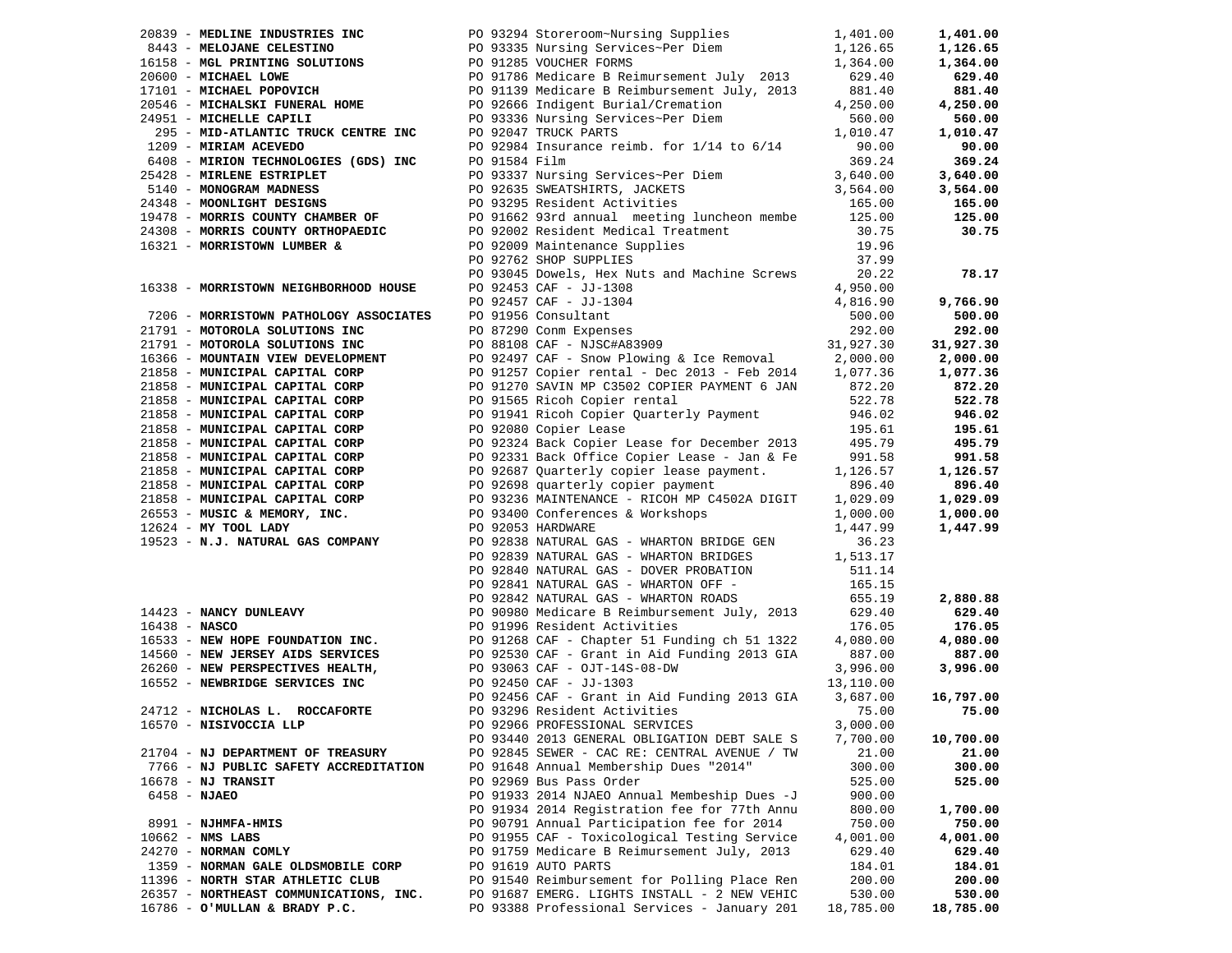| 20839 - MEDLINE INDUSTRIES INC                                                                                                                                                                                                                   | PO 93294 Storeroom~Nursing Supplies 1,401.00                                                                                    |                   | 1,401.00             |
|--------------------------------------------------------------------------------------------------------------------------------------------------------------------------------------------------------------------------------------------------|---------------------------------------------------------------------------------------------------------------------------------|-------------------|----------------------|
| 3443 - MELOJANE CELESTINO<br>1,126.65<br>1,126.65<br>20600 - MICHAEL LOWE<br>20600 - MICHAEL LOWE<br>20780 MICHAEL LOWE<br>20780 MICHAEL DOPOVICH<br>201139 Medicare B Reimbursement July 2013<br>2013 629.40<br>201139 Medicare B Reimbursement |                                                                                                                                 |                   | 1,126.65             |
|                                                                                                                                                                                                                                                  |                                                                                                                                 |                   | 1,364.00             |
|                                                                                                                                                                                                                                                  |                                                                                                                                 |                   | 629.40               |
|                                                                                                                                                                                                                                                  |                                                                                                                                 |                   | 881.40               |
| 20546 - MICHALSKI FUNERAL HOME<br>2005 - Alexander Alexander Control Control of Cassas and Control of Cassas and Control of Cassas and Control of                                                                                                |                                                                                                                                 | 4,250.00          | 4,250.00             |
| 24951 - MICHELLE CAPILI                                                                                                                                                                                                                          | PO 93336 Nursing Services~Per Diem                                                                                              | 560.00            | 560.00               |
|                                                                                                                                                                                                                                                  |                                                                                                                                 | 1,010.47          | 1,010.47             |
| 295 - MID-ATLANTIC TRUCK COMESNERS<br>1209 - MIRIAN ACEVEDO<br>6408 - MIRION TECHNOLOGIES (GDS) INC<br>25428 - MIRIANE ESTRIPLET<br>25428 - MONOGRAM MADNESS<br>25428 - MONOGRAM MADNESS<br>26408 - MONOGRAM MADNESS<br>26408 - MONOGRAM MAD     |                                                                                                                                 | 90.00             | 90.00                |
|                                                                                                                                                                                                                                                  |                                                                                                                                 | 369.24            | 369.24               |
| 25428 - MIRLENE ESTRIPLET                                                                                                                                                                                                                        |                                                                                                                                 | 3,640.00          | 3,640.00             |
|                                                                                                                                                                                                                                                  |                                                                                                                                 | 3,564.00          | 3,564.00             |
| 24348 - MOONLIGHT DESIGNS                                                                                                                                                                                                                        |                                                                                                                                 | 165.00            | 165.00               |
|                                                                                                                                                                                                                                                  | PO 91662 93rd annual meeting luncheon membe 125.00                                                                              |                   | 125.00               |
| 19478 - MORRIS COUNTY CHAMBER OF<br>24308 - MORRIS COUNTY ORTHOPAEDIC<br>24308 - MORRIS COUNTY ORTHOPAEDIC                                                                                                                                       |                                                                                                                                 | 30.75             | 30.75                |
| 16321 - MORRISTOWN LUMBER &                                                                                                                                                                                                                      |                                                                                                                                 | 19.96             |                      |
|                                                                                                                                                                                                                                                  | PO 92002 Resident Medical Treatment<br>PO 92009 Maintenance Supplies<br>PO 92762 SHOP SUPPLIES<br>PO 92762 SHOP SUPPLIES        | 37.99             |                      |
|                                                                                                                                                                                                                                                  | PO 93045 Dowels, Hex Nuts and Machine Screws                                                                                    | 20.22             | 78.17                |
| 16338 - MORRISTOWN NEIGHBORHOOD HOUSE                                                                                                                                                                                                            |                                                                                                                                 | 4,950.00          |                      |
|                                                                                                                                                                                                                                                  |                                                                                                                                 | 4,816.90          | 9,766.90             |
| 7206 - MORRISTOWN PATHOLOGY ASSOCIATES                                                                                                                                                                                                           | PO 92453 CAF - JJ-1308<br>PO 92457 CAF - JJ-1304<br>PO 91956 Consultant<br>PO 87290 Conm Expenses<br>PO 88108 CAF - NJSC#A83909 | 500.00            | 500.00               |
| 21791 - MOTOROLA SOLUTIONS INC                                                                                                                                                                                                                   |                                                                                                                                 | 292.00            | 292.00               |
| 21791 - MOTOROLA SOLUTIONS INC                                                                                                                                                                                                                   |                                                                                                                                 | 31,927.30         | 31,927.30            |
| 16366 - MOUNTAIN VIEW DEVELOPMENT                                                                                                                                                                                                                | PO 92497 CAF - Snow Plowing & Ice Removal $2,000.00$                                                                            |                   | 2,000.00             |
| 21858 - MUNICIPAL CAPITAL CORP                                                                                                                                                                                                                   | PO 91257 Copier rental - Dec 2013 - Feb 2014 1,077.36                                                                           |                   | 1,077.36             |
| 21858 - MUNICIPAL CAPITAL CORP                                                                                                                                                                                                                   | PO 91270 SAVIN MP C3502 COPIER PAYMENT 6 JAN 872.20                                                                             |                   | 872.20               |
| 21858 - MUNICIPAL CAPITAL CORP                                                                                                                                                                                                                   | PO 91565 Ricoh Copier rental                                                                                                    | 522.78            | 522.78               |
| 21858 - MUNICIPAL CAPITAL CORP                                                                                                                                                                                                                   | PO 91941 Ricoh Copier Quarterly Payment                                                                                         | 946.02            | 946.02               |
| 21858 - MUNICIPAL CAPITAL CORP                                                                                                                                                                                                                   | PO 92080 Copier Lease                                                                                                           | 195.61            | 195.61               |
| 21858 - MUNICIPAL CAPITAL CORP                                                                                                                                                                                                                   | PO 92324 Back Copier Lease for December 2013 495.79                                                                             |                   | 495.79               |
| 21858 - MUNICIPAL CAPITAL CORP                                                                                                                                                                                                                   | PO 92331 Back Office Copier Lease - Jan & Fe                                                                                    | 991.58            | 991.58               |
| 21858 - MUNICIPAL CAPITAL CORP                                                                                                                                                                                                                   | PO 92687 Quarterly copier lease payment.                                                                                        | 1,126.57          | 1,126.57             |
| 21858 - MUNICIPAL CAPITAL CORP                                                                                                                                                                                                                   | PO 92698 quarterly copier payment                                                                                               | 896.40            | 896.40               |
| 21858 - MUNICIPAL CAPITAL CORP                                                                                                                                                                                                                   | PO 93236 MAINTENANCE - RICOH MP C4502A DIGIT                                                                                    | 1,029.09          | 1,029.09             |
| 26553 - MUSIC & MEMORY, INC.                                                                                                                                                                                                                     |                                                                                                                                 | 1,000.00          |                      |
| 12624 - MY TOOL LADY                                                                                                                                                                                                                             | PO 93400 Conferences & Workshops<br>PO 92053 HARDWARE                                                                           | 1,447.99          | 1,000.00<br>1,447.99 |
| 19523 - N.J. NATURAL GAS COMPANY                                                                                                                                                                                                                 |                                                                                                                                 |                   |                      |
|                                                                                                                                                                                                                                                  | PO 92838 NATURAL GAS - WHARTON BRIDGE GEN<br>PO 92839 NATURAL GAS - WHARTON BRIDGES 1,513.17                                    | 36.23             |                      |
|                                                                                                                                                                                                                                                  |                                                                                                                                 |                   |                      |
|                                                                                                                                                                                                                                                  | PO 92840 NATURAL GAS - DOVER PROBATION<br>PO 92841 NATURAL GAS - WHARTON OFF -                                                  | 511.14<br>165.15  |                      |
|                                                                                                                                                                                                                                                  |                                                                                                                                 | 655.19            |                      |
|                                                                                                                                                                                                                                                  | PO 92842 NATURAL GAS - WHARTON ROADS<br>PO 90980 Medicare B Reimbursement July, 2013 629.40                                     |                   | 2,880.88             |
| 14423 - NANCY DUNLEAVY<br>16438 - NASCO                                                                                                                                                                                                          |                                                                                                                                 |                   | 629.40               |
| $16438 - NASCO$<br>16533 - NEW HOPE FOUNDATION INC.<br>PO 91268 CAF - Chapter 51 Funding ch 51 1322                                                                                                                                              | PO 91996 Resident Activities                                                                                                    | 176.05            | 176.05               |
|                                                                                                                                                                                                                                                  |                                                                                                                                 | 4,080.00          | 4,080.00             |
| 14560 - NEW JERSEY AIDS SERVICES<br>26260 - NEW PERSPECTIVES HEALTH, PO 93063 CAF - OJT-14S-08-DW<br>16552 - NEWBRIDGE SERVICES INC<br>20 92450 CAF - JJ-1303<br>20 92456 CAF - Grant in Aid Funding 2013 GIA<br>20 92456 CAF - Grant i          |                                                                                                                                 | 887.00            | 887.00               |
|                                                                                                                                                                                                                                                  |                                                                                                                                 | 3,996.00          | 3,996.00             |
|                                                                                                                                                                                                                                                  |                                                                                                                                 | 13,110.00         |                      |
|                                                                                                                                                                                                                                                  |                                                                                                                                 | 3,687.00<br>75.00 | 16,797.00            |
| 24712 - NICHOLAS L. ROCCAFORTE                                                                                                                                                                                                                   | PO 93296 Resident Activities                                                                                                    |                   | 75.00                |
| 16570 - NISIVOCCIA LLP                                                                                                                                                                                                                           | PO 92966 PROFESSIONAL SERVICES                                                                                                  | 3,000.00          |                      |
|                                                                                                                                                                                                                                                  | PO 93440 2013 GENERAL OBLIGATION DEBT SALE S                                                                                    | 7,700.00          | 10,700.00            |
| 21704 - NJ DEPARTMENT OF TREASURY                                                                                                                                                                                                                | PO 92845 SEWER - CAC RE: CENTRAL AVENUE / TW                                                                                    | 21.00             | 21.00                |
| 7766 - NJ PUBLIC SAFETY ACCREDITATION                                                                                                                                                                                                            | PO 91648 Annual Membership Dues "2014"                                                                                          | 300.00            | 300.00               |
| $16678$ - NJ TRANSIT                                                                                                                                                                                                                             | PO 92969 Bus Pass Order                                                                                                         | 525.00            | 525.00               |
| 6458 - NJAEO                                                                                                                                                                                                                                     | PO 91933 2014 NJAEO Annual Membeship Dues -J                                                                                    | 900.00            |                      |
|                                                                                                                                                                                                                                                  | PO 91934 2014 Registration fee for 77th Annu                                                                                    | 800.00            | 1,700.00             |
| 8991 - NJHMFA-HMIS                                                                                                                                                                                                                               | PO 90791 Annual Participation fee for 2014                                                                                      | 750.00            | 750.00               |
| $10662$ - NMS LABS                                                                                                                                                                                                                               | PO 91955 CAF - Toxicological Testing Service                                                                                    | 4,001.00          | 4,001.00             |
| 24270 - NORMAN COMLY                                                                                                                                                                                                                             | PO 91759 Medicare B Reimursement July, 2013                                                                                     | 629.40            | 629.40               |
| 1359 - NORMAN GALE OLDSMOBILE CORP                                                                                                                                                                                                               | PO 91619 AUTO PARTS                                                                                                             | 184.01            | 184.01               |
| 11396 - NORTH STAR ATHLETIC CLUB                                                                                                                                                                                                                 | PO 91540 Reimbursement for Polling Place Ren                                                                                    | 200.00            | 200.00               |
| 26357 - NORTHEAST COMMUNICATIONS, INC.                                                                                                                                                                                                           | PO 91687 EMERG. LIGHTS INSTALL - 2 NEW VEHIC                                                                                    | 530.00            | 530.00               |
| 16786 - O'MULLAN & BRADY P.C.                                                                                                                                                                                                                    | PO 93388 Professional Services - January 201                                                                                    | 18,785.00         | 18,785.00            |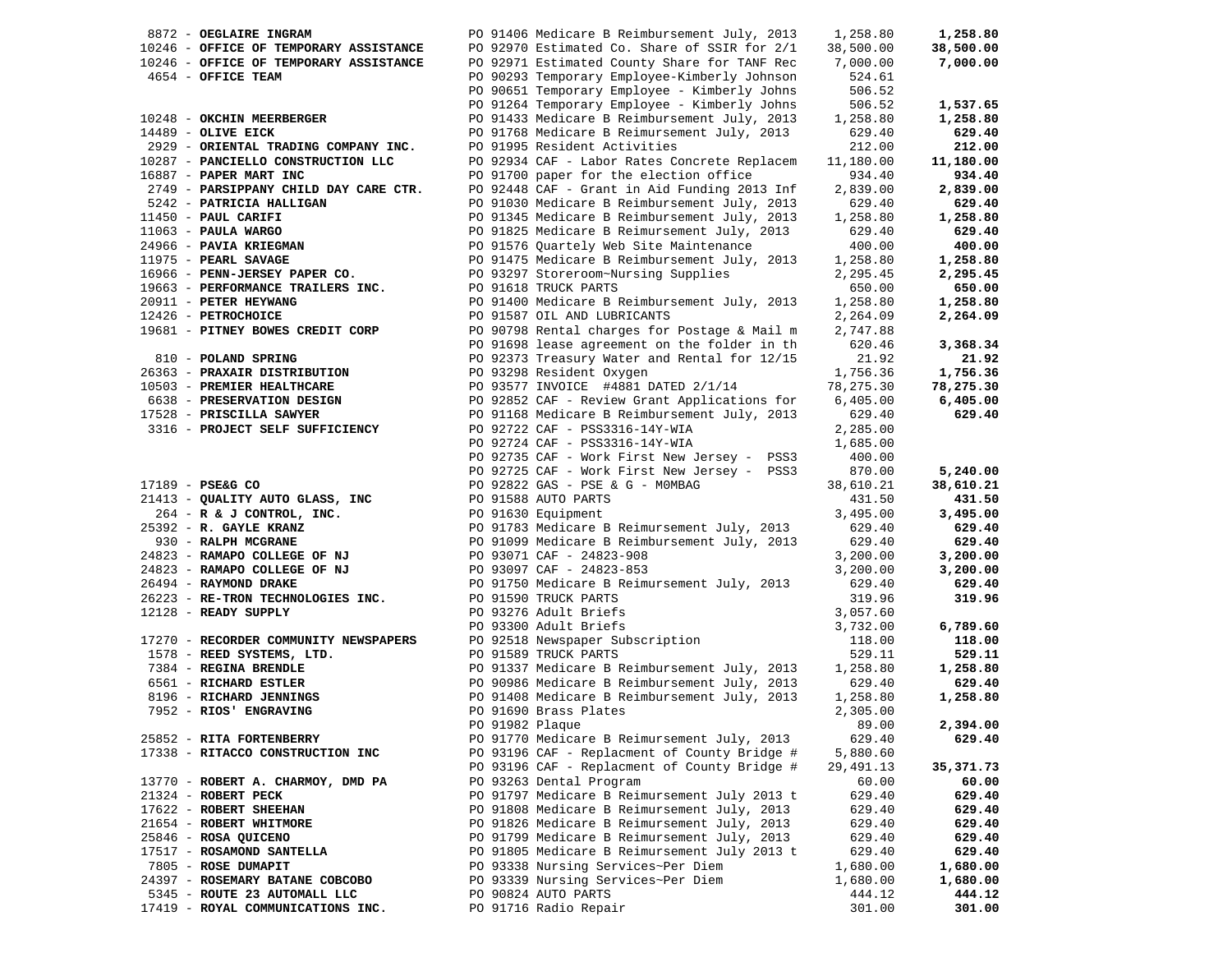| 8872 - OEGLAIRE INGRAM                         |                 | PO 91406 Medicare B Reimbursement July, 2013 | 1,258.80   | 1,258.80   |
|------------------------------------------------|-----------------|----------------------------------------------|------------|------------|
| 10246 - OFFICE OF TEMPORARY ASSISTANCE         |                 | PO 92970 Estimated Co. Share of SSIR for 2/1 | 38,500.00  | 38,500.00  |
| 10246 - OFFICE OF TEMPORARY ASSISTANCE         |                 | PO 92971 Estimated County Share for TANF Rec | 7,000.00   | 7,000.00   |
| 4654 - OFFICE TEAM                             |                 | PO 90293 Temporary Employee-Kimberly Johnson | 524.61     |            |
|                                                |                 | PO 90651 Temporary Employee - Kimberly Johns | 506.52     |            |
|                                                |                 |                                              |            |            |
|                                                |                 | PO 91264 Temporary Employee - Kimberly Johns | 506.52     | 1,537.65   |
| 10248 - OKCHIN MEERBERGER                      |                 | PO 91433 Medicare B Reimbursement July, 2013 | 1,258.80   | 1,258.80   |
| $14489$ - OLIVE EICK                           |                 | PO 91768 Medicare B Reimursement July, 2013  | 629.40     | 629.40     |
| 2929 - ORIENTAL TRADING COMPANY INC.           |                 | PO 91995 Resident Activities                 | 212.00     | 212.00     |
| 10287 - PANCIELLO CONSTRUCTION LLC             |                 | PO 92934 CAF - Labor Rates Concrete Replacem | 11,180.00  | 11,180.00  |
| 16887 - PAPER MART INC                         |                 | PO 91700 paper for the election office       | 934.40     | 934.40     |
| 2749 - PARSIPPANY CHILD DAY CARE CTR.          |                 | PO 92448 CAF - Grant in Aid Funding 2013 Inf | 2,839.00   | 2,839.00   |
| 5242 - PATRICIA HALLIGAN                       |                 | PO 91030 Medicare B Reimbursement July, 2013 | 629.40     | 629.40     |
| 11450 - PAUL CARIFI                            |                 | PO 91345 Medicare B Reimbursement July, 2013 | 1,258.80   | 1,258.80   |
| $11063$ - PAULA WARGO                          |                 | PO 91825 Medicare B Reimursement July, 2013  | 629.40     | 629.40     |
|                                                |                 | PO 91576 Quartely Web Site Maintenance       | 400.00     | 400.00     |
| 24966 - PAVIA KRIEGMAN<br>11975 - PEARL SAVAGE |                 |                                              |            |            |
| 11975 - PEARL SAVAGE                           |                 | PO 91475 Medicare B Reimbursement July, 2013 | 1,258.80   | 1,258.80   |
| 16966 - PENN-JERSEY PAPER CO.                  |                 | PO 93297 Storeroom~Nursing Supplies          | 2,295.45   | 2,295.45   |
| 19663 - PERFORMANCE TRAILERS INC.              |                 | PO 91618 TRUCK PARTS                         | 650.00     | 650.00     |
| 20911 - PETER HEYWANG                          |                 | PO 91400 Medicare B Reimbursement July, 2013 | 1,258.80   | 1,258.80   |
| 12426 - PETROCHOICE                            |                 | PO 91587 OIL AND LUBRICANTS                  | 2,264.09   | 2,264.09   |
| 19681 - PITNEY BOWES CREDIT CORP               |                 | PO 90798 Rental charges for Postage & Mail m | 2,747.88   |            |
|                                                |                 | PO 91698 lease agreement on the folder in th | 620.46     | 3,368.34   |
| 810 - POLAND SPRING                            |                 | PO 92373 Treasury Water and Rental for 12/15 | 21.92      | 21.92      |
| 26363 - PRAXAIR DISTRIBUTION                   |                 | PO 93298 Resident Oxygen                     | 1,756.36   | 1,756.36   |
| 10503 - PREMIER HEALTHCARE                     |                 | PO 93577 INVOICE #4881 DATED 2/1/14          | 78,275.30  | 78,275.30  |
| 6638 - PRESERVATION DESIGN                     |                 | PO 92852 CAF - Review Grant Applications for | 6,405.00   | 6,405.00   |
| 17528 - PRISCILLA SAWYER                       |                 | PO 91168 Medicare B Reimbursement July, 2013 | 629.40     | 629.40     |
| 3316 - PROJECT SELF SUFFICIENCY                |                 | PO 92722 CAF - PSS3316-14Y-WIA               | 2,285.00   |            |
|                                                |                 | PO 92724 CAF - PSS3316-14Y-WIA               | 1,685.00   |            |
|                                                |                 |                                              | 400.00     |            |
|                                                |                 | PO 92735 CAF - Work First New Jersey - PSS3  |            |            |
|                                                |                 | PO 92725 CAF - Work First New Jersey - PSS3  | 870.00     | 5,240.00   |
| $17189$ - PSE&G CO                             |                 | PO 92822 GAS - PSE & G - MOMBAG              | 38,610.21  | 38,610.21  |
| 21413 - QUALITY AUTO GLASS, INC                |                 | PO 91588 AUTO PARTS                          | 431.50     | 431.50     |
| 264 - R & J CONTROL, INC.                      |                 | PO 91630 Equipment                           | 3,495.00   | 3,495.00   |
| 25392 - R. GAYLE KRANZ                         |                 | PO 91783 Medicare B Reimursement July, 2013  | 629.40     | 629.40     |
| 930 - RALPH MCGRANE                            |                 | PO 91099 Medicare B Reimbursement July, 2013 | 629.40     | 629.40     |
| 24823 - RAMAPO COLLEGE OF NJ                   |                 | PO 93071 CAF - 24823-908                     | 3,200.00   | 3,200.00   |
| 24823 - RAMAPO COLLEGE OF NJ                   |                 | PO 93097 CAF - 24823-853                     | 3,200.00   | 3,200.00   |
| 26494 - RAYMOND DRAKE                          |                 | PO 91750 Medicare B Reimursement July, 2013  | 629.40     | 629.40     |
| 26223 - RE-TRON TECHNOLOGIES INC.              |                 | PO 91590 TRUCK PARTS                         | 319.96     | 319.96     |
| 12128 - READY SUPPLY                           |                 | PO 93276 Adult Briefs                        | 3,057.60   |            |
|                                                |                 | PO 93300 Adult Briefs                        | 3,732.00   | 6,789.60   |
| 17270 - RECORDER COMMUNITY NEWSPAPERS          |                 | PO 92518 Newspaper Subscription              | 118.00     | 118.00     |
| 1578 - REED SYSTEMS, LTD.                      |                 | PO 91589 TRUCK PARTS                         | 529.11     | 529.11     |
| 7384 - REGINA BRENDLE                          |                 | PO 91337 Medicare B Reimbursement July, 2013 | 1,258.80   | 1,258.80   |
| 6561 - RICHARD ESTLER                          |                 | PO 90986 Medicare B Reimbursement July, 2013 | 629.40     | 629.40     |
| 8196 - RICHARD JENNINGS                        |                 | PO 91408 Medicare B Reimbursement July, 2013 | 1,258.80   | 1,258.80   |
| 7952 - RIOS' ENGRAVING                         |                 | PO 91690 Brass Plates                        | 2,305.00   |            |
|                                                | PO 91982 Plaque |                                              | 89.00      | 2,394.00   |
| 25852 - RITA FORTENBERRY                       |                 | PO 91770 Medicare B Reimursement July, 2013  | 629.40     | 629.40     |
|                                                |                 |                                              |            |            |
| 17338 - RITACCO CONSTRUCTION INC               |                 | PO 93196 CAF - Replacment of County Bridge # | 5,880.60   |            |
|                                                |                 | PO 93196 CAF - Replacment of County Bridge # | 29, 491.13 | 35, 371.73 |
| 13770 - ROBERT A. CHARMOY, DMD PA              |                 | PO 93263 Dental Program                      | 60.00      | 60.00      |
| 21324 - ROBERT PECK                            |                 | PO 91797 Medicare B Reimursement July 2013 t | 629.40     | 629.40     |
| 17622 - ROBERT SHEEHAN                         |                 | PO 91808 Medicare B Reimursement July, 2013  | 629.40     | 629.40     |
| 21654 - ROBERT WHITMORE                        |                 | PO 91826 Medicare B Reimursement July, 2013  | 629.40     | 629.40     |
| 25846 - ROSA QUICENO                           |                 | PO 91799 Medicare B Reimursement July, 2013  | 629.40     | 629.40     |
| 17517 - ROSAMOND SANTELLA                      |                 | PO 91805 Medicare B Reimursement July 2013 t | 629.40     | 629.40     |
| 7805 - ROSE DUMAPIT                            |                 | PO 93338 Nursing Services~Per Diem           | 1,680.00   | 1,680.00   |
| 24397 - ROSEMARY BATANE COBCOBO                |                 | PO 93339 Nursing Services~Per Diem           | 1,680.00   | 1,680.00   |
| 5345 - ROUTE 23 AUTOMALL LLC                   |                 | PO 90824 AUTO PARTS                          | 444.12     | 444.12     |
| 17419 - ROYAL COMMUNICATIONS INC.              |                 | PO 91716 Radio Repair                        | 301.00     | 301.00     |
|                                                |                 |                                              |            |            |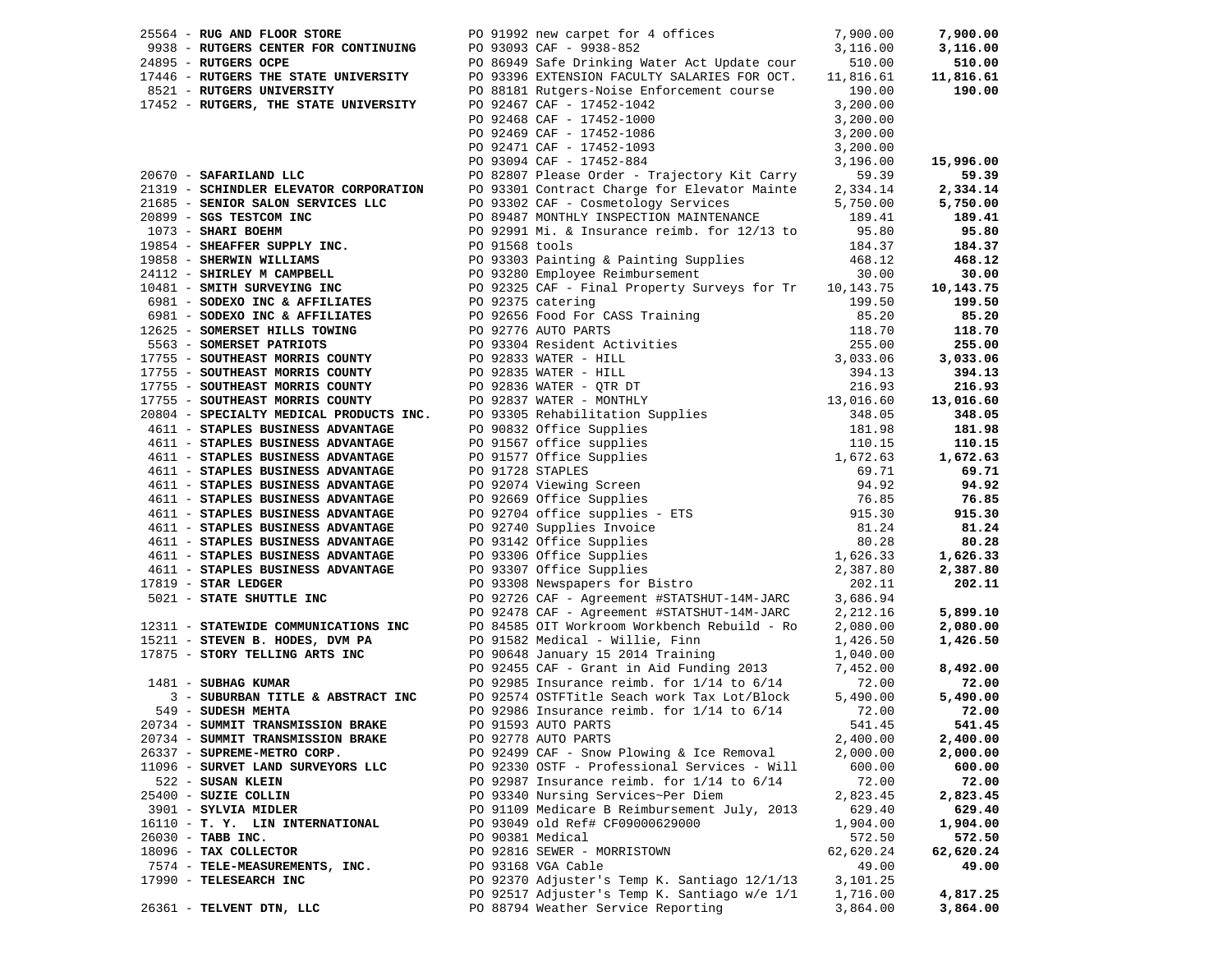| 25564 - RUG AND FLOOR STORE                                                                                                                                                                                                                              |  | PO 91992 new carpet for 4 offices 7,900.00<br>PO 93093 CAF - 9938-852 3,116.00                                                               |           | 7,900.00  |
|----------------------------------------------------------------------------------------------------------------------------------------------------------------------------------------------------------------------------------------------------------|--|----------------------------------------------------------------------------------------------------------------------------------------------|-----------|-----------|
| 9938 - RUTGERS CENTER FOR CONTINUING                                                                                                                                                                                                                     |  |                                                                                                                                              |           | 3,116.00  |
| 24895 - RUTGERS OCPE                                                                                                                                                                                                                                     |  | PO 86949 Safe Drinking Water Act Update cour 510.00<br>PO 93396 EXTENSION FACULTY SALARIES FOR OCT. 11,816.61                                |           | 510.00    |
| 17446 - RUTGERS THE STATE UNIVERSITY                                                                                                                                                                                                                     |  |                                                                                                                                              |           | 11,816.61 |
| 8521 - RUTGERS UNIVERSITY                                                                                                                                                                                                                                |  | PO 88181 Rutgers-Noise Enforcement course 190.00                                                                                             |           | 190.00    |
| 17452 - RUTGERS, THE STATE UNIVERSITY                                                                                                                                                                                                                    |  | PO 92467 CAF - 17452-1042<br>PO 92468 CAF - 17452-1000<br>PO 92469 CAF - 17452-1086<br>PO 92471 CAF - 17452-1093<br>PO 93094 CAF - 17452-884 | 3,200.00  |           |
|                                                                                                                                                                                                                                                          |  |                                                                                                                                              | 3,200.00  |           |
|                                                                                                                                                                                                                                                          |  |                                                                                                                                              | 3,200.00  |           |
|                                                                                                                                                                                                                                                          |  |                                                                                                                                              |           |           |
|                                                                                                                                                                                                                                                          |  |                                                                                                                                              | 3,200.00  |           |
|                                                                                                                                                                                                                                                          |  |                                                                                                                                              | 3,196.00  | 15,996.00 |
| 20670 - SAFARILAND LLC                                                                                                                                                                                                                                   |  | PO 82807 Please Order - Trajectory Kit Carry                                                                                                 | 59.39     | 59.39     |
| 21319 - SCHINDLER ELEVATOR CORPORATION                                                                                                                                                                                                                   |  | PO 93301 Contract Charge for Elevator Mainte 2,334.14                                                                                        |           | 2,334.14  |
| 21685 - SENIOR SALON SERVICES LLC<br>20899 - SGS TESTCOM INC                                                                                                                                                                                             |  | PO 93302 CAF - Cosmetology Services                                                                                                          | 5,750.00  | 5,750.00  |
|                                                                                                                                                                                                                                                          |  | PO 89487 MONTHLY INSPECTION MAINTENANCE 189.41                                                                                               |           | 189.41    |
|                                                                                                                                                                                                                                                          |  |                                                                                                                                              |           | 95.80     |
|                                                                                                                                                                                                                                                          |  |                                                                                                                                              |           | 184.37    |
|                                                                                                                                                                                                                                                          |  |                                                                                                                                              |           | 468.12    |
|                                                                                                                                                                                                                                                          |  |                                                                                                                                              |           | 30.00     |
|                                                                                                                                                                                                                                                          |  |                                                                                                                                              |           | 10,143.75 |
|                                                                                                                                                                                                                                                          |  |                                                                                                                                              |           | 199.50    |
|                                                                                                                                                                                                                                                          |  |                                                                                                                                              |           | 85.20     |
|                                                                                                                                                                                                                                                          |  |                                                                                                                                              |           | 118.70    |
|                                                                                                                                                                                                                                                          |  |                                                                                                                                              |           |           |
|                                                                                                                                                                                                                                                          |  |                                                                                                                                              |           | 255.00    |
|                                                                                                                                                                                                                                                          |  |                                                                                                                                              |           | 3,033.06  |
|                                                                                                                                                                                                                                                          |  |                                                                                                                                              |           | 394.13    |
|                                                                                                                                                                                                                                                          |  |                                                                                                                                              |           | 216.93    |
|                                                                                                                                                                                                                                                          |  |                                                                                                                                              |           | 13,016.60 |
|                                                                                                                                                                                                                                                          |  |                                                                                                                                              |           | 348.05    |
|                                                                                                                                                                                                                                                          |  |                                                                                                                                              |           | 181.98    |
|                                                                                                                                                                                                                                                          |  |                                                                                                                                              |           | 110.15    |
|                                                                                                                                                                                                                                                          |  |                                                                                                                                              |           | 1,672.63  |
|                                                                                                                                                                                                                                                          |  |                                                                                                                                              |           | 69.71     |
| 2089 - <b>SAHUAR SANUATER DE CONSTRUES AND 1999 - 1098102</b> (1899 - <b>2089 - 2089 - 2089 - 2089 - 2089 - 2089 - 2089 - 2089 - 2089 - 2089 - 2089 - 2089 - 2089 - 2089 - 2089 - 2089 - 2089 - 2089 - 2089 - 2089 - 2089 - 2089 - </b>                  |  |                                                                                                                                              |           | 94.92     |
|                                                                                                                                                                                                                                                          |  |                                                                                                                                              |           | 76.85     |
|                                                                                                                                                                                                                                                          |  |                                                                                                                                              |           | 915.30    |
|                                                                                                                                                                                                                                                          |  |                                                                                                                                              |           | 81.24     |
|                                                                                                                                                                                                                                                          |  |                                                                                                                                              |           | 80.28     |
|                                                                                                                                                                                                                                                          |  |                                                                                                                                              |           |           |
|                                                                                                                                                                                                                                                          |  |                                                                                                                                              |           | 1,626.33  |
|                                                                                                                                                                                                                                                          |  |                                                                                                                                              |           | 2,387.80  |
|                                                                                                                                                                                                                                                          |  |                                                                                                                                              |           | 202.11    |
| 5021 - STATE SHUTTLE INC                                                                                                                                                                                                                                 |  | PO 92726 CAF - Agreement #STATSHUT-14M-JARC 3,686.94<br>PO 92478 CAF - Agreement #STATSHUT-14M-JARC 2,212.16                                 |           |           |
|                                                                                                                                                                                                                                                          |  |                                                                                                                                              | 2,212.16  | 5,899.10  |
| 12311 - STATEWIDE COMMUNICATIONS INC                                                                                                                                                                                                                     |  | PO 84585 OIT Workroom Workbench Rebuild - Ro                                                                                                 | 2,080.00  | 2,080.00  |
|                                                                                                                                                                                                                                                          |  | PO 91582 Medical - Willie, Finn                                                                                                              | 1,426.50  | 1,426.50  |
|                                                                                                                                                                                                                                                          |  |                                                                                                                                              |           |           |
| 17875 - STORY TELLING ARTS INC<br>17875 - STORY TELLING ARTS INC<br>1999985 CAF - Grant in Aid Funding 2013<br>2014 Training<br>2013<br>2014 Training<br>2013<br>2014 Training<br>2013<br>2014 Training<br>2013<br>2014 Training<br>2013<br>2014 Trainin |  |                                                                                                                                              |           | 8,492.00  |
|                                                                                                                                                                                                                                                          |  |                                                                                                                                              |           | 72.00     |
|                                                                                                                                                                                                                                                          |  |                                                                                                                                              |           | 5,490.00  |
| 549 - SUDESH MEHTA                                                                                                                                                                                                                                       |  | PO 92986 Insurance reimb. for $1/14$ to $6/14$                                                                                               | 72.00     | 72.00     |
| 20734 - SUMMIT TRANSMISSION BRAKE                                                                                                                                                                                                                        |  | PO 91593 AUTO PARTS                                                                                                                          | 541.45    | 541.45    |
| 20734 - SUMMIT TRANSMISSION BRAKE                                                                                                                                                                                                                        |  | PO 92778 AUTO PARTS                                                                                                                          | 2,400.00  | 2,400.00  |
| 26337 - SUPREME-METRO CORP.                                                                                                                                                                                                                              |  | PO 92499 CAF - Snow Plowing & Ice Removal                                                                                                    | 2,000.00  | 2,000.00  |
| 11096 - SURVET LAND SURVEYORS LLC                                                                                                                                                                                                                        |  | PO 92330 OSTF - Professional Services - Will                                                                                                 | 600.00    | 600.00    |
|                                                                                                                                                                                                                                                          |  | PO 92987 Insurance reimb. for 1/14 to 6/14                                                                                                   |           |           |
| 522 - SUSAN KLEIN                                                                                                                                                                                                                                        |  |                                                                                                                                              | 72.00     | 72.00     |
| 25400 - SUZIE COLLIN                                                                                                                                                                                                                                     |  | PO 93340 Nursing Services~Per Diem                                                                                                           | 2,823.45  | 2,823.45  |
| 3901 - SYLVIA MIDLER                                                                                                                                                                                                                                     |  | PO 91109 Medicare B Reimbursement July, 2013                                                                                                 | 629.40    | 629.40    |
| 16110 - T. Y. LIN INTERNATIONAL                                                                                                                                                                                                                          |  | PO 93049 old Ref# CF09000629000                                                                                                              | 1,904.00  | 1,904.00  |
| 26030 - TABB INC.                                                                                                                                                                                                                                        |  | PO 90381 Medical                                                                                                                             | 572.50    | 572.50    |
| 18096 - TAX COLLECTOR                                                                                                                                                                                                                                    |  | PO 92816 SEWER - MORRISTOWN                                                                                                                  | 62,620.24 | 62,620.24 |
| 7574 - TELE-MEASUREMENTS, INC.                                                                                                                                                                                                                           |  | PO 93168 VGA Cable                                                                                                                           | 49.00     | 49.00     |
| 17990 - TELESEARCH INC                                                                                                                                                                                                                                   |  | PO 92370 Adjuster's Temp K. Santiago 12/1/13                                                                                                 | 3,101.25  |           |
|                                                                                                                                                                                                                                                          |  | PO 92517 Adjuster's Temp K. Santiago w/e 1/1                                                                                                 | 1,716.00  | 4,817.25  |
| 26361 - TELVENT DTN, LLC                                                                                                                                                                                                                                 |  | PO 88794 Weather Service Reporting                                                                                                           | 3,864.00  | 3,864.00  |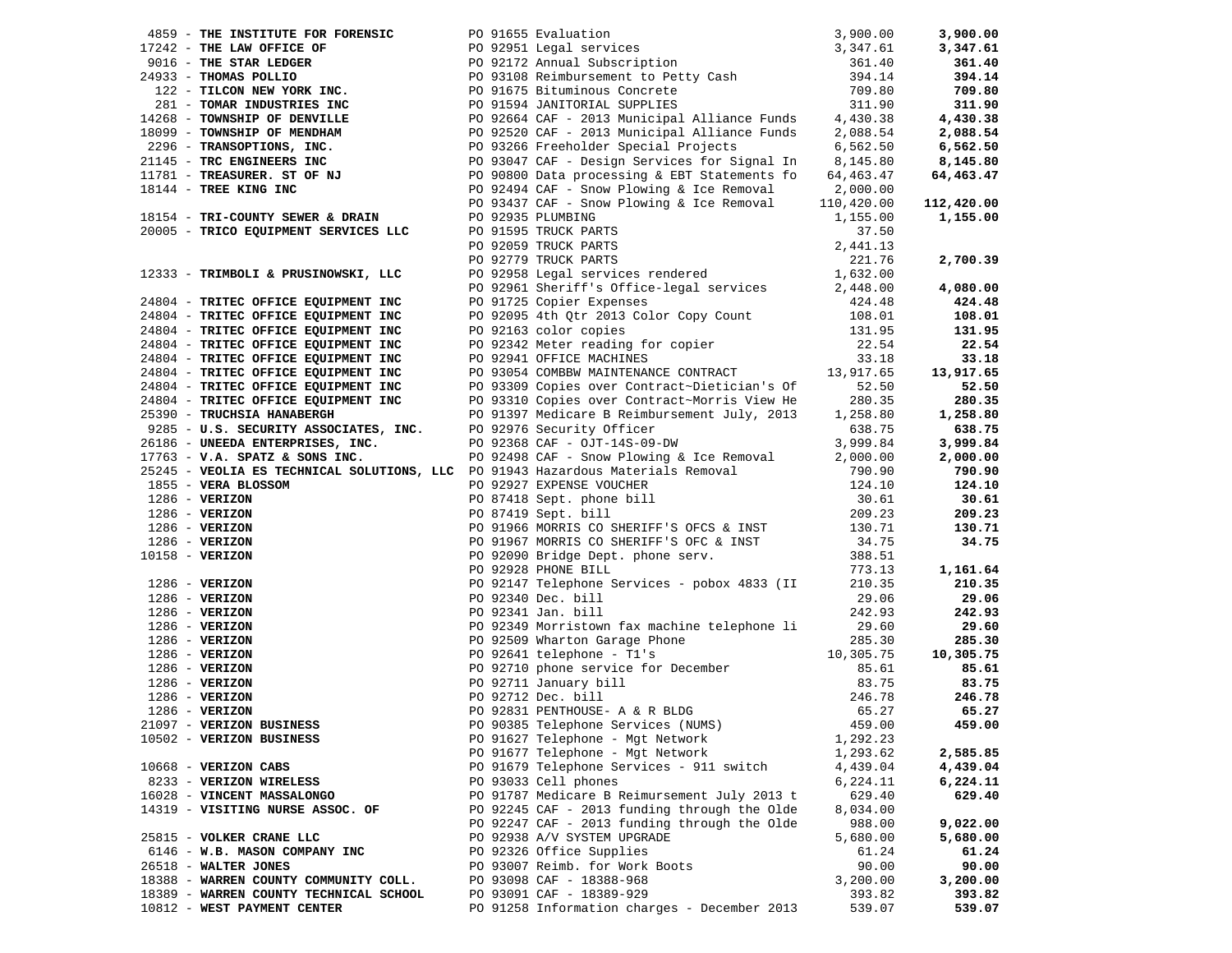|                                        | 1915 - TRI-COUNTY SEWER & DRAIN<br>20005 - TRICO EQUIPMENT SERVICES LLC<br>20005 - TRICO EQUIPMENT SERVICES LLC<br>21.76<br>221.76<br>221.76<br>221.76<br>2333 - TRIMBOLI & PRUSINOWSKI, LLC<br>24804 - TRITEC OFFICE EQUIPMENT INC<br>24804 - T                                                                                                                                                                                                                                                                        |          | 2,700.39  |
|----------------------------------------|-------------------------------------------------------------------------------------------------------------------------------------------------------------------------------------------------------------------------------------------------------------------------------------------------------------------------------------------------------------------------------------------------------------------------------------------------------------------------------------------------------------------------|----------|-----------|
|                                        |                                                                                                                                                                                                                                                                                                                                                                                                                                                                                                                         |          |           |
|                                        |                                                                                                                                                                                                                                                                                                                                                                                                                                                                                                                         |          | 4,080.00  |
|                                        |                                                                                                                                                                                                                                                                                                                                                                                                                                                                                                                         |          | 424.48    |
|                                        |                                                                                                                                                                                                                                                                                                                                                                                                                                                                                                                         |          | 108.01    |
|                                        |                                                                                                                                                                                                                                                                                                                                                                                                                                                                                                                         |          | 131.95    |
|                                        |                                                                                                                                                                                                                                                                                                                                                                                                                                                                                                                         |          | 22.54     |
|                                        |                                                                                                                                                                                                                                                                                                                                                                                                                                                                                                                         |          | 33.18     |
| 24804 - TRITEC OFFICE EQUIPMENT INC    | PO 92941 OFFICE MACHINES<br>PO 93054 COMBBW MAINTENANCE CONTRACT 13,917.65                                                                                                                                                                                                                                                                                                                                                                                                                                              |          | 13,917.65 |
|                                        |                                                                                                                                                                                                                                                                                                                                                                                                                                                                                                                         |          | 52.50     |
|                                        |                                                                                                                                                                                                                                                                                                                                                                                                                                                                                                                         |          | 280.35    |
|                                        |                                                                                                                                                                                                                                                                                                                                                                                                                                                                                                                         |          | 1,258.80  |
|                                        |                                                                                                                                                                                                                                                                                                                                                                                                                                                                                                                         |          | 638.75    |
|                                        |                                                                                                                                                                                                                                                                                                                                                                                                                                                                                                                         |          | 3,999.84  |
|                                        | 24804 - TRITEC OFFICE EQUIPMENT INC FOR 9309 Copies over Contract~Dietician's Of 52.50<br>24804 - TRITEC OFFICE EQUIPMENT INC PORT PORT OF THE COPING TRITEC OF THE COPINENT INC PORT PORT OF SUPPLEMENT INC<br>25390 - TRUCHSIA H<br>1793 - <b>V.A. SPATZ &amp; SONS INC.</b><br>25245 - <b>VEOLIA ES TECHNICAL SOLUTIONS, LLC</b> PO 91943 Hazardous Materials Removal<br>2799.84<br>2799.90<br>2799.90<br>2790.90<br>286 - <b>VERIZON</b><br>286 - <b>VERIZON</b><br>286 - <b>VERIZON</b><br>209.23<br>209.23<br>209 |          | 2,000.00  |
|                                        |                                                                                                                                                                                                                                                                                                                                                                                                                                                                                                                         |          | 790.90    |
|                                        |                                                                                                                                                                                                                                                                                                                                                                                                                                                                                                                         |          | 124.10    |
|                                        |                                                                                                                                                                                                                                                                                                                                                                                                                                                                                                                         |          | 30.61     |
|                                        |                                                                                                                                                                                                                                                                                                                                                                                                                                                                                                                         |          | 209.23    |
|                                        |                                                                                                                                                                                                                                                                                                                                                                                                                                                                                                                         |          | 130.71    |
|                                        |                                                                                                                                                                                                                                                                                                                                                                                                                                                                                                                         |          | 34.75     |
|                                        |                                                                                                                                                                                                                                                                                                                                                                                                                                                                                                                         |          |           |
|                                        |                                                                                                                                                                                                                                                                                                                                                                                                                                                                                                                         |          | 1,161.64  |
|                                        |                                                                                                                                                                                                                                                                                                                                                                                                                                                                                                                         |          | 210.35    |
|                                        |                                                                                                                                                                                                                                                                                                                                                                                                                                                                                                                         |          | 29.06     |
|                                        |                                                                                                                                                                                                                                                                                                                                                                                                                                                                                                                         |          | 242.93    |
|                                        |                                                                                                                                                                                                                                                                                                                                                                                                                                                                                                                         |          | 29.60     |
|                                        |                                                                                                                                                                                                                                                                                                                                                                                                                                                                                                                         |          | 285.30    |
|                                        |                                                                                                                                                                                                                                                                                                                                                                                                                                                                                                                         |          | 10,305.75 |
|                                        |                                                                                                                                                                                                                                                                                                                                                                                                                                                                                                                         |          | 85.61     |
|                                        |                                                                                                                                                                                                                                                                                                                                                                                                                                                                                                                         |          | 83.75     |
|                                        |                                                                                                                                                                                                                                                                                                                                                                                                                                                                                                                         |          | 246.78    |
|                                        |                                                                                                                                                                                                                                                                                                                                                                                                                                                                                                                         |          | 65.27     |
|                                        |                                                                                                                                                                                                                                                                                                                                                                                                                                                                                                                         |          | 459.00    |
| 10502 - VERIZON BUSINESS               | PO 91627 Telephone - Mgt Network                                                                                                                                                                                                                                                                                                                                                                                                                                                                                        | 1,292.23 |           |
|                                        | PO 91677 Telephone - Mgt Network                                                                                                                                                                                                                                                                                                                                                                                                                                                                                        | 1,293.62 | 2,585.85  |
| $10668$ - VERIZON CABS                 | PO 91679 Telephone Services - 911 switch                                                                                                                                                                                                                                                                                                                                                                                                                                                                                | 4,439.04 | 4,439.04  |
| 8233 - VERIZON WIRELESS                | PO 93033 Cell phones                                                                                                                                                                                                                                                                                                                                                                                                                                                                                                    | 6,224.11 | 6,224.11  |
| 16028 - VINCENT MASSALONGO             | PO 91787 Medicare B Reimursement July 2013 t                                                                                                                                                                                                                                                                                                                                                                                                                                                                            | 629.40   | 629.40    |
| 14319 - VISITING NURSE ASSOC. OF       | PO 92245 CAF - 2013 funding through the Olde                                                                                                                                                                                                                                                                                                                                                                                                                                                                            | 8,034.00 |           |
|                                        | PO 92247 CAF - 2013 funding through the Olde                                                                                                                                                                                                                                                                                                                                                                                                                                                                            | 988.00   | 9,022.00  |
| 25815 - VOLKER CRANE LLC               | PO 92938 A/V SYSTEM UPGRADE                                                                                                                                                                                                                                                                                                                                                                                                                                                                                             | 5,680.00 | 5,680.00  |
| 6146 - W.B. MASON COMPANY INC          | PO 92326 Office Supplies                                                                                                                                                                                                                                                                                                                                                                                                                                                                                                | 61.24    | 61.24     |
| 26518 - WALTER JONES                   | PO 93007 Reimb. for Work Boots                                                                                                                                                                                                                                                                                                                                                                                                                                                                                          | 90.00    | 90.00     |
| 18388 - WARREN COUNTY COMMUNITY COLL.  | PO 93098 CAF - 18388-968                                                                                                                                                                                                                                                                                                                                                                                                                                                                                                | 3,200.00 | 3,200.00  |
| 18389 - WARREN COUNTY TECHNICAL SCHOOL | PO 93091 CAF - 18389-929                                                                                                                                                                                                                                                                                                                                                                                                                                                                                                | 393.82   | 393.82    |
| 10812 - WEST PAYMENT CENTER            | PO 91258 Information charges - December 2013                                                                                                                                                                                                                                                                                                                                                                                                                                                                            | 539.07   | 539.07    |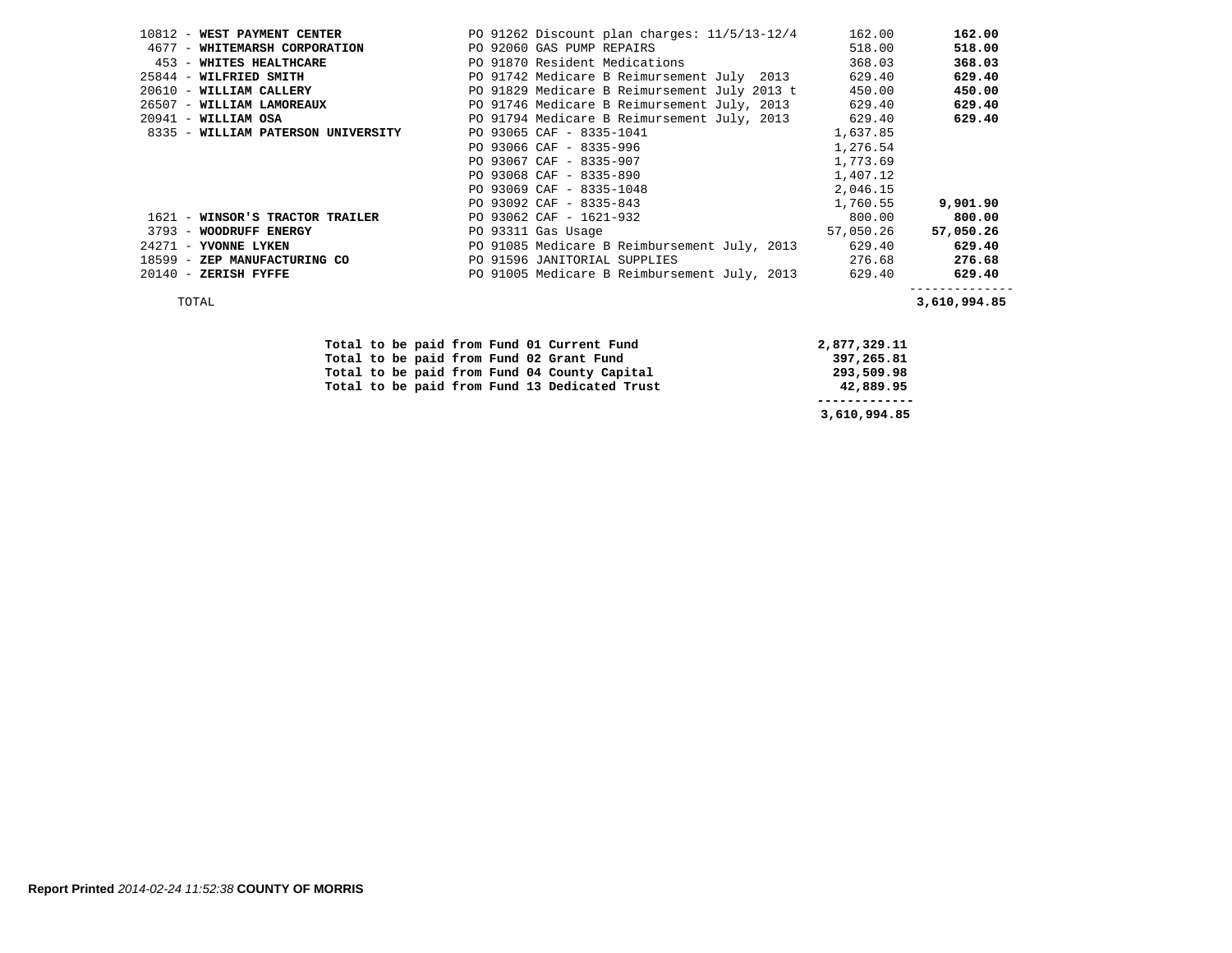| 10812 - WEST PAYMENT CENTER        | PO 91262 Discount plan charges: 11/5/13-12/4        | 162.00    | 162.00    |
|------------------------------------|-----------------------------------------------------|-----------|-----------|
| 4677 - WHITEMARSH CORPORATION      | PO 92060 GAS PUMP REPAIRS                           | 518.00    | 518.00    |
| 453 - WHITES HEALTHCARE            | PO 91870 Resident Medications                       | 368.03    | 368.03    |
| 25844 - WILFRIED SMITH             | PO 91742 Medicare B Reimursement July 2013          | 629.40    | 629.40    |
| 20610 - WILLIAM CALLERY            | PO 91829 Medicare B Reimursement July 2013 t        | 450.00    | 450.00    |
| 26507 - WILLIAM LAMOREAUX          | PO 91746 Medicare B Reimursement July, 2013         | 629.40    | 629.40    |
| $20941$ - WILLIAM OSA              | PO 91794 Medicare B Reimursement July, 2013 629.40  |           | 629.40    |
| 8335 - WILLIAM PATERSON UNIVERSITY | PO 93065 CAF - 8335-1041                            | 1,637.85  |           |
|                                    | PO 93066 CAF - 8335-996                             | 1,276.54  |           |
|                                    | PO 93067 CAF - 8335-907                             | 1,773.69  |           |
|                                    | PO 93068 CAF - 8335-890                             | 1,407.12  |           |
|                                    | PO 93069 CAF - 8335-1048                            | 2,046.15  |           |
|                                    | PO 93092 CAF - 8335-843                             | 1,760.55  | 9,901.90  |
| 1621 - WINSOR'S TRACTOR TRAILER    | PO 93062 CAF - 1621-932                             | 800.00    | 800.00    |
| 3793 - WOODRUFF ENERGY             | PO 93311 Gas Usage                                  | 57,050.26 | 57,050.26 |
| 24271 - YVONNE LYKEN               | PO 91085 Medicare B Reimbursement July, 2013        | 629.40    | 629.40    |
| 18599 - ZEP MANUFACTURING CO       | PO 91596 JANITORIAL SUPPLIES                        | 276.68    | 276.68    |
| $20140$ - ZERISH FYFFE             | PO 91005 Medicare B Reimbursement July, 2013 629.40 |           | 629.40    |
|                                    |                                                     |           |           |

TOTAL **3,610,994.85** 

|  |  |  |  | Total to be paid from Fund 01 Current Fund    | 2,877,329.11 |
|--|--|--|--|-----------------------------------------------|--------------|
|  |  |  |  | Total to be paid from Fund 02 Grant Fund      | 397,265.81   |
|  |  |  |  | Total to be paid from Fund 04 County Capital  | 293,509.98   |
|  |  |  |  | Total to be paid from Fund 13 Dedicated Trust | 42,889.95    |
|  |  |  |  |                                               |              |
|  |  |  |  |                                               | 3,610,994.85 |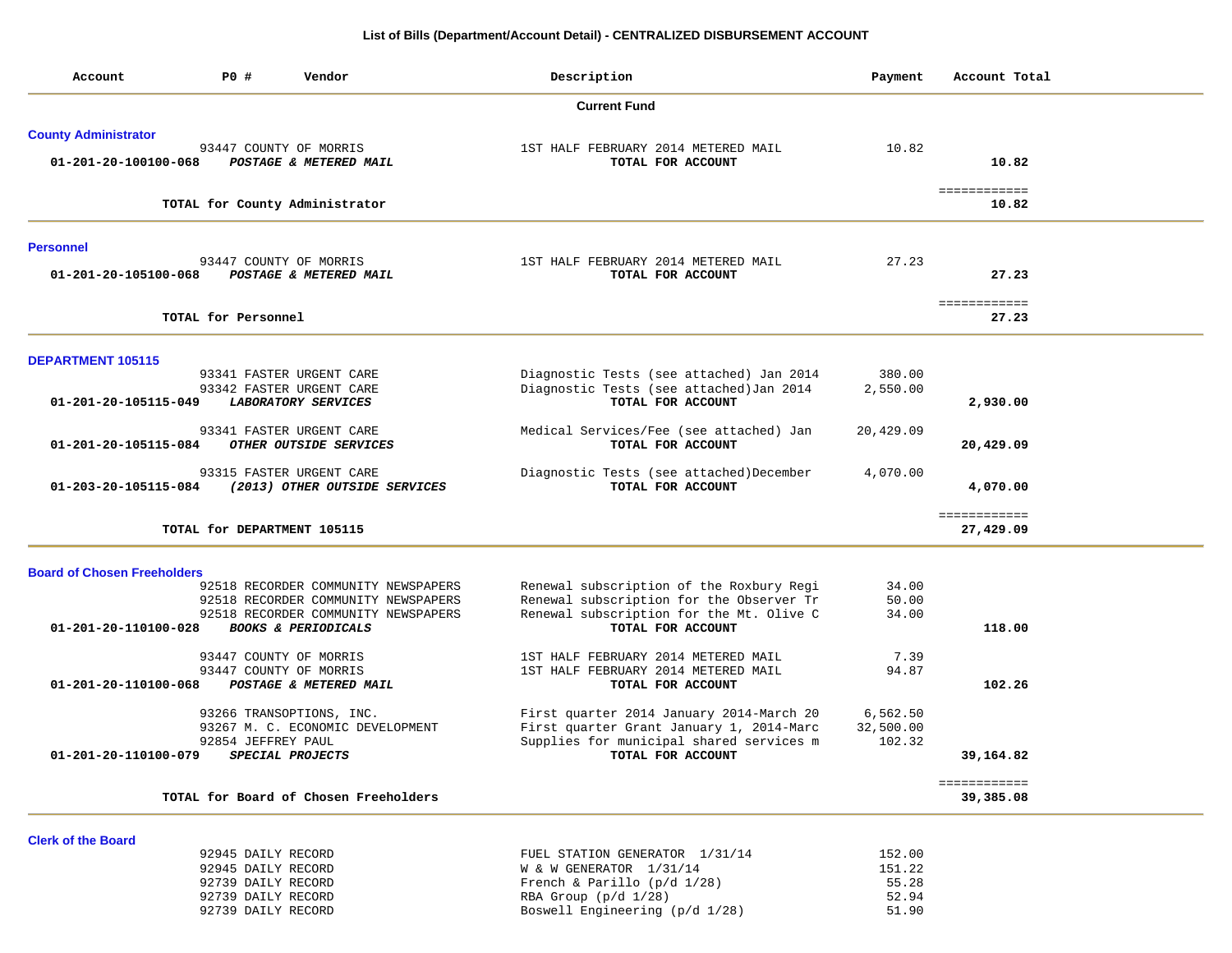### **List of Bills (Department/Account Detail) - CENTRALIZED DISBURSEMENT ACCOUNT**

| <b>Current Fund</b><br><b>County Administrator</b><br>93447 COUNTY OF MORRIS<br>1ST HALF FEBRUARY 2014 METERED MAIL<br>01-201-20-100100-068<br>POSTAGE & METERED MAIL<br>TOTAL FOR ACCOUNT<br>TOTAL for County Administrator | 10.82<br>27.23     | 10.82<br>============<br>10.82 |
|------------------------------------------------------------------------------------------------------------------------------------------------------------------------------------------------------------------------------|--------------------|--------------------------------|
|                                                                                                                                                                                                                              |                    |                                |
|                                                                                                                                                                                                                              |                    |                                |
|                                                                                                                                                                                                                              |                    |                                |
|                                                                                                                                                                                                                              |                    |                                |
|                                                                                                                                                                                                                              |                    |                                |
|                                                                                                                                                                                                                              |                    |                                |
| <b>Personnel</b>                                                                                                                                                                                                             |                    |                                |
| 93447 COUNTY OF MORRIS<br>1ST HALF FEBRUARY 2014 METERED MAIL<br>01-201-20-105100-068<br>POSTAGE & METERED MAIL<br>TOTAL FOR ACCOUNT                                                                                         |                    | 27.23                          |
|                                                                                                                                                                                                                              |                    |                                |
| TOTAL for Personnel                                                                                                                                                                                                          |                    | ============<br>27.23          |
|                                                                                                                                                                                                                              |                    |                                |
| <b>DEPARTMENT 105115</b>                                                                                                                                                                                                     |                    |                                |
| 93341 FASTER URGENT CARE<br>Diagnostic Tests (see attached) Jan 2014<br>Diagnostic Tests (see attached) Jan 2014<br>93342 FASTER URGENT CARE                                                                                 | 380.00<br>2,550.00 |                                |
| 01-201-20-105115-049<br>LABORATORY SERVICES<br>TOTAL FOR ACCOUNT                                                                                                                                                             |                    | 2,930.00                       |
| 93341 FASTER URGENT CARE<br>Medical Services/Fee (see attached) Jan                                                                                                                                                          | 20,429.09          |                                |
| 01-201-20-105115-084<br>OTHER OUTSIDE SERVICES<br>TOTAL FOR ACCOUNT                                                                                                                                                          |                    | 20,429.09                      |
| 93315 FASTER URGENT CARE<br>Diagnostic Tests (see attached)December                                                                                                                                                          | 4,070.00           |                                |
| (2013) OTHER OUTSIDE SERVICES<br>TOTAL FOR ACCOUNT<br>01-203-20-105115-084                                                                                                                                                   |                    | 4,070.00                       |
|                                                                                                                                                                                                                              |                    | ============                   |
| TOTAL for DEPARTMENT 105115                                                                                                                                                                                                  |                    | 27,429.09                      |
| <b>Board of Chosen Freeholders</b>                                                                                                                                                                                           |                    |                                |
| 92518 RECORDER COMMUNITY NEWSPAPERS<br>Renewal subscription of the Roxbury Regi                                                                                                                                              | 34.00              |                                |
| Renewal subscription for the Observer Tr<br>92518 RECORDER COMMUNITY NEWSPAPERS                                                                                                                                              | 50.00              |                                |
| Renewal subscription for the Mt. Olive C<br>92518 RECORDER COMMUNITY NEWSPAPERS                                                                                                                                              | 34.00              |                                |
| <b>BOOKS &amp; PERIODICALS</b><br>01-201-20-110100-028<br>TOTAL FOR ACCOUNT                                                                                                                                                  |                    | 118.00                         |
| 93447 COUNTY OF MORRIS<br>1ST HALF FEBRUARY 2014 METERED MAIL                                                                                                                                                                | 7.39               |                                |
| 93447 COUNTY OF MORRIS<br>1ST HALF FEBRUARY 2014 METERED MAIL                                                                                                                                                                | 94.87              |                                |
| 01-201-20-110100-068<br>POSTAGE & METERED MAIL<br>TOTAL FOR ACCOUNT                                                                                                                                                          |                    | 102.26                         |
| 93266 TRANSOPTIONS, INC.<br>First quarter 2014 January 2014-March 20                                                                                                                                                         | 6,562.50           |                                |
| First quarter Grant January 1, 2014-Marc<br>93267 M. C. ECONOMIC DEVELOPMENT                                                                                                                                                 | 32,500.00          |                                |
| Supplies for municipal shared services m<br>92854 JEFFREY PAUL                                                                                                                                                               | 102.32             |                                |
| 01-201-20-110100-079<br>SPECIAL PROJECTS<br>TOTAL FOR ACCOUNT                                                                                                                                                                |                    | 39,164.82                      |
| TOTAL for Board of Chosen Freeholders                                                                                                                                                                                        |                    | ============<br>39,385.08      |
|                                                                                                                                                                                                                              |                    |                                |
| <b>Clerk of the Board</b>                                                                                                                                                                                                    |                    |                                |
| 92945 DAILY RECORD<br>FUEL STATION GENERATOR 1/31/14                                                                                                                                                                         | 152.00             |                                |
| 92945 DAILY RECORD<br>W & W GENERATOR $1/31/14$                                                                                                                                                                              | 151.22             |                                |
| 92739 DAILY RECORD<br>French & Parillo $(p/d \t1/28)$                                                                                                                                                                        | 55.28              |                                |
| 92739 DAILY RECORD<br>RBA Group $(p/d \ 1/28)$<br>92739 DAILY RECORD<br>Boswell Engineering (p/d 1/28)                                                                                                                       | 52.94<br>51.90     |                                |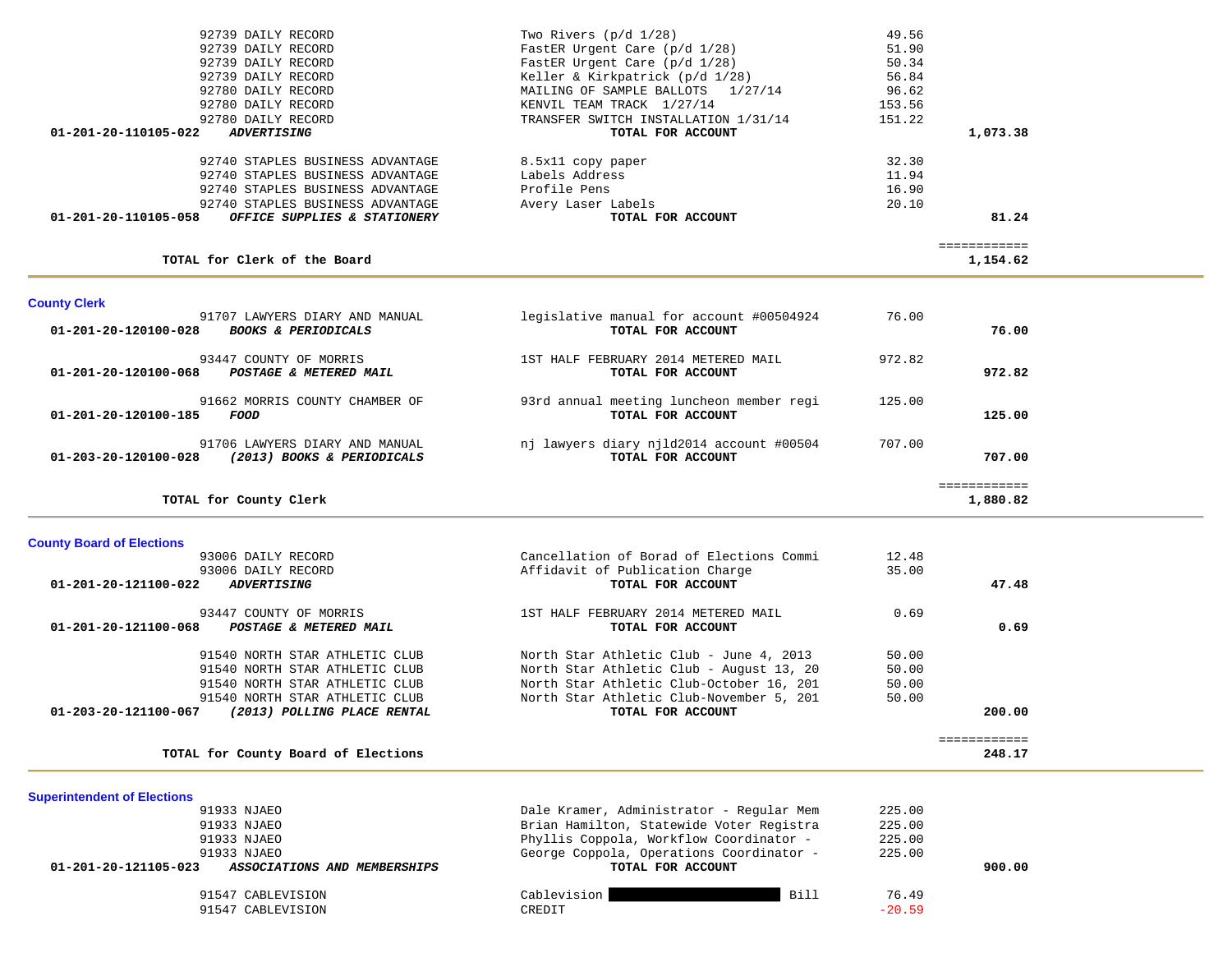| 92739 DAILY RECORD                                   | Two Rivers $(p/d \ 1/28)$            | 49.56  |          |
|------------------------------------------------------|--------------------------------------|--------|----------|
| 92739 DAILY RECORD                                   | FastER Urgent Care $(p/d \t1/28)$    | 51.90  |          |
| 92739 DAILY RECORD                                   | FastER Urgent Care $(p/d \t1/28)$    | 50.34  |          |
| 92739 DAILY RECORD                                   | Keller & Kirkpatrick (p/d 1/28)      | 56.84  |          |
| 92780 DAILY RECORD                                   | MAILING OF SAMPLE BALLOTS 1/27/14    | 96.62  |          |
| 92780 DAILY RECORD                                   | KENVIL TEAM TRACK 1/27/14            | 153.56 |          |
| 92780 DAILY RECORD                                   | TRANSFER SWITCH INSTALLATION 1/31/14 | 151.22 |          |
| 01-201-20-110105-022<br><i><b>ADVERTISING</b></i>    | TOTAL FOR ACCOUNT                    |        | 1,073.38 |
| 92740 STAPLES BUSINESS ADVANTAGE                     | 8.5x11 copy paper                    | 32.30  |          |
| 92740 STAPLES BUSINESS ADVANTAGE                     | Labels Address                       | 11.94  |          |
| 92740 STAPLES BUSINESS ADVANTAGE                     | Profile Pens                         | 16.90  |          |
| 92740 STAPLES BUSINESS ADVANTAGE                     | Avery Laser Labels                   | 20.10  |          |
| 01-201-20-110105-058<br>OFFICE SUPPLIES & STATIONERY | TOTAL FOR ACCOUNT                    |        | 81.24    |

### **TOTAL for Clerk of the Board 1,154.62**

 ============ 1,154.62

| <b>County Clerk</b>                                                                      |                                                               |        |                          |
|------------------------------------------------------------------------------------------|---------------------------------------------------------------|--------|--------------------------|
| 91707 LAWYERS DIARY AND MANUAL<br>01-201-20-120100-028<br><b>BOOKS &amp; PERIODICALS</b> | legislative manual for account #00504924<br>TOTAL FOR ACCOUNT | 76.00  | 76.00                    |
| 93447 COUNTY OF MORRIS<br>01-201-20-120100-068<br>POSTAGE & METERED MAIL                 | 1ST HALF FEBRUARY 2014 METERED MAIL<br>TOTAL FOR ACCOUNT      | 972.82 | 972.82                   |
| 91662 MORRIS COUNTY CHAMBER OF<br>01-201-20-120100-185<br>FOOD                           | 93rd annual meeting luncheon member regi<br>TOTAL FOR ACCOUNT | 125.00 | 125.00                   |
| 91706 LAWYERS DIARY AND MANUAL<br>01-203-20-120100-028<br>(2013) BOOKS & PERIODICALS     | nj lawyers diary njld2014 account #00504<br>TOTAL FOR ACCOUNT | 707.00 | 707.00                   |
| TOTAL for County Clerk                                                                   |                                                               |        | ============<br>1,880.82 |

|  | <b>County Board of Elections</b> |  |  |  |
|--|----------------------------------|--|--|--|
|--|----------------------------------|--|--|--|

| <b>County Board of Elections</b>                    |                                          |       |        |
|-----------------------------------------------------|------------------------------------------|-------|--------|
| 93006 DAILY RECORD                                  | Cancellation of Borad of Elections Commi | 12.48 |        |
| 93006 DAILY RECORD                                  | Affidavit of Publication Charge          | 35.00 |        |
| 01-201-20-121100-022<br><i><b>ADVERTISING</b></i>   | TOTAL FOR ACCOUNT                        |       | 47.48  |
| 93447 COUNTY OF MORRIS                              | 1ST HALF FEBRUARY 2014 METERED MAIL      | 0.69  |        |
| 01-201-20-121100-068<br>POSTAGE & METERED MAIL      | TOTAL FOR ACCOUNT                        |       | 0.69   |
| 91540 NORTH STAR ATHLETIC CLUB                      | North Star Athletic Club - June 4, 2013  | 50.00 |        |
| 91540 NORTH STAR ATHLETIC CLUB                      | North Star Athletic Club - August 13, 20 | 50.00 |        |
| 91540 NORTH STAR ATHLETIC CLUB                      | North Star Athletic Club-October 16, 201 | 50.00 |        |
| 91540 NORTH STAR ATHLETIC CLUB                      | North Star Athletic Club-November 5, 201 | 50.00 |        |
| 01-203-20-121100-067<br>(2013) POLLING PLACE RENTAL | TOTAL FOR ACCOUNT                        |       | 200.00 |
|                                                     |                                          |       |        |
| TOTAL for County Board of Elections                 |                                          |       | 248.17 |

## **Superintendent of Elections**

| Dale Kramer, Administrator - Regular Mem | 225.00            |        |
|------------------------------------------|-------------------|--------|
| Brian Hamilton, Statewide Voter Registra | 225.00            |        |
| Phyllis Coppola, Workflow Coordinator -  | 225.00            |        |
| George Coppola, Operations Coordinator - | 225.00            |        |
| TOTAL FOR ACCOUNT                        |                   | 900.00 |
| Bill<br>Cablevision<br>CREDIT            | 76.49<br>$-20.59$ |        |
|                                          |                   |        |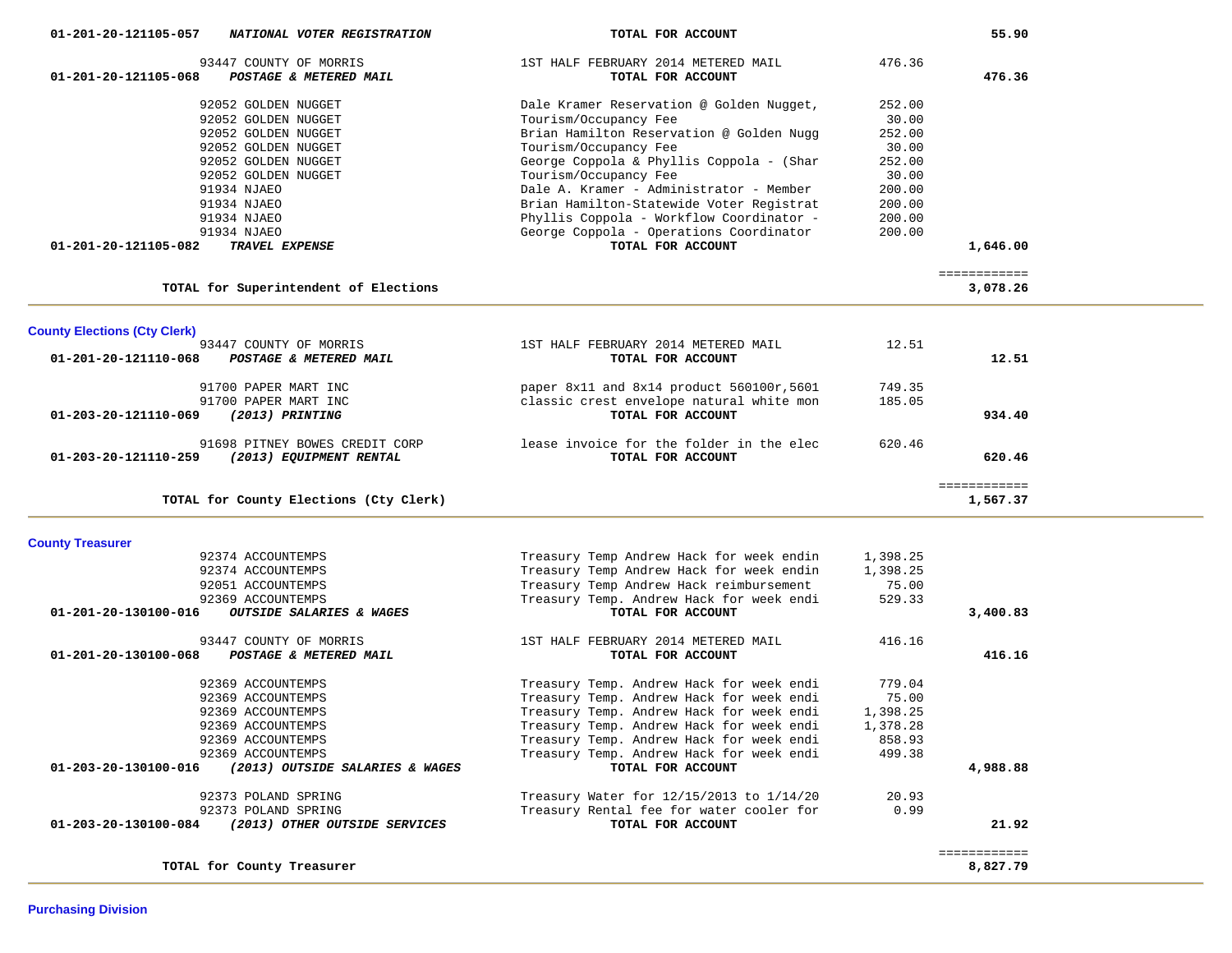| 01-201-20-121105-057<br>NATIONAL VOTER REGISTRATION      | TOTAL FOR ACCOUNT                         |          | 55.90        |  |
|----------------------------------------------------------|-------------------------------------------|----------|--------------|--|
| 93447 COUNTY OF MORRIS                                   | 1ST HALF FEBRUARY 2014 METERED MAIL       | 476.36   |              |  |
| $01 - 201 - 20 - 121105 - 068$<br>POSTAGE & METERED MAIL | TOTAL FOR ACCOUNT                         |          | 476.36       |  |
|                                                          |                                           |          |              |  |
| 92052 GOLDEN NUGGET                                      | Dale Kramer Reservation @ Golden Nugget,  | 252.00   |              |  |
| 92052 GOLDEN NUGGET                                      | Tourism/Occupancy Fee                     | 30.00    |              |  |
| 92052 GOLDEN NUGGET                                      | Brian Hamilton Reservation @ Golden Nugg  | 252.00   |              |  |
| 92052 GOLDEN NUGGET                                      | Tourism/Occupancy Fee                     | 30.00    |              |  |
| 92052 GOLDEN NUGGET                                      | George Coppola & Phyllis Coppola - (Shar  | 252.00   |              |  |
| 92052 GOLDEN NUGGET                                      | Tourism/Occupancy Fee                     | 30.00    |              |  |
| 91934 NJAEO                                              | Dale A. Kramer - Administrator - Member   | 200.00   |              |  |
| 91934 NJAEO                                              | Brian Hamilton-Statewide Voter Registrat  | 200.00   |              |  |
| 91934 NJAEO                                              | Phyllis Coppola - Workflow Coordinator -  | 200.00   |              |  |
| 91934 NJAEO                                              | George Coppola - Operations Coordinator   | 200.00   |              |  |
| 01-201-20-121105-082<br>TRAVEL EXPENSE                   | TOTAL FOR ACCOUNT                         |          | 1,646.00     |  |
|                                                          |                                           |          | ============ |  |
| TOTAL for Superintendent of Elections                    |                                           |          | 3,078.26     |  |
| <b>County Elections (Cty Clerk)</b>                      |                                           |          |              |  |
| 93447 COUNTY OF MORRIS                                   | 1ST HALF FEBRUARY 2014 METERED MAIL       | 12.51    |              |  |
| $01 - 201 - 20 - 121110 - 068$<br>POSTAGE & METERED MAIL | TOTAL FOR ACCOUNT                         |          | 12.51        |  |
|                                                          |                                           |          |              |  |
| 91700 PAPER MART INC                                     | paper 8x11 and 8x14 product 560100r, 5601 | 749.35   |              |  |
| 91700 PAPER MART INC                                     | classic crest envelope natural white mon  | 185.05   |              |  |
| (2013) PRINTING<br>01-203-20-121110-069                  | TOTAL FOR ACCOUNT                         |          | 934.40       |  |
|                                                          |                                           |          |              |  |
| 91698 PITNEY BOWES CREDIT CORP                           | lease invoice for the folder in the elec  | 620.46   |              |  |
| (2013) EQUIPMENT RENTAL<br>01-203-20-121110-259          | TOTAL FOR ACCOUNT                         |          | 620.46       |  |
|                                                          |                                           |          |              |  |
|                                                          |                                           |          | ============ |  |
| TOTAL for County Elections (Cty Clerk)                   |                                           |          | 1,567.37     |  |
| <b>County Treasurer</b>                                  |                                           |          |              |  |
| 92374 ACCOUNTEMPS                                        | Treasury Temp Andrew Hack for week endin  | 1,398.25 |              |  |
| 92374 ACCOUNTEMPS                                        | Treasury Temp Andrew Hack for week endin  | 1,398.25 |              |  |
| 92051 ACCOUNTEMPS                                        | Treasury Temp Andrew Hack reimbursement   | 75.00    |              |  |
| 92369 ACCOUNTEMPS                                        | Treasury Temp. Andrew Hack for week endi  | 529.33   |              |  |
| 01-201-20-130100-016<br>OUTSIDE SALARIES & WAGES         | TOTAL FOR ACCOUNT                         |          | 3,400.83     |  |
|                                                          |                                           |          |              |  |
| 93447 COUNTY OF MORRIS                                   | 1ST HALF FEBRUARY 2014 METERED MAIL       | 416.16   |              |  |
| POSTAGE & METERED MAIL<br>01-201-20-130100-068           | TOTAL FOR ACCOUNT                         |          | 416.16       |  |
| 92369 ACCOUNTEMPS                                        | Treasury Temp. Andrew Hack for week endi  | 779.04   |              |  |
| 92369 ACCOUNTEMPS                                        | Treasury Temp. Andrew Hack for week endi  | 75.00    |              |  |
| 92369 ACCOUNTEMPS                                        | Treasury Temp. Andrew Hack for week endi  | 1,398.25 |              |  |
| 92369 ACCOUNTEMPS                                        | Treasury Temp. Andrew Hack for week endi  | 1,378.28 |              |  |
| 92369 ACCOUNTEMPS                                        | Treasury Temp. Andrew Hack for week endi  | 858.93   |              |  |
| 92369 ACCOUNTEMPS                                        | Treasury Temp. Andrew Hack for week endi  | 499.38   |              |  |
| (2013) OUTSIDE SALARIES & WAGES<br>01-203-20-130100-016  | TOTAL FOR ACCOUNT                         |          | 4,988.88     |  |
| 92373 POLAND SPRING                                      | Treasury Water for 12/15/2013 to 1/14/20  | 20.93    |              |  |
| 92373 POLAND SPRING                                      | Treasury Rental fee for water cooler for  | 0.99     |              |  |
| 01-203-20-130100-084<br>(2013) OTHER OUTSIDE SERVICES    | TOTAL FOR ACCOUNT                         |          | 21.92        |  |
|                                                          |                                           |          | ============ |  |
| TOTAL for County Treasurer                               |                                           |          | 8,827.79     |  |
|                                                          |                                           |          |              |  |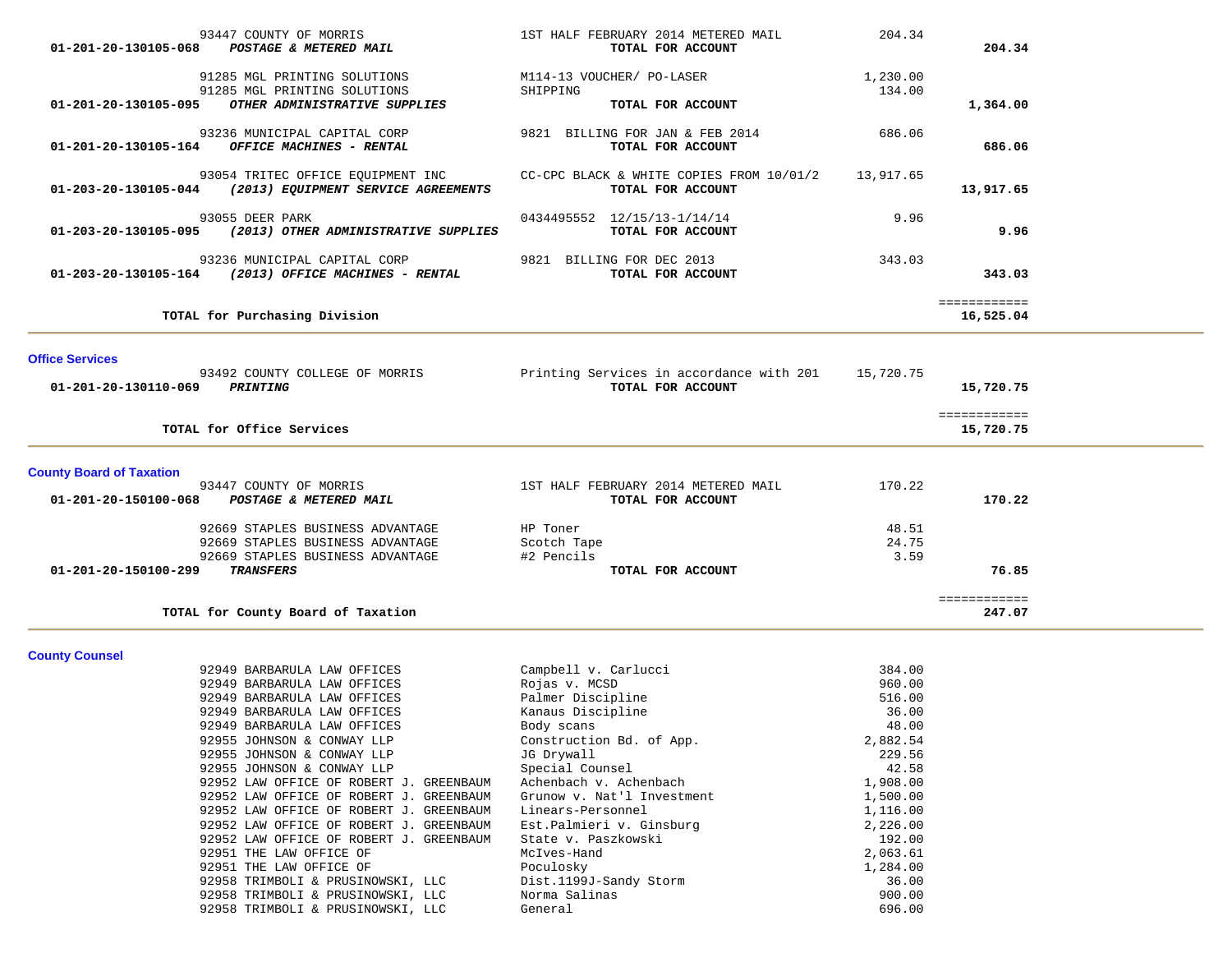| 01-201-20-130105-068                           | 93447 COUNTY OF MORRIS<br>POSTAGE & METERED MAIL                                                                                                                                                                                                                                                                                             | 1ST HALF FEBRUARY 2014 METERED MAIL<br>TOTAL FOR ACCOUNT                                                                                                                                              | 204.34                                                                                           | 204.34                    |  |
|------------------------------------------------|----------------------------------------------------------------------------------------------------------------------------------------------------------------------------------------------------------------------------------------------------------------------------------------------------------------------------------------------|-------------------------------------------------------------------------------------------------------------------------------------------------------------------------------------------------------|--------------------------------------------------------------------------------------------------|---------------------------|--|
| 01-201-20-130105-095                           | 91285 MGL PRINTING SOLUTIONS<br>91285 MGL PRINTING SOLUTIONS<br>OTHER ADMINISTRATIVE SUPPLIES                                                                                                                                                                                                                                                | M114-13 VOUCHER/ PO-LASER<br>SHIPPING<br>TOTAL FOR ACCOUNT                                                                                                                                            | 1,230.00<br>134.00                                                                               | 1,364.00                  |  |
| 01-201-20-130105-164                           | 93236 MUNICIPAL CAPITAL CORP<br>OFFICE MACHINES - RENTAL                                                                                                                                                                                                                                                                                     | 9821 BILLING FOR JAN & FEB 2014<br>TOTAL FOR ACCOUNT                                                                                                                                                  | 686.06                                                                                           | 686.06                    |  |
|                                                | 93054 TRITEC OFFICE EQUIPMENT INC<br>01-203-20-130105-044 (2013) EQUIPMENT SERVICE AGREEMENTS                                                                                                                                                                                                                                                | CC-CPC BLACK & WHITE COPIES FROM 10/01/2<br>TOTAL FOR ACCOUNT                                                                                                                                         | 13,917.65                                                                                        | 13,917.65                 |  |
| 01-203-20-130105-095                           | 93055 DEER PARK<br>(2013) OTHER ADMINISTRATIVE SUPPLIES                                                                                                                                                                                                                                                                                      | 0434495552 12/15/13-1/14/14<br>TOTAL FOR ACCOUNT                                                                                                                                                      | 9.96                                                                                             | 9.96                      |  |
| 01-203-20-130105-164                           | 93236 MUNICIPAL CAPITAL CORP<br>(2013) OFFICE MACHINES - RENTAL                                                                                                                                                                                                                                                                              | 9821 BILLING FOR DEC 2013<br>TOTAL FOR ACCOUNT                                                                                                                                                        | 343.03                                                                                           | 343.03                    |  |
|                                                | TOTAL for Purchasing Division                                                                                                                                                                                                                                                                                                                |                                                                                                                                                                                                       |                                                                                                  | ============<br>16,525.04 |  |
| <b>Office Services</b><br>01-201-20-130110-069 | 93492 COUNTY COLLEGE OF MORRIS<br><b>PRINTING</b>                                                                                                                                                                                                                                                                                            | Printing Services in accordance with 201<br>TOTAL FOR ACCOUNT                                                                                                                                         | 15,720.75                                                                                        | 15,720.75                 |  |
|                                                | TOTAL for Office Services                                                                                                                                                                                                                                                                                                                    |                                                                                                                                                                                                       |                                                                                                  | ============<br>15,720.75 |  |
| <b>County Board of Taxation</b>                |                                                                                                                                                                                                                                                                                                                                              |                                                                                                                                                                                                       |                                                                                                  |                           |  |
| 01-201-20-150100-068                           | 93447 COUNTY OF MORRIS<br>POSTAGE & METERED MAIL                                                                                                                                                                                                                                                                                             | 1ST HALF FEBRUARY 2014 METERED MAIL<br>TOTAL FOR ACCOUNT                                                                                                                                              | 170.22                                                                                           | 170.22                    |  |
| 01-201-20-150100-299                           | 92669 STAPLES BUSINESS ADVANTAGE<br>92669 STAPLES BUSINESS ADVANTAGE<br>92669 STAPLES BUSINESS ADVANTAGE<br><b>TRANSFERS</b>                                                                                                                                                                                                                 | HP Toner<br>Scotch Tape<br>#2 Pencils<br>TOTAL FOR ACCOUNT                                                                                                                                            | 48.51<br>24.75<br>3.59                                                                           | 76.85                     |  |
|                                                | TOTAL for County Board of Taxation                                                                                                                                                                                                                                                                                                           |                                                                                                                                                                                                       |                                                                                                  | ============<br>247.07    |  |
| <b>County Counsel</b>                          | 92949 BARBARULA LAW OFFICES                                                                                                                                                                                                                                                                                                                  | Campbell v. Carlucci                                                                                                                                                                                  | 384.00                                                                                           |                           |  |
|                                                | 92949 BARBARULA LAW OFFICES<br>92949 BARBARULA LAW OFFICES<br>92949 BARBARULA LAW OFFICES<br>92949 BARBARULA LAW OFFICES<br>92955 JOHNSON & CONWAY LLP<br>92955 JOHNSON & CONWAY LLP                                                                                                                                                         | Rojas v. MCSD<br>Palmer Discipline<br>Kanaus Discipline<br>Body scans<br>Construction Bd. of App.<br>JG Drywall                                                                                       | 960.00<br>516.00<br>36.00<br>48.00<br>2,882.54<br>229.56                                         |                           |  |
|                                                | 92955 JOHNSON & CONWAY LLP<br>92952 LAW OFFICE OF ROBERT J. GREENBAUM<br>92952 LAW OFFICE OF ROBERT J. GREENBAUM<br>92952 LAW OFFICE OF ROBERT J. GREENBAUM<br>92952 LAW OFFICE OF ROBERT J. GREENBAUM<br>92952 LAW OFFICE OF ROBERT J. GREENBAUM<br>92951 THE LAW OFFICE OF<br>92951 THE LAW OFFICE OF<br>92958 TRIMBOLI & PRUSINOWSKI, LLC | Special Counsel<br>Achenbach v. Achenbach<br>Grunow v. Nat'l Investment<br>Linears-Personnel<br>Est.Palmieri v. Ginsburg<br>State v. Paszkowski<br>McIves-Hand<br>Poculosky<br>Dist.1199J-Sandy Storm | 42.58<br>1,908.00<br>1,500.00<br>1,116.00<br>2,226.00<br>192.00<br>2,063.61<br>1,284.00<br>36.00 |                           |  |
|                                                | 92958 TRIMBOLI & PRUSINOWSKI, LLC<br>92958 TRIMBOLI & PRUSINOWSKI, LLC                                                                                                                                                                                                                                                                       | Norma Salinas<br>General                                                                                                                                                                              | 900.00<br>696.00                                                                                 |                           |  |

--

and the

÷,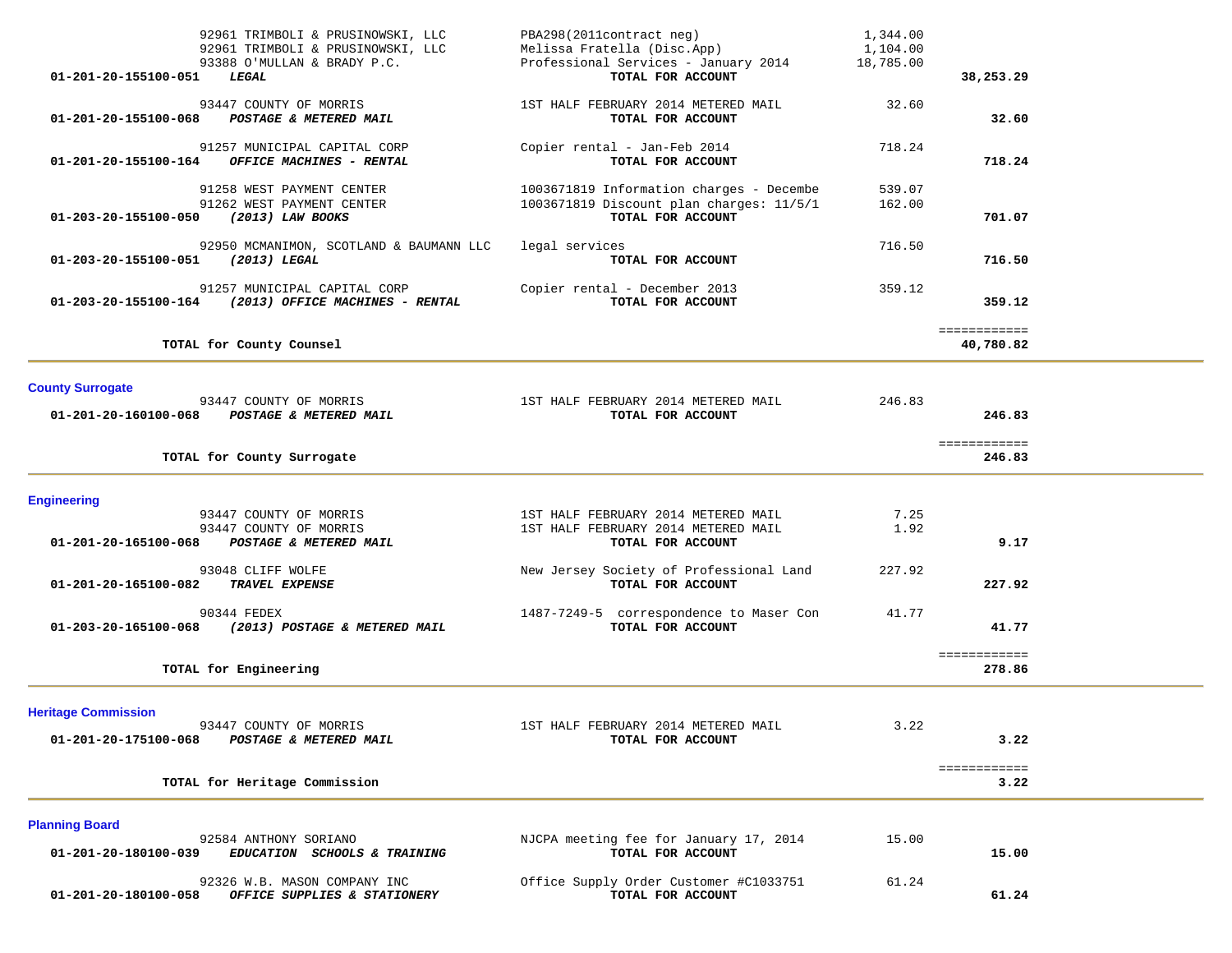| 01-201-20-155100-051                               | 92961 TRIMBOLI & PRUSINOWSKI, LLC<br>92961 TRIMBOLI & PRUSINOWSKI, LLC<br>93388 O'MULLAN & BRADY P.C.<br>LEGAL | PBA298(2011contract neg)<br>Melissa Fratella (Disc.App)<br>Professional Services - January 2014<br>TOTAL FOR ACCOUNT | 1,344.00<br>1,104.00<br>18,785.00 | 38,253.29                 |  |
|----------------------------------------------------|----------------------------------------------------------------------------------------------------------------|----------------------------------------------------------------------------------------------------------------------|-----------------------------------|---------------------------|--|
| 01-201-20-155100-068                               | 93447 COUNTY OF MORRIS<br>POSTAGE & METERED MAIL                                                               | 1ST HALF FEBRUARY 2014 METERED MAIL<br>TOTAL FOR ACCOUNT                                                             | 32.60                             | 32.60                     |  |
| 01-201-20-155100-164                               | 91257 MUNICIPAL CAPITAL CORP<br>OFFICE MACHINES - RENTAL                                                       | Copier rental - Jan-Feb 2014<br>TOTAL FOR ACCOUNT                                                                    | 718.24                            | 718.24                    |  |
| 01-203-20-155100-050                               | 91258 WEST PAYMENT CENTER<br>91262 WEST PAYMENT CENTER<br>(2013) LAW BOOKS                                     | 1003671819 Information charges - Decembe<br>1003671819 Discount plan charges: 11/5/1<br>TOTAL FOR ACCOUNT            | 539.07<br>162.00                  | 701.07                    |  |
| 01-203-20-155100-051                               | 92950 MCMANIMON, SCOTLAND & BAUMANN LLC<br>(2013) LEGAL                                                        | legal services<br>TOTAL FOR ACCOUNT                                                                                  | 716.50                            | 716.50                    |  |
|                                                    | 91257 MUNICIPAL CAPITAL CORP<br>01-203-20-155100-164 (2013) OFFICE MACHINES - RENTAL                           | Copier rental - December 2013<br>TOTAL FOR ACCOUNT                                                                   | 359.12                            | 359.12                    |  |
|                                                    | TOTAL for County Counsel                                                                                       |                                                                                                                      |                                   | ============<br>40,780.82 |  |
| <b>County Surrogate</b><br>01-201-20-160100-068    | 93447 COUNTY OF MORRIS<br><b>POSTAGE &amp; METERED MAIL</b>                                                    | 1ST HALF FEBRUARY 2014 METERED MAIL<br>TOTAL FOR ACCOUNT                                                             | 246.83                            | 246.83                    |  |
|                                                    | TOTAL for County Surrogate                                                                                     |                                                                                                                      |                                   | ============<br>246.83    |  |
| <b>Engineering</b><br>01-201-20-165100-068         | 93447 COUNTY OF MORRIS<br>93447 COUNTY OF MORRIS<br>POSTAGE & METERED MAIL                                     | 1ST HALF FEBRUARY 2014 METERED MAIL<br>1ST HALF FEBRUARY 2014 METERED MAIL<br>TOTAL FOR ACCOUNT                      | 7.25<br>1.92                      | 9.17                      |  |
| 01-201-20-165100-082                               | 93048 CLIFF WOLFE<br>TRAVEL EXPENSE                                                                            | New Jersey Society of Professional Land<br>TOTAL FOR ACCOUNT                                                         | 227.92                            | 227.92                    |  |
| 01-203-20-165100-068                               | 90344 FEDEX<br>(2013) POSTAGE & METERED MAIL                                                                   | 1487-7249-5 correspondence to Maser Con<br>TOTAL FOR ACCOUNT                                                         | 41.77                             | 41.77                     |  |
|                                                    | TOTAL for Engineering                                                                                          |                                                                                                                      |                                   | ============<br>278.86    |  |
| <b>Heritage Commission</b><br>01-201-20-175100-068 | 93447 COUNTY OF MORRIS<br>POSTAGE & METERED MAIL                                                               | 1ST HALF FEBRUARY 2014 METERED MAIL<br>TOTAL FOR ACCOUNT                                                             | 3.22                              | 3.22                      |  |
|                                                    | TOTAL for Heritage Commission                                                                                  |                                                                                                                      |                                   | ============<br>3.22      |  |
| <b>Planning Board</b><br>01-201-20-180100-039      | 92584 ANTHONY SORIANO<br>EDUCATION SCHOOLS & TRAINING                                                          | NJCPA meeting fee for January 17, 2014<br>TOTAL FOR ACCOUNT                                                          | 15.00                             | 15.00                     |  |
|                                                    |                                                                                                                |                                                                                                                      |                                   |                           |  |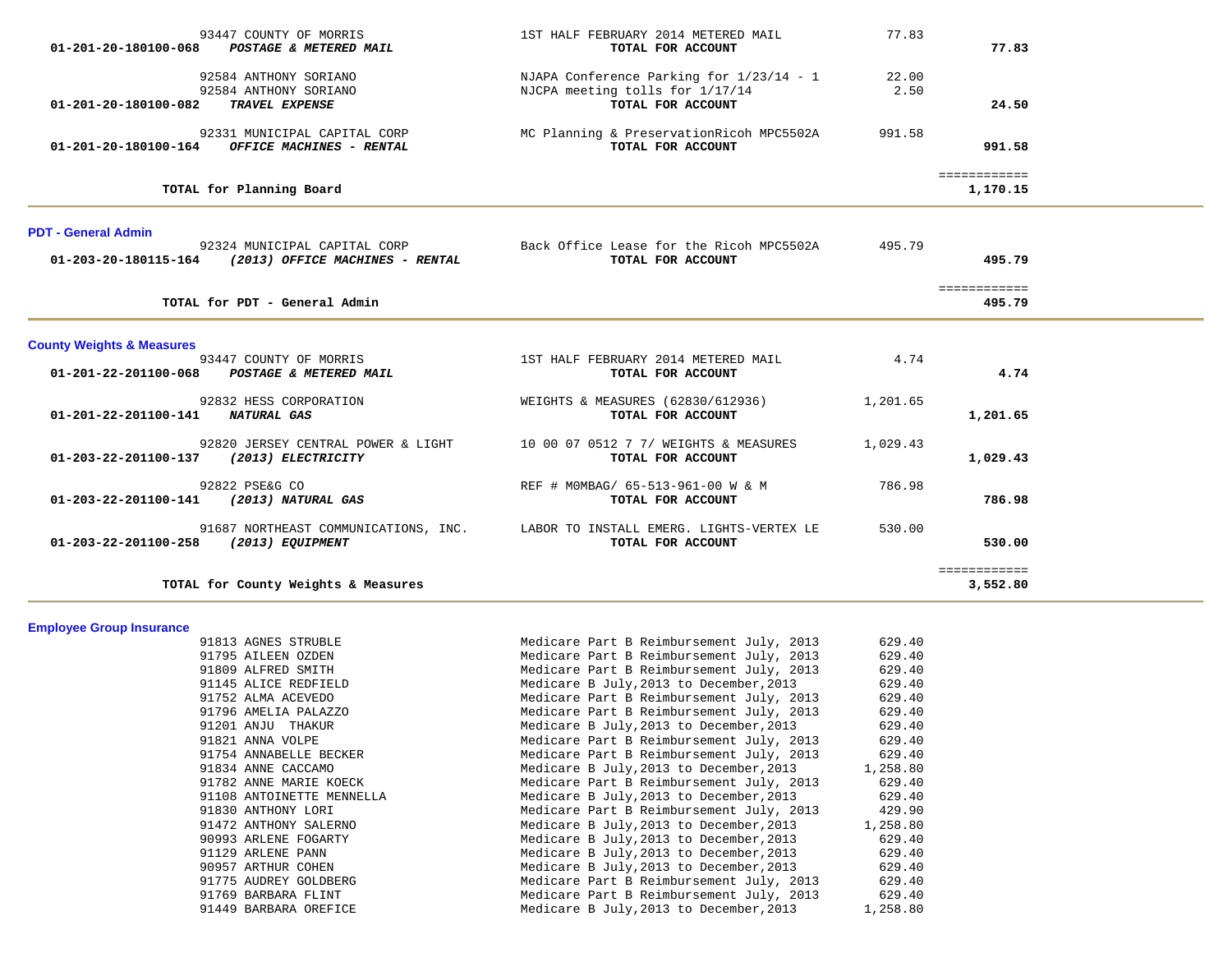| 93447 COUNTY OF MORRIS<br>01-201-20-180100-068 POSTAGE & METERED MAIL                    | 1ST HALF FEBRUARY 2014 METERED MAIL<br>TOTAL FOR ACCOUNT                                         | 77.83         | 77.83                        |  |
|------------------------------------------------------------------------------------------|--------------------------------------------------------------------------------------------------|---------------|------------------------------|--|
| 92584 ANTHONY SORIANO<br>92584 ANTHONY SORIANO<br>TRAVEL EXPENSE<br>01-201-20-180100-082 | NJAPA Conference Parking for 1/23/14 - 1<br>NJCPA meeting tolls for 1/17/14<br>TOTAL FOR ACCOUNT | 22.00<br>2.50 | 24.50                        |  |
| 92331 MUNICIPAL CAPITAL CORP<br>01-201-20-180100-164 OFFICE MACHINES - RENTAL            | MC Planning & PreservationRicoh MPC5502A<br>TOTAL FOR ACCOUNT                                    | 991.58        | 991.58                       |  |
| TOTAL for Planning Board                                                                 |                                                                                                  |               | ============<br>1,170.15     |  |
| <b>PDT - General Admin</b>                                                               |                                                                                                  |               |                              |  |
| 92324 MUNICIPAL CAPITAL CORP<br>01-203-20-180115-164 (2013) OFFICE MACHINES - RENTAL     | Back Office Lease for the Ricoh MPC5502A<br>TOTAL FOR ACCOUNT                                    | 495.79        | 495.79                       |  |
| TOTAL for PDT - General Admin                                                            |                                                                                                  |               | <b>EEEEEEEEEEE</b><br>495.79 |  |
| <b>County Weights &amp; Measures</b>                                                     |                                                                                                  |               |                              |  |
| 93447 COUNTY OF MORRIS<br>01-201-22-201100-068 POSTAGE & METERED MAIL                    | 1ST HALF FEBRUARY 2014 METERED MAIL<br>TOTAL FOR ACCOUNT                                         | 4.74          | 4.74                         |  |
| 92832 HESS CORPORATION<br>01-201-22-201100-141 NATURAL GAS                               | WEIGHTS & MEASURES (62830/612936)<br>TOTAL FOR ACCOUNT                                           | 1,201.65      | 1,201.65                     |  |
| 92820 JERSEY CENTRAL POWER & LIGHT<br>01-203-22-201100-137 (2013) ELECTRICITY            | 10 00 07 0512 7 7/ WEIGHTS & MEASURES<br>TOTAL FOR ACCOUNT                                       | 1,029.43      | 1,029.43                     |  |
| 92822 PSE&G CO<br>01-203-22-201100-141 (2013) NATURAL GAS                                | REF # MOMBAG/ 65-513-961-00 W & M<br>TOTAL FOR ACCOUNT                                           | 786.98        | 786.98                       |  |
| 91687 NORTHEAST COMMUNICATIONS, INC.<br>01-203-22-201100-258 (2013) EQUIPMENT            | LABOR TO INSTALL EMERG. LIGHTS-VERTEX LE<br>TOTAL FOR ACCOUNT                                    | 530.00        | 530.00                       |  |
| TOTAL for County Weights & Measures                                                      |                                                                                                  |               | ============<br>3,552.80     |  |
| <b>Employee Group Insurance</b>                                                          |                                                                                                  |               |                              |  |

| 91813 AGNES STRUBLE       | Medicare Part B Reimbursement July, 2013 | 629.40   |
|---------------------------|------------------------------------------|----------|
| 91795 AILEEN OZDEN        | Medicare Part B Reimbursement July, 2013 | 629.40   |
| 91809 ALFRED SMITH        | Medicare Part B Reimbursement July, 2013 | 629.40   |
| 91145 ALICE REDFIELD      | Medicare B July, 2013 to December, 2013  | 629.40   |
| 91752 ALMA ACEVEDO        | Medicare Part B Reimbursement July, 2013 | 629.40   |
| 91796 AMELIA PALAZZO      | Medicare Part B Reimbursement July, 2013 | 629.40   |
| 91201 ANJU THAKUR         | Medicare B July, 2013 to December, 2013  | 629.40   |
| 91821 ANNA VOLPE          | Medicare Part B Reimbursement July, 2013 | 629.40   |
| 91754 ANNABELLE BECKER    | Medicare Part B Reimbursement July, 2013 | 629.40   |
| 91834 ANNE CACCAMO        | Medicare B July, 2013 to December, 2013  | 1,258.80 |
| 91782 ANNE MARIE KOECK    | Medicare Part B Reimbursement July, 2013 | 629.40   |
| 91108 ANTOINETTE MENNELLA | Medicare B July, 2013 to December, 2013  | 629.40   |
| 91830 ANTHONY LORI        | Medicare Part B Reimbursement July, 2013 | 429.90   |
| 91472 ANTHONY SALERNO     | Medicare B July, 2013 to December, 2013  | 1,258.80 |
| 90993 ARLENE FOGARTY      | Medicare B July, 2013 to December, 2013  | 629.40   |
| 91129 ARLENE PANN         | Medicare B July, 2013 to December, 2013  | 629.40   |
| 90957 ARTHUR COHEN        | Medicare B July, 2013 to December, 2013  | 629.40   |
| 91775 AUDREY GOLDBERG     | Medicare Part B Reimbursement July, 2013 | 629.40   |
| 91769 BARBARA FLINT       | Medicare Part B Reimbursement July, 2013 | 629.40   |
| 91449 BARBARA OREFICE     | Medicare B July, 2013 to December, 2013  | 1,258.80 |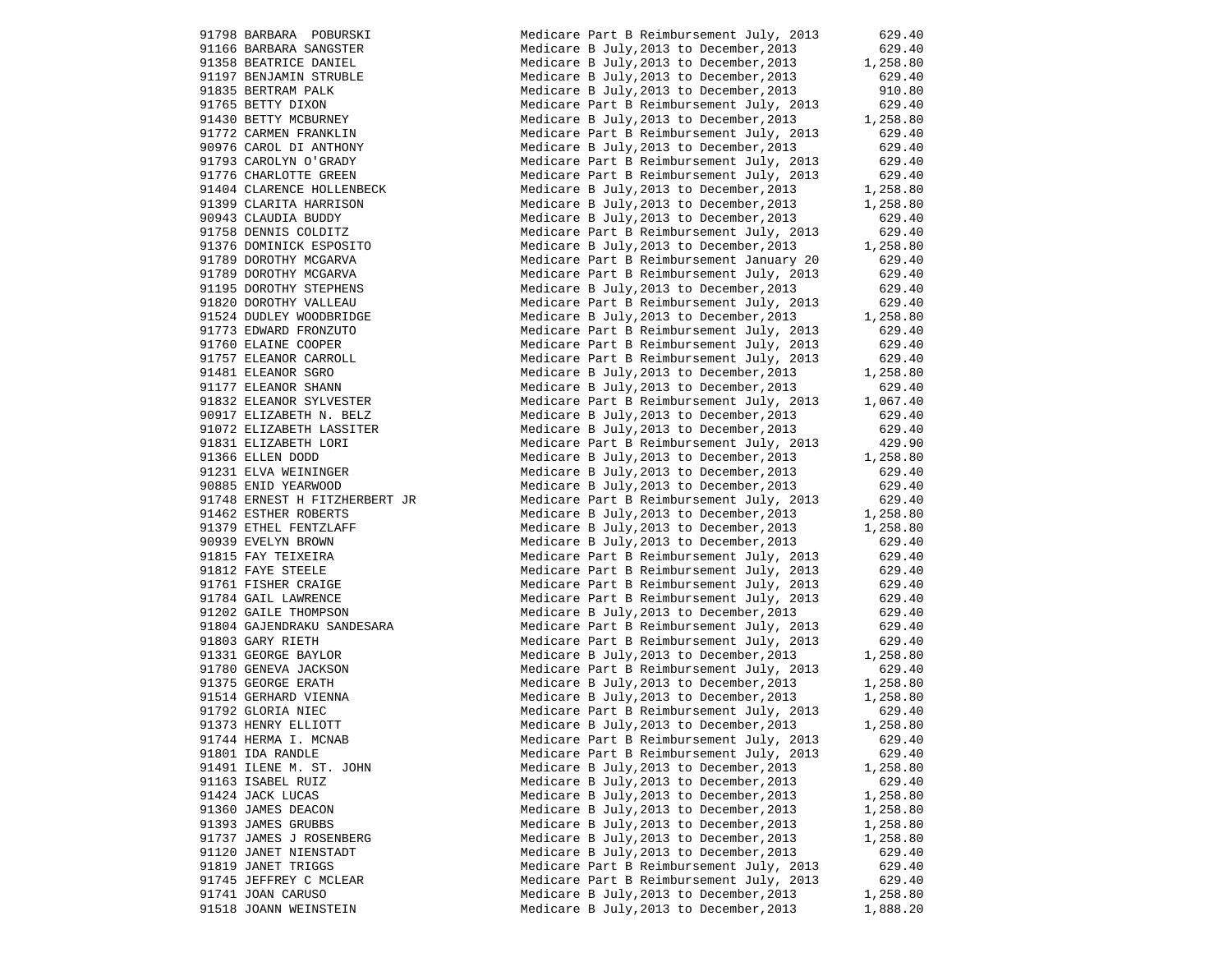91798 BARBARA POBURSKI Medicare Part B Reimbursement July, 2013 629.40 91166 BARBARA SANGSTER Medicare B July,2013 to December,2013 629.40 91358 BEATRICE DANIEL Medicare B July, 2013 to December, 2013 1, 258.80 91197 BENJAMIN STRUBLE Medicare B July,2013 to December,2013 629.40 91835 BERTRAM PALK 610 Medicare B July, 2013 to December, 2013 910.80 91765 BETTY DIXON Medicare Part B Reimbursement July, 2013 629.40 91430 BETTY MCBURNEY Medicare B July,2013 to December,2013 1,258.80 91772 CARMEN FRANKLIN Medicare Part B Reimbursement July, 2013 629.40 90976 CAROL DI ANTHONY Medicare B July,2013 to December,2013 629.40 91793 CAROLYN O'GRADY Medicare Part B Reimbursement July, 2013 629.40 91776 CHARLOTTE GREEN Medicare Part B Reimbursement July, 2013 629.40 91404 CLARENCE HOLLENBECK Medicare B July,2013 to December,2013 1,258.80 91399 CLARITA HARRISON Medicare B July,2013 to December,2013 1,258.80 90943 CLAUDIA BUDDY Medicare B July,2013 to December,2013 629.40 91758 DENNIS COLDITZ Medicare Part B Reimbursement July, 2013 629.40 91376 DOMINICK ESPOSITO Medicare B July,2013 to December,2013 1,258.80 91789 DOROTHY MCGARVA Medicare Part B Reimbursement January 20 629.40 91789 DOROTHY MCGARVA Medicare Part B Reimbursement July, 2013 629.40 91195 DOROTHY STEPHENS Medicare B July,2013 to December,2013 629.40 91820 DOROTHY VALLEAU Medicare Part B Reimbursement July, 2013 629.40 91524 DUDLEY WOODBRIDGE Medicare B July,2013 to December,2013 1,258.80 91773 EDWARD FRONZUTO Medicare Part B Reimbursement July, 2013 629.40 91760 ELAINE COOPER Medicare Part B Reimbursement July, 2013 629.40 91757 ELEANOR CARROLL Medicare Part B Reimbursement July, 2013 629.40 91481 ELEANOR SGRO Medicare B July,2013 to December,2013 1,258.80 91177 ELEANOR SHANN Medicare B July,2013 to December,2013 629.40 91832 ELEANOR SYLVESTER Medicare Part B Reimbursement July, 2013 1,067.40 90917 ELIZABETH N. BELZ Medicare B July,2013 to December,2013 629.40 91072 ELIZABETH LASSITER Medicare B July,2013 to December,2013 629.40 91831 ELIZABETH LORI Medicare Part B Reimbursement July, 2013 429.90 91366 ELLEN DODD Medicare B July, 2013 to December, 2013 1,258.80 91231 ELVA WEININGER Medicare B July,2013 to December,2013 629.40 90885 ENID YEARWOOD Medicare B July,2013 to December,2013 629.40 91748 ERNEST H FITZHERBERT JR Medicare Part B Reimbursement July, 2013 629.40 91462 ESTHER ROBERTS Medicare B July,2013 to December,2013 1,258.80 91379 ETHEL FENTZLAFF Medicare B July, 2013 to December, 2013 1,258.80 90939 EVELYN BROWN Medicare B July,2013 to December,2013 629.40 91815 FAY TEIXEIRA Medicare Part B Reimbursement July, 2013 629.40 91812 FAYE STEELE Medicare Part B Reimbursement July, 2013 629.40 91761 FISHER CRAIGE Medicare Part B Reimbursement July, 2013 629.40 91784 GAIL LAWRENCE THE Medicare Part B Reimbursement July, 2013 629.40 91202 GAILE THOMPSON Medicare B July,2013 to December,2013 629.40 91804 GAJENDRAKU SANDESARA Medicare Part B Reimbursement July, 2013 629.40 91803 GARY RIETH Medicare Part B Reimbursement July, 2013 629.40 91331 GEORGE BAYLOR Medicare B July, 2013 to December, 2013 1, 258.80 91780 GENEVA JACKSON Medicare Part B Reimbursement July, 2013 629.40 91375 GEORGE ERATH Medicare B July,2013 to December,2013 1,258.80 91514 GERHARD VIENNA Medicare B July,2013 to December,2013 1,258.80 91792 GLORIA NIEC Medicare Part B Reimbursement July, 2013 629.40 91373 HENRY ELLIOTT Medicare B July,2013 to December,2013 1,258.80 91744 HERMA I. MCNAB Medicare Part B Reimbursement July, 2013 629.40 91801 IDA RANDLE Medicare Part B Reimbursement July, 2013 629.40 91491 ILENE M. ST. JOHN Medicare B July, 2013 to December, 2013 1, 258.80 91163 ISABEL RUIZ Medicare B July,2013 to December,2013 629.40 91424 JACK LUCAS **Medicare B July, 2013** to December, 2013 1,258.80 91360 JAMES DEACON 1.258.80 91393 JAMES GRUBBS 60 Medicare B July, 2013 to December, 2013 1,258.80 91737 JAMES J ROSENBERG Medicare B July, 2013 to December, 2013 1, 258.80 91120 JANET NIENSTADT Medicare B July,2013 to December,2013 629.40 91819 JANET TRIGGS Medicare Part B Reimbursement July, 2013 629.40 91745 JEFFREY C MCLEAR Medicare Part B Reimbursement July, 2013 629.40 91741 JOAN CARUSO **Medicare B July,2013** to December, 2013 1,258.80 91518 JOANN WEINSTEIN Medicare B July,2013 to December,2013 1,888.20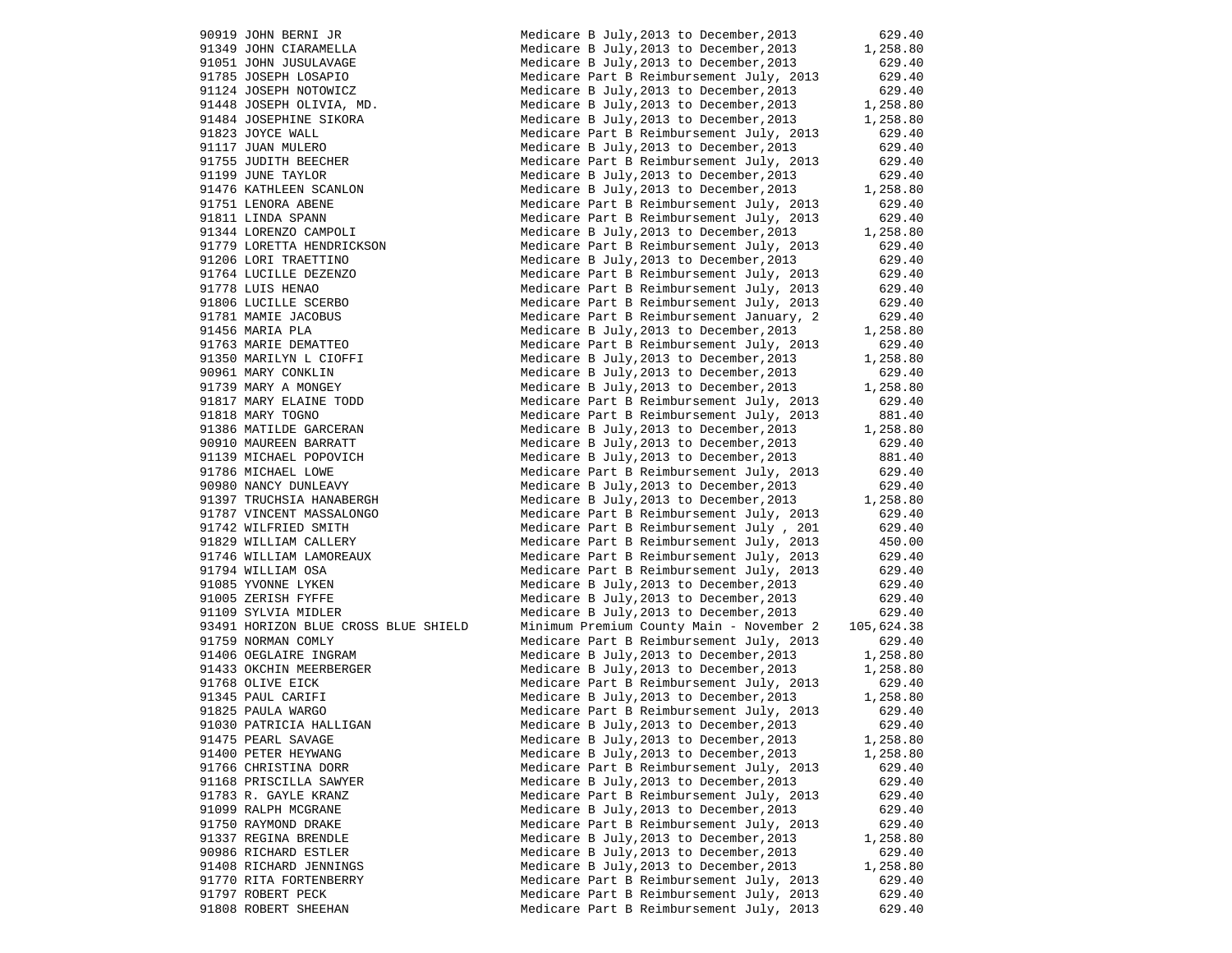90919 JOHN BERNI JR Medicare B July,2013 to December,2013 629.40 91349 JOHN CIARAMELLA Medicare B July, 2013 to December, 2013 1,258.80 91051 JOHN JUSULAVAGE Medicare B July,2013 to December,2013 629.40 91785 JOSEPH LOSAPIO Medicare Part B Reimbursement July, 2013 629.40 91124 JOSEPH NOTOWICZ Medicare B July,2013 to December,2013 629.40 91448 JOSEPH OLIVIA, MD. Medicare B July,2013 to December,2013 1,258.80 91484 JOSEPHINE SIKORA Medicare B July,2013 to December,2013 1,258.80 91823 JOYCE WALL Medicare Part B Reimbursement July, 2013 629.40 91117 JUAN MULERO Medicare B July,2013 to December,2013 629.40 91755 JUDITH BEECHER Medicare Part B Reimbursement July, 2013 629.40 91199 JUNE TAYLOR **Medicare B July, 2013** to December, 2013 629.40 91476 KATHLEEN SCANLON Medicare B July, 2013 to December, 2013 1,258.80 91751 LENORA ABENE Medicare Part B Reimbursement July, 2013 629.40 91811 LINDA SPANN Medicare Part B Reimbursement July, 2013 629.40 91344 LORENZO CAMPOLI Medicare B July,2013 to December,2013 1,258.80<br>91779 LORETTA HENDRICKSON Medicare Part B Reimbursement July, 2013 629.40 Medicare Part B Reimbursement July, 2013 629.40 91206 LORI TRAETTINO Medicare B July,2013 to December,2013 629.40 91764 LUCILLE DEZENZO **Medicare Part B Reimbursement July, 2013** 629.40 91778 LUIS HENAO Medicare Part B Reimbursement July, 2013 629.40 91806 LUCILLE SCERBO Medicare Part B Reimbursement July, 2013 629.40 91781 MAMIE JACOBUS Medicare Part B Reimbursement January, 2 629.40 91456 MARIA PLA Medicare B July,2013 to December,2013 1,258.80 91763 MARIE DEMATTEO Medicare Part B Reimbursement July, 2013 629.40 91350 MARILYN L CIOFFI THE Medicare B July, 2013 to December, 2013 1,258.80 90961 MARY CONKLIN Medicare B July,2013 to December,2013 629.40 91739 MARY A MONGEY THE Medicare B July, 2013 to December, 2013 1, 258.80 91817 MARY ELAINE TODD Medicare Part B Reimbursement July, 2013 629.40 91818 MARY TOGNO 681.40 Medicare Part B Reimbursement July, 2013 881.40 91386 MATILDE GARCERAN Medicare B July, 2013 to December, 2013 1,258.80 90910 MAUREEN BARRATT MEDICAL Medicare B July, 2013 to December, 2013 629.40 91139 MICHAEL POPOVICH Medicare B July, 2013 to December, 2013 881.40 91786 MICHAEL LOWE Medicare Part B Reimbursement July, 2013 629.40 90980 NANCY DUNLEAVY Medicare B July,2013 to December,2013 629.40 91397 TRUCHSIA HANABERGH Medicare B July,2013 to December,2013 1,258.80 91787 VINCENT MASSALONGO Medicare Part B Reimbursement July, 2013 629.40 91742 WILFRIED SMITH Medicare Part B Reimbursement July , 201 629.40 91829 WILLIAM CALLERY Medicare Part B Reimbursement July, 2013 450.00 91746 WILLIAM LAMOREAUX Medicare Part B Reimbursement July, 2013 629.40 91794 WILLIAM OSA Medicare Part B Reimbursement July, 2013 629.40 91085 YVONNE LYKEN Medicare B July,2013 to December,2013 629.40 91005 ZERISH FYFFE Medicare B July, 2013 to December, 2013 629.40 91109 SYLVIA MIDLER MEDICAL Medicare B July, 2013 to December, 2013 629.40 93491 HORIZON BLUE CROSS BLUE SHIELD Minimum Premium County Main - November 2 105,624.38 91759 NORMAN COMLY Medicare Part B Reimbursement July, 2013 629.40 91406 OEGLAIRE INGRAM Medicare B July, 2013 to December, 2013 1, 258.80 91433 OKCHIN MEERBERGER Medicare B July, 2013 to December, 2013 1,258.80 91768 OLIVE EICK Medicare Part B Reimbursement July, 2013 629.40 91345 PAUL CARIFI **Medicare B July, 2013** to December, 2013 1, 258.80 91825 PAULA WARGO Medicare Part B Reimbursement July, 2013 629.40 91030 PATRICIA HALLIGAN Medicare B July,2013 to December,2013 629.40 91475 PEARL SAVAGE Medicare B July,2013 to December,2013 1,258.80 91400 PETER HEYWANG Medicare B July, 2013 to December, 2013 1,258.80 91766 CHRISTINA DORR Medicare Part B Reimbursement July, 2013 629.40 91168 PRISCILLA SAWYER Medicare B July,2013 to December,2013 629.40 91783 R. GAYLE KRANZ Medicare Part B Reimbursement July, 2013 629.40 91099 RALPH MCGRANE Medicare B July,2013 to December,2013 629.40 91750 RAYMOND DRAKE Medicare Part B Reimbursement July, 2013 629.40 91337 REGINA BRENDLE Medicare B July,2013 to December,2013 1,258.80 90986 RICHARD ESTLER Medicare B July,2013 to December,2013 629.40 91408 RICHARD JENNINGS Medicare B July,2013 to December,2013 1,258.80 91770 RITA FORTENBERRY Medicare Doury, 2015 to Becember, 2013 629.40 91797 ROBERT PECK Medicare Part B Reimbursement July, 2013 629.40 91808 ROBERT SHEEHAN Medicare Part B Reimbursement July, 2013 629.40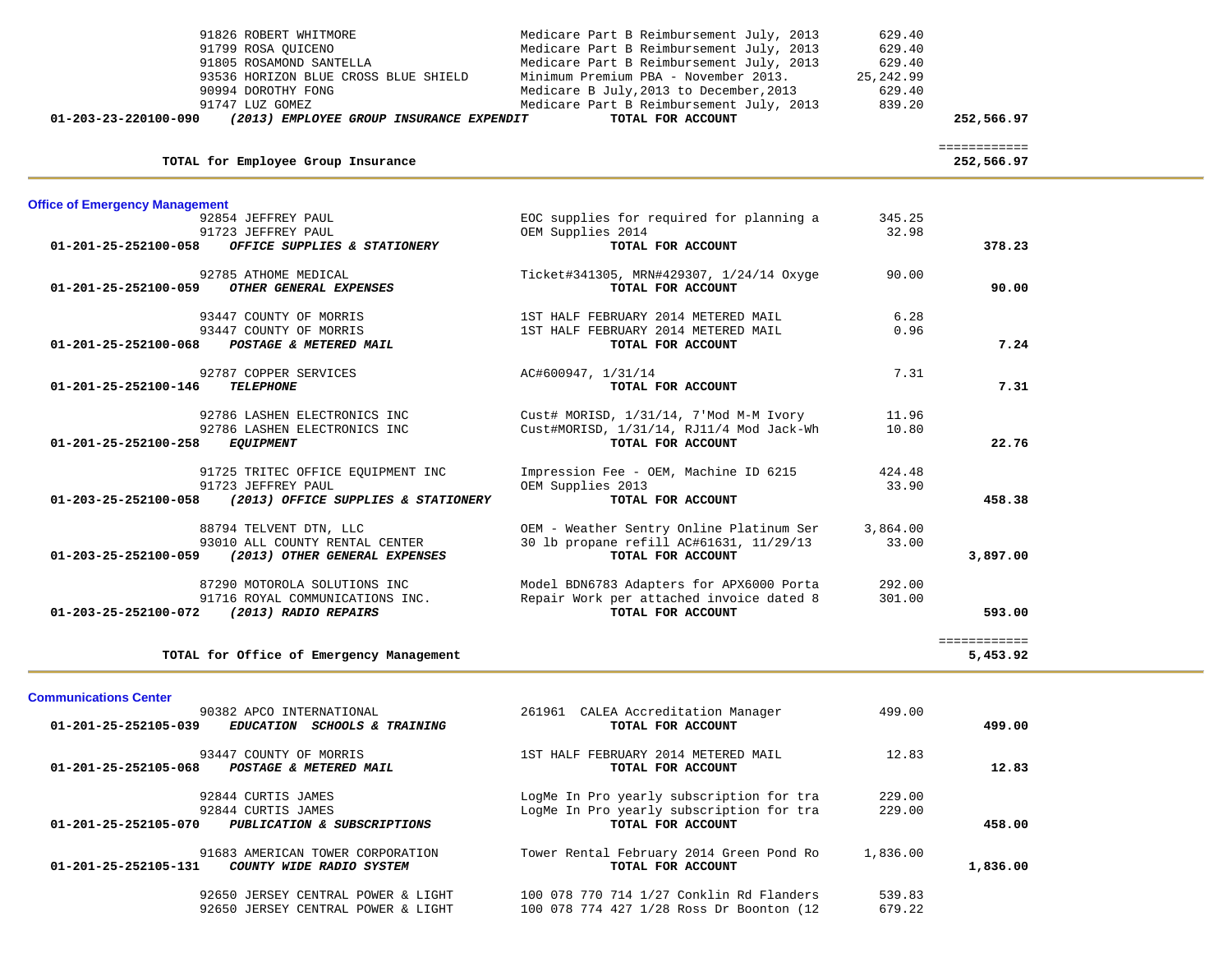| 91826 ROBERT WHITMORE<br>91799 ROSA QUICENO<br>91805 ROSAMOND SANTELLA<br>93536 HORIZON BLUE CROSS BLUE SHIELD<br>90994 DOROTHY FONG<br>91747 LUZ GOMEZ<br>01-203-23-220100-090<br>(2013) EMPLOYEE GROUP INSURANCE EXPENDIT | Medicare Part B Reimbursement July, 2013<br>Medicare Part B Reimbursement July, 2013<br>Medicare Part B Reimbursement July, 2013<br>Minimum Premium PBA - November 2013.<br>Medicare B July, 2013 to December, 2013<br>Medicare Part B Reimbursement July, 2013<br>TOTAL FOR ACCOUNT | 629.40<br>629.40<br>629.40<br>25, 242.99<br>629.40<br>839.20 | 252,566.97                 |  |
|-----------------------------------------------------------------------------------------------------------------------------------------------------------------------------------------------------------------------------|--------------------------------------------------------------------------------------------------------------------------------------------------------------------------------------------------------------------------------------------------------------------------------------|--------------------------------------------------------------|----------------------------|--|
| TOTAL for Employee Group Insurance                                                                                                                                                                                          |                                                                                                                                                                                                                                                                                      |                                                              | ============<br>252,566.97 |  |
|                                                                                                                                                                                                                             |                                                                                                                                                                                                                                                                                      |                                                              |                            |  |
| <b>Office of Emergency Management</b>                                                                                                                                                                                       |                                                                                                                                                                                                                                                                                      |                                                              |                            |  |
| 92854 JEFFREY PAUL<br>91723 JEFFREY PAUL                                                                                                                                                                                    | EOC supplies for required for planning a<br>OEM Supplies 2014                                                                                                                                                                                                                        | 345.25<br>32.98                                              |                            |  |
| 01-201-25-252100-058<br>OFFICE SUPPLIES & STATIONERY                                                                                                                                                                        | TOTAL FOR ACCOUNT                                                                                                                                                                                                                                                                    |                                                              | 378.23                     |  |
| 92785 ATHOME MEDICAL                                                                                                                                                                                                        | Ticket#341305, MRN#429307, 1/24/14 Oxyge                                                                                                                                                                                                                                             | 90.00                                                        |                            |  |
| 01-201-25-252100-059<br>OTHER GENERAL EXPENSES                                                                                                                                                                              | TOTAL FOR ACCOUNT                                                                                                                                                                                                                                                                    |                                                              | 90.00                      |  |
|                                                                                                                                                                                                                             |                                                                                                                                                                                                                                                                                      |                                                              |                            |  |
| 93447 COUNTY OF MORRIS<br>93447 COUNTY OF MORRIS                                                                                                                                                                            | 1ST HALF FEBRUARY 2014 METERED MAIL<br>1ST HALF FEBRUARY 2014 METERED MAIL                                                                                                                                                                                                           | 6.28<br>0.96                                                 |                            |  |
| 01-201-25-252100-068<br>POSTAGE & METERED MAIL                                                                                                                                                                              | TOTAL FOR ACCOUNT                                                                                                                                                                                                                                                                    |                                                              | 7.24                       |  |
| 92787 COPPER SERVICES                                                                                                                                                                                                       | AC#600947, 1/31/14                                                                                                                                                                                                                                                                   | 7.31                                                         |                            |  |
| 01-201-25-252100-146<br><b>TELEPHONE</b>                                                                                                                                                                                    | TOTAL FOR ACCOUNT                                                                                                                                                                                                                                                                    |                                                              | 7.31                       |  |
|                                                                                                                                                                                                                             |                                                                                                                                                                                                                                                                                      |                                                              |                            |  |
| 92786 LASHEN ELECTRONICS INC<br>92786 LASHEN ELECTRONICS INC                                                                                                                                                                | Cust# MORISD, 1/31/14, 7'Mod M-M Ivory<br>Cust#MORISD, 1/31/14, RJ11/4 Mod Jack-Wh                                                                                                                                                                                                   | 11.96<br>10.80                                               |                            |  |
| 01-201-25-252100-258<br><i>EQUIPMENT</i>                                                                                                                                                                                    | TOTAL FOR ACCOUNT                                                                                                                                                                                                                                                                    |                                                              | 22.76                      |  |
|                                                                                                                                                                                                                             |                                                                                                                                                                                                                                                                                      |                                                              |                            |  |
| 91725 TRITEC OFFICE EQUIPMENT INC<br>91723 JEFFREY PAUL                                                                                                                                                                     | Impression Fee - OEM, Machine ID 6215<br>OEM Supplies 2013                                                                                                                                                                                                                           | 424.48<br>33.90                                              |                            |  |
| 01-203-25-252100-058 (2013) OFFICE SUPPLIES & STATIONERY                                                                                                                                                                    | TOTAL FOR ACCOUNT                                                                                                                                                                                                                                                                    |                                                              | 458.38                     |  |
| 88794 TELVENT DTN, LLC                                                                                                                                                                                                      | OEM - Weather Sentry Online Platinum Ser                                                                                                                                                                                                                                             | 3,864.00                                                     |                            |  |
| 93010 ALL COUNTY RENTAL CENTER                                                                                                                                                                                              | 30 lb propane refill AC#61631, 11/29/13                                                                                                                                                                                                                                              | 33.00                                                        |                            |  |
| 01-203-25-252100-059<br>(2013) OTHER GENERAL EXPENSES                                                                                                                                                                       | TOTAL FOR ACCOUNT                                                                                                                                                                                                                                                                    |                                                              | 3,897.00                   |  |
| 87290 MOTOROLA SOLUTIONS INC                                                                                                                                                                                                | Model BDN6783 Adapters for APX6000 Porta                                                                                                                                                                                                                                             | 292.00                                                       |                            |  |
| 91716 ROYAL COMMUNICATIONS INC.                                                                                                                                                                                             | Repair Work per attached invoice dated 8                                                                                                                                                                                                                                             | 301.00                                                       |                            |  |
| 01-203-25-252100-072 (2013) RADIO REPAIRS                                                                                                                                                                                   | TOTAL FOR ACCOUNT                                                                                                                                                                                                                                                                    |                                                              | 593.00                     |  |
|                                                                                                                                                                                                                             |                                                                                                                                                                                                                                                                                      |                                                              | ============               |  |
| TOTAL for Office of Emergency Management                                                                                                                                                                                    |                                                                                                                                                                                                                                                                                      |                                                              | 5,453.92                   |  |
|                                                                                                                                                                                                                             |                                                                                                                                                                                                                                                                                      |                                                              |                            |  |
| <b>Communications Center</b><br>90382 APCO INTERNATIONAL                                                                                                                                                                    | 261961 CALEA Accreditation Manager                                                                                                                                                                                                                                                   | 499.00                                                       |                            |  |
| 01-201-25-252105-039<br>EDUCATION SCHOOLS & TRAINING                                                                                                                                                                        | TOTAL FOR ACCOUNT                                                                                                                                                                                                                                                                    |                                                              | 499.00                     |  |
|                                                                                                                                                                                                                             |                                                                                                                                                                                                                                                                                      |                                                              |                            |  |
| 93447 COUNTY OF MORRIS<br>01-201-25-252105-068<br>POSTAGE & METERED MAIL                                                                                                                                                    | 1ST HALF FEBRUARY 2014 METERED MAIL<br>TOTAL FOR ACCOUNT                                                                                                                                                                                                                             | 12.83                                                        | 12.83                      |  |
|                                                                                                                                                                                                                             |                                                                                                                                                                                                                                                                                      |                                                              |                            |  |
| 92844 CURTIS JAMES                                                                                                                                                                                                          | LogMe In Pro yearly subscription for tra                                                                                                                                                                                                                                             | 229.00                                                       |                            |  |
| 92844 CURTIS JAMES<br>01-201-25-252105-070                                                                                                                                                                                  | LogMe In Pro yearly subscription for tra<br>TOTAL FOR ACCOUNT                                                                                                                                                                                                                        | 229.00                                                       | 458.00                     |  |
| PUBLICATION & SUBSCRIPTIONS                                                                                                                                                                                                 |                                                                                                                                                                                                                                                                                      |                                                              |                            |  |

91683 AMERICAN TOWER CORPORATION TOWER TOWER Rental February 2014 Green Pond Ro 1,836.00<br>1 COUNTY WIDE RADIO SYSTEM  **01-201-25-252105-131** *COUNTY WIDE RADIO SYSTEM* **TOTAL FOR ACCOUNT 1,836.00**

92650 JERSEY CENTRAL POWER & LIGHT 100 078 770 714 1/27 Conklin Rd Flanders 539.83<br>92650 JERSEY CENTRAL POWER & LIGHT 100 078 774 427 1/28 Ross Dr Boonton (12 679.22 92650 JERSEY CENTRAL POWER & LIGHT 100 078 774 427 1/28 Ross Dr Boonton (12 679.22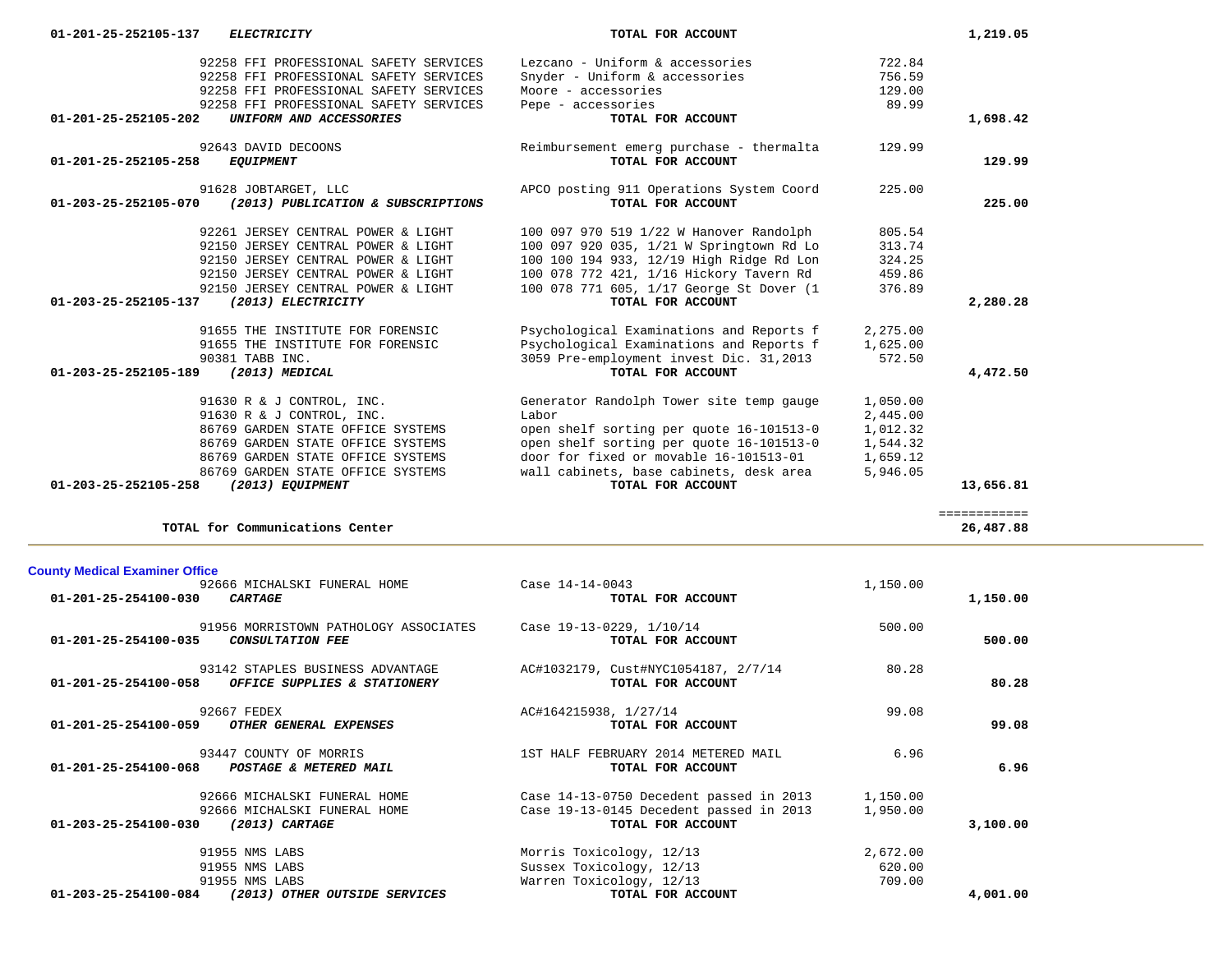| 92258 FFI PROFESSIONAL SAFETY SERVICES                                    | Lezcano - Uniform & accessories                               | 722.84   |              |
|---------------------------------------------------------------------------|---------------------------------------------------------------|----------|--------------|
| 92258 FFI PROFESSIONAL SAFETY SERVICES                                    | Snyder - Uniform & accessories                                | 756.59   |              |
| 92258 FFI PROFESSIONAL SAFETY SERVICES                                    | Moore - accessories                                           | 129.00   |              |
| 92258 FFI PROFESSIONAL SAFETY SERVICES                                    | Pepe - accessories                                            | 89.99    |              |
| 01-201-25-252105-202<br>UNIFORM AND ACCESSORIES                           | TOTAL FOR ACCOUNT                                             |          | 1,698.42     |
| 92643 DAVID DECOONS<br>$01 - 201 - 25 - 252105 - 258$<br><b>EQUIPMENT</b> | Reimbursement emerg purchase - thermalta<br>TOTAL FOR ACCOUNT | 129.99   | 129.99       |
|                                                                           |                                                               |          |              |
| 91628 JOBTARGET, LLC                                                      | APCO posting 911 Operations System Coord                      | 225.00   |              |
| 01-203-25-252105-070<br>(2013) PUBLICATION & SUBSCRIPTIONS                | TOTAL FOR ACCOUNT                                             |          | 225.00       |
| 92261 JERSEY CENTRAL POWER & LIGHT                                        | 100 097 970 519 1/22 W Hanover Randolph                       | 805.54   |              |
| 92150 JERSEY CENTRAL POWER & LIGHT                                        | 100 097 920 035, 1/21 W Springtown Rd Lo                      | 313.74   |              |
| 92150 JERSEY CENTRAL POWER & LIGHT                                        | 100 100 194 933, 12/19 High Ridge Rd Lon                      | 324.25   |              |
| 92150 JERSEY CENTRAL POWER & LIGHT                                        | 100 078 772 421, 1/16 Hickory Tavern Rd                       | 459.86   |              |
| 92150 JERSEY CENTRAL POWER & LIGHT                                        | 100 078 771 605, 1/17 George St Dover (1                      | 376.89   |              |
| 01-203-25-252105-137<br>(2013) ELECTRICITY                                | TOTAL FOR ACCOUNT                                             |          | 2,280.28     |
| 91655 THE INSTITUTE FOR FORENSIC                                          | Psychological Examinations and Reports f                      | 2,275.00 |              |
| 91655 THE INSTITUTE FOR FORENSIC                                          | Psychological Examinations and Reports f                      | 1,625.00 |              |
| 90381 TABB INC.                                                           | 3059 Pre-employment invest Dic. 31,2013                       | 572.50   |              |
| (2013) MEDICAL<br>01-203-25-252105-189                                    | TOTAL FOR ACCOUNT                                             |          | 4,472.50     |
| 91630 R & J CONTROL, INC.                                                 | Generator Randolph Tower site temp gauge                      | 1,050.00 |              |
| 91630 R & J CONTROL, INC.                                                 | Labor                                                         | 2,445.00 |              |
| 86769 GARDEN STATE OFFICE SYSTEMS                                         | open shelf sorting per quote 16-101513-0                      | 1,012.32 |              |
| 86769 GARDEN STATE OFFICE SYSTEMS                                         | open shelf sorting per quote 16-101513-0                      | 1,544.32 |              |
| 86769 GARDEN STATE OFFICE SYSTEMS                                         | door for fixed or movable 16-101513-01                        | 1,659.12 |              |
| 86769 GARDEN STATE OFFICE SYSTEMS                                         | wall cabinets, base cabinets, desk area                       | 5,946.05 |              |
| $01 - 203 - 25 - 252105 - 258$<br>(2013) EOUIPMENT                        | TOTAL FOR ACCOUNT                                             |          | 13,656.81    |
|                                                                           |                                                               |          | ------------ |

 **01-201-25-252105-137** *ELECTRICITY* **TOTAL FOR ACCOUNT 1,219.05**

26,487.88

**TOTAL for Communications Center 26,487.88**

## **County Medical Examiner Office**

| 92666 MICHALSKI FUNERAL HOME<br>01-201-25-254100-030<br><b>CARTAGE</b>                   | Case 14-14-0043<br>TOTAL FOR ACCOUNT                         | 1,150.00 | 1,150.00 |
|------------------------------------------------------------------------------------------|--------------------------------------------------------------|----------|----------|
|                                                                                          |                                                              |          |          |
| 91956 MORRISTOWN PATHOLOGY ASSOCIATES<br>01-201-25-254100-035<br><b>CONSULTATION FEE</b> | Case 19-13-0229, 1/10/14<br>TOTAL FOR ACCOUNT                | 500.00   | 500.00   |
| 93142 STAPLES BUSINESS ADVANTAGE<br>01-201-25-254100-058<br>OFFICE SUPPLIES & STATIONERY | AC#1032179, Cust#NYC1054187, 2/7/14<br>TOTAL FOR ACCOUNT     | 80.28    | 80.28    |
| 92667 FEDEX<br>01-201-25-254100-059<br>OTHER GENERAL EXPENSES                            | AC#164215938, 1/27/14<br>TOTAL FOR ACCOUNT                   | 99.08    | 99.08    |
| 93447 COUNTY OF MORRIS<br>01-201-25-254100-068<br>POSTAGE & METERED MAIL                 | 1ST HALF FEBRUARY 2014 METERED MAIL<br>TOTAL FOR ACCOUNT     | 6.96     | 6.96     |
| 92666 MICHALSKI FUNERAL HOME                                                             | Case 14-13-0750 Decedent passed in 2013                      | 1,150.00 |          |
| 92666 MICHALSKI FUNERAL HOME<br>01-203-25-254100-030<br>$(2013)$ CARTAGE                 | Case 19-13-0145 Decedent passed in 2013<br>TOTAL FOR ACCOUNT | 1,950.00 | 3,100.00 |
| 91955 NMS LABS                                                                           | Morris Toxicology, 12/13                                     | 2,672.00 |          |
| 91955 NMS LABS                                                                           | Sussex Toxicology, 12/13                                     | 620.00   |          |
| 91955 NMS LABS                                                                           | Warren Toxicology, 12/13                                     | 709.00   |          |
| 01-203-25-254100-084<br>(2013) OTHER OUTSIDE SERVICES                                    | TOTAL FOR ACCOUNT                                            |          | 4,001.00 |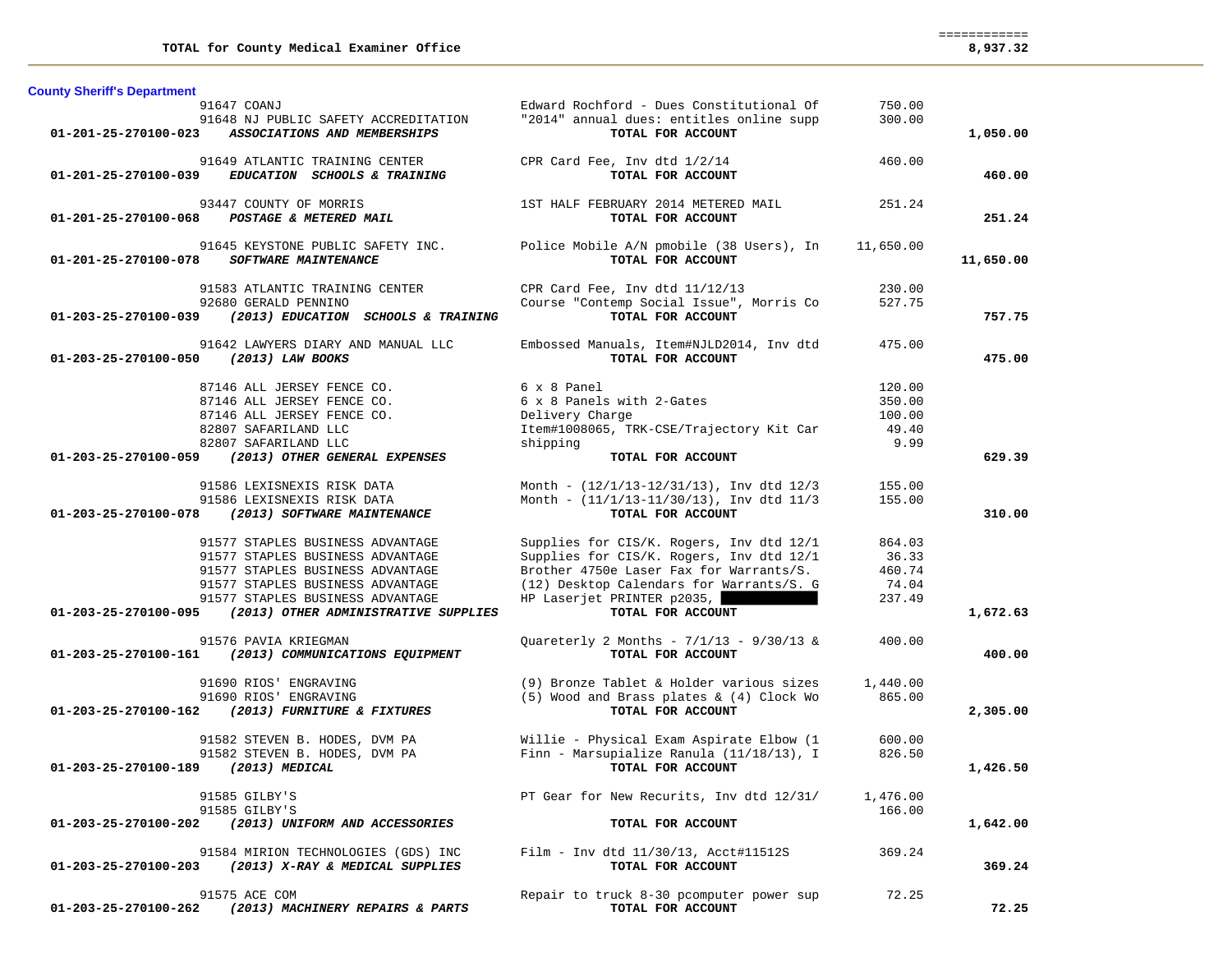| <b>County Sheriff's Department</b>                             |                                                                    |           |           |
|----------------------------------------------------------------|--------------------------------------------------------------------|-----------|-----------|
| 91647 COANJ                                                    | Edward Rochford - Dues Constitutional Of                           | 750.00    |           |
| 91648 NJ PUBLIC SAFETY ACCREDITATION                           | "2014" annual dues: entitles online supp                           | 300.00    |           |
| $01 - 201 - 25 - 270100 - 023$<br>ASSOCIATIONS AND MEMBERSHIPS | TOTAL FOR ACCOUNT                                                  |           | 1,050.00  |
|                                                                |                                                                    | 460.00    |           |
| 91649 ATLANTIC TRAINING CENTER                                 | CPR Card Fee, Inv dtd 1/2/14                                       |           |           |
| EDUCATION SCHOOLS & TRAINING<br>01-201-25-270100-039           | TOTAL FOR ACCOUNT                                                  |           | 460.00    |
| 93447 COUNTY OF MORRIS                                         | 1ST HALF FEBRUARY 2014 METERED MAIL                                | 251.24    |           |
| 01-201-25-270100-068 POSTAGE & METERED MAIL                    | TOTAL FOR ACCOUNT                                                  |           | 251.24    |
|                                                                |                                                                    |           |           |
| 91645 KEYSTONE PUBLIC SAFETY INC.                              | Police Mobile A/N pmobile (38 Users), In                           | 11,650.00 |           |
| 01-201-25-270100-078<br><b>SOFTWARE MAINTENANCE</b>            | TOTAL FOR ACCOUNT                                                  |           | 11,650.00 |
|                                                                |                                                                    |           |           |
| 91583 ATLANTIC TRAINING CENTER                                 | CPR Card Fee, Inv dtd 11/12/13                                     | 230.00    |           |
| 92680 GERALD PENNINO                                           | Course "Contemp Social Issue", Morris Co                           | 527.75    |           |
| 01-203-25-270100-039<br>(2013) EDUCATION SCHOOLS & TRAINING    | TOTAL FOR ACCOUNT                                                  |           | 757.75    |
|                                                                |                                                                    |           |           |
| 91642 LAWYERS DIARY AND MANUAL LLC                             | Embossed Manuals, Item#NJLD2014, Inv dtd                           | 475.00    |           |
| 01-203-25-270100-050<br>(2013) LAW BOOKS                       | TOTAL FOR ACCOUNT                                                  |           | 475.00    |
| 87146 ALL JERSEY FENCE CO.                                     | 6 x 8 Panel                                                        | 120.00    |           |
| 87146 ALL JERSEY FENCE CO.                                     |                                                                    | 350.00    |           |
|                                                                | 6 x 8 Panels with 2-Gates                                          |           |           |
| 87146 ALL JERSEY FENCE CO.                                     | Delivery Charge                                                    | 100.00    |           |
| 82807 SAFARILAND LLC                                           | Item#1008065, TRK-CSE/Trajectory Kit Car                           | 49.40     |           |
| 82807 SAFARILAND LLC                                           | shipping                                                           | 9.99      |           |
| 01-203-25-270100-059<br>(2013) OTHER GENERAL EXPENSES          | TOTAL FOR ACCOUNT                                                  |           | 629.39    |
| 91586 LEXISNEXIS RISK DATA                                     | Month - $(12/1/13-12/31/13)$ , Inv dtd $12/3$                      | 155.00    |           |
| 91586 LEXISNEXIS RISK DATA                                     |                                                                    | 155.00    |           |
|                                                                | Month - $(11/1/13-11/30/13)$ , Inv dtd $11/3$<br>TOTAL FOR ACCOUNT |           | 310.00    |
| 01-203-25-270100-078<br>(2013) SOFTWARE MAINTENANCE            |                                                                    |           |           |
| 91577 STAPLES BUSINESS ADVANTAGE                               | Supplies for CIS/K. Rogers, Inv dtd 12/1                           | 864.03    |           |
| 91577 STAPLES BUSINESS ADVANTAGE                               | Supplies for CIS/K. Rogers, Inv dtd 12/1                           | 36.33     |           |
|                                                                | Brother 4750e Laser Fax for Warrants/S.                            | 460.74    |           |
| 91577 STAPLES BUSINESS ADVANTAGE                               |                                                                    |           |           |
| 91577 STAPLES BUSINESS ADVANTAGE                               | (12) Desktop Calendars for Warrants/S. G                           | 74.04     |           |
| 91577 STAPLES BUSINESS ADVANTAGE                               | HP Laserjet PRINTER p2035,                                         | 237.49    |           |
| 01-203-25-270100-095<br>(2013) OTHER ADMINISTRATIVE SUPPLIES   | TOTAL FOR ACCOUNT                                                  |           | 1,672.63  |
| 91576 PAVIA KRIEGMAN                                           | Quareterly 2 Months - $7/1/13$ - $9/30/13$ &                       | 400.00    |           |
| 01-203-25-270100-161 (2013) COMMUNICATIONS EQUIPMENT           | TOTAL FOR ACCOUNT                                                  |           | 400.00    |
|                                                                |                                                                    |           |           |
| 91690 RIOS' ENGRAVING                                          | (9) Bronze Tablet & Holder various sizes                           | 1,440.00  |           |
| 91690 RIOS' ENGRAVING                                          | (5) Wood and Brass plates & (4) Clock Wo                           | 865.00    |           |
| (2013) FURNITURE & FIXTURES<br>01-203-25-270100-162            | TOTAL FOR ACCOUNT                                                  |           | 2,305.00  |
|                                                                |                                                                    |           |           |
| 91582 STEVEN B. HODES, DVM PA                                  | Willie - Physical Exam Aspirate Elbow (1                           | 600.00    |           |
| 91582 STEVEN B. HODES, DVM PA                                  | Finn - Marsupialize Ranula (11/18/13), I                           | 826.50    |           |
| 01-203-25-270100-189 (2013) MEDICAL                            | TOTAL FOR ACCOUNT                                                  |           | 1,426.50  |
|                                                                |                                                                    |           |           |
| 91585 GILBY'S                                                  | PT Gear for New Recurits, Inv dtd 12/31/                           | 1,476.00  |           |
| 91585 GILBY'S                                                  |                                                                    | 166.00    |           |
| (2013) UNIFORM AND ACCESSORIES<br>01-203-25-270100-202         | TOTAL FOR ACCOUNT                                                  |           | 1,642.00  |
|                                                                |                                                                    |           |           |
| 91584 MIRION TECHNOLOGIES (GDS) INC                            | Film - Inv dtd $11/30/13$ , Acct#11512S                            | 369.24    |           |
| 01-203-25-270100-203<br>(2013) X-RAY & MEDICAL SUPPLIES        | TOTAL FOR ACCOUNT                                                  |           | 369.24    |
|                                                                |                                                                    |           |           |
| 91575 ACE COM                                                  | Repair to truck 8-30 pcomputer power sup                           | 72.25     |           |
| 01-203-25-270100-262 (2013) MACHINERY REPAIRS & PARTS          | TOTAL FOR ACCOUNT                                                  |           | 72.25     |

 ============ 8,937.32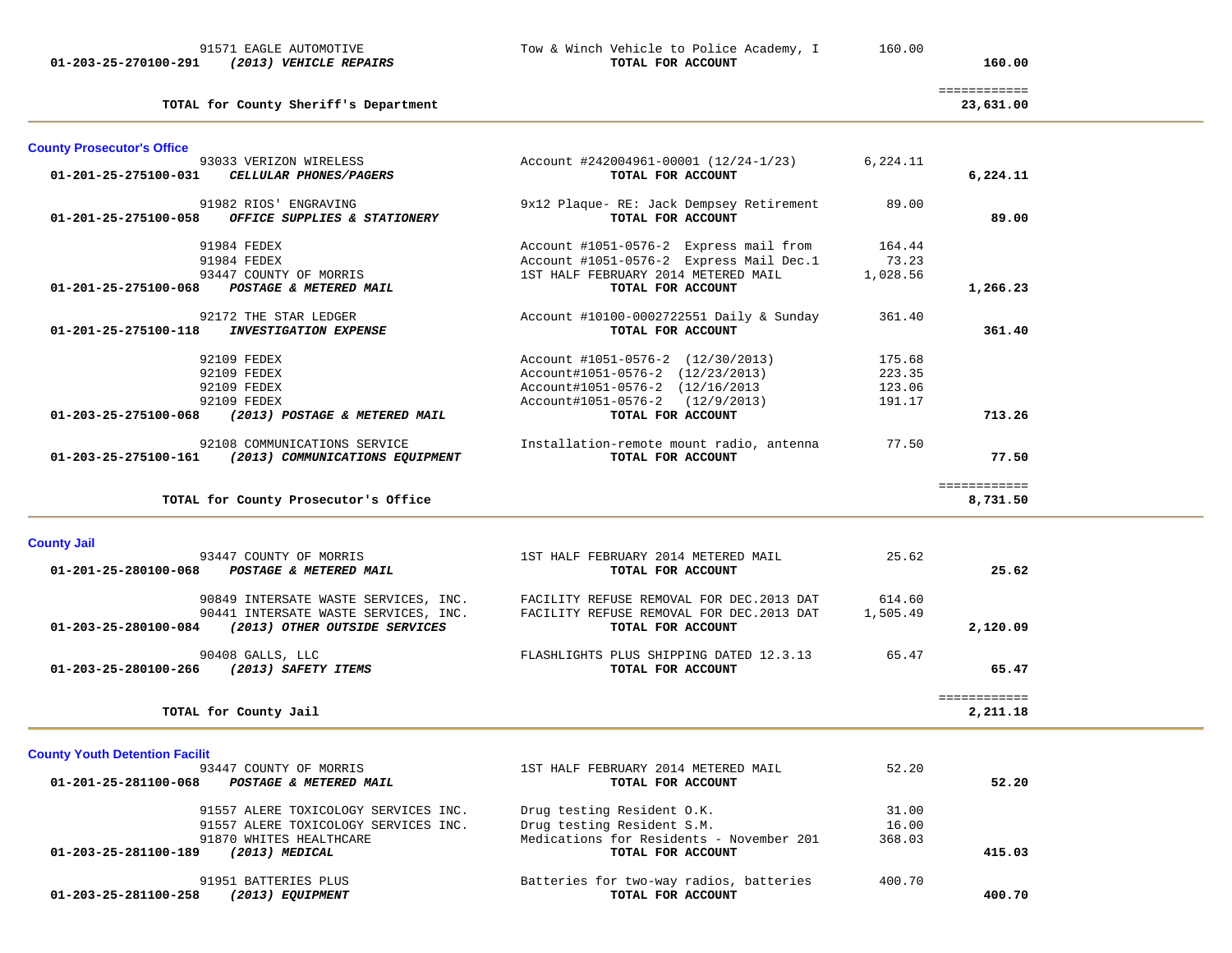| <b>County Prosecutor's Office</b>     |                                                                                      |                                                               |          |              |  |
|---------------------------------------|--------------------------------------------------------------------------------------|---------------------------------------------------------------|----------|--------------|--|
| 01-201-25-275100-031                  | 93033 VERIZON WIRELESS<br>CELLULAR PHONES/PAGERS                                     | Account #242004961-00001 (12/24-1/23)<br>TOTAL FOR ACCOUNT    | 6,224.11 | 6,224.11     |  |
|                                       | 91982 RIOS' ENGRAVING<br>01-201-25-275100-058 OFFICE SUPPLIES & STATIONERY           | 9x12 Plaque- RE: Jack Dempsey Retirement<br>TOTAL FOR ACCOUNT | 89.00    | 89.00        |  |
|                                       | 91984 FEDEX                                                                          | Account #1051-0576-2 Express mail from                        | 164.44   |              |  |
|                                       | 91984 FEDEX                                                                          | Account #1051-0576-2 Express Mail Dec.1                       | 73.23    |              |  |
| 01-201-25-275100-068                  | 93447 COUNTY OF MORRIS<br>POSTAGE & METERED MAIL                                     | 1ST HALF FEBRUARY 2014 METERED MAIL<br>TOTAL FOR ACCOUNT      | 1,028.56 | 1,266.23     |  |
|                                       | 92172 THE STAR LEDGER                                                                | Account #10100-0002722551 Daily & Sunday                      | 361.40   |              |  |
|                                       | 01-201-25-275100-118 INVESTIGATION EXPENSE                                           | TOTAL FOR ACCOUNT                                             |          | 361.40       |  |
|                                       | 92109 FEDEX                                                                          | Account #1051-0576-2 (12/30/2013)                             | 175.68   |              |  |
|                                       | 92109 FEDEX                                                                          | Account#1051-0576-2 (12/23/2013)                              | 223.35   |              |  |
|                                       | 92109 FEDEX                                                                          | Account#1051-0576-2 (12/16/2013)                              | 123.06   |              |  |
|                                       | 92109 FEDEX                                                                          | Account#1051-0576-2 (12/9/2013)                               | 191.17   |              |  |
|                                       | 01-203-25-275100-068 (2013) POSTAGE & METERED MAIL                                   | TOTAL FOR ACCOUNT                                             |          | 713.26       |  |
|                                       | 92108 COMMUNICATIONS SERVICE<br>01-203-25-275100-161 (2013) COMMUNICATIONS EQUIPMENT | Installation-remote mount radio, antenna<br>TOTAL FOR ACCOUNT | 77.50    | 77.50        |  |
|                                       |                                                                                      |                                                               |          | ============ |  |
|                                       | TOTAL for County Prosecutor's Office                                                 |                                                               |          | 8,731.50     |  |
|                                       |                                                                                      |                                                               |          |              |  |
| <b>County Jail</b>                    |                                                                                      |                                                               |          |              |  |
|                                       | 93447 COUNTY OF MORRIS                                                               | 1ST HALF FEBRUARY 2014 METERED MAIL                           | 25.62    |              |  |
|                                       | 01-201-25-280100-068 POSTAGE & METERED MAIL                                          | TOTAL FOR ACCOUNT                                             |          | 25.62        |  |
|                                       | 90849 INTERSATE WASTE SERVICES, INC.                                                 | FACILITY REFUSE REMOVAL FOR DEC.2013 DAT                      | 614.60   |              |  |
|                                       | 90441 INTERSATE WASTE SERVICES, INC.                                                 | FACILITY REFUSE REMOVAL FOR DEC. 2013 DAT                     | 1,505.49 |              |  |
|                                       | 01-203-25-280100-084 (2013) OTHER OUTSIDE SERVICES                                   | TOTAL FOR ACCOUNT                                             |          | 2,120.09     |  |
|                                       |                                                                                      |                                                               | 65.47    |              |  |
|                                       | 90408 GALLS, LLC<br>01-203-25-280100-266 (2013) SAFETY ITEMS                         | FLASHLIGHTS PLUS SHIPPING DATED 12.3.13<br>TOTAL FOR ACCOUNT  |          | 65.47        |  |
|                                       |                                                                                      |                                                               |          |              |  |
|                                       |                                                                                      |                                                               |          | ============ |  |
|                                       | TOTAL for County Jail                                                                |                                                               |          | 2,211.18     |  |
|                                       |                                                                                      |                                                               |          |              |  |
|                                       |                                                                                      |                                                               |          |              |  |
| <b>County Youth Detention Facilit</b> |                                                                                      |                                                               |          |              |  |
|                                       | 93447 COUNTY OF MORRIS                                                               | 1ST HALF FEBRUARY 2014 METERED MAIL                           | 52.20    | 52.20        |  |
|                                       | 01-201-25-281100-068 POSTAGE & METERED MAIL                                          | TOTAL FOR ACCOUNT                                             |          |              |  |
|                                       | 91557 ALERE TOXICOLOGY SERVICES INC.                                                 | Drug testing Resident O.K.                                    | 31.00    |              |  |

| 01-203-25-281100-189 | (2013) MEDICAL<br>91951 BATTERIES PLUS | TOTAL FOR ACCOUNT<br>Batteries for two-way radios, batteries | 400.70 | 415.03 |
|----------------------|----------------------------------------|--------------------------------------------------------------|--------|--------|
| 01-203-25-281100-258 | (2013) EOUIPMENT                       | TOTAL FOR ACCOUNT                                            |        | 400.70 |

# **01-203-25-270100-291** *(2013) VEHICLE REPAIRS* **TOTAL FOR ACCOUNT 160.00**

**TOTAL for County Sheriff's Department 23,631.00**

# 91571 EAGLE AUTOMOTIVE Tow & Winch Vehicle to Police Academy, I 160.00<br>1 (2013) VEHICLE REPAIRS TOTAL FOR ACCOUNT

============

23,631.00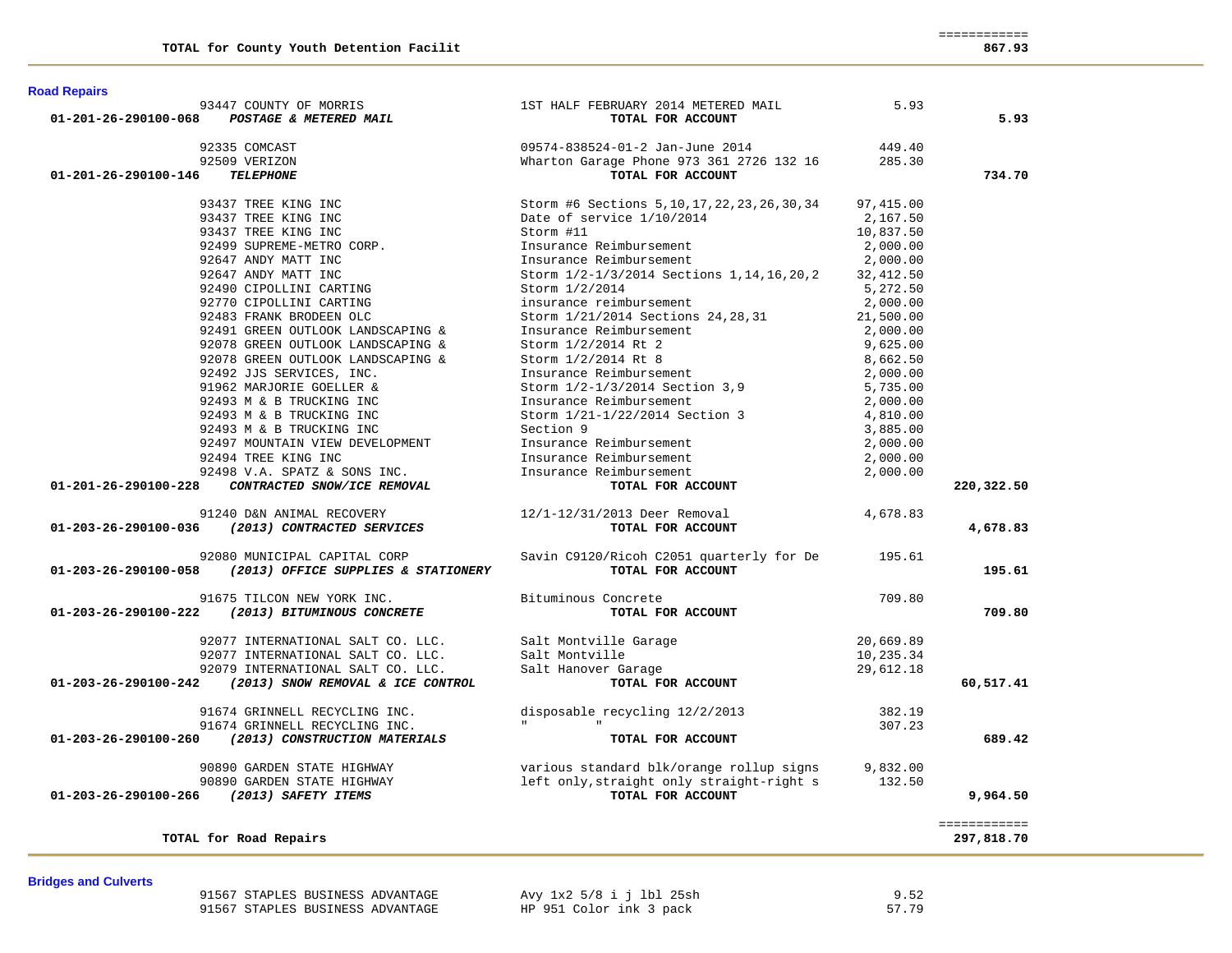============ 867.93

| <b>Road Repairs</b> |  |
|---------------------|--|
|                     |  |

| 5.93                       | 5.93       | 1ST HALF FEBRUARY 2014 METERED MAIL<br>TOTAL FOR ACCOUNT | 93447 COUNTY OF MORRIS<br>POSTAGE & METERED MAIL | 01-201-26-290100-068 |
|----------------------------|------------|----------------------------------------------------------|--------------------------------------------------|----------------------|
|                            |            |                                                          |                                                  |                      |
|                            | 449.40     | 09574-838524-01-2 Jan-June 2014                          | 92335 COMCAST                                    |                      |
|                            |            | Wharton Garage Phone 973 361 2726 132 16 285.30          | 92509 VERIZON                                    |                      |
| 734.70                     |            | TOTAL FOR ACCOUNT                                        | <b>TELEPHONE</b>                                 | 01-201-26-290100-146 |
|                            | 97,415.00  | Storm #6 Sections 5, 10, 17, 22, 23, 26, 30, 34          | 93437 TREE KING INC                              |                      |
|                            | 2,167.50   | Date of service 1/10/2014                                | 93437 TREE KING INC                              |                      |
|                            | 10,837.50  | Storm #11                                                | 93437 TREE KING INC                              |                      |
|                            | 2,000.00   | Insurance Reimbursement                                  | 92499 SUPREME-METRO CORP.                        |                      |
|                            | 2,000.00   | Insurance Reimbursement                                  | 92647 ANDY MATT INC                              |                      |
|                            | 32, 412.50 | Storm 1/2-1/3/2014 Sections 1, 14, 16, 20, 2             | 92647 ANDY MATT INC                              |                      |
|                            | 5,272.50   | Storm 1/2/2014                                           | 92490 CIPOLLINI CARTING                          |                      |
|                            | 2,000.00   | insurance reimbursement                                  | 92770 CIPOLLINI CARTING                          |                      |
|                            | 21,500.00  | Storm 1/21/2014 Sections 24, 28, 31                      | 92483 FRANK BRODEEN OLC                          |                      |
|                            | 2,000.00   | Insurance Reimbursement                                  | 92491 GREEN OUTLOOK LANDSCAPING &                |                      |
|                            | 9,625.00   | Storm 1/2/2014 Rt 2                                      | 92078 GREEN OUTLOOK LANDSCAPING &                |                      |
|                            | 8,662.50   | Storm 1/2/2014 Rt 8                                      | 92078 GREEN OUTLOOK LANDSCAPING &                |                      |
|                            | 2,000.00   | Insurance Reimbursement                                  | 92492 JJS SERVICES, INC.                         |                      |
|                            | 5,735.00   | Storm 1/2-1/3/2014 Section 3,9                           | 91962 MARJORIE GOELLER &                         |                      |
|                            | 2,000.00   | Insurance Reimbursement                                  | 92493 M & B TRUCKING INC                         |                      |
|                            | 4,810.00   | Storm 1/21-1/22/2014 Section 3                           | 92493 M & B TRUCKING INC                         |                      |
|                            | 3,885.00   | Section 9                                                | 92493 M & B TRUCKING INC                         |                      |
|                            | 2,000.00   | Insurance Reimbursement                                  | 92497 MOUNTAIN VIEW DEVELOPMENT                  |                      |
|                            | 2,000.00   | Insurance Reimbursement                                  | 92494 TREE KING INC                              |                      |
|                            | 2,000.00   | Insurance Reimbursement                                  | 92498 V.A. SPATZ & SONS INC.                     |                      |
| 220,322.50                 |            | TOTAL FOR ACCOUNT                                        | CONTRACTED SNOW/ICE REMOVAL                      | 01-201-26-290100-228 |
|                            | 4,678.83   | 12/1-12/31/2013 Deer Removal                             | 91240 D&N ANIMAL RECOVERY                        |                      |
| 4,678.83                   |            | TOTAL FOR ACCOUNT                                        | (2013) CONTRACTED SERVICES                       | 01-203-26-290100-036 |
|                            |            | Savin C9120/Ricoh C2051 quarterly for De 195.61          | 92080 MUNICIPAL CAPITAL CORP                     |                      |
| 195.61                     |            | TOTAL FOR ACCOUNT                                        | (2013) OFFICE SUPPLIES & STATIONERY              | 01-203-26-290100-058 |
|                            | 709.80     | Bituminous Concrete                                      | 91675 TILCON NEW YORK INC.                       |                      |
| 709.80                     |            | TOTAL FOR ACCOUNT                                        | (2013) BITUMINOUS CONCRETE                       | 01-203-26-290100-222 |
|                            | 20,669.89  | Salt Montville Garage                                    | 92077 INTERNATIONAL SALT CO. LLC.                |                      |
|                            | 10,235.34  | Salt Montville                                           | 92077 INTERNATIONAL SALT CO. LLC.                |                      |
|                            | 29,612.18  | Salt Hanover Garage                                      | 92079 INTERNATIONAL SALT CO. LLC.                |                      |
| 60,517.41                  |            | TOTAL FOR ACCOUNT                                        | (2013) SNOW REMOVAL & ICE CONTROL                | 01-203-26-290100-242 |
|                            | 382.19     | disposable recycling 12/2/2013                           | 91674 GRINNELL RECYCLING INC.                    |                      |
|                            | 307.23     |                                                          | 91674 GRINNELL RECYCLING INC.                    |                      |
| 689.42                     |            | TOTAL FOR ACCOUNT                                        | (2013) CONSTRUCTION MATERIALS                    | 01-203-26-290100-260 |
|                            | 9,832.00   | various standard blk/orange rollup signs                 | 90890 GARDEN STATE HIGHWAY                       |                      |
|                            |            |                                                          | 90890 GARDEN STATE HIGHWAY                       |                      |
|                            | 132.50     | left only, straight only straight-right s                |                                                  |                      |
| 9,964.50                   |            | TOTAL FOR ACCOUNT                                        | (2013) SAFETY ITEMS                              | 01-203-26-290100-266 |
| ============<br>297,818.70 |            |                                                          | TOTAL for Road Repairs                           |                      |

**Bridges and Culverts** 

91567 STAPLES BUSINESS ADVANTAGE Avy 1x2 5/8 i j 1bl 25sh 9.52<br>91567 STAPLES BUSINESS ADVANTAGE HP 951 Color ink 3 pack 57.79 91567 STAPLES BUSINESS ADVANTAGE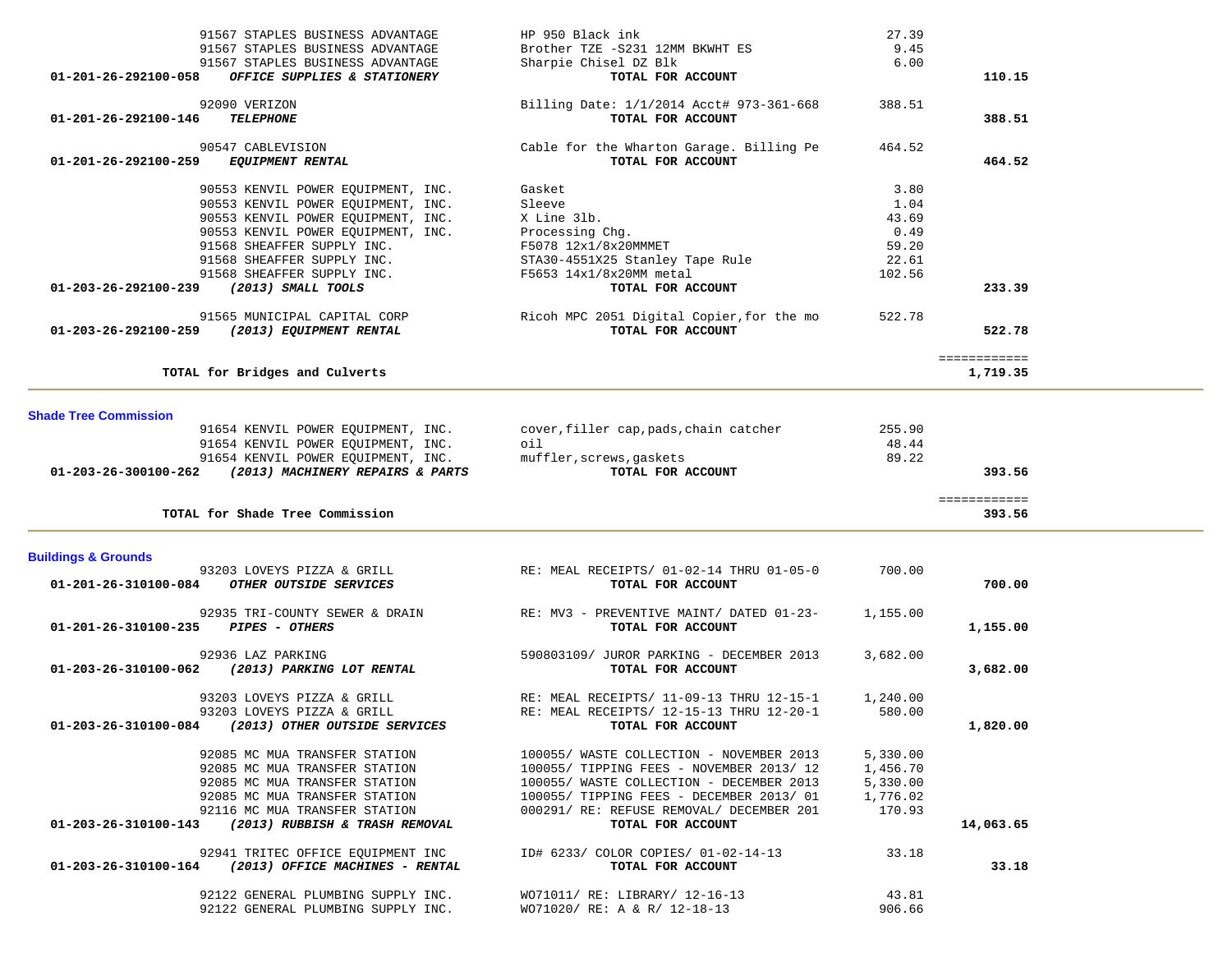| 91567 STAPLES BUSINESS ADVANTAGE                                         |                                                                |                 |              |  |
|--------------------------------------------------------------------------|----------------------------------------------------------------|-----------------|--------------|--|
|                                                                          | HP 950 Black ink                                               | 27.39           |              |  |
| 91567 STAPLES BUSINESS ADVANTAGE                                         | Brother TZE -S231 12MM BKWHT ES                                | 9.45            |              |  |
| 91567 STAPLES BUSINESS ADVANTAGE                                         | Sharpie Chisel DZ Blk                                          | 6.00            |              |  |
| OFFICE SUPPLIES & STATIONERY<br>01-201-26-292100-058                     | TOTAL FOR ACCOUNT                                              |                 | 110.15       |  |
|                                                                          |                                                                |                 |              |  |
| 92090 VERIZON                                                            | Billing Date: 1/1/2014 Acct# 973-361-668                       | 388.51          |              |  |
| 01-201-26-292100-146<br><b>TELEPHONE</b>                                 | TOTAL FOR ACCOUNT                                              |                 | 388.51       |  |
| 90547 CABLEVISION                                                        | Cable for the Wharton Garage. Billing Pe                       | 464.52          |              |  |
| 01-201-26-292100-259<br><b>EQUIPMENT RENTAL</b>                          | TOTAL FOR ACCOUNT                                              |                 | 464.52       |  |
|                                                                          |                                                                |                 |              |  |
| 90553 KENVIL POWER EQUIPMENT, INC.                                       | Gasket                                                         | 3.80            |              |  |
| 90553 KENVIL POWER EQUIPMENT, INC.                                       | Sleeve                                                         | 1.04            |              |  |
| 90553 KENVIL POWER EQUIPMENT, INC.                                       | X Line 31b.                                                    | 43.69           |              |  |
| 90553 KENVIL POWER EQUIPMENT, INC.                                       | Processing Chg.                                                | 0.49            |              |  |
| 91568 SHEAFFER SUPPLY INC.                                               | F5078 12x1/8x20MMMET                                           | 59.20           |              |  |
| 91568 SHEAFFER SUPPLY INC.                                               | STA30-4551X25 Stanley Tape Rule                                | 22.61           |              |  |
| 91568 SHEAFFER SUPPLY INC.                                               | F5653 14x1/8x20MM metal                                        | 102.56          |              |  |
| 01-203-26-292100-239 (2013) SMALL TOOLS                                  | TOTAL FOR ACCOUNT                                              |                 | 233.39       |  |
|                                                                          |                                                                |                 |              |  |
| 91565 MUNICIPAL CAPITAL CORP                                             | Ricoh MPC 2051 Digital Copier, for the mo                      | 522.78          |              |  |
| 01-203-26-292100-259 (2013) EQUIPMENT RENTAL                             | TOTAL FOR ACCOUNT                                              |                 | 522.78       |  |
|                                                                          |                                                                |                 | ============ |  |
| TOTAL for Bridges and Culverts                                           |                                                                |                 | 1,719.35     |  |
|                                                                          |                                                                |                 |              |  |
|                                                                          |                                                                |                 |              |  |
| <b>Shade Tree Commission</b>                                             |                                                                |                 |              |  |
| 91654 KENVIL POWER EQUIPMENT, INC.                                       | cover, filler cap, pads, chain catcher                         | 255.90          |              |  |
| 91654 KENVIL POWER EQUIPMENT, INC.                                       | oil                                                            | 48.44           |              |  |
| 91654 KENVIL POWER EQUIPMENT, INC.                                       | muffler, screws, gaskets                                       | 89.22           |              |  |
| 01-203-26-300100-262 (2013) MACHINERY REPAIRS & PARTS                    | TOTAL FOR ACCOUNT                                              |                 | 393.56       |  |
|                                                                          |                                                                |                 | ============ |  |
|                                                                          |                                                                |                 |              |  |
|                                                                          |                                                                |                 |              |  |
| TOTAL for Shade Tree Commission                                          |                                                                |                 | 393.56       |  |
|                                                                          |                                                                |                 |              |  |
| <b>Buildings &amp; Grounds</b>                                           |                                                                |                 |              |  |
| 93203 LOVEYS PIZZA & GRILL                                               | RE: MEAL RECEIPTS/ 01-02-14 THRU 01-05-0                       | 700.00          |              |  |
| 01-201-26-310100-084<br>OTHER OUTSIDE SERVICES                           | TOTAL FOR ACCOUNT                                              |                 | 700.00       |  |
|                                                                          |                                                                |                 |              |  |
| 92935 TRI-COUNTY SEWER & DRAIN                                           | RE: MV3 - PREVENTIVE MAINT/ DATED 01-23-                       | 1,155.00        |              |  |
| 01-201-26-310100-235 PIPES - OTHERS                                      | TOTAL FOR ACCOUNT                                              |                 | 1,155.00     |  |
| 92936 LAZ PARKING                                                        |                                                                | 3,682.00        |              |  |
| 01-203-26-310100-062 (2013) PARKING LOT RENTAL                           | 590803109/ JUROR PARKING - DECEMBER 2013<br>TOTAL FOR ACCOUNT  |                 | 3,682.00     |  |
|                                                                          |                                                                |                 |              |  |
| 93203 LOVEYS PIZZA & GRILL                                               | RE: MEAL RECEIPTS/ 11-09-13 THRU 12-15-1                       | 1,240.00        |              |  |
| 93203 LOVEYS PIZZA & GRILL                                               | RE: MEAL RECEIPTS/ 12-15-13 THRU 12-20-1                       | 580.00          |              |  |
| 01-203-26-310100-084<br>(2013) OTHER OUTSIDE SERVICES                    | TOTAL FOR ACCOUNT                                              |                 | 1,820.00     |  |
|                                                                          |                                                                |                 |              |  |
| 92085 MC MUA TRANSFER STATION                                            | 100055/ WASTE COLLECTION - NOVEMBER 2013                       | 5,330.00        |              |  |
| 92085 MC MUA TRANSFER STATION                                            | 100055/ TIPPING FEES - NOVEMBER 2013/ 12                       | 1,456.70        |              |  |
| 92085 MC MUA TRANSFER STATION                                            | 100055/ WASTE COLLECTION - DECEMBER 2013                       | 5,330.00        |              |  |
| 92085 MC MUA TRANSFER STATION                                            | 100055/ TIPPING FEES - DECEMBER 2013/ 01                       | 1,776.02        |              |  |
| 92116 MC MUA TRANSFER STATION                                            | 000291/ RE: REFUSE REMOVAL/ DECEMBER 201                       | 170.93          |              |  |
| 01-203-26-310100-143<br>(2013) RUBBISH & TRASH REMOVAL                   | TOTAL FOR ACCOUNT                                              |                 | 14,063.65    |  |
|                                                                          |                                                                |                 |              |  |
| 92941 TRITEC OFFICE EQUIPMENT INC                                        | ID# 6233/ COLOR COPIES/ 01-02-14-13                            | 33.18           |              |  |
| 01-203-26-310100-164<br>(2013) OFFICE MACHINES - RENTAL                  | TOTAL FOR ACCOUNT                                              |                 | 33.18        |  |
|                                                                          |                                                                |                 |              |  |
| 92122 GENERAL PLUMBING SUPPLY INC.<br>92122 GENERAL PLUMBING SUPPLY INC. | WO71011/ RE: LIBRARY/ 12-16-13<br>WO71020/ RE: A & R/ 12-18-13 | 43.81<br>906.66 |              |  |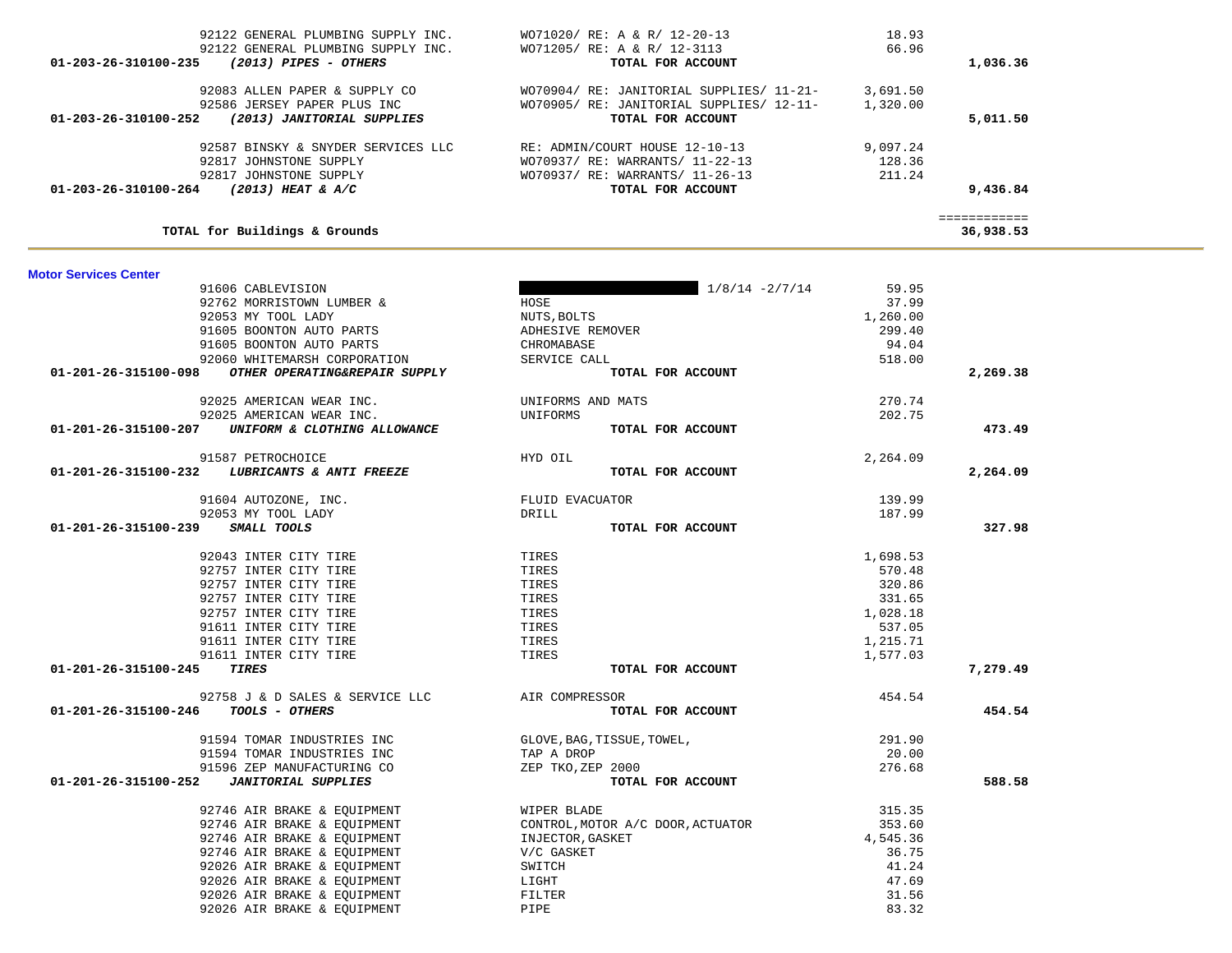| 92587 BINSKY & SNYDER SERVICES LLC<br>92817 JOHNSTONE SUPPLY<br>92817 JOHNSTONE SUPPLY<br>01-203-26-310100-264<br>$(2013)$ HEAT & A/C | RE: ADMIN/COURT HOUSE 12-10-13<br>WO70937/ RE: WARRANTS/ 11-22-13<br>WO70937/ RE: WARRANTS/ 11-26-13<br>TOTAL FOR ACCOUNT | 9,097.24<br>128.36<br>211.24 | 9,436.84                  |
|---------------------------------------------------------------------------------------------------------------------------------------|---------------------------------------------------------------------------------------------------------------------------|------------------------------|---------------------------|
| TOTAL for Buildings & Grounds                                                                                                         |                                                                                                                           |                              | ============<br>36,938.53 |
|                                                                                                                                       |                                                                                                                           |                              |                           |
| <b>Motor Services Center</b>                                                                                                          |                                                                                                                           |                              |                           |
| 91606 CABLEVISION                                                                                                                     | $1/8/14 - 2/7/14$                                                                                                         | 59.95                        |                           |
| 92762 MORRISTOWN LUMBER &                                                                                                             | HOSE                                                                                                                      | 37.99                        |                           |
| 92053 MY TOOL LADY                                                                                                                    | NUTS, BOLTS                                                                                                               | 1,260.00                     |                           |
| 91605 BOONTON AUTO PARTS                                                                                                              | ADHESIVE REMOVER                                                                                                          | 299.40                       |                           |
| 91605 BOONTON AUTO PARTS                                                                                                              | CHROMABASE                                                                                                                | 94.04                        |                           |
| 92060 WHITEMARSH CORPORATION                                                                                                          | SERVICE CALL                                                                                                              | 518.00                       |                           |
| OTHER OPERATING&REPAIR SUPPLY<br>01-201-26-315100-098                                                                                 | TOTAL FOR ACCOUNT                                                                                                         |                              | 2,269.38                  |
| 92025 AMERICAN WEAR INC.                                                                                                              | UNIFORMS AND MATS                                                                                                         | 270.74                       |                           |
| 92025 AMERICAN WEAR INC.                                                                                                              | UNIFORMS                                                                                                                  | 202.75                       |                           |
| 01-201-26-315100-207<br>UNIFORM & CLOTHING ALLOWANCE                                                                                  | TOTAL FOR ACCOUNT                                                                                                         |                              | 473.49                    |
| 91587 PETROCHOICE                                                                                                                     | HYD OIL                                                                                                                   | 2,264.09                     |                           |
| LUBRICANTS & ANTI FREEZE<br>01-201-26-315100-232                                                                                      | TOTAL FOR ACCOUNT                                                                                                         |                              | 2,264.09                  |
|                                                                                                                                       |                                                                                                                           |                              |                           |
| 91604 AUTOZONE, INC.                                                                                                                  | FLUID EVACUATOR                                                                                                           | 139.99                       |                           |
| 92053 MY TOOL LADY                                                                                                                    | DRILL                                                                                                                     | 187.99                       |                           |
| 01-201-26-315100-239<br>SMALL TOOLS                                                                                                   | TOTAL FOR ACCOUNT                                                                                                         |                              | 327.98                    |
| 92043 INTER CITY TIRE                                                                                                                 | TIRES                                                                                                                     | 1,698.53                     |                           |
| 92757 INTER CITY TIRE                                                                                                                 | TIRES                                                                                                                     | 570.48                       |                           |
| 92757 INTER CITY TIRE                                                                                                                 | TIRES                                                                                                                     | 320.86                       |                           |
| 92757 INTER CITY TIRE                                                                                                                 | TIRES                                                                                                                     | 331.65                       |                           |
| 92757 INTER CITY TIRE                                                                                                                 | TIRES                                                                                                                     | 1,028.18                     |                           |
| 91611 INTER CITY TIRE                                                                                                                 | TIRES                                                                                                                     | 537.05                       |                           |
| 91611 INTER CITY TIRE                                                                                                                 | TIRES                                                                                                                     | 1,215.71                     |                           |
| 91611 INTER CITY TIRE                                                                                                                 | TIRES                                                                                                                     | 1,577.03                     |                           |
| 01-201-26-315100-245<br><b>TIRES</b>                                                                                                  | TOTAL FOR ACCOUNT                                                                                                         |                              | 7,279.49                  |
| 92758 J & D SALES & SERVICE LLC                                                                                                       | AIR COMPRESSOR                                                                                                            | 454.54                       |                           |
| TOOLS - OTHERS<br>01-201-26-315100-246                                                                                                | TOTAL FOR ACCOUNT                                                                                                         |                              | 454.54                    |
|                                                                                                                                       |                                                                                                                           |                              |                           |
| 91594 TOMAR INDUSTRIES INC                                                                                                            | GLOVE, BAG, TISSUE, TOWEL,                                                                                                | 291.90                       |                           |
| 91594 TOMAR INDUSTRIES INC                                                                                                            | TAP A DROP                                                                                                                | 20.00                        |                           |
| 91596 ZEP MANUFACTURING CO                                                                                                            | ZEP TKO, ZEP 2000                                                                                                         | 276.68                       |                           |
| 01-201-26-315100-252<br><b>JANITORIAL SUPPLIES</b>                                                                                    | TOTAL FOR ACCOUNT                                                                                                         |                              | 588.58                    |
| 92746 AIR BRAKE & EQUIPMENT                                                                                                           | WIPER BLADE                                                                                                               | 315.35                       |                           |
| 92746 AIR BRAKE & EQUIPMENT                                                                                                           | CONTROL, MOTOR A/C DOOR, ACTUATOR                                                                                         | 353.60                       |                           |
| 92746 AIR BRAKE & EQUIPMENT                                                                                                           | INJECTOR, GASKET                                                                                                          | 4,545.36                     |                           |
| 92746 AIR BRAKE & EQUIPMENT                                                                                                           | V/C GASKET                                                                                                                | 36.75                        |                           |
| 92026 AIR BRAKE & EQUIPMENT                                                                                                           | SWITCH                                                                                                                    | 41.24                        |                           |
| 92026 AIR BRAKE & EQUIPMENT                                                                                                           | LIGHT                                                                                                                     | 47.69                        |                           |
| 92026 AIR BRAKE & EQUIPMENT                                                                                                           | FILTER                                                                                                                    | 31.56                        |                           |
| 92026 AIR BRAKE & EQUIPMENT                                                                                                           | PIPE                                                                                                                      | 83.32                        |                           |

| 92122 GENERAL PLUMBING SUPPLY INC.                           | WO71020/ RE: A & R/ 12-20-13             | 18.93    |          |
|--------------------------------------------------------------|------------------------------------------|----------|----------|
| 92122 GENERAL PLUMBING SUPPLY INC.                           | WO71205/ RE: A & R/ 12-3113              | 66.96    |          |
| $01 - 203 - 26 - 310100 - 235$<br>(2013) PIPES - OTHERS      | TOTAL FOR ACCOUNT                        |          | 1,036.36 |
| 92083 ALLEN PAPER & SUPPLY CO                                | WO70904/ RE: JANITORIAL SUPPLIES/ 11-21- | 3,691.50 |          |
| 92586 JERSEY PAPER PLUS INC                                  | WO70905/ RE: JANITORIAL SUPPLIES/ 12-11- | 1,320.00 |          |
| $01 - 203 - 26 - 310100 - 252$<br>(2013) JANITORIAL SUPPLIES | TOTAL FOR ACCOUNT                        |          | 5,011.50 |
| 92587 BINSKY & SNYDER SERVICES LLC                           | RE: ADMIN/COURT HOUSE 12-10-13           | 9,097.24 |          |
| 92817 JOHNSTONE SUPPLY                                       | WO70937/ RE: WARRANTS/ 11-22-13          | 128.36   |          |
| 92817 JOHNSTONE SUPPLY                                       | WO70937/ RE: WARRANTS/ 11-26-13          | 211.24   |          |
| 01-203-26-310100-264<br>$(2013)$ HEAT & A/C                  | TOTAL FOR ACCOUNT                        |          | 9,436.84 |
|                                                              |                                          |          |          |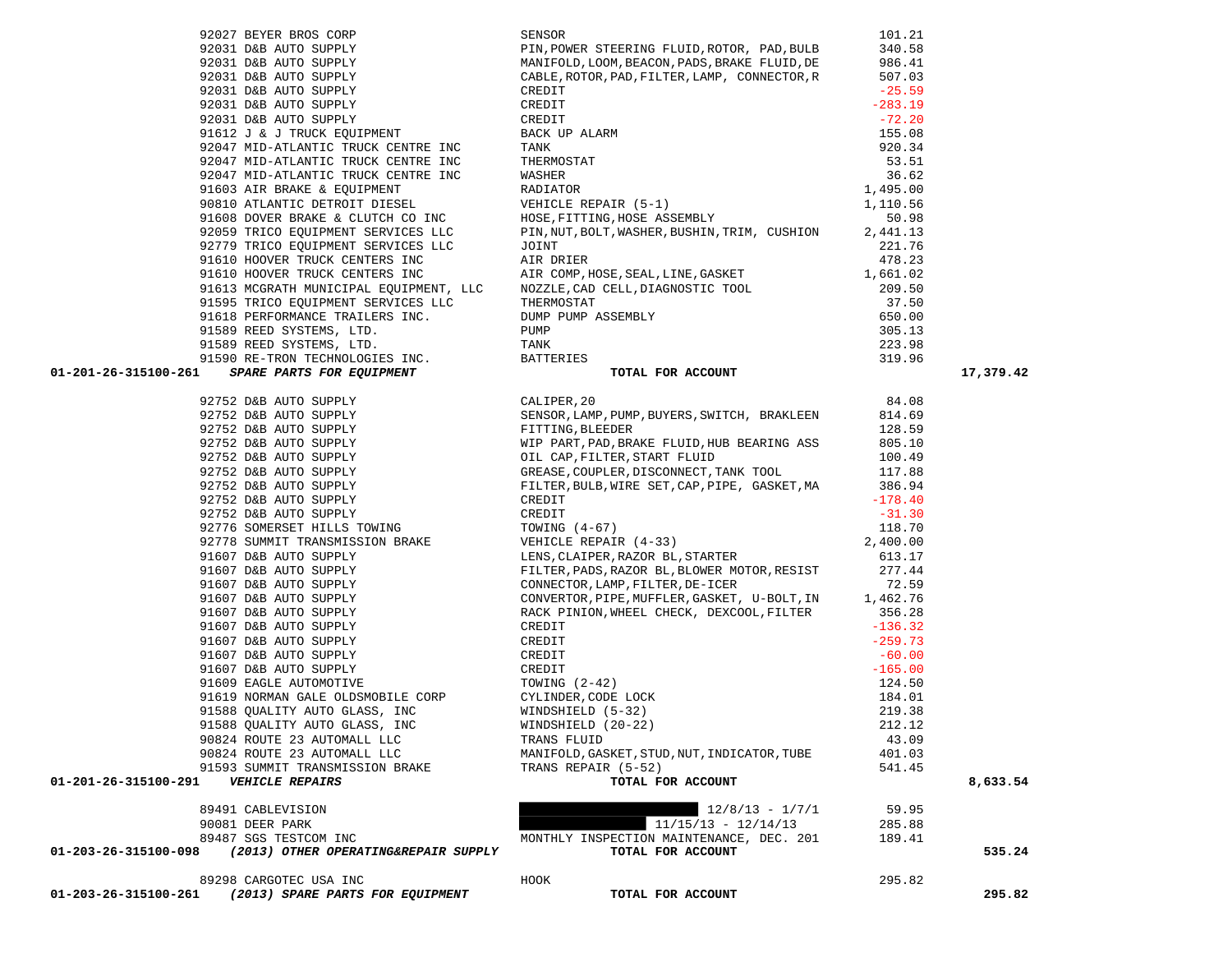|                      |                                                       |                                                                                                                                                                                                                                                                                                                                                                                                                                                                                                                                                                                                                                                             |        | 17,379.42 |
|----------------------|-------------------------------------------------------|-------------------------------------------------------------------------------------------------------------------------------------------------------------------------------------------------------------------------------------------------------------------------------------------------------------------------------------------------------------------------------------------------------------------------------------------------------------------------------------------------------------------------------------------------------------------------------------------------------------------------------------------------------------|--------|-----------|
|                      |                                                       | 92779 TRICO EQUIPMENT SERVICES LLC (FIN, MALL, BOLL, MASHEK, BUSHLIN, TRIN, CUSHLON 2021.76<br>91610 HOVER TRUCK CENTERS INC<br>91610 HOVER TRUCK CENTERS INC<br>91610 HOVER TRUCK CENTERS INC<br>91610 HOVER TRUCK CENTERS INC<br>9159<br>$[11.5874\text{R} \textbf{R} \textbf{R} \textbf{R} \textbf{R} \textbf{R} \textbf{R} \textbf{R} \textbf{R} \textbf{R} \textbf{R} \textbf{R} \textbf{R} \textbf{R} \textbf{R} \textbf{R} \textbf{R} \textbf{R} \textbf{R} \textbf{R} \textbf{R} \textbf{R} \textbf{R} \textbf{R} \textbf{R} \textbf{R} \textbf{R} \textbf{R} \textbf{R} \textbf{R} \textbf{R} \textbf{R} \textbf{R} \textbf{R} \textbf{R} \textbf$ |        |           |
|                      |                                                       |                                                                                                                                                                                                                                                                                                                                                                                                                                                                                                                                                                                                                                                             |        |           |
|                      |                                                       |                                                                                                                                                                                                                                                                                                                                                                                                                                                                                                                                                                                                                                                             |        |           |
|                      |                                                       |                                                                                                                                                                                                                                                                                                                                                                                                                                                                                                                                                                                                                                                             |        |           |
|                      |                                                       |                                                                                                                                                                                                                                                                                                                                                                                                                                                                                                                                                                                                                                                             |        |           |
|                      |                                                       |                                                                                                                                                                                                                                                                                                                                                                                                                                                                                                                                                                                                                                                             |        |           |
|                      |                                                       |                                                                                                                                                                                                                                                                                                                                                                                                                                                                                                                                                                                                                                                             |        |           |
|                      |                                                       |                                                                                                                                                                                                                                                                                                                                                                                                                                                                                                                                                                                                                                                             |        |           |
|                      |                                                       |                                                                                                                                                                                                                                                                                                                                                                                                                                                                                                                                                                                                                                                             |        |           |
|                      |                                                       |                                                                                                                                                                                                                                                                                                                                                                                                                                                                                                                                                                                                                                                             |        |           |
|                      |                                                       |                                                                                                                                                                                                                                                                                                                                                                                                                                                                                                                                                                                                                                                             |        |           |
|                      |                                                       |                                                                                                                                                                                                                                                                                                                                                                                                                                                                                                                                                                                                                                                             |        |           |
|                      |                                                       |                                                                                                                                                                                                                                                                                                                                                                                                                                                                                                                                                                                                                                                             |        |           |
|                      |                                                       |                                                                                                                                                                                                                                                                                                                                                                                                                                                                                                                                                                                                                                                             |        |           |
|                      |                                                       |                                                                                                                                                                                                                                                                                                                                                                                                                                                                                                                                                                                                                                                             |        |           |
|                      |                                                       |                                                                                                                                                                                                                                                                                                                                                                                                                                                                                                                                                                                                                                                             |        |           |
|                      |                                                       |                                                                                                                                                                                                                                                                                                                                                                                                                                                                                                                                                                                                                                                             |        |           |
|                      |                                                       |                                                                                                                                                                                                                                                                                                                                                                                                                                                                                                                                                                                                                                                             |        |           |
|                      |                                                       |                                                                                                                                                                                                                                                                                                                                                                                                                                                                                                                                                                                                                                                             |        |           |
|                      |                                                       |                                                                                                                                                                                                                                                                                                                                                                                                                                                                                                                                                                                                                                                             |        |           |
|                      |                                                       |                                                                                                                                                                                                                                                                                                                                                                                                                                                                                                                                                                                                                                                             |        |           |
|                      |                                                       |                                                                                                                                                                                                                                                                                                                                                                                                                                                                                                                                                                                                                                                             |        |           |
|                      |                                                       |                                                                                                                                                                                                                                                                                                                                                                                                                                                                                                                                                                                                                                                             |        |           |
|                      |                                                       |                                                                                                                                                                                                                                                                                                                                                                                                                                                                                                                                                                                                                                                             |        |           |
|                      | 91588 QUALITY AUTO GLASS, INC WINDSHIELD (20-22)      |                                                                                                                                                                                                                                                                                                                                                                                                                                                                                                                                                                                                                                                             | 212.12 |           |
|                      | 90824 ROUTE 23 AUTOMALL LLC                           | TRANS FLUID                                                                                                                                                                                                                                                                                                                                                                                                                                                                                                                                                                                                                                                 | 43.09  |           |
|                      | 90824 ROUTE 23 AUTOMALL LLC                           | MANIFOLD, GASKET, STUD, NUT, INDICATOR, TUBE                                                                                                                                                                                                                                                                                                                                                                                                                                                                                                                                                                                                                | 401.03 |           |
|                      | 91593 SUMMIT TRANSMISSION BRAKE                       | TRANS REPAIR (5-52)                                                                                                                                                                                                                                                                                                                                                                                                                                                                                                                                                                                                                                         | 541.45 |           |
| 01-201-26-315100-291 | <b>VEHICLE REPAIRS</b>                                | TOTAL FOR ACCOUNT                                                                                                                                                                                                                                                                                                                                                                                                                                                                                                                                                                                                                                           |        | 8,633.54  |
|                      |                                                       |                                                                                                                                                                                                                                                                                                                                                                                                                                                                                                                                                                                                                                                             |        |           |
|                      | 89491 CABLEVISION                                     | $12/8/13 - 1/7/1$                                                                                                                                                                                                                                                                                                                                                                                                                                                                                                                                                                                                                                           | 59.95  |           |
|                      | 90081 DEER PARK                                       | $11/15/13 - 12/14/13$                                                                                                                                                                                                                                                                                                                                                                                                                                                                                                                                                                                                                                       | 285.88 |           |
|                      | 89487 SGS TESTCOM INC                                 | MONTHLY INSPECTION MAINTENANCE, DEC. 201                                                                                                                                                                                                                                                                                                                                                                                                                                                                                                                                                                                                                    | 189.41 |           |
| 01-203-26-315100-098 | (2013) OTHER OPERATING&REPAIR SUPPLY                  | TOTAL FOR ACCOUNT                                                                                                                                                                                                                                                                                                                                                                                                                                                                                                                                                                                                                                           |        | 535.24    |
|                      | 89298 CARGOTEC USA INC                                | HOOK                                                                                                                                                                                                                                                                                                                                                                                                                                                                                                                                                                                                                                                        | 295.82 |           |
|                      | 01-203-26-315100-261 (2013) SPARE PARTS FOR EQUIPMENT | TOTAL FOR ACCOUNT                                                                                                                                                                                                                                                                                                                                                                                                                                                                                                                                                                                                                                           |        | 295.82    |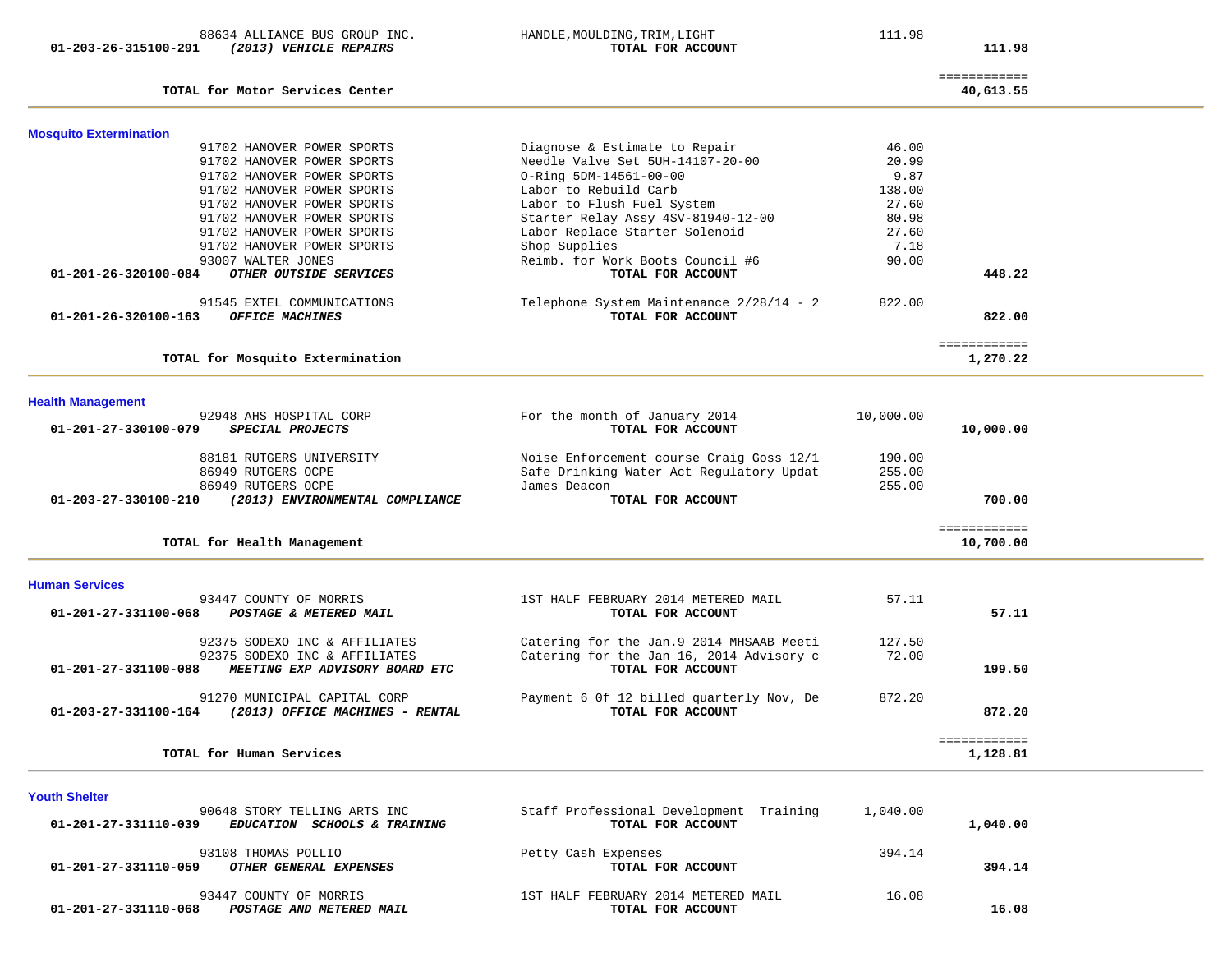|                      |  |  | 88634 ALLIANCE BUS GROUP INC. |  |
|----------------------|--|--|-------------------------------|--|
| 01-203-26-315100-291 |  |  | (2013) VEHICLE REPAIRS        |  |

HANDLE, MOULDING, TRIM, LIGHT 111.98  **017AL FOR ACCOUNT 111.98** 

| TOTAL for Motor Services Center                                       |                                                               |           | ============<br>40,613.55 |
|-----------------------------------------------------------------------|---------------------------------------------------------------|-----------|---------------------------|
|                                                                       |                                                               |           |                           |
| <b>Mosquito Extermination</b>                                         |                                                               |           |                           |
| 91702 HANOVER POWER SPORTS                                            | Diagnose & Estimate to Repair                                 | 46.00     |                           |
| 91702 HANOVER POWER SPORTS                                            | Needle Valve Set 5UH-14107-20-00                              | 20.99     |                           |
| 91702 HANOVER POWER SPORTS                                            | O-Ring 5DM-14561-00-00                                        | 9.87      |                           |
| 91702 HANOVER POWER SPORTS                                            | Labor to Rebuild Carb                                         | 138.00    |                           |
| 91702 HANOVER POWER SPORTS                                            | Labor to Flush Fuel System                                    | 27.60     |                           |
| 91702 HANOVER POWER SPORTS                                            | Starter Relay Assy 4SV-81940-12-00                            | 80.98     |                           |
| 91702 HANOVER POWER SPORTS                                            | Labor Replace Starter Solenoid                                | 27.60     |                           |
| 91702 HANOVER POWER SPORTS                                            | Shop Supplies                                                 | 7.18      |                           |
| 93007 WALTER JONES                                                    | Reimb. for Work Boots Council #6                              | 90.00     |                           |
| 01-201-26-320100-084<br>OTHER OUTSIDE SERVICES                        | TOTAL FOR ACCOUNT                                             |           | 448.22                    |
|                                                                       |                                                               |           |                           |
| 91545 EXTEL COMMUNICATIONS<br>01-201-26-320100-163<br>OFFICE MACHINES | Telephone System Maintenance 2/28/14 - 2<br>TOTAL FOR ACCOUNT | 822.00    | 822.00                    |
|                                                                       |                                                               |           |                           |
|                                                                       |                                                               |           | ============              |
| TOTAL for Mosquito Extermination                                      |                                                               |           | 1,270.22                  |
|                                                                       |                                                               |           |                           |
| <b>Health Management</b>                                              |                                                               |           |                           |
| 92948 AHS HOSPITAL CORP                                               | For the month of January 2014                                 | 10,000.00 |                           |
| 01-201-27-330100-079<br>SPECIAL PROJECTS                              | TOTAL FOR ACCOUNT                                             |           | 10,000.00                 |
| 88181 RUTGERS UNIVERSITY                                              | Noise Enforcement course Craig Goss 12/1                      | 190.00    |                           |
| 86949 RUTGERS OCPE                                                    | Safe Drinking Water Act Regulatory Updat                      | 255.00    |                           |
| 86949 RUTGERS OCPE                                                    | James Deacon                                                  | 255.00    |                           |
| 01-203-27-330100-210<br>(2013) ENVIRONMENTAL COMPLIANCE               | TOTAL FOR ACCOUNT                                             |           | 700.00                    |
|                                                                       |                                                               |           |                           |
| TOTAL for Health Management                                           |                                                               |           | ============<br>10,700.00 |
|                                                                       |                                                               |           |                           |
| <b>Human Services</b>                                                 |                                                               |           |                           |
| 93447 COUNTY OF MORRIS                                                | 1ST HALF FEBRUARY 2014 METERED MAIL                           | 57.11     |                           |
| 01-201-27-331100-068<br>POSTAGE & METERED MAIL                        | TOTAL FOR ACCOUNT                                             |           | 57.11                     |
|                                                                       |                                                               |           |                           |
| 92375 SODEXO INC & AFFILIATES                                         | Catering for the Jan. 9 2014 MHSAAB Meeti                     | 127.50    |                           |
| 92375 SODEXO INC & AFFILIATES                                         | Catering for the Jan 16, 2014 Advisory c                      | 72.00     |                           |
| 01-201-27-331100-088<br>MEETING EXP ADVISORY BOARD ETC                | TOTAL FOR ACCOUNT                                             |           | 199.50                    |
|                                                                       |                                                               |           |                           |
| 91270 MUNICIPAL CAPITAL CORP                                          | Payment 6 Of 12 billed quarterly Nov, De                      | 872.20    |                           |
| $01 - 203 - 27 - 331100 - 164$<br>(2013) OFFICE MACHINES - RENTAL     | TOTAL FOR ACCOUNT                                             |           | 872.20                    |
|                                                                       |                                                               |           |                           |
| TOTAL for Human Services                                              |                                                               |           | ============<br>1,128.81  |
|                                                                       |                                                               |           |                           |
|                                                                       |                                                               |           |                           |
| <b>Youth Shelter</b><br>90648 STORY TELLING ARTS INC                  |                                                               | 1,040.00  |                           |
| 0.01, 0.0, 0.01110, 0.00<br>$\overline{m}$                            | Staff Professional Development Training                       |           | 1.010.00                  |

| 1,040.00 |        | TOTAL FOR ACCOUNT                        | 01-201-27-331110-039<br><b>EDUCATION SCHOOLS &amp; TRAINING</b>              |
|----------|--------|------------------------------------------|------------------------------------------------------------------------------|
| 394.14   | 394.14 | Petty Cash Expenses<br>TOTAL FOR ACCOUNT | 93108 THOMAS POLLIO<br>01-201-27-331110-059<br><i>OTHER GENERAL EXPENSES</i> |
|          | 16.08  | 1ST HALF FEBRUARY 2014 METERED MAIL      | 93447 COUNTY OF MORRIS                                                       |
| 16.08    |        | TOTAL FOR ACCOUNT                        | 01-201-27-331110-068<br>POSTAGE AND METERED MAIL                             |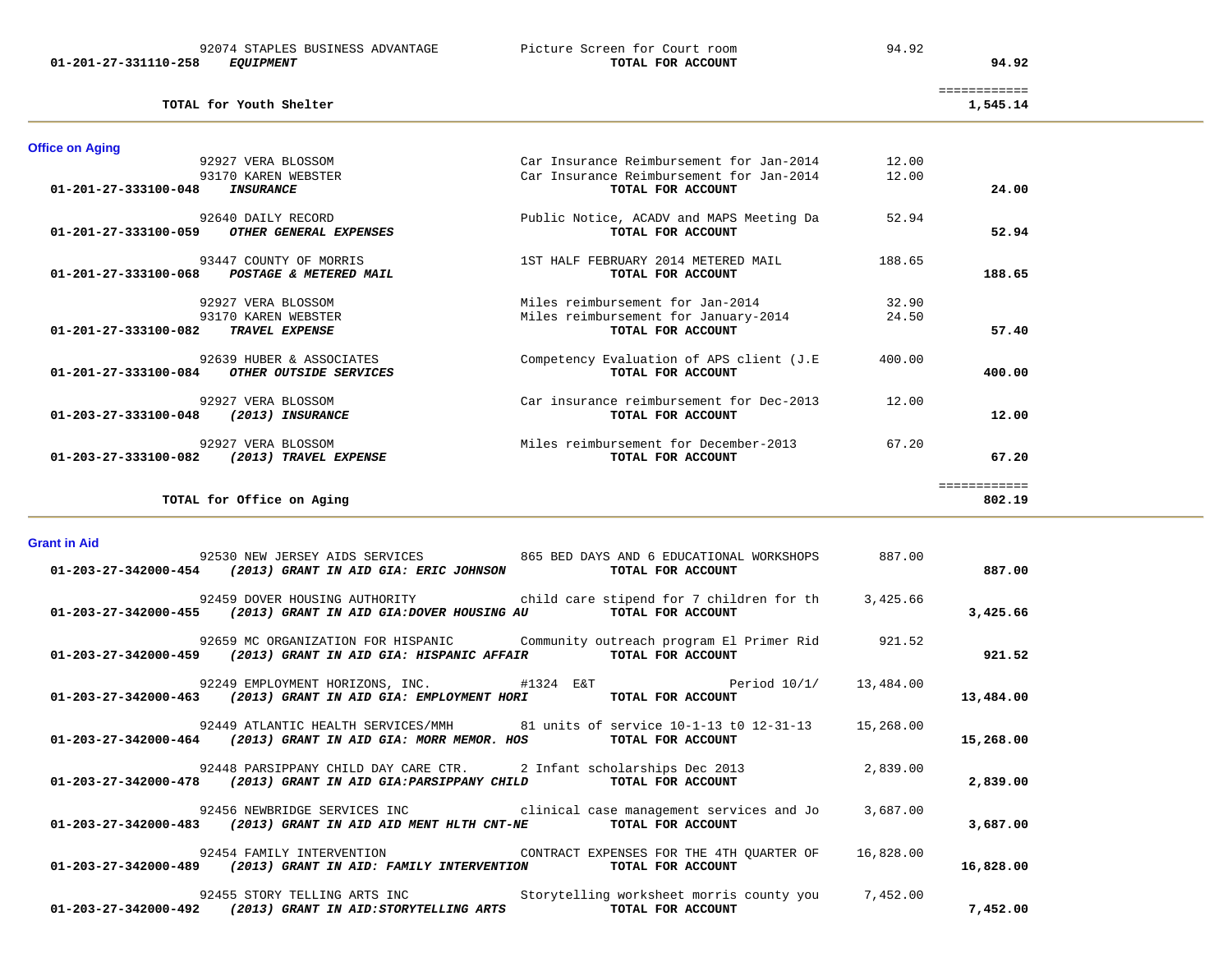|                                           | -------------<br>_____________ |
|-------------------------------------------|--------------------------------|
| <b>TOTAL</b><br>for<br>-Yout h<br>Shelter | 545<br>.                       |

| <b>Office on Aging</b>                                   |                                           |        |              |
|----------------------------------------------------------|-------------------------------------------|--------|--------------|
| 92927 VERA BLOSSOM                                       | Car Insurance Reimbursement for Jan-2014  | 12.00  |              |
| 93170 KAREN WEBSTER                                      | Car Insurance Reimbursement for Jan-2014  | 12.00  |              |
| $01 - 201 - 27 - 333100 - 048$<br>INSURANCE              | TOTAL FOR ACCOUNT                         |        | 24.00        |
| 92640 DAILY RECORD                                       | Public Notice, ACADV and MAPS Meeting Da  | 52.94  |              |
| OTHER GENERAL EXPENSES<br>01-201-27-333100-059           | TOTAL FOR ACCOUNT                         |        | 52.94        |
| 93447 COUNTY OF MORRIS                                   | 1ST HALF FEBRUARY 2014 METERED MAIL       | 188.65 |              |
| $01 - 201 - 27 - 333100 - 068$<br>POSTAGE & METERED MAIL | TOTAL FOR ACCOUNT                         |        | 188.65       |
| 92927 VERA BLOSSOM                                       | Miles reimbursement for Jan-2014          | 32.90  |              |
| 93170 KAREN WEBSTER                                      | Miles reimbursement for January-2014      | 24.50  |              |
| <b>TRAVEL EXPENSE</b><br>$01 - 201 - 27 - 333100 - 082$  | TOTAL FOR ACCOUNT                         |        | 57.40        |
| 92639 HUBER & ASSOCIATES                                 | Competency Evaluation of APS client (J.E. | 400.00 |              |
| $01 - 201 - 27 - 333100 - 084$<br>OTHER OUTSIDE SERVICES | TOTAL FOR ACCOUNT                         |        | 400.00       |
| 92927 VERA BLOSSOM                                       | Car insurance reimbursement for Dec-2013  | 12.00  |              |
| $01 - 203 - 27 - 333100 - 048$<br>(2013) INSURANCE       | TOTAL FOR ACCOUNT                         |        | 12.00        |
| 92927 VERA BLOSSOM                                       | Miles reimbursement for December-2013     | 67.20  |              |
| $01 - 203 - 27 - 333100 - 082$<br>(2013) TRAVEL EXPENSE  | TOTAL FOR ACCOUNT                         |        | 67.20        |
|                                                          |                                           |        | ============ |
| TOTAL for Office on Aging                                |                                           |        | 802.19       |

### **Grant in Aid**

| 887.00    |          | 92530 NEW JERSEY AIDS SERVICES 665 BED DAYS AND 6 EDUCATIONAL WORKSHOPS 887.00<br>01-203-27-342000-454 (2013) GRANT IN AID GIA: ERIC JOHNSON<br>TOTAL FOR ACCOUNT       |
|-----------|----------|-------------------------------------------------------------------------------------------------------------------------------------------------------------------------|
| 3,425.66  |          | 92459 DOVER HOUSING AUTHORITY The child care stipend for 7 children for th 3,425.66<br>01-203-27-342000-455 (2013) GRANT IN AID GIA:DOVER HOUSING AU TOTAL FOR ACCOUNT  |
| 921.52    |          | 92659 MC ORGANIZATION FOR HISPANIC Community outreach program El Primer Rid 921.52<br>01-203-27-342000-459 (2013) GRANT IN AID GIA: HISPANIC AFFAIR TOTAL FOR ACCOUNT   |
| 13,484.00 |          | 92249 EMPLOYMENT HORIZONS, INC. #1324 E&T Period $10/1/$ 13,484.00<br>01-203-27-342000-463 (2013) GRANT IN AID GIA: EMPLOYMENT HORI TOTAL FOR ACCOUNT                   |
| 15,268.00 |          | 92449 ATLANTIC HEALTH SERVICES/MMH 81 units of service 10-1-13 t0 12-31-13 15,268.00<br>01-203-27-342000-464 (2013) GRANT IN AID GIA: MORR MEMOR. HOS TOTAL FOR ACCOUNT |
| 2,839.00  | 2,839.00 | 92448 PARSIPPANY CHILD DAY CARE CTR. 2 Infant scholarships Dec 2013<br>01-203-27-342000-478 (2013) GRANT IN AID GIA: PARSIPPANY CHILD TOTAL FOR ACCOUNT                 |
| 3,687.00  |          | 92456 NEWBRIDGE SERVICES INC clinical case management services and Jo 3,687.00<br>$01-203-27-342000-483$ (2013) GRANT IN AID AID MENT HLTH CNT-NE TOTAL FOR ACCOUNT     |
| 16,828.00 |          | 92454 FAMILY INTERVENTION CONTRACT EXPENSES FOR THE 4TH QUARTER OF 16,828.00<br>01-203-27-342000-489 (2013) GRANT IN AID: FAMILY INTERVENTION TOTAL FOR ACCOUNT         |
| 7,452.00  |          | 92455 STORY TELLING ARTS INC Storytelling worksheet morris county you 7,452.00<br>01-203-27-342000-492 (2013) GRANT IN AID: STORYTELLING ARTS TOTAL FOR ACCOUNT         |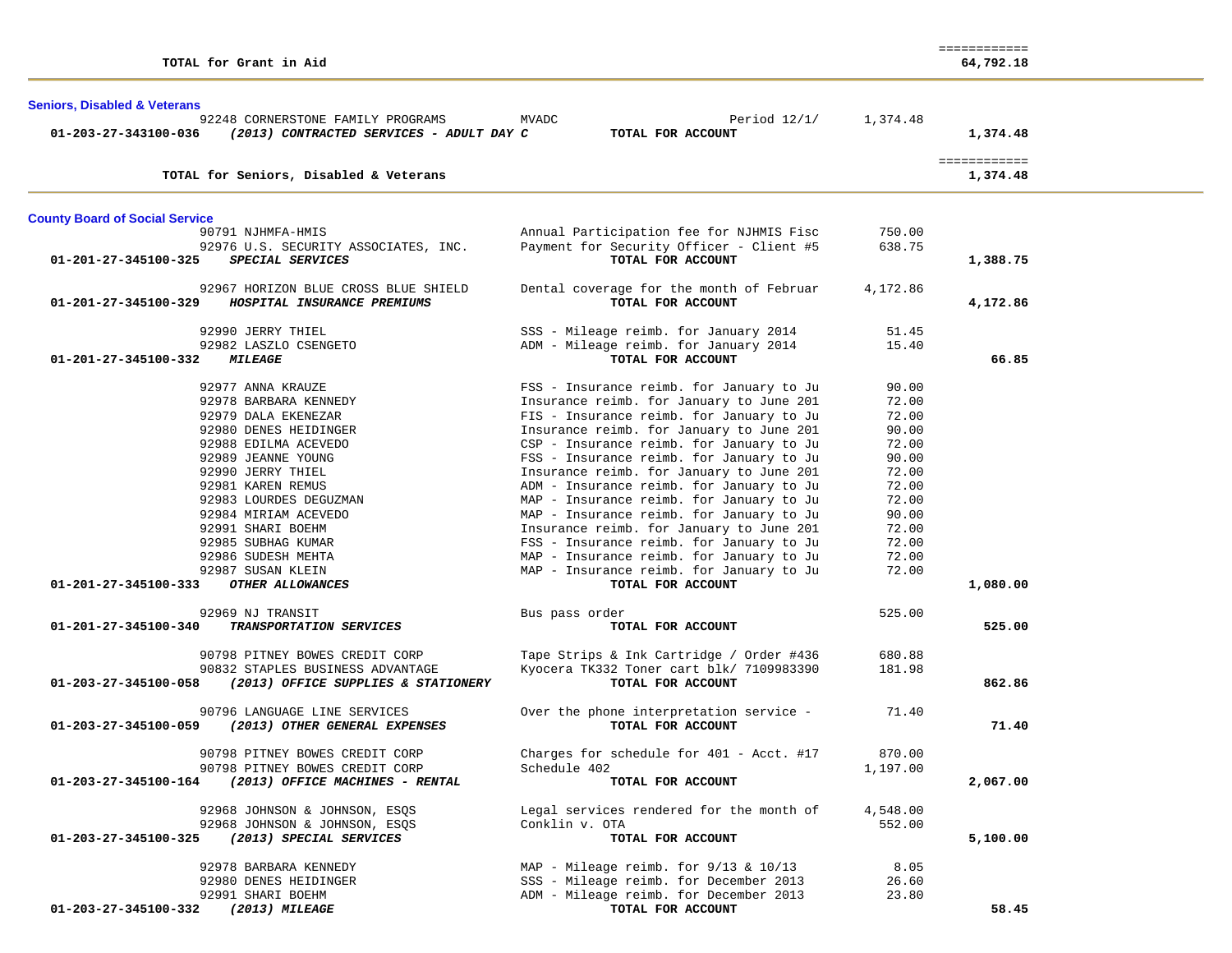| <b>Seniors, Disabled &amp; Veterans</b> | 92248 CORNERSTONE FAMILY PROGRAMS                    | Period $12/1/$<br>MVADC                   | 1,374.48 |                          |
|-----------------------------------------|------------------------------------------------------|-------------------------------------------|----------|--------------------------|
| 01-203-27-343100-036                    | (2013) CONTRACTED SERVICES - ADULT DAY C             | TOTAL FOR ACCOUNT                         |          | 1,374.48                 |
|                                         | TOTAL for Seniors, Disabled & Veterans               |                                           |          | ============<br>1,374.48 |
|                                         |                                                      |                                           |          |                          |
| <b>County Board of Social Service</b>   |                                                      |                                           |          |                          |
|                                         | 90791 NJHMFA-HMIS                                    | Annual Participation fee for NJHMIS Fisc  | 750.00   |                          |
|                                         | 92976 U.S. SECURITY ASSOCIATES, INC.                 | Payment for Security Officer - Client #5  | 638.75   |                          |
| 01-201-27-345100-325                    | SPECIAL SERVICES                                     | TOTAL FOR ACCOUNT                         |          | 1,388.75                 |
|                                         | 92967 HORIZON BLUE CROSS BLUE SHIELD                 | Dental coverage for the month of Februar  | 4,172.86 |                          |
| 01-201-27-345100-329                    | HOSPITAL INSURANCE PREMIUMS                          | TOTAL FOR ACCOUNT                         |          | 4,172.86                 |
|                                         | 92990 JERRY THIEL                                    | SSS - Mileage reimb. for January 2014     | 51.45    |                          |
|                                         | 92982 LASZLO CSENGETO                                | ADM - Mileage reimb. for January 2014     | 15.40    |                          |
| 01-201-27-345100-332                    | <i><b>MILEAGE</b></i>                                | TOTAL FOR ACCOUNT                         |          | 66.85                    |
|                                         | 92977 ANNA KRAUZE                                    | FSS - Insurance reimb. for January to Ju  | 90.00    |                          |
|                                         | 92978 BARBARA KENNEDY                                | Insurance reimb. for January to June 201  | 72.00    |                          |
|                                         | 92979 DALA EKENEZAR                                  | FIS - Insurance reimb. for January to Ju  | 72.00    |                          |
|                                         | 92980 DENES HEIDINGER                                | Insurance reimb. for January to June 201  | 90.00    |                          |
|                                         | 92988 EDILMA ACEVEDO                                 | CSP - Insurance reimb. for January to Ju  | 72.00    |                          |
|                                         | 92989 JEANNE YOUNG                                   | FSS - Insurance reimb. for January to Ju  | 90.00    |                          |
|                                         | 92990 JERRY THIEL                                    | Insurance reimb. for January to June 201  | 72.00    |                          |
|                                         | 92981 KAREN REMUS                                    | ADM - Insurance reimb. for January to Ju  | 72.00    |                          |
|                                         | 92983 LOURDES DEGUZMAN                               | MAP - Insurance reimb. for January to Ju  | 72.00    |                          |
|                                         | 92984 MIRIAM ACEVEDO                                 | MAP - Insurance reimb. for January to Ju  | 90.00    |                          |
|                                         | 92991 SHARI BOEHM                                    | Insurance reimb. for January to June 201  | 72.00    |                          |
|                                         | 92985 SUBHAG KUMAR                                   | FSS - Insurance reimb. for January to Ju  | 72.00    |                          |
|                                         | 92986 SUDESH MEHTA                                   | MAP - Insurance reimb. for January to Ju  | 72.00    |                          |
|                                         | 92987 SUSAN KLEIN                                    | MAP - Insurance reimb. for January to Ju  | 72.00    |                          |
| 01-201-27-345100-333                    | OTHER ALLOWANCES                                     | TOTAL FOR ACCOUNT                         |          | 1,080.00                 |
|                                         | 92969 NJ TRANSIT                                     | Bus pass order                            | 525.00   |                          |
| 01-201-27-345100-340                    | TRANSPORTATION SERVICES                              | TOTAL FOR ACCOUNT                         |          | 525.00                   |
|                                         | 90798 PITNEY BOWES CREDIT CORP                       | Tape Strips & Ink Cartridge / Order #436  | 680.88   |                          |
|                                         | 90832 STAPLES BUSINESS ADVANTAGE                     | Kyocera TK332 Toner cart blk/ 7109983390  | 181.98   |                          |
| 01-203-27-345100-058                    | (2013) OFFICE SUPPLIES & STATIONERY                  | TOTAL FOR ACCOUNT                         |          | 862.86                   |
|                                         | 90796 LANGUAGE LINE SERVICES                         | Over the phone interpretation service -   | 71.40    |                          |
| 01-203-27-345100-059                    | (2013) OTHER GENERAL EXPENSES                        | TOTAL FOR ACCOUNT                         |          | 71.40                    |
|                                         | 90798 PITNEY BOWES CREDIT CORP                       | Charges for schedule for 401 - Acct. #17  | 870.00   |                          |
|                                         | 90798 PITNEY BOWES CREDIT CORP                       | Schedule 402                              | 1,197.00 |                          |
|                                         | 01-203-27-345100-164 (2013) OFFICE MACHINES - RENTAL | TOTAL FOR ACCOUNT                         |          | 2,067.00                 |
|                                         | 92968 JOHNSON & JOHNSON, ESQS                        | Legal services rendered for the month of  | 4,548.00 |                          |
|                                         | 92968 JOHNSON & JOHNSON, ESQS                        | Conklin v. OTA                            | 552.00   |                          |
| 01-203-27-345100-325                    | (2013) SPECIAL SERVICES                              | TOTAL FOR ACCOUNT                         |          | 5,100.00                 |
|                                         | 92978 BARBARA KENNEDY                                | MAP - Mileage reimb. for $9/13$ & $10/13$ | 8.05     |                          |
|                                         | 92980 DENES HEIDINGER                                | SSS - Mileage reimb. for December 2013    | 26.60    |                          |
|                                         | 92991 SHARI BOEHM                                    | ADM - Mileage reimb. for December 2013    | 23.80    |                          |
| 01-203-27-345100-332 (2013) MILEAGE     |                                                      | TOTAL FOR ACCOUNT                         |          | 58.45                    |

============

**TOTAL for Grant in Aid 64,792.18**

64,792.18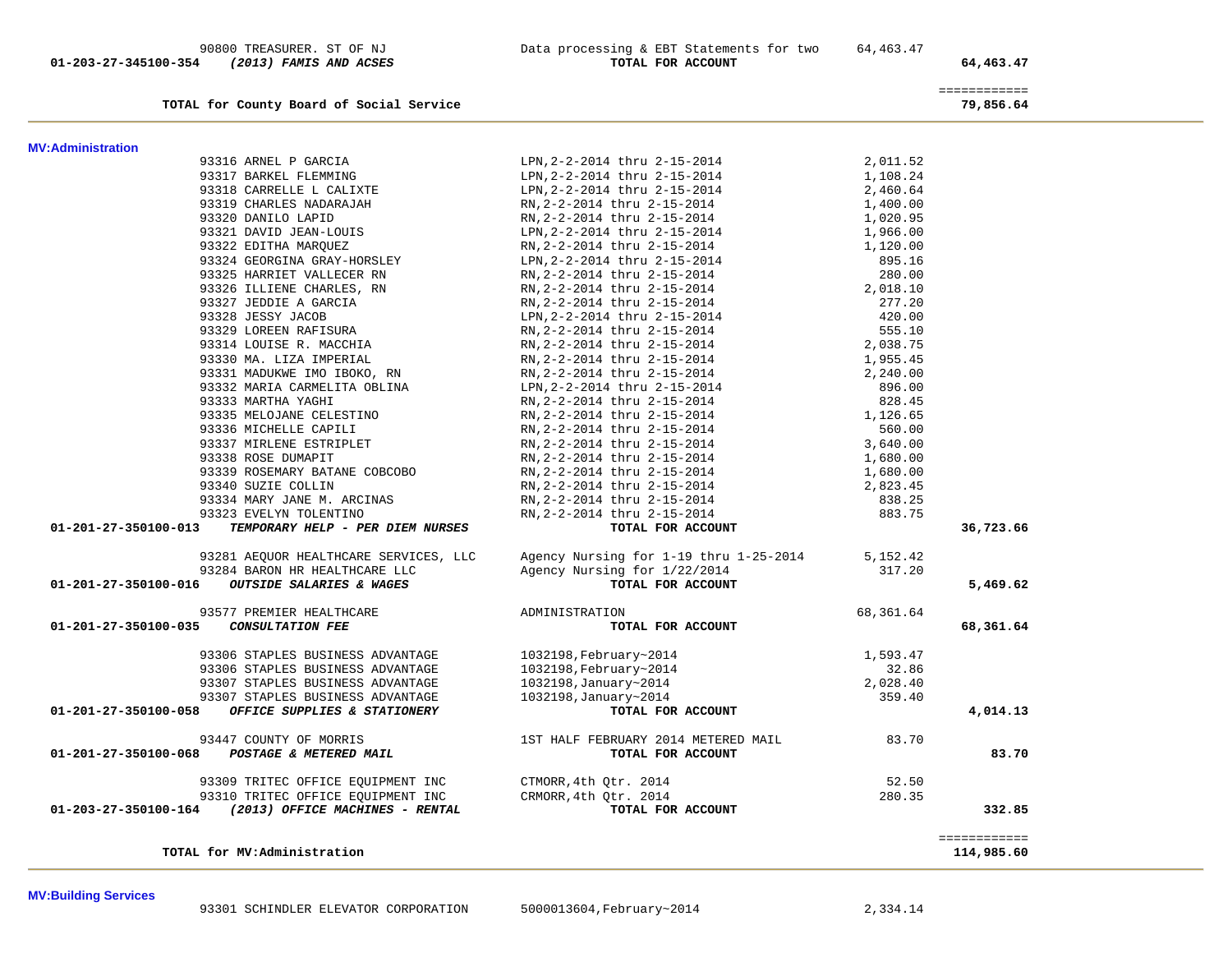**MV:Building Services** 

|                      | TOTAL for MV:Administration                                                                                                                                                                                                                                                                                                                                                                                                                                                                            |                                                                                                                                                                                                                                                            |             | ============<br>114,985.60 |
|----------------------|--------------------------------------------------------------------------------------------------------------------------------------------------------------------------------------------------------------------------------------------------------------------------------------------------------------------------------------------------------------------------------------------------------------------------------------------------------------------------------------------------------|------------------------------------------------------------------------------------------------------------------------------------------------------------------------------------------------------------------------------------------------------------|-------------|----------------------------|
|                      |                                                                                                                                                                                                                                                                                                                                                                                                                                                                                                        | 93309 TRITEC OFFICE EQUIPMENT INC<br>93310 TRITEC OFFICE EQUIPMENT INC CTMORR,4th Qtr. 2014<br>01-203-27-350100-164 (2013) OFFICE EQUIPMENT INC CRMORR,4th Qtr. 2014<br>TOTAL FOR ACCOUNT                                                                  |             | 332.85                     |
|                      | 93447 COUNTY OF MORRIS<br>01-201-27-350100-068 POSTAGE & METERED MAIL                                                                                                                                                                                                                                                                                                                                                                                                                                  | 1ST HALF FEBRUARY 2014 METERED MAIL 83.70                                                                                                                                                                                                                  |             | 83.70                      |
|                      |                                                                                                                                                                                                                                                                                                                                                                                                                                                                                                        |                                                                                                                                                                                                                                                            |             |                            |
| 01-201-27-350100-058 | OFFICE SUPPLIES & STATIONERY                                                                                                                                                                                                                                                                                                                                                                                                                                                                           |                                                                                                                                                                                                                                                            |             | 4,014.13                   |
|                      | 93307 STAPLES BUSINESS ADVANTAGE                                                                                                                                                                                                                                                                                                                                                                                                                                                                       |                                                                                                                                                                                                                                                            |             |                            |
|                      | 93307 STAPLES BUSINESS ADVANTAGE                                                                                                                                                                                                                                                                                                                                                                                                                                                                       |                                                                                                                                                                                                                                                            |             |                            |
|                      | 93306 STAPLES BUSINESS ADVANTAGE                                                                                                                                                                                                                                                                                                                                                                                                                                                                       |                                                                                                                                                                                                                                                            |             |                            |
|                      | 93306 STAPLES BUSINESS ADVANTAGE                                                                                                                                                                                                                                                                                                                                                                                                                                                                       | $\begin{tabular}{lllllllllll} 1032198, \text{February~2014} & & & 1,593.47\\ 1032198, \text{February~2014} & & & 32.86\\ 1032198, January~2014 & & & 2,028.40\\ 1032198, January~2014 & & & 359.40\\ \textbf{TOTL FOR ACCOUNT} & & & & & \\ \end{tabular}$ |             |                            |
| 01-201-27-350100-035 |                                                                                                                                                                                                                                                                                                                                                                                                                                                                                                        | TOTAL FOR ACCOUNT                                                                                                                                                                                                                                          | 68, 361. 64 | 68,361.64                  |
|                      |                                                                                                                                                                                                                                                                                                                                                                                                                                                                                                        |                                                                                                                                                                                                                                                            |             |                            |
| 01-201-27-350100-016 |                                                                                                                                                                                                                                                                                                                                                                                                                                                                                                        | 93284 BARON HR HEALTHCARE LLC<br>5 <b>OUTSIDE SALARIES &amp; WAGES</b> TOTAL FOR ACCOUNT                                                                                                                                                                   |             | 5,469.62                   |
|                      |                                                                                                                                                                                                                                                                                                                                                                                                                                                                                                        |                                                                                                                                                                                                                                                            | 317.20      |                            |
|                      |                                                                                                                                                                                                                                                                                                                                                                                                                                                                                                        | 93281 AEQUOR HEALTHCARE SERVICES, LLC Agency Nursing for 1-19 thru 1-25-2014 5,152.42                                                                                                                                                                      |             |                            |
| 01-201-27-350100-013 | 23 EVELYN TOLENTINO<br><b>TEMPORARY HELP - PER DIEM NURSES</b>                                                                                                                                                                                                                                                                                                                                                                                                                                         | RN, 2-2-2014 thru 2-15-2014<br>RN, 2-2-2014 thru 2-15-2014<br>RN, 2-2-2014 thru 2-15-2014<br>RN, 2-2-2014 thru 2-15-2014<br>RN, 2-2-2014 thru 2-15-2014<br><b>TOTAL FOR ACCOUNT</b>                                                                        |             | 36,723.66                  |
|                      | 93323 EVELYN TOLENTINO                                                                                                                                                                                                                                                                                                                                                                                                                                                                                 |                                                                                                                                                                                                                                                            | 883.75      |                            |
|                      | 93334 MARY JANE M. ARCINAS                                                                                                                                                                                                                                                                                                                                                                                                                                                                             |                                                                                                                                                                                                                                                            | 838.25      |                            |
|                      | 93340 SUZIE COLLIN                                                                                                                                                                                                                                                                                                                                                                                                                                                                                     |                                                                                                                                                                                                                                                            | 2,823.45    |                            |
|                      | 93339 ROSEMARY BATANE COBCOBO                                                                                                                                                                                                                                                                                                                                                                                                                                                                          | RN, 2-2-2014 thru 2-15-2014 1,680.00<br>RN, 2-2-2014 thru 2-15-2014 1,680.00                                                                                                                                                                               |             |                            |
|                      | 93338 ROSE DUMAPIT                                                                                                                                                                                                                                                                                                                                                                                                                                                                                     |                                                                                                                                                                                                                                                            |             |                            |
|                      |                                                                                                                                                                                                                                                                                                                                                                                                                                                                                                        |                                                                                                                                                                                                                                                            | 3,640.00    |                            |
|                      |                                                                                                                                                                                                                                                                                                                                                                                                                                                                                                        |                                                                                                                                                                                                                                                            | 560.00      |                            |
|                      |                                                                                                                                                                                                                                                                                                                                                                                                                                                                                                        |                                                                                                                                                                                                                                                            | 1,126.65    |                            |
|                      |                                                                                                                                                                                                                                                                                                                                                                                                                                                                                                        | LPN, 2-2-2014 thru 2-15-2014<br>RN, 2-2-2014 thru 2-15-2014<br>RN, 2-2-2014 thru 2-15-2014<br>RN, 2-2-2014 thru 2-15-2014<br>RN, 2-2-2014 thru 2-15-2014<br>RN, 2-2-2014 thru 2-15-2014                                                                    | 828.45      |                            |
|                      |                                                                                                                                                                                                                                                                                                                                                                                                                                                                                                        |                                                                                                                                                                                                                                                            | 896.00      |                            |
|                      |                                                                                                                                                                                                                                                                                                                                                                                                                                                                                                        | RN, 2-2-2014 thru 2-15-2014<br>RN, 2-2-2014 thru 2-15-2014                                                                                                                                                                                                 | 2,240.00    |                            |
|                      |                                                                                                                                                                                                                                                                                                                                                                                                                                                                                                        |                                                                                                                                                                                                                                                            | 1,955.45    |                            |
|                      |                                                                                                                                                                                                                                                                                                                                                                                                                                                                                                        |                                                                                                                                                                                                                                                            |             |                            |
|                      |                                                                                                                                                                                                                                                                                                                                                                                                                                                                                                        |                                                                                                                                                                                                                                                            |             |                            |
|                      |                                                                                                                                                                                                                                                                                                                                                                                                                                                                                                        |                                                                                                                                                                                                                                                            |             |                            |
|                      |                                                                                                                                                                                                                                                                                                                                                                                                                                                                                                        |                                                                                                                                                                                                                                                            |             |                            |
|                      |                                                                                                                                                                                                                                                                                                                                                                                                                                                                                                        |                                                                                                                                                                                                                                                            |             |                            |
|                      | 93316 ARNEL P GARCIA<br>93317 BARKEL FLEMMING<br>93318 CARRELLE L CALIXTE<br>93319 CHARLES NADARAJAH<br>93320 DANILO LAPID<br>93321 DAVID JEAN-LOUIS<br>93322 EDITHA MARQUEZ<br>93324 GEORGINA GRAY-HORSLEY<br>9324 GEORGINA GRAY-HORSLEY<br>93324 GEORGINA GRAY-HORSLEY<br>93325 HARRIET VALLECER RN<br>93325 ILLIENE CHARLES, RN<br>93327 JEDDIE A GARCIA<br>93328 JESSY JACOB<br>93329 LOREEN RAFISURA<br>93329 LOREEN RAFISURA<br>93331 MADUKWE IMO IBOKO, RN<br>93331 MADUKWE IMO IBOKO, RN<br>93 |                                                                                                                                                                                                                                                            |             |                            |
|                      |                                                                                                                                                                                                                                                                                                                                                                                                                                                                                                        |                                                                                                                                                                                                                                                            |             |                            |
|                      |                                                                                                                                                                                                                                                                                                                                                                                                                                                                                                        |                                                                                                                                                                                                                                                            |             |                            |
|                      |                                                                                                                                                                                                                                                                                                                                                                                                                                                                                                        |                                                                                                                                                                                                                                                            |             |                            |
|                      |                                                                                                                                                                                                                                                                                                                                                                                                                                                                                                        |                                                                                                                                                                                                                                                            |             |                            |
|                      |                                                                                                                                                                                                                                                                                                                                                                                                                                                                                                        |                                                                                                                                                                                                                                                            |             |                            |
|                      |                                                                                                                                                                                                                                                                                                                                                                                                                                                                                                        |                                                                                                                                                                                                                                                            |             |                            |
|                      | 93316 ARNEL P GARCIA                                                                                                                                                                                                                                                                                                                                                                                                                                                                                   | LPN, 2-2-2014 thru 2-15-2014                                                                                                                                                                                                                               | 2,011.52    |                            |
|                      |                                                                                                                                                                                                                                                                                                                                                                                                                                                                                                        |                                                                                                                                                                                                                                                            |             |                            |

============

**TOTAL for County Board of Social Service 79,856.64**

 **01-203-27-345100-354** *(2013) FAMIS AND ACSES* **TOTAL FOR ACCOUNT 64,463.47**

**MV:Administration** 

90800 TREASURER. ST OF NJ Data processing & EBT Statements for two 64,463.47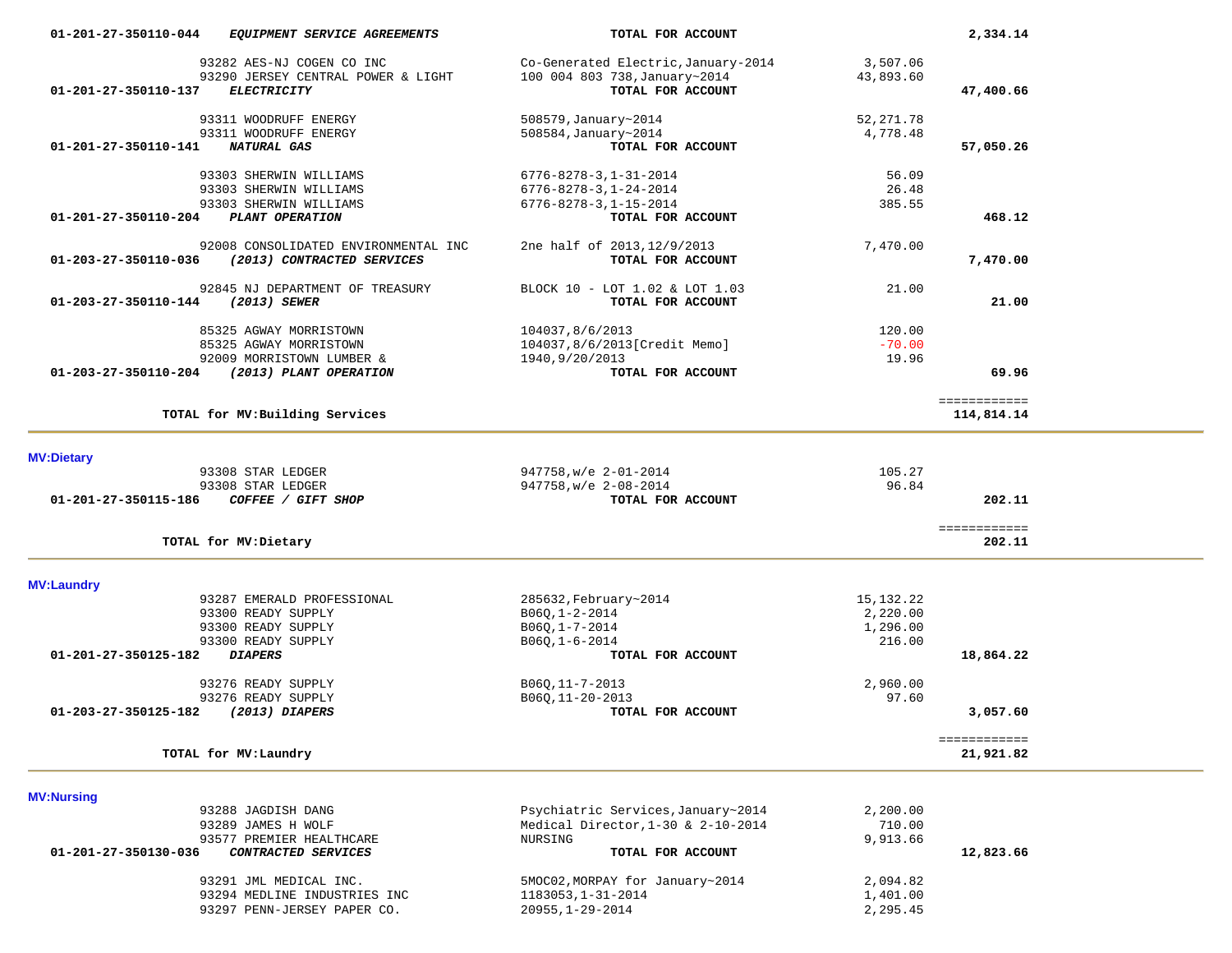| 01-201-27-350110-044 | EQUIPMENT SERVICE AGREEMENTS                    | TOTAL FOR ACCOUNT                     |                   | 2,334.14                  |  |
|----------------------|-------------------------------------------------|---------------------------------------|-------------------|---------------------------|--|
|                      | 93282 AES-NJ COGEN CO INC                       | Co-Generated Electric, January-2014   | 3,507.06          |                           |  |
|                      | 93290 JERSEY CENTRAL POWER & LIGHT              | 100 004 803 738, January~2014         | 43,893.60         |                           |  |
| 01-201-27-350110-137 | <b>ELECTRICITY</b>                              | TOTAL FOR ACCOUNT                     |                   | 47,400.66                 |  |
|                      | 93311 WOODRUFF ENERGY                           | 508579, January~2014                  | 52,271.78         |                           |  |
|                      | 93311 WOODRUFF ENERGY                           | 508584, January~2014                  | 4,778.48          |                           |  |
| 01-201-27-350110-141 | <b>NATURAL GAS</b>                              | TOTAL FOR ACCOUNT                     |                   | 57,050.26                 |  |
|                      | 93303 SHERWIN WILLIAMS                          | $6776 - 8278 - 3, 1 - 31 - 2014$      | 56.09             |                           |  |
|                      | 93303 SHERWIN WILLIAMS                          | $6776 - 8278 - 3, 1 - 24 - 2014$      | 26.48             |                           |  |
|                      | 93303 SHERWIN WILLIAMS                          | $6776 - 8278 - 3, 1 - 15 - 2014$      | 385.55            |                           |  |
| 01-201-27-350110-204 | PLANT OPERATION                                 | TOTAL FOR ACCOUNT                     |                   | 468.12                    |  |
|                      | 92008 CONSOLIDATED ENVIRONMENTAL INC            | 2ne half of 2013, 12/9/2013           | 7,470.00          |                           |  |
| 01-203-27-350110-036 | (2013) CONTRACTED SERVICES                      | TOTAL FOR ACCOUNT                     |                   | 7,470.00                  |  |
|                      | 92845 NJ DEPARTMENT OF TREASURY                 | BLOCK 10 - LOT 1.02 & LOT 1.03        | 21.00             |                           |  |
| 01-203-27-350110-144 | (2013) SEWER                                    | TOTAL FOR ACCOUNT                     |                   | 21.00                     |  |
|                      | 85325 AGWAY MORRISTOWN                          | 104037,8/6/2013                       | 120.00            |                           |  |
|                      | 85325 AGWAY MORRISTOWN                          | 104037,8/6/2013[Credit Memo]          | $-70.00$          |                           |  |
|                      | 92009 MORRISTOWN LUMBER &                       | 1940, 9/20/2013                       | 19.96             |                           |  |
| 01-203-27-350110-204 | (2013) PLANT OPERATION                          | TOTAL FOR ACCOUNT                     |                   | 69.96                     |  |
|                      |                                                 |                                       |                   | ============              |  |
|                      | TOTAL for MV: Building Services                 |                                       |                   | 114,814.14                |  |
|                      |                                                 |                                       |                   |                           |  |
| <b>MV:Dietary</b>    | 93308 STAR LEDGER                               | 947758, w/e 2-01-2014                 | 105.27            |                           |  |
|                      | 93308 STAR LEDGER                               | 947758, w/e 2-08-2014                 | 96.84             |                           |  |
| 01-201-27-350115-186 | COFFEE / GIFT SHOP                              | TOTAL FOR ACCOUNT                     |                   | 202.11                    |  |
|                      |                                                 |                                       |                   |                           |  |
|                      | TOTAL for MV: Dietary                           |                                       |                   | ============<br>202.11    |  |
| <b>MV:Laundry</b>    |                                                 |                                       |                   |                           |  |
|                      | 93287 EMERALD PROFESSIONAL                      | 285632, February~2014                 | 15,132.22         |                           |  |
|                      | 93300 READY SUPPLY                              | B06Q, 1-2-2014                        | 2,220.00          |                           |  |
|                      | 93300 READY SUPPLY                              | B060,1-7-2014                         | 1,296.00          |                           |  |
|                      | 93300 READY SUPPLY                              | $B06Q, 1-6-2014$                      | 216.00            |                           |  |
| 01-201-27-350125-182 | <b>DIAPERS</b>                                  | TOTAL FOR ACCOUNT                     |                   | 18,864.22                 |  |
|                      |                                                 |                                       |                   |                           |  |
|                      | 93276 READY SUPPLY                              | B06Q, 11-7-2013                       | 2,960.00<br>97.60 |                           |  |
| 01-203-27-350125-182 | 93276 READY SUPPLY<br>$(2013)$ DIAPERS          | B06Q, 11-20-2013<br>TOTAL FOR ACCOUNT |                   | 3,057.60                  |  |
|                      |                                                 |                                       |                   |                           |  |
|                      | TOTAL for MV: Laundry                           |                                       |                   | ============<br>21,921.82 |  |
|                      |                                                 |                                       |                   |                           |  |
| <b>MV:Nursing</b>    |                                                 |                                       |                   |                           |  |
|                      | 93288 JAGDISH DANG                              | Psychiatric Services, January~2014    | 2,200.00          |                           |  |
|                      | 93289 JAMES H WOLF                              | Medical Director, 1-30 & 2-10-2014    | 710.00            |                           |  |
| 01-201-27-350130-036 | 93577 PREMIER HEALTHCARE<br>CONTRACTED SERVICES | NURSING<br>TOTAL FOR ACCOUNT          | 9,913.66          | 12,823.66                 |  |
|                      |                                                 |                                       |                   |                           |  |
|                      | 93291 JML MEDICAL INC.                          | 5MOC02, MORPAY for January~2014       | 2,094.82          |                           |  |
|                      | 93294 MEDLINE INDUSTRIES INC                    | 1183053, 1-31-2014                    | 1,401.00          |                           |  |
|                      | 93297 PENN-JERSEY PAPER CO.                     | $20955, 1 - 29 - 2014$                | 2,295.45          |                           |  |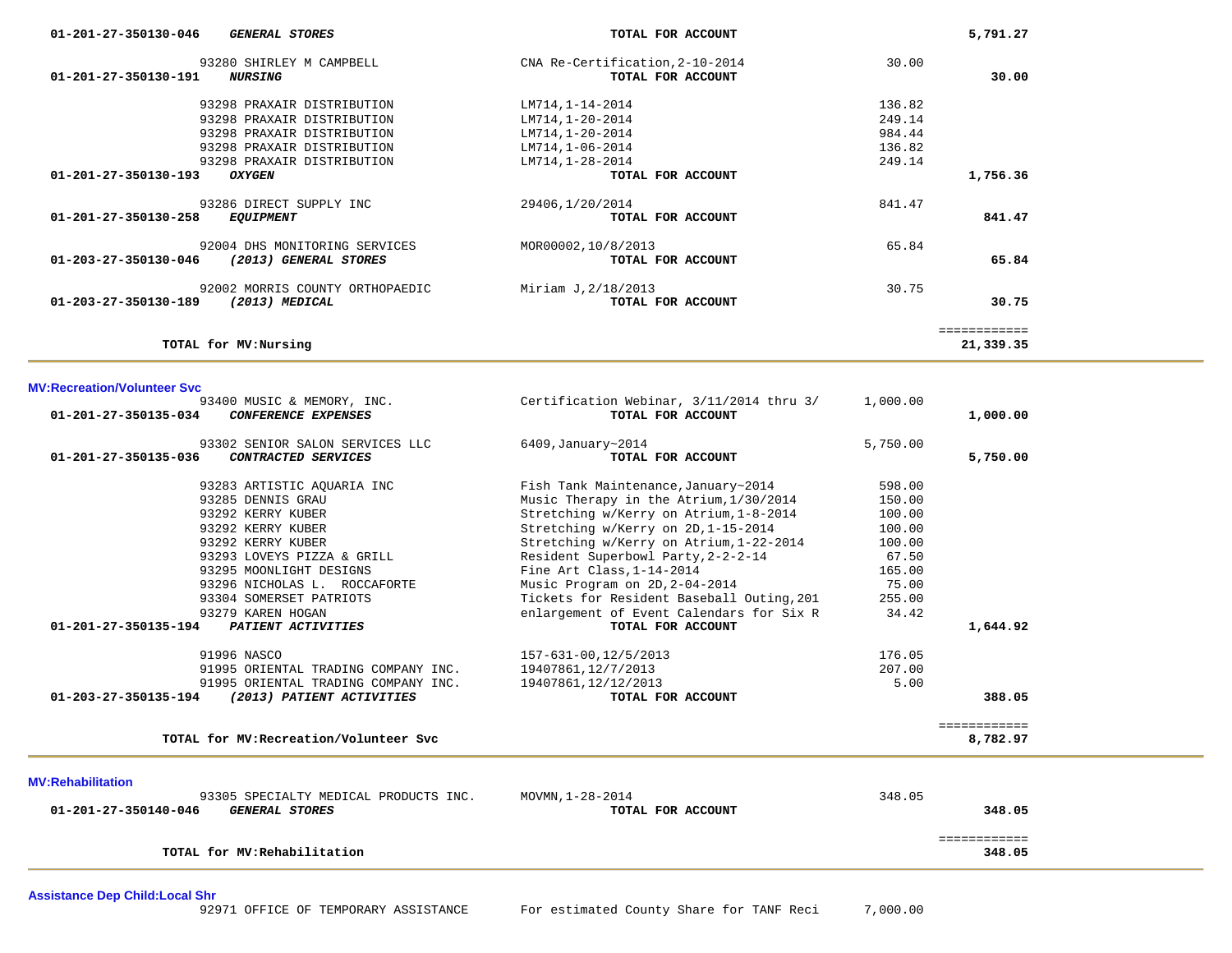| 01-201-27-350130-046<br><i>GENERAL STORES</i>                      | TOTAL FOR ACCOUNT                                    |        | 5,791.27     |
|--------------------------------------------------------------------|------------------------------------------------------|--------|--------------|
| 93280 SHIRLEY M CAMPBELL<br>01-201-27-350130-191<br><i>NURSING</i> | CNA Re-Certification, 2-10-2014<br>TOTAL FOR ACCOUNT | 30.00  | 30.00        |
| 93298 PRAXAIR DISTRIBUTION                                         | LM714, 1-14-2014                                     | 136.82 |              |
| 93298 PRAXAIR DISTRIBUTION                                         | LM714,1-20-2014                                      | 249.14 |              |
| 93298 PRAXAIR DISTRIBUTION                                         | LM714,1-20-2014                                      | 984.44 |              |
| 93298 PRAXAIR DISTRIBUTION                                         | LM714,1-06-2014                                      | 136.82 |              |
| 93298 PRAXAIR DISTRIBUTION                                         | LM714, 1-28-2014                                     | 249.14 |              |
| 01-201-27-350130-193<br><b>OXYGEN</b>                              | TOTAL FOR ACCOUNT                                    |        | 1,756.36     |
| 93286 DIRECT SUPPLY INC                                            | 29406,1/20/2014                                      | 841.47 |              |
| 01-201-27-350130-258<br><i>EQUIPMENT</i>                           | TOTAL FOR ACCOUNT                                    |        | 841.47       |
| 92004 DHS MONITORING SERVICES                                      | MOR00002,10/8/2013                                   | 65.84  |              |
| 01-203-27-350130-046<br>(2013) GENERAL STORES                      | TOTAL FOR ACCOUNT                                    |        | 65.84        |
| 92002 MORRIS COUNTY ORTHOPAEDIC                                    | Miriam J, 2/18/2013                                  | 30.75  |              |
| 01-203-27-350130-189<br>(2013) MEDICAL                             | TOTAL FOR ACCOUNT                                    |        | 30.75        |
|                                                                    |                                                      |        | ============ |
| TOTAL for MV: Nursing                                              |                                                      |        | 21,339.35    |

| <b>MV:Recreation/Volunteer Svc</b>                                               |                                                               |          |                          |
|----------------------------------------------------------------------------------|---------------------------------------------------------------|----------|--------------------------|
| 93400 MUSIC & MEMORY, INC.<br>01-201-27-350135-034<br><b>CONFERENCE EXPENSES</b> | Certification Webinar, 3/11/2014 thru 3/<br>TOTAL FOR ACCOUNT | 1,000.00 | 1,000.00                 |
|                                                                                  |                                                               |          |                          |
| 93302 SENIOR SALON SERVICES LLC                                                  | 6409, January~2014                                            | 5,750.00 |                          |
| $01 - 201 - 27 - 350135 - 036$<br>CONTRACTED SERVICES                            | TOTAL FOR ACCOUNT                                             |          | 5,750.00                 |
| 93283 ARTISTIC AOUARIA INC                                                       | Fish Tank Maintenance, January~2014                           | 598.00   |                          |
| 93285 DENNIS GRAU                                                                | Music Therapy in the Atrium, 1/30/2014                        | 150.00   |                          |
| 93292 KERRY KUBER                                                                | Stretching w/Kerry on Atrium, 1-8-2014                        | 100.00   |                          |
| 93292 KERRY KUBER                                                                | Stretching w/Kerry on 2D, 1-15-2014                           | 100.00   |                          |
| 93292 KERRY KUBER                                                                | Stretching w/Kerry on Atrium, 1-22-2014                       | 100.00   |                          |
| 93293 LOVEYS PIZZA & GRILL                                                       | Resident Superbowl Party, 2-2-2-14                            | 67.50    |                          |
| 93295 MOONLIGHT DESIGNS                                                          | Fine Art Class, 1-14-2014                                     | 165.00   |                          |
| 93296 NICHOLAS L. ROCCAFORTE                                                     | Music Program on 2D, 2-04-2014                                | 75.00    |                          |
| 93304 SOMERSET PATRIOTS                                                          | Tickets for Resident Baseball Outing, 201                     | 255.00   |                          |
| 93279 KAREN HOGAN                                                                | enlargement of Event Calendars for Six R                      | 34.42    |                          |
| 01-201-27-350135-194<br>PATIENT ACTIVITIES                                       | TOTAL FOR ACCOUNT                                             |          | 1,644.92                 |
| 91996 NASCO                                                                      | 157-631-00, 12/5/2013                                         | 176.05   |                          |
| 91995 ORIENTAL TRADING COMPANY INC.                                              | 19407861, 12/7/2013                                           | 207.00   |                          |
| 91995 ORIENTAL TRADING COMPANY INC.                                              | 19407861, 12/12/2013                                          | 5.00     |                          |
| 01-203-27-350135-194<br>(2013) PATIENT ACTIVITIES                                | TOTAL FOR ACCOUNT                                             |          | 388.05                   |
| TOTAL for MV: Recreation/Volunteer Svc                                           |                                                               |          | ============<br>8,782.97 |
|                                                                                  |                                                               |          |                          |
| <b>MV:Rehabilitation</b>                                                         |                                                               |          |                          |
| 93305 SPECIALTY MEDICAL PRODUCTS INC.                                            | MOVMN, 1-28-2014                                              | 348.05   |                          |
| 01-201-27-350140-046<br><b>GENERAL STORES</b>                                    | TOTAL FOR ACCOUNT                                             |          | 348.05                   |
|                                                                                  |                                                               |          |                          |

============

**TOTAL for MV:Rehabilitation 348.05**

**Assistance Dep Child:Local Shr**

348.05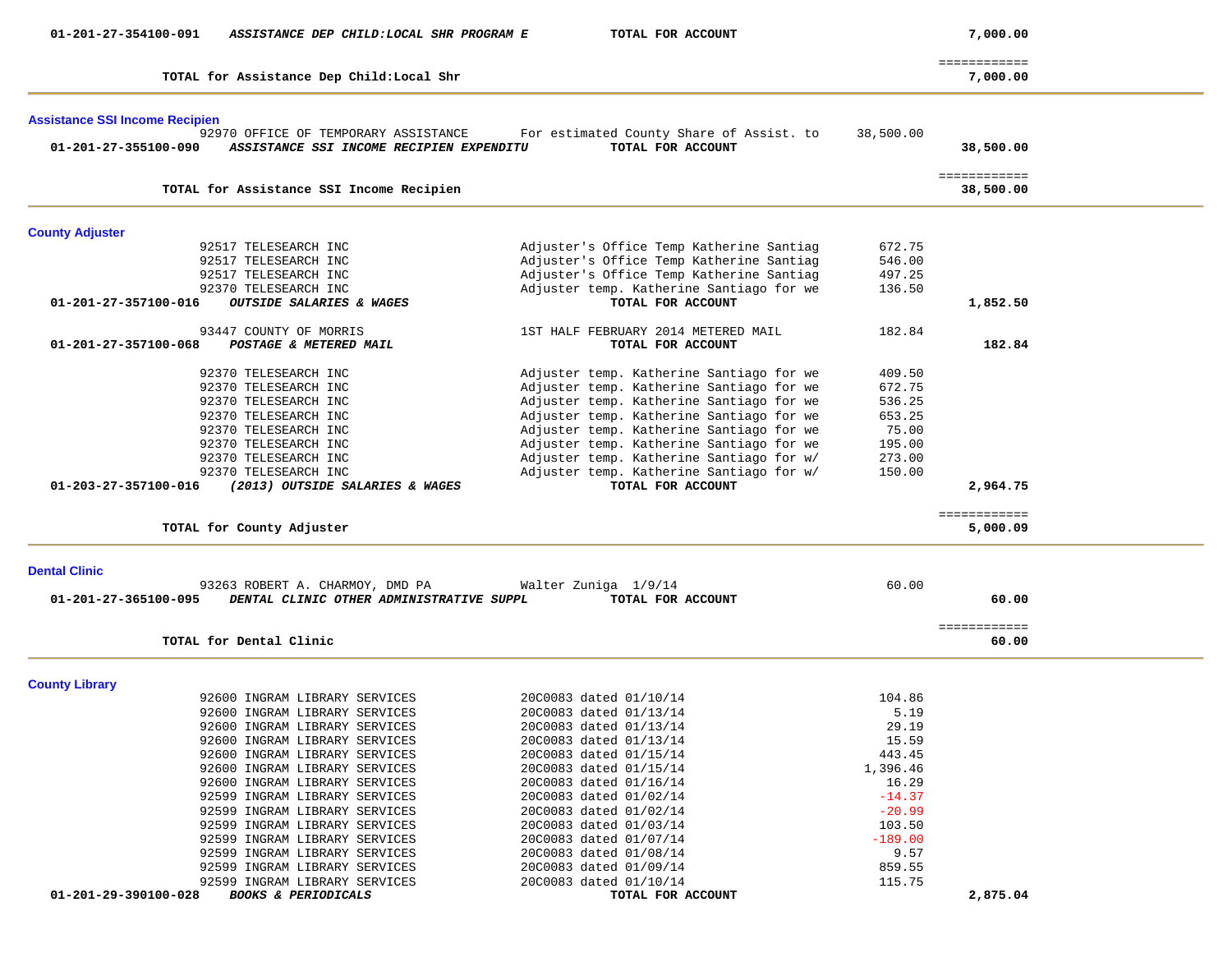| 01-201-27-354100-091                  | ASSISTANCE DEP CHILD: LOCAL SHR PROGRAM E                                   | TOTAL FOR ACCOUNT                                |                | 7,000.00                  |  |
|---------------------------------------|-----------------------------------------------------------------------------|--------------------------------------------------|----------------|---------------------------|--|
|                                       | TOTAL for Assistance Dep Child: Local Shr                                   |                                                  |                | ============<br>7,000.00  |  |
|                                       |                                                                             |                                                  |                |                           |  |
| <b>Assistance SSI Income Recipien</b> |                                                                             |                                                  |                |                           |  |
|                                       | 92970 OFFICE OF TEMPORARY ASSISTANCE                                        | For estimated County Share of Assist. to         | 38,500.00      |                           |  |
| 01-201-27-355100-090                  | ASSISTANCE SSI INCOME RECIPIEN EXPENDITU                                    | TOTAL FOR ACCOUNT                                |                | 38,500.00                 |  |
|                                       | TOTAL for Assistance SSI Income Recipien                                    |                                                  |                | ============<br>38,500.00 |  |
|                                       |                                                                             |                                                  |                |                           |  |
| <b>County Adjuster</b>                |                                                                             |                                                  |                |                           |  |
|                                       | 92517 TELESEARCH INC                                                        | Adjuster's Office Temp Katherine Santiag         | 672.75         |                           |  |
|                                       | 92517 TELESEARCH INC                                                        | Adjuster's Office Temp Katherine Santiag         | 546.00         |                           |  |
|                                       | 92517 TELESEARCH INC                                                        | Adjuster's Office Temp Katherine Santiag         | 497.25         |                           |  |
|                                       | 92370 TELESEARCH INC                                                        | Adjuster temp. Katherine Santiago for we         | 136.50         |                           |  |
| 01-201-27-357100-016                  | OUTSIDE SALARIES & WAGES                                                    | TOTAL FOR ACCOUNT                                |                | 1,852.50                  |  |
|                                       | 93447 COUNTY OF MORRIS                                                      | 1ST HALF FEBRUARY 2014 METERED MAIL              | 182.84         |                           |  |
| 01-201-27-357100-068                  | POSTAGE & METERED MAIL                                                      | TOTAL FOR ACCOUNT                                |                | 182.84                    |  |
|                                       | 92370 TELESEARCH INC                                                        | Adjuster temp. Katherine Santiago for we         | 409.50         |                           |  |
|                                       | 92370 TELESEARCH INC                                                        | Adjuster temp. Katherine Santiago for we         | 672.75         |                           |  |
|                                       | 92370 TELESEARCH INC                                                        | Adjuster temp. Katherine Santiago for we         | 536.25         |                           |  |
|                                       | 92370 TELESEARCH INC                                                        | Adjuster temp. Katherine Santiago for we         | 653.25         |                           |  |
|                                       | 92370 TELESEARCH INC                                                        | Adjuster temp. Katherine Santiago for we         | 75.00          |                           |  |
|                                       | 92370 TELESEARCH INC                                                        | Adjuster temp. Katherine Santiago for we         | 195.00         |                           |  |
|                                       | 92370 TELESEARCH INC                                                        | Adjuster temp. Katherine Santiago for w/         | 273.00         |                           |  |
|                                       | 92370 TELESEARCH INC                                                        | Adjuster temp. Katherine Santiago for w/         | 150.00         |                           |  |
| 01-203-27-357100-016                  | (2013) OUTSIDE SALARIES & WAGES                                             | TOTAL FOR ACCOUNT                                |                | 2,964.75                  |  |
|                                       |                                                                             |                                                  |                | ============              |  |
|                                       | TOTAL for County Adjuster                                                   |                                                  |                | 5,000.09                  |  |
|                                       |                                                                             |                                                  |                |                           |  |
| <b>Dental Clinic</b>                  |                                                                             |                                                  | 60.00          |                           |  |
| 01-201-27-365100-095                  | 93263 ROBERT A. CHARMOY, DMD PA<br>DENTAL CLINIC OTHER ADMINISTRATIVE SUPPL | Walter Zuniga 1/9/14<br>TOTAL FOR ACCOUNT        |                | 60.00                     |  |
|                                       |                                                                             |                                                  |                |                           |  |
|                                       | TOTAL for Dental Clinic                                                     |                                                  |                | ============<br>60.00     |  |
|                                       |                                                                             |                                                  |                |                           |  |
| <b>County Library</b>                 |                                                                             |                                                  |                |                           |  |
|                                       | 92600 INGRAM LIBRARY SERVICES                                               | 20C0083 dated 01/10/14                           | 104.86<br>5.19 |                           |  |
|                                       | 92600 INGRAM LIBRARY SERVICES                                               | 20C0083 dated 01/13/14<br>20C0083 dated 01/13/14 | 29.19          |                           |  |
|                                       | 92600 INGRAM LIBRARY SERVICES<br>92600 INGRAM LIBRARY SERVICES              | 20C0083 dated 01/13/14                           | 15.59          |                           |  |
|                                       | 92600 INGRAM LIBRARY SERVICES                                               | 20C0083 dated 01/15/14                           | 443.45         |                           |  |
|                                       | 92600 INGRAM LIBRARY SERVICES                                               | 20C0083 dated 01/15/14                           | 1,396.46       |                           |  |
|                                       | 92600 INGRAM LIBRARY SERVICES                                               | 20C0083 dated 01/16/14                           | 16.29          |                           |  |
|                                       | 92599 INGRAM LIBRARY SERVICES                                               | 20C0083 dated 01/02/14                           | $-14.37$       |                           |  |
|                                       | 92599 INGRAM LIBRARY SERVICES                                               | 20C0083 dated 01/02/14                           | $-20.99$       |                           |  |
|                                       | 92599 INGRAM LIBRARY SERVICES                                               | 20C0083 dated 01/03/14                           | 103.50         |                           |  |
|                                       | 92599 INGRAM LIBRARY SERVICES                                               | 20C0083 dated 01/07/14                           | $-189.00$      |                           |  |
|                                       |                                                                             |                                                  | 9.57           |                           |  |
|                                       | 92599 INGRAM LIBRARY SERVICES<br>92599 INGRAM LIBRARY SERVICES              | 20C0083 dated 01/08/14<br>20C0083 dated 01/09/14 | 859.55         |                           |  |
|                                       | 92599 INGRAM LIBRARY SERVICES                                               | 20C0083 dated 01/10/14                           | 115.75         |                           |  |
| 01-201-29-390100-028                  | <b>BOOKS &amp; PERIODICALS</b>                                              | TOTAL FOR ACCOUNT                                |                | 2,875.04                  |  |
|                                       |                                                                             |                                                  |                |                           |  |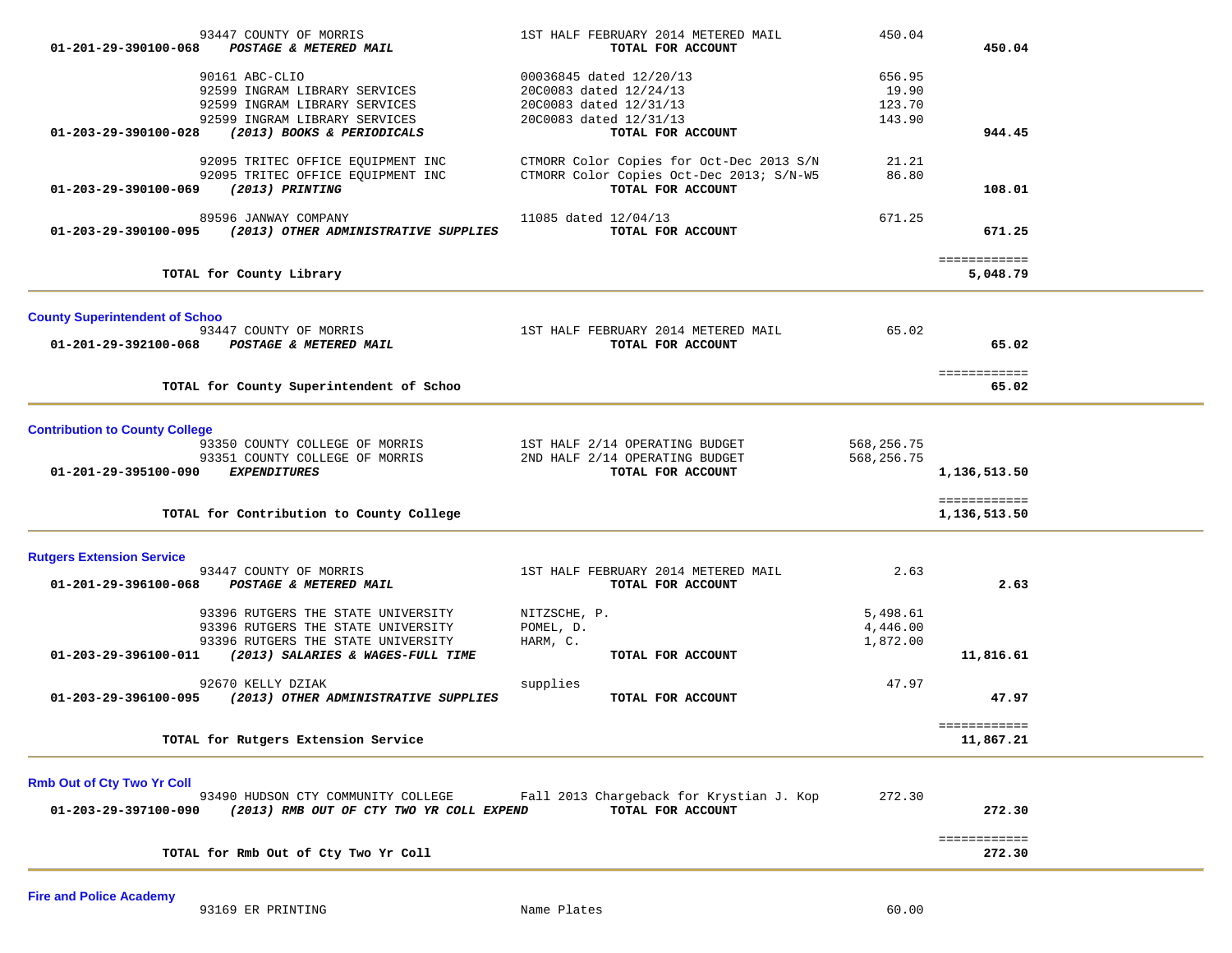| 01-201-29-390100-068                                          | 93447 COUNTY OF MORRIS<br><b>POSTAGE &amp; METERED MAIL</b>                                                                                                                                                                  | 1ST HALF FEBRUARY 2014 METERED MAIL<br>TOTAL FOR ACCOUNT                                                                   | 450.04                                   | 450.04                                       |  |
|---------------------------------------------------------------|------------------------------------------------------------------------------------------------------------------------------------------------------------------------------------------------------------------------------|----------------------------------------------------------------------------------------------------------------------------|------------------------------------------|----------------------------------------------|--|
| 01-203-29-390100-028                                          | 90161 ABC-CLIO<br>92599 INGRAM LIBRARY SERVICES<br>92599 INGRAM LIBRARY SERVICES<br>92599 INGRAM LIBRARY SERVICES<br>(2013) BOOKS & PERIODICALS                                                                              | 00036845 dated 12/20/13<br>20C0083 dated 12/24/13<br>20C0083 dated 12/31/13<br>20C0083 dated 12/31/13<br>TOTAL FOR ACCOUNT | 656.95<br>19.90<br>123.70<br>143.90      | 944.45                                       |  |
| 01-203-29-390100-069                                          | 92095 TRITEC OFFICE EQUIPMENT INC<br>92095 TRITEC OFFICE EQUIPMENT INC<br>(2013) PRINTING                                                                                                                                    | CTMORR Color Copies for Oct-Dec 2013 S/N<br>CTMORR Color Copies Oct-Dec 2013; S/N-W5<br>TOTAL FOR ACCOUNT                  | 21.21<br>86.80                           | 108.01                                       |  |
| 01-203-29-390100-095                                          | 89596 JANWAY COMPANY<br>(2013) OTHER ADMINISTRATIVE SUPPLIES                                                                                                                                                                 | 11085 dated 12/04/13<br>TOTAL FOR ACCOUNT                                                                                  | 671.25                                   | 671.25                                       |  |
|                                                               | TOTAL for County Library                                                                                                                                                                                                     |                                                                                                                            |                                          | ============<br>5,048.79                     |  |
| <b>County Superintendent of Schoo</b><br>01-201-29-392100-068 | 93447 COUNTY OF MORRIS<br><b>POSTAGE &amp; METERED MAIL</b>                                                                                                                                                                  | 1ST HALF FEBRUARY 2014 METERED MAIL<br>TOTAL FOR ACCOUNT                                                                   | 65.02                                    | 65.02<br>============                        |  |
|                                                               | TOTAL for County Superintendent of Schoo                                                                                                                                                                                     |                                                                                                                            |                                          | 65.02                                        |  |
| <b>Contribution to County College</b><br>01-201-29-395100-090 | 93350 COUNTY COLLEGE OF MORRIS<br>93351 COUNTY COLLEGE OF MORRIS<br><b>EXPENDITURES</b><br>TOTAL for Contribution to County College                                                                                          | 1ST HALF 2/14 OPERATING BUDGET<br>2ND HALF 2/14 OPERATING BUDGET<br>TOTAL FOR ACCOUNT                                      | 568,256.75<br>568,256.75                 | 1,136,513.50<br>============<br>1,136,513.50 |  |
| <b>Rutgers Extension Service</b><br>01-201-29-396100-068      | 93447 COUNTY OF MORRIS<br>POSTAGE & METERED MAIL<br>93396 RUTGERS THE STATE UNIVERSITY<br>93396 RUTGERS THE STATE UNIVERSITY<br>93396 RUTGERS THE STATE UNIVERSITY<br>01-203-29-396100-011 (2013) SALARIES & WAGES-FULL TIME | 1ST HALF FEBRUARY 2014 METERED MAIL<br>TOTAL FOR ACCOUNT<br>NITZSCHE, P.<br>POMEL, D.<br>HARM, C.<br>TOTAL FOR ACCOUNT     | 2.63<br>5,498.61<br>4,446.00<br>1,872.00 | 2.63<br>11,816.61                            |  |
| 01-203-29-396100-095                                          | 92670 KELLY DZIAK<br>(2013) OTHER ADMINISTRATIVE SUPPLIES                                                                                                                                                                    | supplies<br>TOTAL FOR ACCOUNT                                                                                              | 47.97                                    | 47.97                                        |  |
|                                                               | TOTAL for Rutgers Extension Service                                                                                                                                                                                          |                                                                                                                            |                                          | ============<br>11,867.21                    |  |
| <b>Rmb Out of Cty Two Yr Coll</b><br>01-203-29-397100-090     | 93490 HUDSON CTY COMMUNITY COLLEGE<br>(2013) RMB OUT OF CTY TWO YR COLL EXPEND                                                                                                                                               | Fall 2013 Chargeback for Krystian J. Kop<br>TOTAL FOR ACCOUNT                                                              | 272.30                                   | 272.30<br>============                       |  |
|                                                               | TOTAL for Rmb Out of Cty Two Yr Coll                                                                                                                                                                                         |                                                                                                                            |                                          | 272.30                                       |  |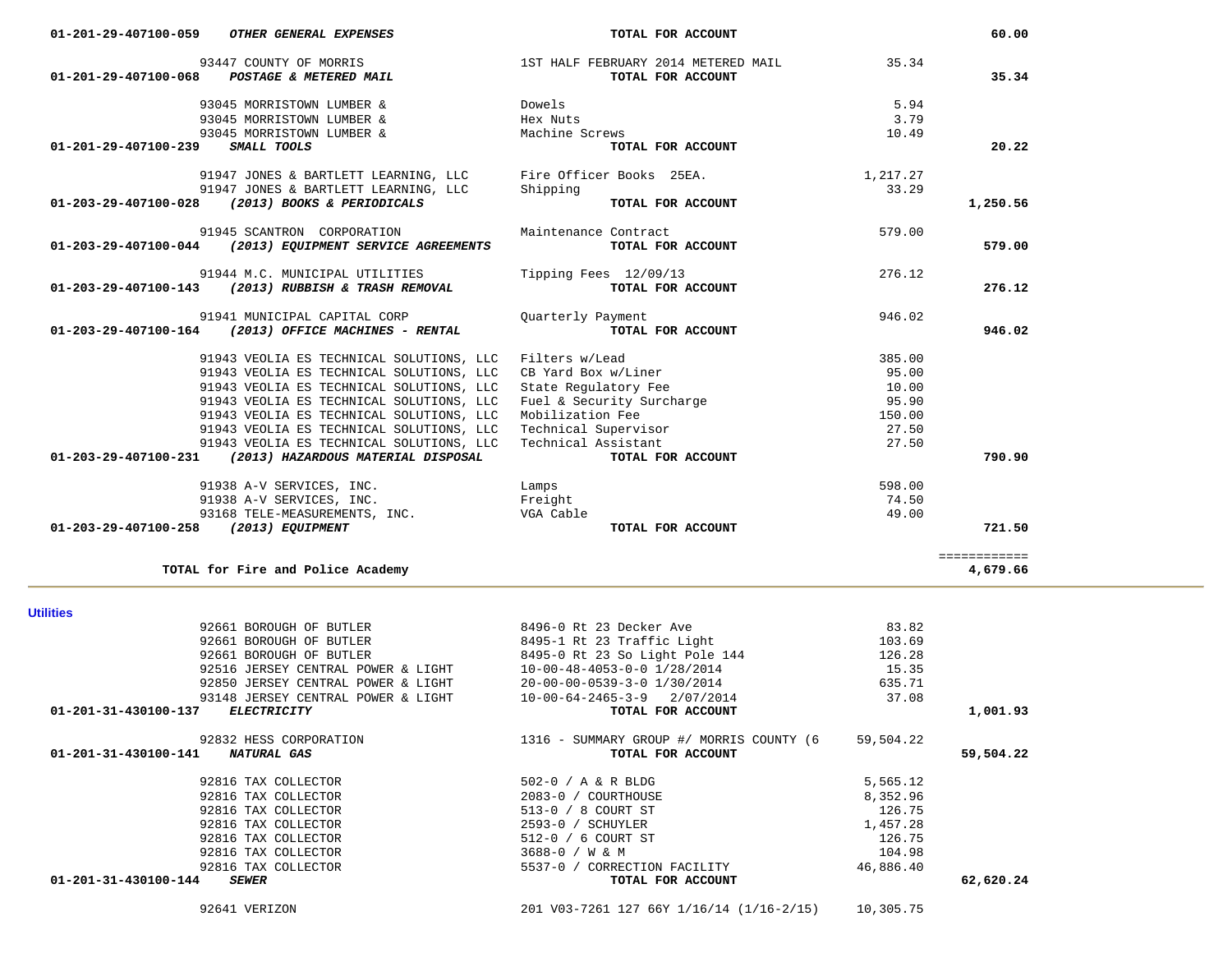92641 VERIZON 201 V03-7261 127 66Y 1/16/14 (1/16-2/15) 10,305.75

| <b>Utilities</b>                              |                                            |           |           |
|-----------------------------------------------|--------------------------------------------|-----------|-----------|
| 92661 BOROUGH OF BUTLER                       | 8496-0 Rt 23 Decker Ave                    | 83.82     |           |
| 92661 BOROUGH OF BUTLER                       | 8495-1 Rt 23 Traffic Light                 | 103.69    |           |
| 92661 BOROUGH OF BUTLER                       | 8495-0 Rt 23 So Light Pole 144             | 126.28    |           |
| 92516 JERSEY CENTRAL POWER & LIGHT            | $10 - 00 - 48 - 4053 - 0 - 0$ $1/28/2014$  | 15.35     |           |
| 92850 JERSEY CENTRAL POWER & LIGHT            | 20-00-00-0539-3-0 1/30/2014                | 635.71    |           |
| 93148 JERSEY CENTRAL POWER & LIGHT            | $10 - 00 - 64 - 2465 - 3 - 9$<br>2/07/2014 | 37.08     |           |
| 01-201-31-430100-137<br><b>ELECTRICITY</b>    | TOTAL FOR ACCOUNT                          |           | 1,001.93  |
| 92832 HESS CORPORATION                        | 1316 - SUMMARY GROUP #/ MORRIS COUNTY (6   | 59,504.22 |           |
| $01 - 201 - 31 - 430100 - 141$<br>NATURAL GAS | TOTAL FOR ACCOUNT                          |           | 59,504.22 |
| 92816 TAX COLLECTOR                           | 502-0 / A & R BLDG                         | 5,565.12  |           |
| 92816 TAX COLLECTOR                           | 2083-0 / COURTHOUSE                        | 8,352.96  |           |
| 92816 TAX COLLECTOR                           | 513-0 / 8 COURT ST                         | 126.75    |           |
| 92816 TAX COLLECTOR                           | 2593-0 / SCHUYLER                          | 1,457.28  |           |
| 92816 TAX COLLECTOR                           | 512-0 / 6 COURT ST                         | 126.75    |           |
| 92816 TAX COLLECTOR                           | 3688-0 / W & M                             | 104.98    |           |
| 92816 TAX COLLECTOR                           | $5537 - 0$ /<br>CORRECTION FACILITY        | 46,886.40 |           |
| 01-201-31-430100-144<br><b>SEWER</b>          | TOTAL FOR ACCOUNT                          |           | 62,620.24 |
|                                               |                                            |           |           |

| ш | ľ |  |  |
|---|---|--|--|
|   |   |  |  |

| 91944 M.C. MUNICIPAL UTILITIES<br>(2013) RUBBISH & TRASH REMOVAL<br>01-203-29-407100-143 | Tipping Fees 12/09/13<br>TOTAL FOR ACCOUNT | 276.12<br>276.12 |
|------------------------------------------------------------------------------------------|--------------------------------------------|------------------|
| 91941 MUNICIPAL CAPITAL CORP<br>(2013) OFFICE MACHINES - RENTAL<br>01-203-29-407100-164  | Quarterly Payment<br>TOTAL FOR ACCOUNT     | 946.02<br>946.02 |
| 91943 VEOLIA ES TECHNICAL SOLUTIONS, LLC                                                 | Filters w/Lead                             | 385.00           |
| 91943 VEOLIA ES TECHNICAL SOLUTIONS, LLC                                                 | CB Yard Box w/Liner                        | 95.00            |
| 91943 VEOLIA ES TECHNICAL SOLUTIONS, LLC                                                 | State Regulatory Fee                       | 10.00            |
| 91943 VEOLIA ES TECHNICAL SOLUTIONS, LLC                                                 | Fuel & Security Surcharge                  | 95.90            |
| 91943 VEOLIA ES TECHNICAL SOLUTIONS, LLC                                                 | Mobilization Fee                           | 150.00           |
| 91943 VEOLIA ES TECHNICAL SOLUTIONS, LLC                                                 | Technical Supervisor                       | 27.50            |
| 91943 VEOLIA ES TECHNICAL SOLUTIONS, LLC                                                 | Technical Assistant                        | 27.50            |
| (2013) HAZARDOUS MATERIAL DISPOSAL<br>01-203-29-407100-231                               | TOTAL FOR ACCOUNT                          | 790.90           |
| 91938 A-V SERVICES, INC.                                                                 | Lamps                                      | 598.00           |
| 91938 A-V SERVICES, INC.                                                                 | Freight                                    | 74.50            |
| 93168 TELE-MEASUREMENTS, INC.                                                            | VGA Cable                                  | 49.00            |
| 01-203-29-407100-258<br>(2013) EQUIPMENT                                                 | TOTAL FOR ACCOUNT                          | 721.50           |
|                                                                                          |                                            |                  |
| TOTAL for Fire and Police Academy                                                        |                                            | 4,679.66         |

| 01-201-29-407100-059<br><i>OTHER GENERAL EXPENSES</i>                    | TOTAL FOR ACCOUNT                                        |               | 60.00    |
|--------------------------------------------------------------------------|----------------------------------------------------------|---------------|----------|
| 93447 COUNTY OF MORRIS<br>01-201-29-407100-068<br>POSTAGE & METERED MAIL | 1ST HALF FEBRUARY 2014 METERED MAIL<br>TOTAL FOR ACCOUNT | 35.34         | 35.34    |
| 93045 MORRISTOWN LUMBER &                                                | Dowels                                                   | 5.94          |          |
| 93045 MORRISTOWN LUMBER &<br>93045 MORRISTOWN LUMBER &                   | Hex Nuts<br>Machine Screws                               | 3.79<br>10.49 |          |
| 01-201-29-407100-239<br>SMALL TOOLS                                      | TOTAL FOR ACCOUNT                                        |               | 20.22    |
| 91947 JONES & BARTLETT LEARNING, LLC                                     | Fire Officer Books 25EA.                                 | 1,217.27      |          |
| 91947 JONES & BARTLETT LEARNING, LLC                                     | Shipping                                                 | 33.29         |          |
| 01-203-29-407100-028<br>(2013) BOOKS & PERIODICALS                       | TOTAL FOR ACCOUNT                                        |               | 1,250.56 |
| 91945 SCANTRON CORPORATION                                               | Maintenance Contract                                     | 579.00        |          |
| 01-203-29-407100-044<br>(2013) EQUIPMENT SERVICE AGREEMENTS              | TOTAL FOR ACCOUNT                                        |               | 579.00   |
| 91944 M.C. MUNICIPAL UTILITIES                                           | Tipping Fees 12/09/13                                    | 276.12        |          |
| 01-203-29-407100-143<br>(2013) RUBBISH & TRASH REMOVAL                   | TOTAL FOR ACCOUNT                                        |               | 276.12   |
| 91941 MUNICIPAL CAPITAL CORP                                             | Ouarterly Payment                                        | 946.02        |          |
| 01-203-29-407100-164<br>(2013) OFFICE MACHINES - RENTAL                  | TOTAL FOR ACCOUNT                                        |               | 946.02   |
|                                                                          |                                                          |               |          |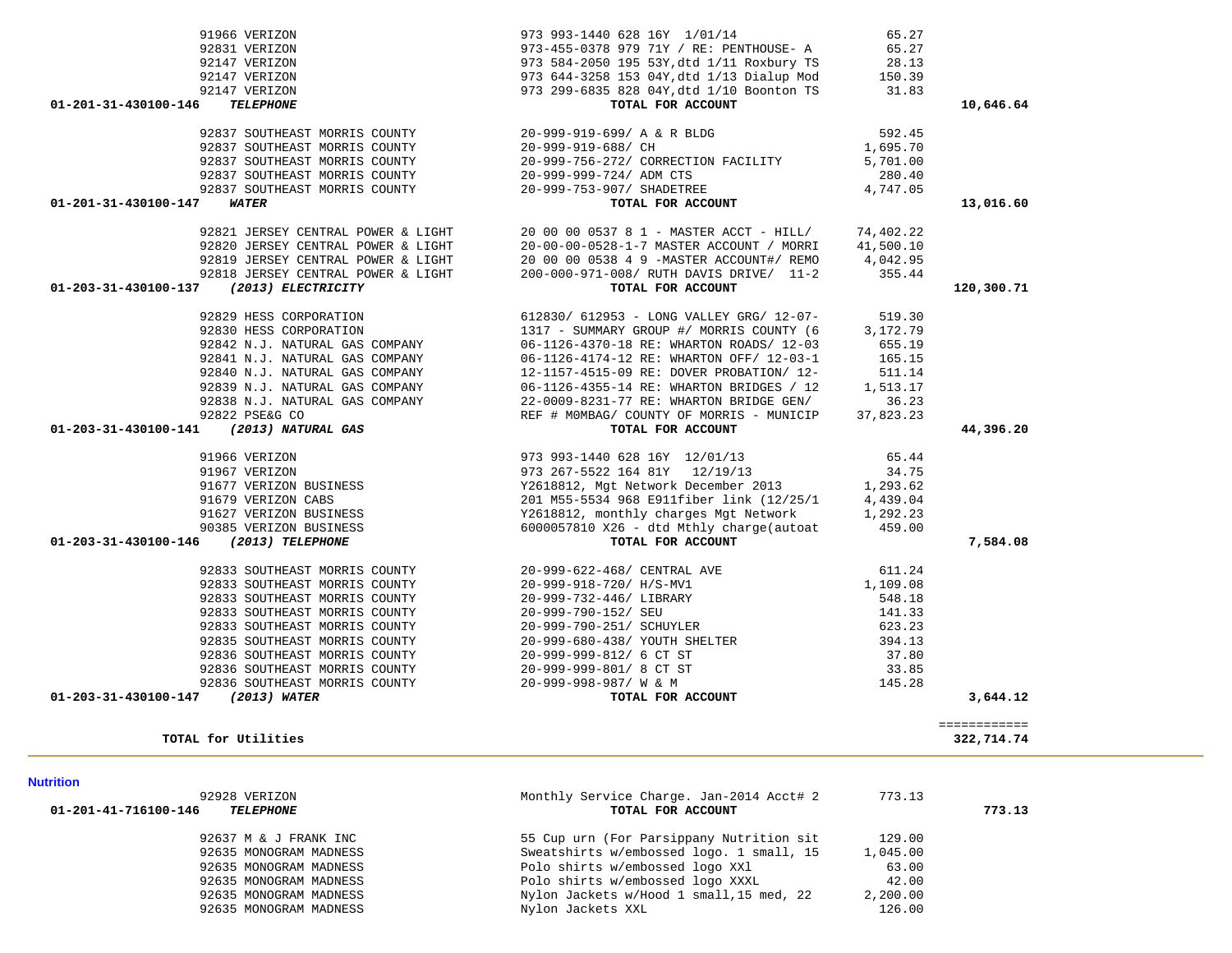| <b>Nutrition</b>                                          |                                                               |          |        |
|-----------------------------------------------------------|---------------------------------------------------------------|----------|--------|
| 92928 VERIZON<br>01-201-41-716100-146<br><b>TELEPHONE</b> | Monthly Service Charge. Jan-2014 Acct# 2<br>TOTAL FOR ACCOUNT | 773.13   | 773.13 |
| 92637 M & J FRANK INC                                     | 55 Cup urn (For Parsippany Nutrition sit                      | 129.00   |        |
| 92635 MONOGRAM MADNESS                                    | Sweatshirts w/embossed logo. 1 small, 15                      | 1,045.00 |        |
| 92635 MONOGRAM MADNESS                                    | Polo shirts w/embossed logo XXl                               | 63.00    |        |
| 92635 MONOGRAM MADNESS                                    | Polo shirts w/embossed logo XXXL                              | 42.00    |        |
| 92635 MONOGRAM MADNESS                                    | Nylon Jackets w/Hood 1 small, 15 med, 22                      | 2,200.00 |        |
| 92635 MONOGRAM MADNESS                                    | Nylon Jackets XXL                                             | 126.00   |        |

| 92820 JERSEY CENTRAL POWER & LIGHT                                | 20-00-00-0528-1-7 MASTER ACCOUNT / MORRI 41,500.10                                                                                                                 |        |            |
|-------------------------------------------------------------------|--------------------------------------------------------------------------------------------------------------------------------------------------------------------|--------|------------|
|                                                                   | 92819 JERSEY CENTRAL POWER & LIGHT<br>92818 JERSEY CENTRAL POWER & LIGHT<br>92818 JERSEY CENTRAL POWER & LIGHT<br>920-000-971-008/RUTH DAVIS DRIVE/ 11-2<br>955.44 |        |            |
|                                                                   |                                                                                                                                                                    |        |            |
| (2013) ELECTRICITY<br>01-203-31-430100-137                        | TOTAL FOR ACCOUNT                                                                                                                                                  |        | 120,300.71 |
|                                                                   |                                                                                                                                                                    |        |            |
|                                                                   |                                                                                                                                                                    |        |            |
| 92830 HESS CORPORATION                                            | 1317 - SUMMARY GROUP #/ MORRIS COUNTY (6 3,172.79                                                                                                                  |        |            |
| 92842 N.J. NATURAL GAS COMPANY                                    | 06-1126-4370-18 RE: WHARTON ROADS/ 12-03 655.19<br>06-1126-4174-12 RE: WHARTON OFF/ 12-03-1 165.15                                                                 |        |            |
| 92841 N.J. NATURAL GAS COMPANY                                    |                                                                                                                                                                    |        |            |
| 92840 N.J. NATURAL GAS COMPANY                                    | 12-1157-4515-09 RE: DOVER PROBATION/ 12- 511.14                                                                                                                    |        |            |
| 92839 N.J. NATURAL GAS COMPANY                                    | 06-1126-4355-14 RE: WHARTON BRIDGES / 12 1,513.17                                                                                                                  |        |            |
|                                                                   | 92838 N.J. NATURAL GAS COMPANY 22-0009-8231-77 RE: WHARTON BRIDGE GEN/ 36.23                                                                                       |        |            |
|                                                                   | REF # MOMBAG/ COUNTY OF MORRIS - MUNICIP 37,823.23                                                                                                                 |        |            |
| $2022$ FORMS CO<br>01-203-31-430100-141 (2013) NATURAL GAS        | TOTAL FOR ACCOUNT                                                                                                                                                  |        | 44,396.20  |
|                                                                   |                                                                                                                                                                    |        |            |
| 91966 VERIZON                                                     | 973 993-1440 628 16Y 12/01/13 65.44                                                                                                                                |        |            |
| 91967 VERIZON                                                     | 973 267-5522 164 81Y 12/19/13 34.75                                                                                                                                |        |            |
| 91967 VERIZON<br>91679 VERIZON BUSINESS<br>91627 VERIZON BUSINESS | Y2618812, Mgt Network December 2013 1,293.62                                                                                                                       |        |            |
|                                                                   | 201 M55-5534 968 E911fiber link (12/25/1 4,439.04                                                                                                                  |        |            |
|                                                                   | Y2618812, monthly charges Mgt Network 1,292.23                                                                                                                     |        |            |
| 90385 VERIZON BUSINESS                                            | 6000057810 X26 - dtd Mthly charge(autoat 459.00                                                                                                                    |        |            |
| 01-203-31-430100-146<br>(2013) TELEPHONE                          | TOTAL FOR ACCOUNT                                                                                                                                                  |        | 7,584.08   |
|                                                                   |                                                                                                                                                                    |        |            |
|                                                                   | 92833 SOUTHEAST MORRIS COUNTY 20-999-622-468/ CENTRAL AVE 611.24                                                                                                   |        |            |
| 92833 SOUTHEAST MORRIS COUNTY                                     | $20-999-918-720/$ H/S-MV1 $1,109.08$                                                                                                                               |        |            |
| 92833 SOUTHEAST MORRIS COUNTY                                     | 20-999-732-446/ LIBRARY                                                                                                                                            | 548.18 |            |
| 92833 SOUTHEAST MORRIS COUNTY                                     | 20-999-790-152/ SEU                                                                                                                                                | 141.33 |            |
| 92833 SOUTHEAST MORRIS COUNTY                                     | 20-999-790-251/ SCHUYLER 623.23                                                                                                                                    |        |            |
| 92835 SOUTHEAST MORRIS COUNTY                                     | 20-999-680-438/ YOUTH SHELTER                                                                                                                                      | 394.13 |            |
| 92836 SOUTHEAST MORRIS COUNTY                                     | 20-999-999-812/ 6 CT ST                                                                                                                                            | 37.80  |            |
| 92836 SOUTHEAST MORRIS COUNTY                                     | $20-999-999-801/8$ CT ST 33.85<br>$20-999-998-987/ W & M$ 145.28                                                                                                   |        |            |
| 92836 SOUTHEAST MORRIS COUNTY                                     |                                                                                                                                                                    |        |            |

91966 VERIZON 973 993-1440 628 16Y 1/01/14 65.27

### 01-201-31-430100-147 *WATER*

| 92837 SOUTHEAST MORRIS COUNTY |  |
|-------------------------------|--|
| 92837 SOUTHEAST MORRIS COUNTY |  |
| 92837 SOUTHEAST MORRIS COUNTY |  |
| 92837 SOUTHEAST MORRIS COUNTY |  |
| 92837 SOUTHEAST MORRIS COUNTY |  |
|                               |  |

### 92147 VERIZON 97<br>92147 VERIZON 97 92147 VERIZON 97<br>92147 VERIZON 97 92147 VERIZON 01-201-31-430100-146 *TELEPHONE*

|            |              | 973-455-0378 979 71Y / RE: PENTHOUSE- A 65.27<br>973 584-2050 195 53Y, dtd 1/11 Roxbury TS 28.13<br>973 644-3258 153 04Y, dtd 1/13 Dialup Mod 150.39<br>973 299-6835 828 04Y, dtd 1/10 Boonton TS 31.83<br>TOTAL FOR ACCOUNT                   | 92831 VERIZON                                            |
|------------|--------------|------------------------------------------------------------------------------------------------------------------------------------------------------------------------------------------------------------------------------------------------|----------------------------------------------------------|
|            |              |                                                                                                                                                                                                                                                | 92147 VERIZON                                            |
|            |              |                                                                                                                                                                                                                                                | 92147 VERIZON                                            |
|            |              |                                                                                                                                                                                                                                                | 92147 VERIZON                                            |
| 10,646.64  |              | TOTAL FOR ACCOUNT                                                                                                                                                                                                                              | 01-201-31-430100-146<br><b>TELEPHONE</b>                 |
|            | 592.45       | 92837 SOUTHEAST MORRIS COUNTY $920-999-919-699/$ A & R BLDG<br>92837 SOUTHEAST MORRIS COUNTY $20-999-919-688/$ CH                                                                                                                              |                                                          |
|            | 1,695.70     |                                                                                                                                                                                                                                                |                                                          |
|            | 5,701.00     | 92837 SOUTHEAST MORRIS COUNTY $20-999-756-272/$ CORRECTION FACILITY<br>92837 SOUTHEAST MORRIS COUNTY $20-999-999-724/$ ADM CTS                                                                                                                 |                                                          |
|            | 280.40       |                                                                                                                                                                                                                                                |                                                          |
|            | 4,747.05     |                                                                                                                                                                                                                                                | 92837 SOUTHEAST MORRIS COUNTY 20-999-753-907/ SHADETREE  |
| 13,016.60  |              | <b>TOTAL FOR ACCOUNT</b>                                                                                                                                                                                                                       | 01-201-31-430100-147<br><b>WATER</b>                     |
|            |              |                                                                                                                                                                                                                                                |                                                          |
|            |              | 92821 JERSEY CENTRAL POWER & LIGHT 20 00 00 0537 8 1 - MASTER ACCT - HILL/ 74,402.22<br>92820 JERSEY CENTRAL POWER & LIGHT 20-00-00-0528-1-7 MASTER ACCOUNT / MORRI 41,500.10                                                                  |                                                          |
|            |              | 92819 JERSEY CENTRAL POWER & LIGHT $20000053849$ -MASTER ACCOUNT#/REMO $4,042.95$<br>92818 JERSEY CENTRAL POWER & LIGHT $200-000-971-008$ /RUTH DAVIS DRIVE/ 11-2 355.44                                                                       |                                                          |
|            |              |                                                                                                                                                                                                                                                |                                                          |
| 120,300.71 |              | TOTAL FOR ACCOUNT                                                                                                                                                                                                                              | 01-203-31-430100-137 (2013) ELECTRICITY                  |
|            | 519.30       | 612830/ 612953 - LONG VALLEY GRG/ 12-07-                                                                                                                                                                                                       | 92829 HESS CORPORATION                                   |
|            | 3,172.79     | 1317 - SUMMARY GROUP #/ MORRIS COUNTY (6                                                                                                                                                                                                       |                                                          |
|            | 655.19       | 06-1126-4370-18 RE: WHARTON ROADS/ 12-03                                                                                                                                                                                                       | 92830 HESS CORPORATION<br>92842 N.J. NATURAL GAS COMPANY |
|            | 165.15       |                                                                                                                                                                                                                                                |                                                          |
|            | 511.14       |                                                                                                                                                                                                                                                |                                                          |
|            | 1,513.17     |                                                                                                                                                                                                                                                |                                                          |
|            | 36.23        |                                                                                                                                                                                                                                                |                                                          |
|            | 37,823.23    |                                                                                                                                                                                                                                                |                                                          |
| 44,396.20  |              | 92841 N.J. NATURAL GAS COMPANY<br>92840 N.J. NATURAL GAS COMPANY<br>92840 N.J. NATURAL GAS COMPANY<br>92839 N.J. NATURAL GAS COMPANY<br>92839 N.J. NATURAL GAS COMPANY<br>92838 N.J. NATURAL GAS COMPANY<br>9282 PSE&G CO<br>12-1157-4515-09   | 01-203-31-430100-141 (2013) NATURAL GAS                  |
|            |              | 973 993-1440 628 16Y 12/01/13 65.44<br>973 993-1440 628 16Y 12/01/13 65.44<br>973 267-5522 164 81Y 12/19/13 34.75<br>91677 VERIZON BUSINESS Y2618812, Mgt Network December 2013 1,293.62<br>91627 VERIZON BUSINESS 201 M55-5534 968 E          |                                                          |
|            |              |                                                                                                                                                                                                                                                |                                                          |
|            |              |                                                                                                                                                                                                                                                |                                                          |
|            |              |                                                                                                                                                                                                                                                |                                                          |
|            |              |                                                                                                                                                                                                                                                |                                                          |
|            |              |                                                                                                                                                                                                                                                |                                                          |
| 7,584.08   |              | TOTAL FOR ACCOUNT                                                                                                                                                                                                                              | 01-203-31-430100-146 (2013) TELEPHONE                    |
|            |              |                                                                                                                                                                                                                                                |                                                          |
|            | 611.24       | 92833 SOUTHEAST MORRIS COUNTY $20-999-622-468$ / CENTRAL AVE<br>92833 SOUTHEAST MORRIS COUNTY 20-999-918-720/ H/S-MV1                                                                                                                          |                                                          |
|            | 1,109.08     | 20-999-918-720/ H/S-MV1                                                                                                                                                                                                                        | 92833 SOUTHEAST MORRIS COUNTY                            |
|            | 548.18       | 20-999-732-446/ LIBRARY                                                                                                                                                                                                                        | 92833 SOUTHEAST MORRIS COUNTY                            |
|            | 141.33       | 20-999-790-152/ SEU                                                                                                                                                                                                                            | 92833 SOUTHEAST MORRIS COUNTY                            |
|            | 623.23       |                                                                                                                                                                                                                                                |                                                          |
|            | 394.13       |                                                                                                                                                                                                                                                |                                                          |
|            | 37.80        |                                                                                                                                                                                                                                                |                                                          |
|            | 33.85        |                                                                                                                                                                                                                                                |                                                          |
|            | 145.28       |                                                                                                                                                                                                                                                |                                                          |
| 3,644.12   |              | 20-999-790-251/ SCHUYLER<br>20-999-680-438/ YOUTH SHELTER<br>20-999-680-438/ YOUTH SHELTER<br>20-999-999-812/ 6 CT ST<br>20-999-999-812/ 6 CT ST<br>20-999-999-801/ 8 CT ST<br>20-999-999-801/ 8 CT ST<br>20-999-999-801/ 8 CT ST<br>20-999-99 | 01-203-31-430100-147 (2013) WATER                        |
|            | ============ |                                                                                                                                                                                                                                                |                                                          |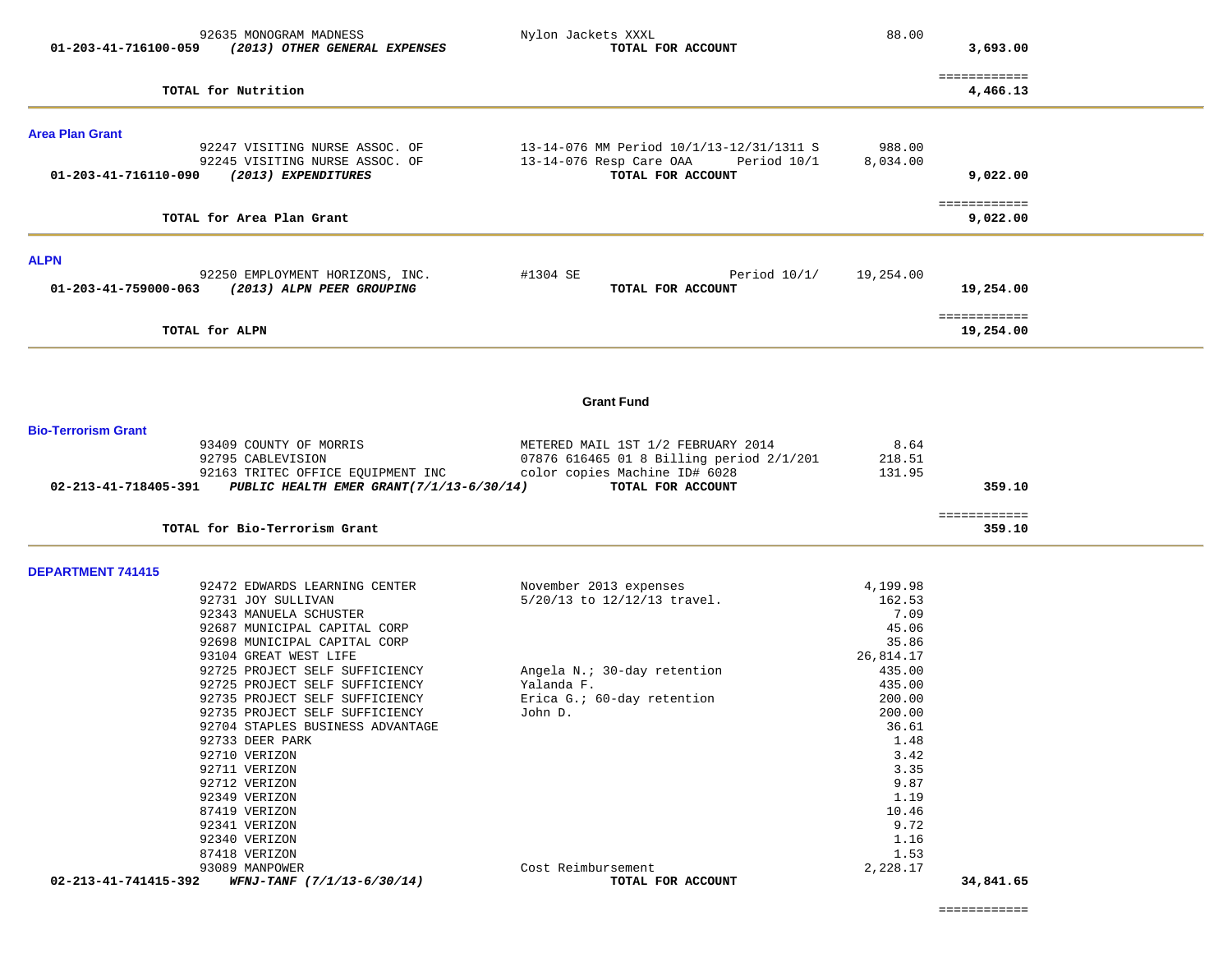| 01-203-41-716100-059       | 92635 MONOGRAM MADNESS<br>(2013) OTHER GENERAL EXPENSES                                 | Nylon Jackets XXXL<br>TOTAL FOR ACCOUNT                                                                 | 88.00              | 3,693.00                  |  |
|----------------------------|-----------------------------------------------------------------------------------------|---------------------------------------------------------------------------------------------------------|--------------------|---------------------------|--|
|                            | TOTAL for Nutrition                                                                     |                                                                                                         |                    | ============<br>4,466.13  |  |
| <b>Area Plan Grant</b>     |                                                                                         |                                                                                                         |                    |                           |  |
| 01-203-41-716110-090       | 92247 VISITING NURSE ASSOC. OF<br>92245 VISITING NURSE ASSOC. OF<br>(2013) EXPENDITURES | 13-14-076 MM Period 10/1/13-12/31/1311 S<br>13-14-076 Resp Care OAA<br>Period 10/1<br>TOTAL FOR ACCOUNT | 988.00<br>8,034.00 | 9,022.00                  |  |
|                            | TOTAL for Area Plan Grant                                                               |                                                                                                         |                    | ============<br>9,022.00  |  |
| <b>ALPN</b>                |                                                                                         |                                                                                                         |                    |                           |  |
| 01-203-41-759000-063       | 92250 EMPLOYMENT HORIZONS, INC.<br>(2013) ALPN PEER GROUPING                            | Period $10/1/$<br>#1304 SE<br>TOTAL FOR ACCOUNT                                                         | 19,254.00          | 19,254.00                 |  |
|                            | TOTAL for ALPN                                                                          |                                                                                                         |                    | ============<br>19,254.00 |  |
|                            |                                                                                         |                                                                                                         |                    |                           |  |
|                            |                                                                                         | <b>Grant Fund</b>                                                                                       |                    |                           |  |
| <b>Bio-Terrorism Grant</b> |                                                                                         |                                                                                                         |                    |                           |  |
|                            | 93409 COUNTY OF MORRIS<br>92795 CABLEVISION                                             | METERED MAIL 1ST 1/2 FEBRUARY 2014<br>07876 616465 01 8 Billing period 2/1/201                          | 8.64<br>218.51     |                           |  |
|                            | 92163 TRITEC OFFICE EQUIPMENT INC                                                       | color copies Machine ID# 6028                                                                           | 131.95             |                           |  |
| 02-213-41-718405-391       | PUBLIC HEALTH EMER GRANT(7/1/13-6/30/14)                                                | TOTAL FOR ACCOUNT                                                                                       |                    | 359.10                    |  |
|                            | TOTAL for Bio-Terrorism Grant                                                           |                                                                                                         |                    | ============<br>359.10    |  |
| <b>DEPARTMENT 741415</b>   |                                                                                         |                                                                                                         |                    |                           |  |
|                            | 92472 EDWARDS LEARNING CENTER<br>92731 JOY SULLIVAN                                     | November 2013 expenses<br>5/20/13 to 12/12/13 travel.                                                   | 4,199.98<br>162.53 |                           |  |
|                            | 92343 MANUELA SCHUSTER                                                                  |                                                                                                         | 7.09               |                           |  |
|                            | 92687 MUNICIPAL CAPITAL CORP                                                            |                                                                                                         | 45.06              |                           |  |
|                            | 92698 MUNICIPAL CAPITAL CORP                                                            |                                                                                                         | 35.86              |                           |  |
|                            | 93104 GREAT WEST LIFE                                                                   |                                                                                                         | 26,814.17          |                           |  |
|                            | 92725 PROJECT SELF SUFFICIENCY<br>92725 PROJECT SELF SUFFICIENCY                        | Angela N.; 30-day retention<br>Yalanda F.                                                               | 435.00<br>435.00   |                           |  |
|                            | 92735 PROJECT SELF SUFFICIENCY                                                          | Erica G.: 60-day retention                                                                              | 200.00             |                           |  |
|                            | 92735 PROJECT SELF SUFFICIENCY                                                          | John D.                                                                                                 | 200.00             |                           |  |
|                            | 92704 STAPLES BUSINESS ADVANTAGE                                                        |                                                                                                         | 36.61              |                           |  |
|                            | 92733 DEER PARK                                                                         |                                                                                                         | 1.48               |                           |  |
|                            | 92710 VERIZON<br>92711 VERIZON                                                          |                                                                                                         | 3.42<br>3.35       |                           |  |
|                            | 92712 VERIZON                                                                           |                                                                                                         | 9.87               |                           |  |
|                            | 92349 VERIZON                                                                           |                                                                                                         | 1.19               |                           |  |
|                            | 87419 VERIZON                                                                           |                                                                                                         | 10.46              |                           |  |
|                            | 92341 VERIZON                                                                           |                                                                                                         | 9.72               |                           |  |
|                            | 92340 VERIZON                                                                           |                                                                                                         | 1.16               |                           |  |
|                            | 87418 VERIZON<br>93089 MANPOWER                                                         | Cost Reimbursement                                                                                      | 1.53<br>2,228.17   |                           |  |
| 02-213-41-741415-392       | WFNJ-TANF (7/1/13-6/30/14)                                                              | TOTAL FOR ACCOUNT                                                                                       |                    | 34,841.65                 |  |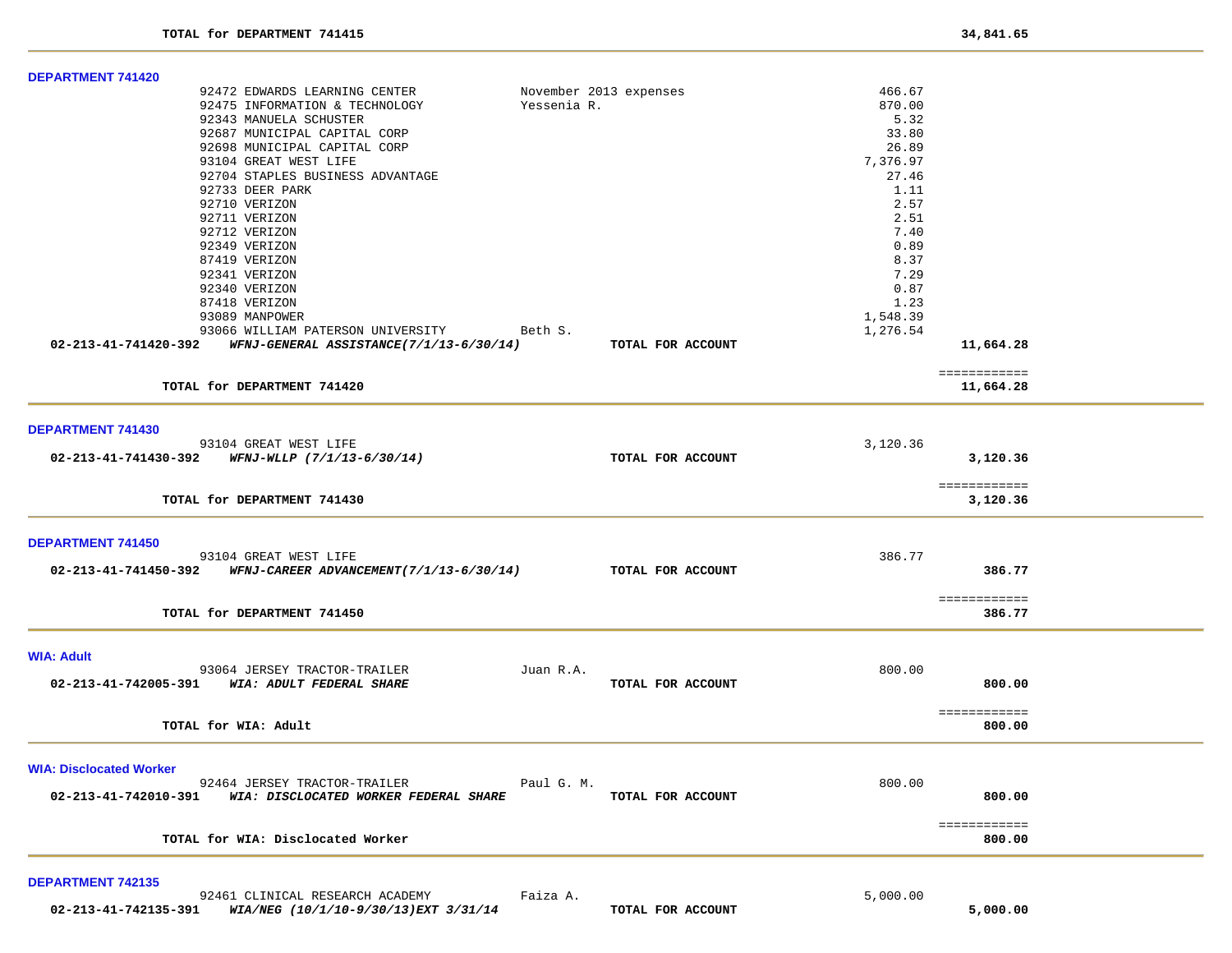| DEPARTMENT 741420                                                              |             |                        |          |              |  |
|--------------------------------------------------------------------------------|-------------|------------------------|----------|--------------|--|
| 92472 EDWARDS LEARNING CENTER                                                  |             | November 2013 expenses | 466.67   |              |  |
| 92475 INFORMATION & TECHNOLOGY                                                 | Yessenia R. |                        | 870.00   |              |  |
| 92343 MANUELA SCHUSTER                                                         |             |                        | 5.32     |              |  |
| 92687 MUNICIPAL CAPITAL CORP                                                   |             |                        | 33.80    |              |  |
| 92698 MUNICIPAL CAPITAL CORP                                                   |             |                        | 26.89    |              |  |
| 93104 GREAT WEST LIFE                                                          |             |                        | 7,376.97 |              |  |
| 92704 STAPLES BUSINESS ADVANTAGE                                               |             |                        | 27.46    |              |  |
|                                                                                |             |                        |          |              |  |
| 92733 DEER PARK                                                                |             |                        | 1.11     |              |  |
| 92710 VERIZON                                                                  |             |                        | 2.57     |              |  |
| 92711 VERIZON                                                                  |             |                        | 2.51     |              |  |
| 92712 VERIZON                                                                  |             |                        | 7.40     |              |  |
| 92349 VERIZON                                                                  |             |                        | 0.89     |              |  |
| 87419 VERIZON                                                                  |             |                        | 8.37     |              |  |
| 92341 VERIZON                                                                  |             |                        | 7.29     |              |  |
| 92340 VERIZON                                                                  |             |                        | 0.87     |              |  |
| 87418 VERIZON                                                                  |             |                        | 1.23     |              |  |
|                                                                                |             |                        | 1,548.39 |              |  |
| 93089 MANPOWER                                                                 |             |                        |          |              |  |
| 93066 WILLIAM PATERSON UNIVERSITY Beth S.                                      |             |                        | 1,276.54 |              |  |
| 02-213-41-741420-392     WFNJ-GENERAL ASSISTANCE(7/1/13-6/30/14)               |             | TOTAL FOR ACCOUNT      |          | 11,664.28    |  |
|                                                                                |             |                        |          | ============ |  |
| TOTAL for DEPARTMENT 741420                                                    |             |                        |          | 11,664.28    |  |
| <b>DEPARTMENT 741430</b>                                                       |             |                        |          |              |  |
|                                                                                |             |                        |          |              |  |
| 93104 GREAT WEST LIFE                                                          |             |                        | 3,120.36 |              |  |
| 02-213-41-741430-392 WFNJ-WLLP (7/1/13-6/30/14)                                |             | TOTAL FOR ACCOUNT      |          | 3,120.36     |  |
|                                                                                |             |                        |          | ============ |  |
| TOTAL for DEPARTMENT 741430                                                    |             |                        |          | 3,120.36     |  |
|                                                                                |             |                        |          |              |  |
| <b>DEPARTMENT 741450</b>                                                       |             |                        |          |              |  |
| 93104 GREAT WEST LIFE                                                          |             |                        | 386.77   |              |  |
| 02-213-41-741450-392 WFNJ-CAREER ADVANCEMENT(7/1/13-6/30/14) TOTAL FOR ACCOUNT |             |                        |          | 386.77       |  |
|                                                                                |             |                        |          |              |  |
|                                                                                |             |                        |          | ============ |  |
| TOTAL for DEPARTMENT 741450                                                    |             |                        |          | 386.77       |  |
|                                                                                |             |                        |          |              |  |
| <b>WIA: Adult</b>                                                              |             |                        |          |              |  |
| 93064 JERSEY TRACTOR-TRAILER                                                   | Juan R.A.   |                        | 800.00   |              |  |
| 02-213-41-742005-391 WIA: ADULT FEDERAL SHARE                                  |             | TOTAL FOR ACCOUNT      |          | 800.00       |  |
|                                                                                |             |                        |          |              |  |
|                                                                                |             |                        |          | ============ |  |
| TOTAL for WIA: Adult                                                           |             |                        |          | 800.00       |  |
|                                                                                |             |                        |          |              |  |
| <b>WIA: Disclocated Worker</b>                                                 |             |                        |          |              |  |
| 92464 JERSEY TRACTOR-TRAILER                                                   | Paul G. M.  |                        | 800.00   |              |  |
| 02-213-41-742010-391<br>WIA: DISCLOCATED WORKER FEDERAL SHARE                  |             | TOTAL FOR ACCOUNT      |          | 800.00       |  |
|                                                                                |             |                        |          |              |  |
|                                                                                |             |                        |          | ============ |  |
| TOTAL for WIA: Disclocated Worker                                              |             |                        |          | 800.00       |  |
|                                                                                |             |                        |          |              |  |
| <b>DEPARTMENT 742135</b>                                                       |             |                        |          |              |  |
| 92461 CLINICAL RESEARCH ACADEMY                                                | Faiza A.    |                        | 5.000.00 |              |  |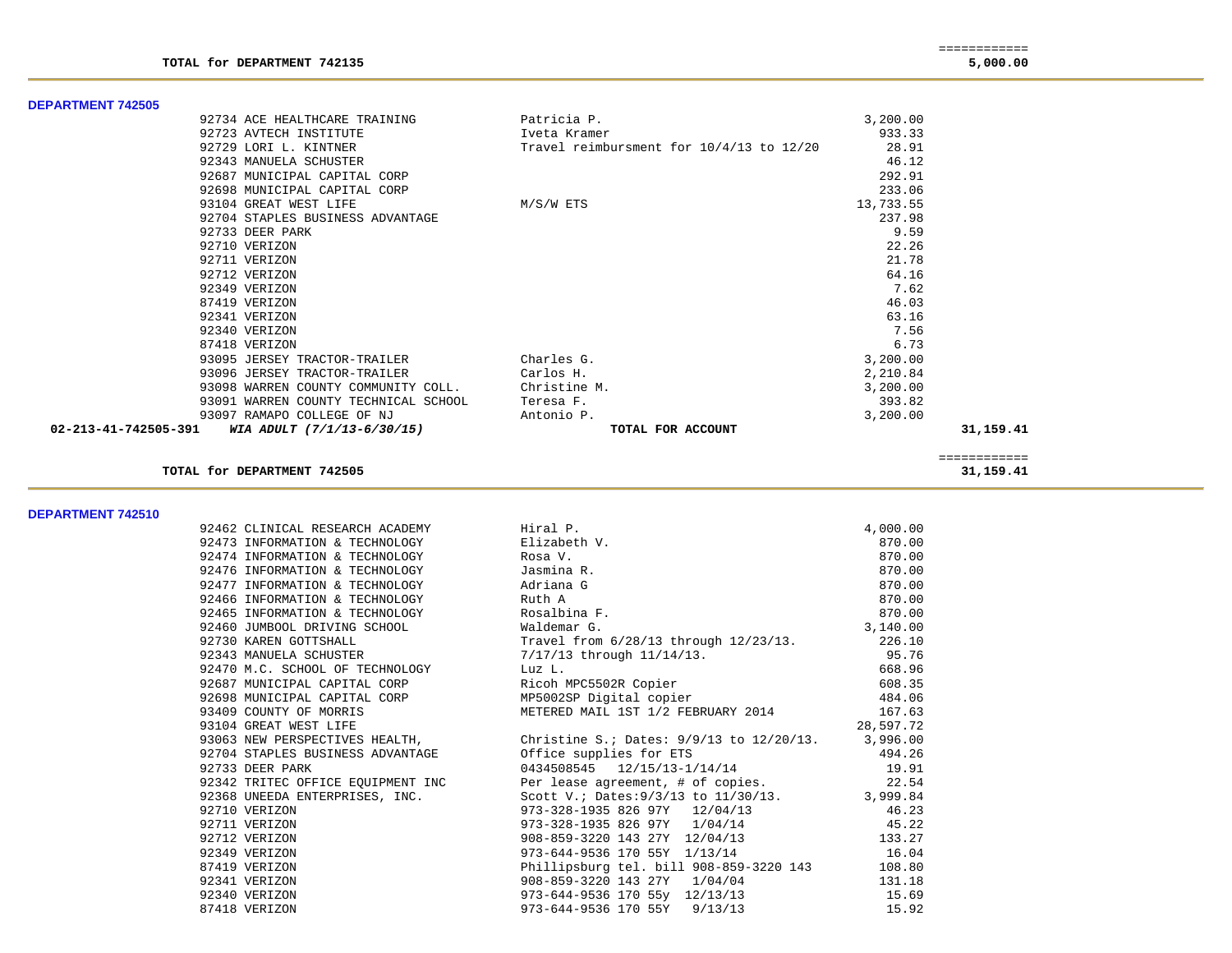| 92734 ACE HEALTHCARE TRAINING                                 | Patricia P.                              | 3,200.00  |           |
|---------------------------------------------------------------|------------------------------------------|-----------|-----------|
| 92723 AVTECH INSTITUTE                                        | Iveta Kramer                             | 933.33    |           |
| 92729 LORI L. KINTNER                                         | Travel reimbursment for 10/4/13 to 12/20 | 28.91     |           |
| 92343 MANUELA SCHUSTER                                        |                                          | 46.12     |           |
| 92687 MUNICIPAL CAPITAL CORP                                  |                                          | 292.91    |           |
| 92698 MUNICIPAL CAPITAL CORP                                  |                                          | 233.06    |           |
| 93104 GREAT WEST LIFE                                         | M/S/W ETS                                | 13,733.55 |           |
| 92704 STAPLES BUSINESS ADVANTAGE                              |                                          | 237.98    |           |
| 92733 DEER PARK                                               |                                          | 9.59      |           |
| 92710 VERIZON                                                 |                                          | 22.26     |           |
| 92711 VERIZON                                                 |                                          | 21.78     |           |
| 92712 VERIZON                                                 |                                          | 64.16     |           |
| 92349 VERIZON                                                 |                                          | 7.62      |           |
| 87419 VERIZON                                                 |                                          | 46.03     |           |
| 92341 VERIZON                                                 |                                          | 63.16     |           |
| 92340 VERIZON                                                 |                                          | 7.56      |           |
| 87418 VERIZON                                                 |                                          | 6.73      |           |
| 93095 JERSEY TRACTOR-TRAILER                                  | Charles G.                               | 3,200.00  |           |
| 93096 JERSEY TRACTOR-TRAILER                                  | Carlos H.                                | 2,210.84  |           |
| 93098 WARREN COUNTY COMMUNITY COLL.                           | Christine M.                             | 3,200.00  |           |
| 93091 WARREN COUNTY TECHNICAL SCHOOL                          | Teresa F.                                | 393.82    |           |
| 93097 RAMAPO COLLEGE OF NJ                                    | Antonio P.                               | 3,200.00  |           |
| $02 - 213 - 41 - 742505 - 391$ WIA ADULT $(7/1/13 - 6/30/15)$ | TOTAL FOR ACCOUNT                        |           | 31,159.41 |
|                                                               |                                          |           |           |
|                                                               |                                          |           |           |

============

**TOTAL for DEPARTMENT 742505 31,159.41**

**DEPARTMENT 742510** 

**DEPARTMENT 742505** 

| 92462 CLINICAL RESEARCH ACADEMY Firal P.    |                                                                                                                                                                                                                                              | 4,000.00  |
|---------------------------------------------|----------------------------------------------------------------------------------------------------------------------------------------------------------------------------------------------------------------------------------------------|-----------|
| 92473 INFORMATION & TECHNOLOGY Blizabeth V. |                                                                                                                                                                                                                                              | 870.00    |
| 92474 INFORMATION & TECHNOLOGY Rosa V.      |                                                                                                                                                                                                                                              | 870.00    |
| 92476 INFORMATION & TECHNOLOGY Jasmina R.   |                                                                                                                                                                                                                                              | 870.00    |
| 92477 INFORMATION & TECHNOLOGY Adriana G    |                                                                                                                                                                                                                                              | 870.00    |
| 92466 INFORMATION & TECHNOLOGY Ruth A       |                                                                                                                                                                                                                                              | 870.00    |
| 92465 INFORMATION & TECHNOLOGY Rosalbina F. | $870.00$<br>3,140.00                                                                                                                                                                                                                         |           |
| 92460 JUMBOOL DRIVING SCHOOL Naldemar G.    |                                                                                                                                                                                                                                              |           |
|                                             | 92730 KAREN GOTTSHALL <b>Travel</b> from 6/28/13 through 12/23/13. 226.10                                                                                                                                                                    |           |
|                                             |                                                                                                                                                                                                                                              |           |
|                                             | 92343 MANUELA SCHUSTER<br>923470 M.C. SCHOOL OF TECHNOLOGY<br>92687 MUNICIPAL CAPITAL CORP<br>92687 MUNICIPAL CAPITAL CORP<br>92688 MUNICIPAL CAPITAL CORP<br>92698 MUNICIPAL CAPITAL CORP<br>92698 MUNICIPAL CAPITAL CORP<br>92698 MUNICIPA |           |
|                                             |                                                                                                                                                                                                                                              |           |
|                                             |                                                                                                                                                                                                                                              |           |
|                                             | 93409 COUNTY OF MORRIS 63 METERED MAIL 1ST 1/2 FEBRUARY 2014 167.63                                                                                                                                                                          |           |
| 93104 GREAT WEST LIFE                       |                                                                                                                                                                                                                                              | 28,597.72 |
|                                             | 93063 NEW PERSPECTIVES HEALTH, Christine S.; Dates: 9/9/13 to 12/20/13. 3,996.00                                                                                                                                                             |           |
|                                             | 92704 STAPLES BUSINESS ADVANTAGE 6 1991 Office supplies for ETS 194.26<br>92733 DEER PARK 19.91<br>92342 TRITEC OFFICE EQUIPMENT INC Per lease agreement, # of copies. 22.54<br>92368 UNEEDA ENTERPRISES, INC. Scott V.; Dates:9/3/1         |           |
|                                             |                                                                                                                                                                                                                                              |           |
|                                             |                                                                                                                                                                                                                                              |           |
|                                             |                                                                                                                                                                                                                                              |           |
| 92710 VERIZON                               | 973-328-1935 826 97Y 12/04/13                                                                                                                                                                                                                | 46.23     |
| 92711 VERIZON                               | $973-328-1935$ 826 $97Y$ $1/04/14$ 45.22                                                                                                                                                                                                     |           |
| 92712 VERIZON                               | 908-859-3220 143 27Y 12/04/13 133.27                                                                                                                                                                                                         |           |
| 92349 VERIZON                               | 973-644-9536 170 55Y 1/13/14 16.04                                                                                                                                                                                                           |           |
| 87419 VERIZON                               | Phillipsburg tel. bill 908-859-3220 143 108.80                                                                                                                                                                                               |           |
| 92341 VERIZON                               | 908-859-3220 143 27Y 1/04/04                                                                                                                                                                                                                 | 131.18    |
| 92340 VERIZON                               | 973-644-9536 170 55y 12/13/13                                                                                                                                                                                                                | 15.69     |
| 87418 VERIZON                               | 973-644-9536 170 55Y 9/13/13                                                                                                                                                                                                                 | 15.92     |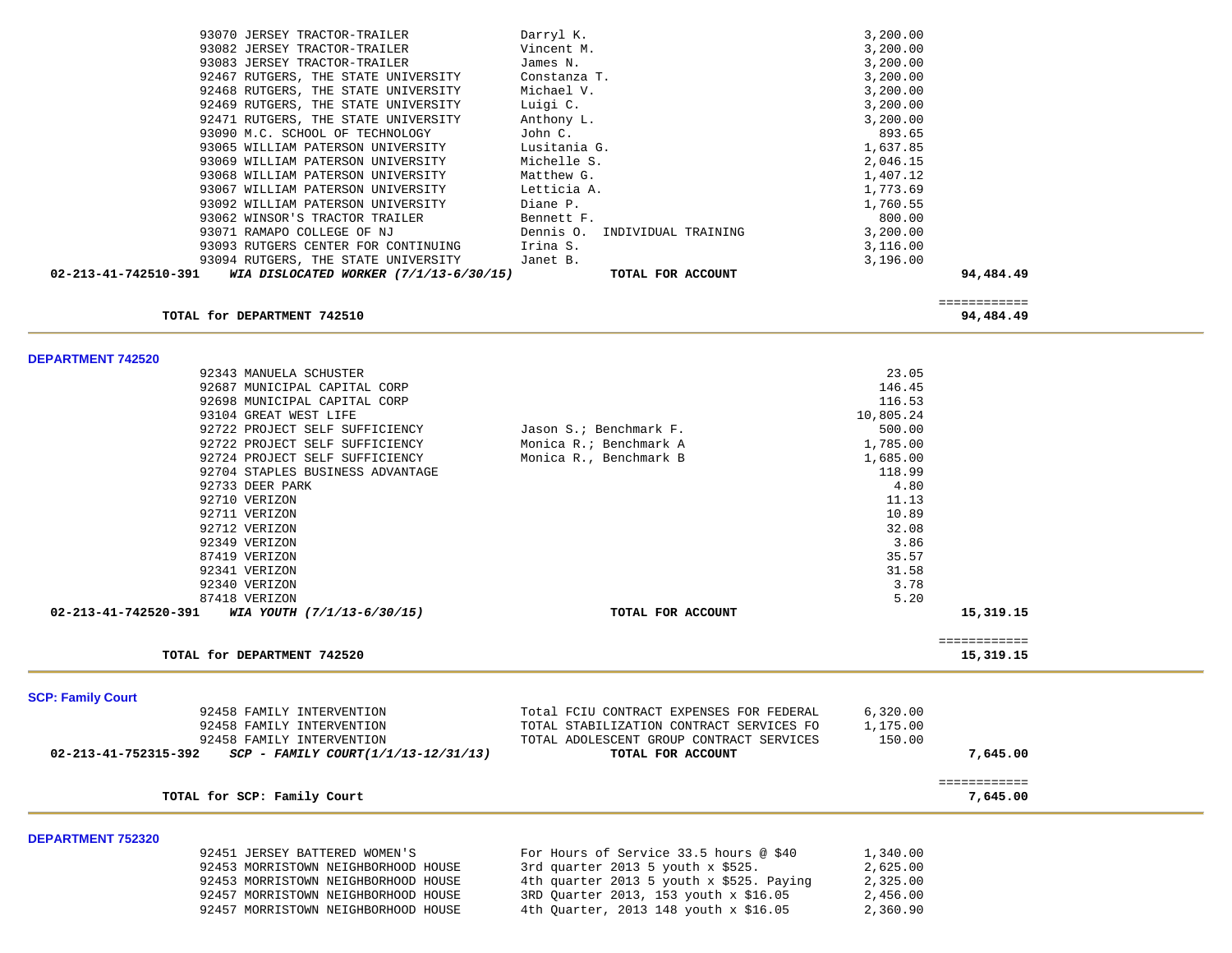|                          | 93070 JERSEY TRACTOR-TRAILER                                     | Darryl K.                                                     | 3,200.00             |                           |  |
|--------------------------|------------------------------------------------------------------|---------------------------------------------------------------|----------------------|---------------------------|--|
|                          | 93082 JERSEY TRACTOR-TRAILER                                     | Vincent M.                                                    | 3,200.00             |                           |  |
|                          | 93083 JERSEY TRACTOR-TRAILER                                     | James N.                                                      | 3,200.00             |                           |  |
|                          | 92467 RUTGERS, THE STATE UNIVERSITY                              | Constanza T.                                                  | 3,200.00             |                           |  |
|                          | 92468 RUTGERS, THE STATE UNIVERSITY                              | Michael V.                                                    | 3,200.00             |                           |  |
|                          | 92469 RUTGERS, THE STATE UNIVERSITY                              | Luigi C.                                                      | 3,200.00             |                           |  |
|                          | 92471 RUTGERS, THE STATE UNIVERSITY                              | Anthony L.                                                    | 3,200.00             |                           |  |
|                          | 93090 M.C. SCHOOL OF TECHNOLOGY                                  | John C.                                                       | 893.65               |                           |  |
|                          | 93065 WILLIAM PATERSON UNIVERSITY                                | Lusitania G.                                                  | 1,637.85             |                           |  |
|                          | 93069 WILLIAM PATERSON UNIVERSITY                                | Michelle S.                                                   | 2,046.15             |                           |  |
|                          | 93068 WILLIAM PATERSON UNIVERSITY                                | Matthew G.                                                    | 1,407.12             |                           |  |
|                          | 93067 WILLIAM PATERSON UNIVERSITY                                | Letticia A.                                                   | 1,773.69             |                           |  |
|                          | 93092 WILLIAM PATERSON UNIVERSITY                                | Diane P.                                                      | 1,760.55             |                           |  |
|                          | 93062 WINSOR'S TRACTOR TRAILER                                   | Bennett F.                                                    | 800.00               |                           |  |
|                          | 93071 RAMAPO COLLEGE OF NJ                                       | Dennis O.<br>INDIVIDUAL TRAINING                              | 3,200.00             |                           |  |
|                          | 93093 RUTGERS CENTER FOR CONTINUING                              | Irina S.                                                      | 3,116.00             |                           |  |
|                          | 93094 RUTGERS, THE STATE UNIVERSITY                              | Janet B.                                                      | 3,196.00             |                           |  |
| 02-213-41-742510-391     | WIA DISLOCATED WORKER (7/1/13-6/30/15)                           | TOTAL FOR ACCOUNT                                             |                      | 94,484.49                 |  |
|                          |                                                                  |                                                               |                      |                           |  |
|                          | TOTAL for DEPARTMENT 742510                                      |                                                               |                      | ============<br>94,484.49 |  |
|                          |                                                                  |                                                               |                      |                           |  |
| <b>DEPARTMENT 742520</b> |                                                                  |                                                               |                      |                           |  |
|                          | 92343 MANUELA SCHUSTER                                           |                                                               | 23.05                |                           |  |
|                          | 92687 MUNICIPAL CAPITAL CORP                                     |                                                               | 146.45               |                           |  |
|                          | 92698 MUNICIPAL CAPITAL CORP                                     |                                                               | 116.53               |                           |  |
|                          | 93104 GREAT WEST LIFE                                            |                                                               | 10,805.24            |                           |  |
|                          | 92722 PROJECT SELF SUFFICIENCY                                   | Jason S.; Benchmark F.                                        | 500.00               |                           |  |
|                          | 92722 PROJECT SELF SUFFICIENCY                                   | Monica R.; Benchmark A                                        | 1,785.00             |                           |  |
|                          | 92724 PROJECT SELF SUFFICIENCY                                   | Monica R., Benchmark B                                        | 1,685.00             |                           |  |
|                          | 92704 STAPLES BUSINESS ADVANTAGE                                 |                                                               | 118.99               |                           |  |
|                          | 92733 DEER PARK                                                  |                                                               | 4.80                 |                           |  |
|                          | 92710 VERIZON                                                    |                                                               | 11.13                |                           |  |
|                          | 92711 VERIZON                                                    |                                                               | 10.89                |                           |  |
|                          | 92712 VERIZON                                                    |                                                               | 32.08                |                           |  |
|                          | 92349 VERIZON                                                    |                                                               | 3.86                 |                           |  |
|                          | 87419 VERIZON                                                    |                                                               | 35.57                |                           |  |
|                          | 92341 VERIZON                                                    |                                                               | 31.58                |                           |  |
|                          | 92340 VERIZON                                                    |                                                               | 3.78                 |                           |  |
|                          | 87418 VERIZON                                                    |                                                               | 5.20                 |                           |  |
| 02-213-41-742520-391     | WIA YOUTH (7/1/13-6/30/15)                                       | TOTAL FOR ACCOUNT                                             |                      | 15,319.15                 |  |
|                          |                                                                  |                                                               |                      | ============              |  |
|                          | TOTAL for DEPARTMENT 742520                                      |                                                               |                      | 15,319.15                 |  |
|                          |                                                                  |                                                               |                      |                           |  |
| <b>SCP: Family Court</b> |                                                                  |                                                               |                      |                           |  |
|                          | 92458 FAMILY INTERVENTION<br>92458 FAMILY INTERVENTION           | Total FCIU CONTRACT EXPENSES FOR FEDERAL                      | 6,320.00<br>1,175.00 |                           |  |
|                          |                                                                  | TOTAL STABILIZATION CONTRACT SERVICES FO                      |                      |                           |  |
| 02-213-41-752315-392     | 92458 FAMILY INTERVENTION<br>SCP - FAMILY COURT(1/1/13-12/31/13) | TOTAL ADOLESCENT GROUP CONTRACT SERVICES<br>TOTAL FOR ACCOUNT | 150.00               | 7,645.00                  |  |
|                          |                                                                  |                                                               |                      |                           |  |
|                          | TOTAL for SCP: Family Court                                      |                                                               |                      | ============<br>7,645.00  |  |
|                          |                                                                  |                                                               |                      |                           |  |
| <b>DEPARTMENT 752320</b> |                                                                  |                                                               |                      |                           |  |
|                          | 92451 JERSEY BATTERED WOMEN'S                                    | For Hours of Service 33.5 hours @ \$40                        | 1,340.00             |                           |  |
|                          | 92453 MORRISTOWN NEIGHBORHOOD HOUSE                              | 3rd quarter 2013 5 youth $x$ \$525.                           | 2,625.00             |                           |  |
|                          | 92453 MORRISTOWN NEIGHBORHOOD HOUSE                              | 4th quarter 2013 5 youth x \$525. Paying                      | 2,325.00             |                           |  |
|                          | 92457 MORRISTOWN NEIGHBORHOOD HOUSE                              | 3RD Quarter 2013, 153 youth x \$16.05                         | 2,456.00             |                           |  |
|                          | 92457 MORRISTOWN NEIGHBORHOOD HOUSE                              | 4th Ouarter, 2013 148 youth x \$16.05                         | 2,360.90             |                           |  |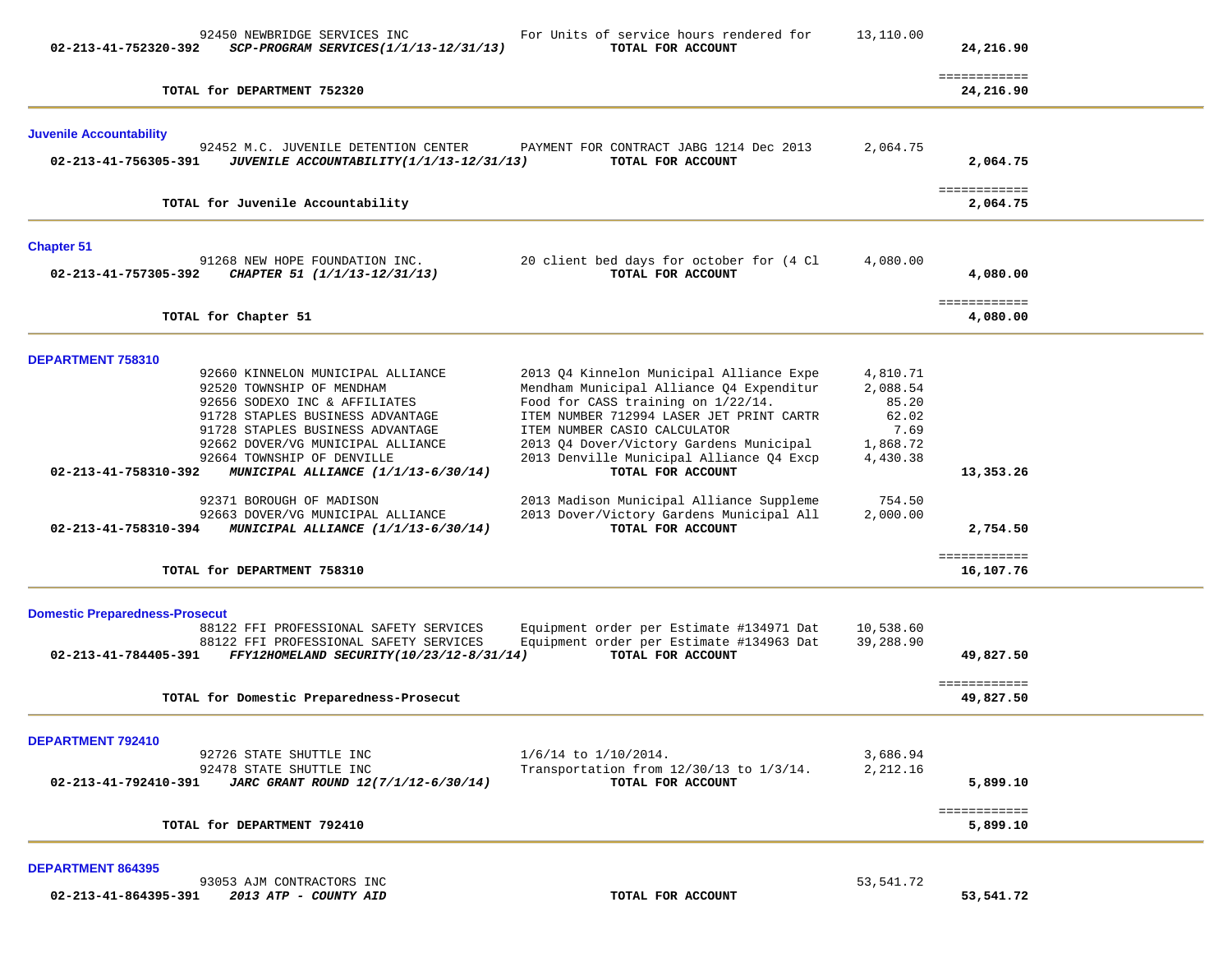| 02-213-41-752320-392                                              | 92450 NEWBRIDGE SERVICES INC<br>SCP-PROGRAM SERVICES(1/1/13-12/31/13)                                                                                                                                                                                                                                                                                                                                                    | For Units of service hours rendered for<br>TOTAL FOR ACCOUNT                                                                                                                                                                                                                                                                                                                                                                    | 13,110.00                                                                                    | 24,216.90                                          |  |
|-------------------------------------------------------------------|--------------------------------------------------------------------------------------------------------------------------------------------------------------------------------------------------------------------------------------------------------------------------------------------------------------------------------------------------------------------------------------------------------------------------|---------------------------------------------------------------------------------------------------------------------------------------------------------------------------------------------------------------------------------------------------------------------------------------------------------------------------------------------------------------------------------------------------------------------------------|----------------------------------------------------------------------------------------------|----------------------------------------------------|--|
|                                                                   | TOTAL for DEPARTMENT 752320                                                                                                                                                                                                                                                                                                                                                                                              |                                                                                                                                                                                                                                                                                                                                                                                                                                 |                                                                                              | ============<br>24,216.90                          |  |
| <b>Juvenile Accountability</b><br>02-213-41-756305-391            | 92452 M.C. JUVENILE DETENTION CENTER<br>JUVENILE ACCOUNTABILITY (1/1/13-12/31/13)                                                                                                                                                                                                                                                                                                                                        | PAYMENT FOR CONTRACT JABG 1214 Dec 2013<br>TOTAL FOR ACCOUNT                                                                                                                                                                                                                                                                                                                                                                    | 2,064.75                                                                                     | 2,064.75<br>============                           |  |
|                                                                   | TOTAL for Juvenile Accountability                                                                                                                                                                                                                                                                                                                                                                                        |                                                                                                                                                                                                                                                                                                                                                                                                                                 |                                                                                              | 2,064.75                                           |  |
| <b>Chapter 51</b><br>02-213-41-757305-392                         | 91268 NEW HOPE FOUNDATION INC.<br>CHAPTER 51 (1/1/13-12/31/13)                                                                                                                                                                                                                                                                                                                                                           | 20 client bed days for october for (4 Cl<br>TOTAL FOR ACCOUNT                                                                                                                                                                                                                                                                                                                                                                   | 4,080.00                                                                                     | 4,080.00                                           |  |
|                                                                   | TOTAL for Chapter 51                                                                                                                                                                                                                                                                                                                                                                                                     |                                                                                                                                                                                                                                                                                                                                                                                                                                 |                                                                                              | ============<br>4,080.00                           |  |
| DEPARTMENT 758310<br>02-213-41-758310-392<br>02-213-41-758310-394 | 92660 KINNELON MUNICIPAL ALLIANCE<br>92520 TOWNSHIP OF MENDHAM<br>92656 SODEXO INC & AFFILIATES<br>91728 STAPLES BUSINESS ADVANTAGE<br>91728 STAPLES BUSINESS ADVANTAGE<br>92662 DOVER/VG MUNICIPAL ALLIANCE<br>92664 TOWNSHIP OF DENVILLE<br>MUNICIPAL ALLIANCE (1/1/13-6/30/14)<br>92371 BOROUGH OF MADISON<br>92663 DOVER/VG MUNICIPAL ALLIANCE<br>MUNICIPAL ALLIANCE (1/1/13-6/30/14)<br>TOTAL for DEPARTMENT 758310 | 2013 Q4 Kinnelon Municipal Alliance Expe<br>Mendham Municipal Alliance Q4 Expenditur<br>Food for CASS training on 1/22/14.<br>ITEM NUMBER 712994 LASER JET PRINT CARTR<br>ITEM NUMBER CASIO CALCULATOR<br>2013 Q4 Dover/Victory Gardens Municipal<br>2013 Denville Municipal Alliance Q4 Excp<br>TOTAL FOR ACCOUNT<br>2013 Madison Municipal Alliance Suppleme<br>2013 Dover/Victory Gardens Municipal All<br>TOTAL FOR ACCOUNT | 4,810.71<br>2,088.54<br>85.20<br>62.02<br>7.69<br>1,868.72<br>4,430.38<br>754.50<br>2,000.00 | 13,353.26<br>2,754.50<br>============<br>16,107.76 |  |
| <b>Domestic Preparedness-Prosecut</b><br>02-213-41-784405-391     | 88122 FFI PROFESSIONAL SAFETY SERVICES<br>88122 FFI PROFESSIONAL SAFETY SERVICES<br>FFY12HOMELAND SECURITY(10/23/12-8/31/14)<br>TOTAL for Domestic Preparedness-Prosecut                                                                                                                                                                                                                                                 | Equipment order per Estimate #134971 Dat<br>Equipment order per Estimate #134963 Dat<br>TOTAL FOR ACCOUNT                                                                                                                                                                                                                                                                                                                       | 10,538.60<br>39,288.90                                                                       | 49,827.50<br>============<br>49,827.50             |  |
| DEPARTMENT 792410<br>02-213-41-792410-391                         | 92726 STATE SHUTTLE INC<br>92478 STATE SHUTTLE INC<br>JARC GRANT ROUND 12(7/1/12-6/30/14)<br>TOTAL for DEPARTMENT 792410                                                                                                                                                                                                                                                                                                 | $1/6/14$ to $1/10/2014$ .<br>Transportation from 12/30/13 to 1/3/14.<br>TOTAL FOR ACCOUNT                                                                                                                                                                                                                                                                                                                                       | 3,686.94<br>2,212.16                                                                         | 5,899.10<br>============<br>5,899.10               |  |

**DEPARTMENT 864395** 

93053 AJM CONTRACTORS INC 600 AU ACCORD 100 AU ACCORD 100 AU ACCORD 100 AU ACCORD 100 AU ACCORD 100 AU ACCORD 10  **02-213-41-864395-391** *2013 ATP - COUNTY AID* **TOTAL FOR ACCOUNT 53,541.72**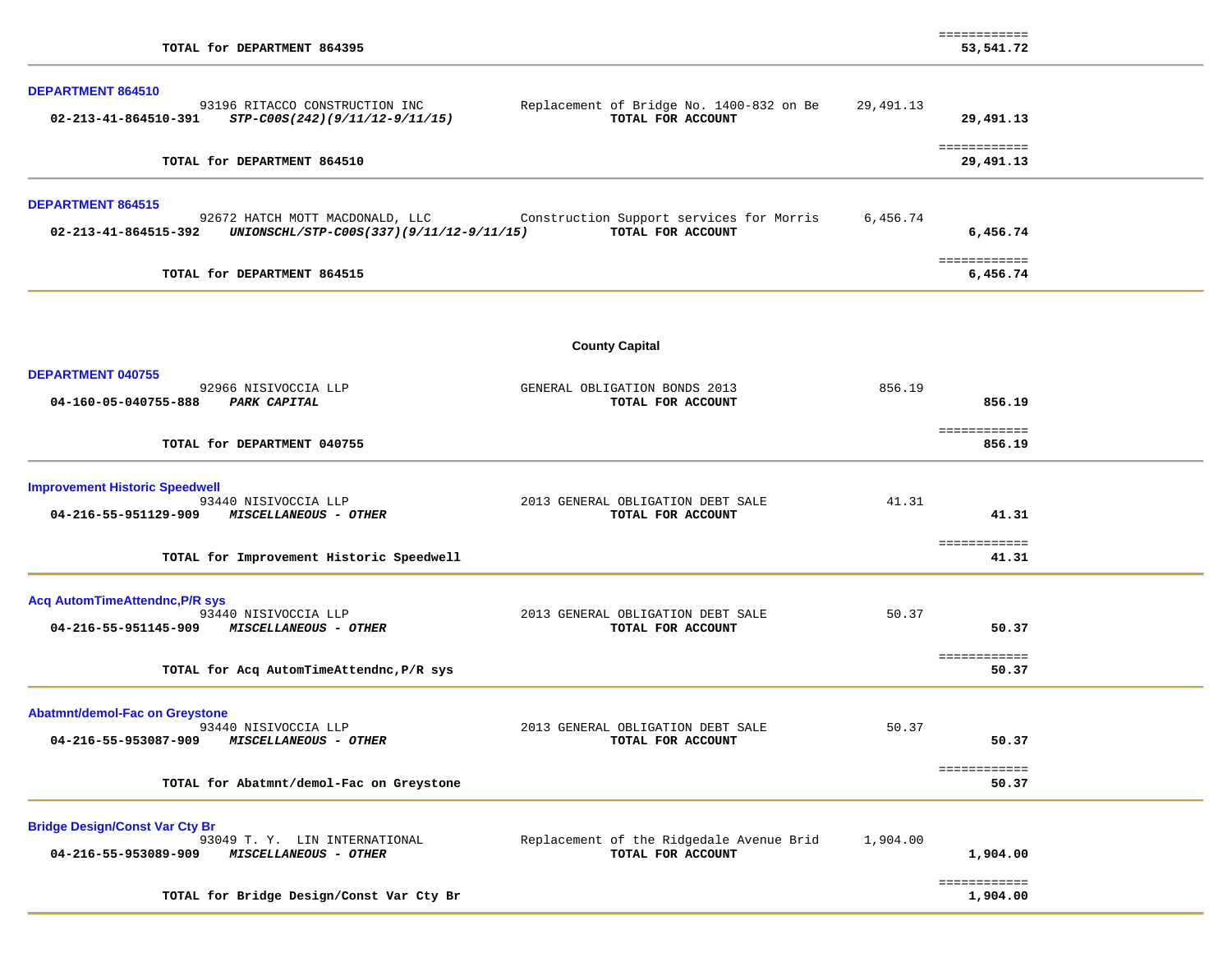| TOTAL for DEPARTMENT 864395                                                                                                     |                                                               |           | ============<br>53,541.72 |  |
|---------------------------------------------------------------------------------------------------------------------------------|---------------------------------------------------------------|-----------|---------------------------|--|
| <b>DEPARTMENT 864510</b><br>93196 RITACCO CONSTRUCTION INC<br>02-213-41-864510-391<br>STP-C00S(242)(9/11/12-9/11/15)            | Replacement of Bridge No. 1400-832 on Be<br>TOTAL FOR ACCOUNT | 29,491.13 | 29,491.13                 |  |
| TOTAL for DEPARTMENT 864510                                                                                                     |                                                               |           | ============<br>29,491.13 |  |
| <b>DEPARTMENT 864515</b><br>92672 HATCH MOTT MACDONALD, LLC<br>UNIONSCHL/STP-C00S(337)(9/11/12-9/11/15)<br>02-213-41-864515-392 | Construction Support services for Morris<br>TOTAL FOR ACCOUNT | 6,456.74  | 6,456.74                  |  |
| TOTAL for DEPARTMENT 864515                                                                                                     |                                                               |           | ============<br>6,456.74  |  |
|                                                                                                                                 | <b>County Capital</b>                                         |           |                           |  |
| DEPARTMENT 040755<br>92966 NISIVOCCIA LLP<br>04-160-05-040755-888<br><b>PARK CAPITAL</b>                                        | GENERAL OBLIGATION BONDS 2013<br>TOTAL FOR ACCOUNT            | 856.19    | 856.19                    |  |
| TOTAL for DEPARTMENT 040755                                                                                                     |                                                               |           | ============<br>856.19    |  |
| <b>Improvement Historic Speedwell</b><br>93440 NISIVOCCIA LLP<br>04-216-55-951129-909<br><i>MISCELLANEOUS - OTHER</i>           | 2013 GENERAL OBLIGATION DEBT SALE<br>TOTAL FOR ACCOUNT        | 41.31     | 41.31<br>============     |  |
| TOTAL for Improvement Historic Speedwell                                                                                        |                                                               |           | 41.31                     |  |
| <b>Acq AutomTimeAttendnc, P/R sys</b><br>93440 NISIVOCCIA LLP<br>04-216-55-951145-909 MISCELLANEOUS - OTHER                     | 2013 GENERAL OBLIGATION DEBT SALE<br>TOTAL FOR ACCOUNT        | 50.37     | 50.37<br>============     |  |
| TOTAL for Acq AutomTimeAttendnc, P/R sys                                                                                        |                                                               |           | 50.37                     |  |
| <b>Abatmnt/demol-Fac on Greystone</b><br>93440 NISIVOCCIA LLP<br>04-216-55-953087-909<br>MISCELLANEOUS - OTHER                  | 2013 GENERAL OBLIGATION DEBT SALE<br>TOTAL FOR ACCOUNT        | 50.37     | 50.37                     |  |
| TOTAL for Abatmnt/demol-Fac on Greystone                                                                                        |                                                               |           | ============<br>50.37     |  |
| <b>Bridge Design/Const Var Cty Br</b><br>93049 T. Y. LIN INTERNATIONAL<br>04-216-55-953089-909<br>MISCELLANEOUS - OTHER         | Replacement of the Ridgedale Avenue Brid<br>TOTAL FOR ACCOUNT | 1,904.00  | 1,904.00                  |  |
| TOTAL for Bridge Design/Const Var Cty Br                                                                                        |                                                               |           | ============<br>1,904.00  |  |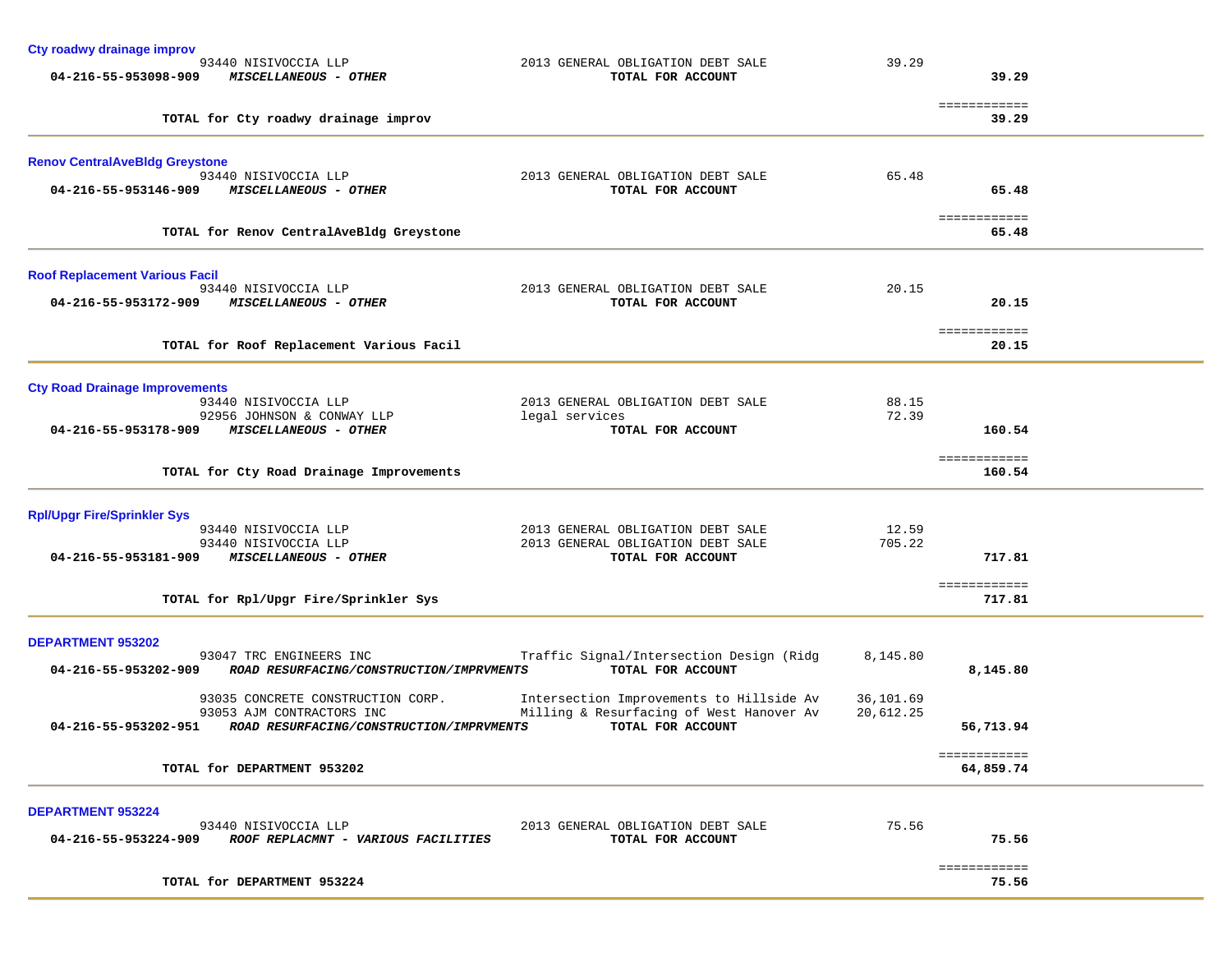| Cty roadwy drainage improv                                                         |                                                        |           |                           |  |
|------------------------------------------------------------------------------------|--------------------------------------------------------|-----------|---------------------------|--|
| 93440 NISIVOCCIA LLP<br>04-216-55-953098-909<br><b>MISCELLANEOUS - OTHER</b>       | 2013 GENERAL OBLIGATION DEBT SALE<br>TOTAL FOR ACCOUNT | 39.29     | 39.29                     |  |
|                                                                                    |                                                        |           |                           |  |
| TOTAL for Cty roadwy drainage improv                                               |                                                        |           | ============<br>39.29     |  |
| <b>Renov CentralAveBldg Greystone</b>                                              |                                                        |           |                           |  |
| 93440 NISIVOCCIA LLP                                                               | 2013 GENERAL OBLIGATION DEBT SALE                      | 65.48     |                           |  |
| 04-216-55-953146-909<br><b>MISCELLANEOUS - OTHER</b>                               | TOTAL FOR ACCOUNT                                      |           | 65.48                     |  |
| TOTAL for Renov CentralAveBldg Greystone                                           |                                                        |           | ============<br>65.48     |  |
| <b>Roof Replacement Various Facil</b>                                              |                                                        |           |                           |  |
| 93440 NISIVOCCIA LLP                                                               | 2013 GENERAL OBLIGATION DEBT SALE                      | 20.15     |                           |  |
| 04-216-55-953172-909<br>MISCELLANEOUS - OTHER                                      | TOTAL FOR ACCOUNT                                      |           | 20.15                     |  |
| TOTAL for Roof Replacement Various Facil                                           |                                                        |           | ============<br>20.15     |  |
|                                                                                    |                                                        |           |                           |  |
| <b>Cty Road Drainage Improvements</b>                                              |                                                        |           |                           |  |
| 93440 NISIVOCCIA LLP                                                               | 2013 GENERAL OBLIGATION DEBT SALE                      | 88.15     |                           |  |
| 92956 JOHNSON & CONWAY LLP<br><b>MISCELLANEOUS - OTHER</b><br>04-216-55-953178-909 | legal services<br>TOTAL FOR ACCOUNT                    | 72.39     | 160.54                    |  |
|                                                                                    |                                                        |           | ============              |  |
| TOTAL for Cty Road Drainage Improvements                                           |                                                        |           | 160.54                    |  |
| <b>Rpl/Upgr Fire/Sprinkler Sys</b>                                                 |                                                        |           |                           |  |
| 93440 NISIVOCCIA LLP                                                               | 2013 GENERAL OBLIGATION DEBT SALE                      | 12.59     |                           |  |
| 93440 NISIVOCCIA LLP<br>04-216-55-953181-909<br>MISCELLANEOUS - OTHER              | 2013 GENERAL OBLIGATION DEBT SALE<br>TOTAL FOR ACCOUNT | 705.22    | 717.81                    |  |
|                                                                                    |                                                        |           |                           |  |
| TOTAL for Rpl/Upgr Fire/Sprinkler Sys                                              |                                                        |           | ============<br>717.81    |  |
|                                                                                    |                                                        |           |                           |  |
| <b>DEPARTMENT 953202</b><br>93047 TRC ENGINEERS INC                                | Traffic Signal/Intersection Design (Ridg               | 8,145.80  |                           |  |
| 04-216-55-953202-909<br>ROAD RESURFACING/CONSTRUCTION/IMPRVMENTS                   | TOTAL FOR ACCOUNT                                      |           | 8,145.80                  |  |
| 93035 CONCRETE CONSTRUCTION CORP.                                                  | Intersection Improvements to Hillside Av               | 36,101.69 |                           |  |
| 93053 AJM CONTRACTORS INC                                                          | Milling & Resurfacing of West Hanover Av               | 20,612.25 |                           |  |
| 04-216-55-953202-951<br>ROAD RESURFACING/CONSTRUCTION/IMPRVMENTS                   | TOTAL FOR ACCOUNT                                      |           | 56,713.94                 |  |
| TOTAL for DEPARTMENT 953202                                                        |                                                        |           | ============<br>64,859.74 |  |
|                                                                                    |                                                        |           |                           |  |
| <b>DEPARTMENT 953224</b><br>93440 NISIVOCCIA LLP                                   | 2013 GENERAL OBLIGATION DEBT SALE                      | 75.56     |                           |  |
| 04-216-55-953224-909<br><i>ROOF REPLACMNT - VARIOUS FACILITIES</i>                 | TOTAL FOR ACCOUNT                                      |           | 75.56                     |  |
|                                                                                    |                                                        |           | ============              |  |
| TOTAL for DEPARTMENT 953224                                                        |                                                        |           | 75.56                     |  |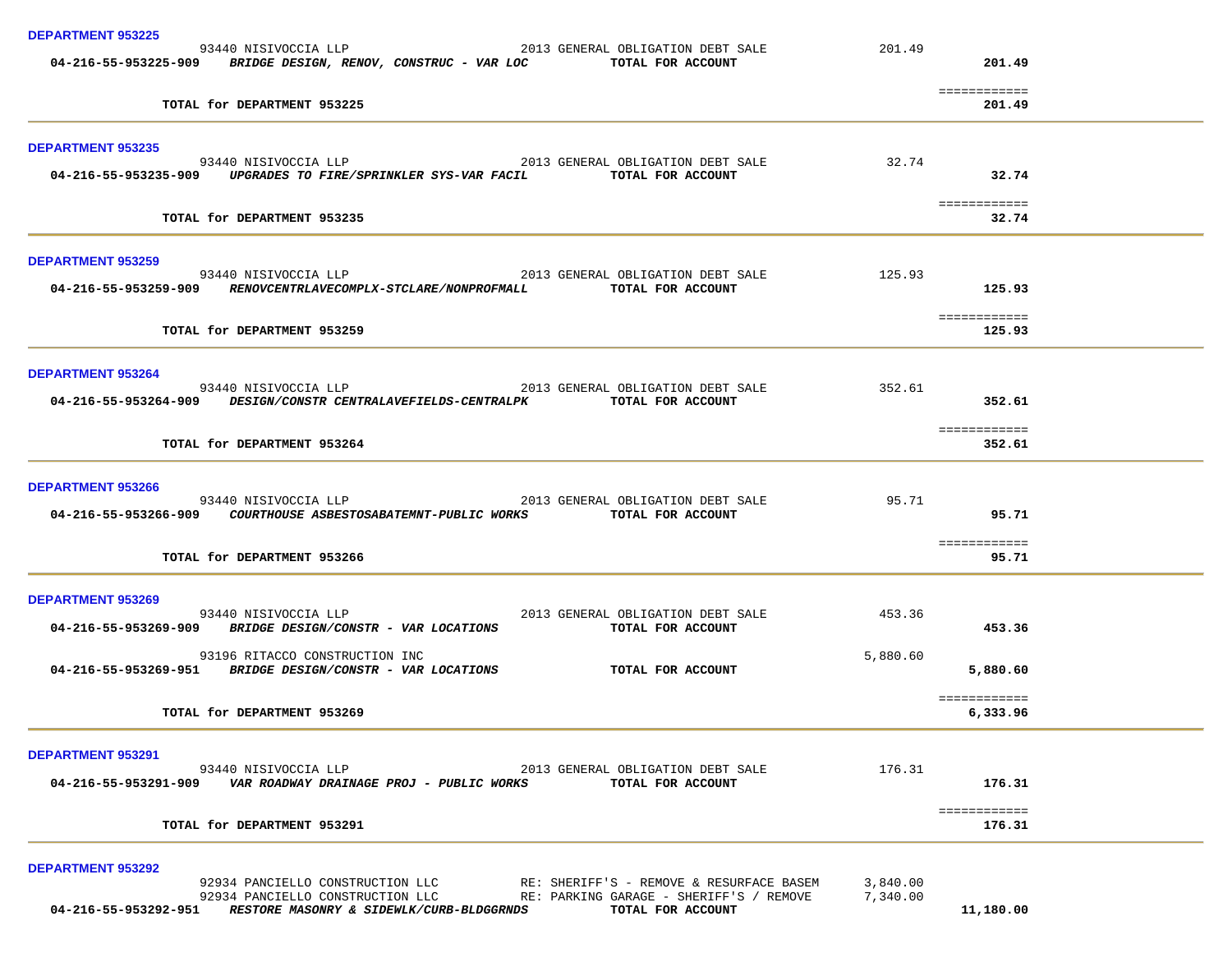| 93440 NISIVOCCIA LLP 2013 GENERAL OBLIGATION DEBT SALE<br>201.49<br>04-216-55-953225-909 BRIDGE DESIGN, RENOV, CONSTRUC - VAR LOC TOTAL FOR ACCOUNT<br>201.49<br>============<br>TOTAL for DEPARTMENT 953225<br>201.49<br><b>DEPARTMENT 953235</b><br>93440 NISIVOCCIA LLP 2013 GENERAL OBLIGATION DEBT SALE 32.74<br>32.74<br>04-216-55-953235-909 UPGRADES TO FIRE/SPRINKLER SYS-VAR FACIL TOTAL FOR ACCOUNT<br>============<br>TOTAL for DEPARTMENT 953235<br>32.74<br><b>DEPARTMENT 953259</b><br>93440 NISIVOCCIA LLP 2013 GENERAL OBLIGATION DEBT SALE 125.93<br>04-216-55-953259-909 RENOVCENTRLAVECOMPLX-STCLARE/NONPROFMALL TOTAL FOR ACCOUNT<br>125.93<br>============<br>TOTAL for DEPARTMENT 953259<br>125.93<br><b>DEPARTMENT 953264</b><br>04-216-55-953264-909 DESIGN/CONSTR CENTRALAVEFIELDS-CENTRALPK TOTAL FOR ACCOUNT<br>352.61<br>============<br>TOTAL for DEPARTMENT 953264<br>352.61<br><b>DEPARTMENT 953266</b><br>2013 GENERAL OBLIGATION DEBT SALE<br>95.71<br>93440 NISIVOCCIA LLP<br>04-216-55-953266-909 COURTHOUSE ASBESTOSABATEMNT-PUBLIC WORKS TOTAL FOR ACCOUNT<br>95.71<br>============<br>TOTAL for DEPARTMENT 953266<br>95.71<br><b>DEPARTMENT 953269</b><br>93440 NISIVOCCIA LLP 2013 GENERAL OBLIGATION DEBT SALE<br>453.36<br>04-216-55-953269-909 BRIDGE DESIGN/CONSTR - VAR LOCATIONS<br>453.36<br>TOTAL FOR ACCOUNT<br>93196 RITACCO CONSTRUCTION INC<br>5,880.60<br>TOTAL FOR ACCOUNT<br>04-216-55-953269-951 BRIDGE DESIGN/CONSTR - VAR LOCATIONS<br>5,880.60<br>============<br>TOTAL for DEPARTMENT 953269<br>6,333.96<br><b>DEPARTMENT 953291</b><br>176.31<br>93440 NISIVOCCIA LLP<br>2013 GENERAL OBLIGATION DEBT SALE<br>04-216-55-953291-909<br>VAR ROADWAY DRAINAGE PROJ - PUBLIC WORKS<br>176.31<br>TOTAL FOR ACCOUNT<br>============<br>TOTAL for DEPARTMENT 953291<br>176.31<br><b>DEPARTMENT 953292</b><br>92934 PANCIELLO CONSTRUCTION LLC<br>RE: SHERIFF'S - REMOVE & RESURFACE BASEM<br>3,840.00<br>7,340.00<br>92934 PANCIELLO CONSTRUCTION LLC<br>RE: PARKING GARAGE - SHERIFF'S / REMOVE<br>11,180.00<br>04-216-55-953292-951<br>RESTORE MASONRY & SIDEWLK/CURB-BLDGGRNDS<br>TOTAL FOR ACCOUNT | <b>DEPARTMENT 953225</b> |  |  |
|--------------------------------------------------------------------------------------------------------------------------------------------------------------------------------------------------------------------------------------------------------------------------------------------------------------------------------------------------------------------------------------------------------------------------------------------------------------------------------------------------------------------------------------------------------------------------------------------------------------------------------------------------------------------------------------------------------------------------------------------------------------------------------------------------------------------------------------------------------------------------------------------------------------------------------------------------------------------------------------------------------------------------------------------------------------------------------------------------------------------------------------------------------------------------------------------------------------------------------------------------------------------------------------------------------------------------------------------------------------------------------------------------------------------------------------------------------------------------------------------------------------------------------------------------------------------------------------------------------------------------------------------------------------------------------------------------------------------------------------------------------------------------------------------------------------------------------------------------------------------------------------------------------------------------------------------------------------------------------------------------------------------------------------------------------------------------------------------------------------------------------------------------------------|--------------------------|--|--|
|                                                                                                                                                                                                                                                                                                                                                                                                                                                                                                                                                                                                                                                                                                                                                                                                                                                                                                                                                                                                                                                                                                                                                                                                                                                                                                                                                                                                                                                                                                                                                                                                                                                                                                                                                                                                                                                                                                                                                                                                                                                                                                                                                              |                          |  |  |
|                                                                                                                                                                                                                                                                                                                                                                                                                                                                                                                                                                                                                                                                                                                                                                                                                                                                                                                                                                                                                                                                                                                                                                                                                                                                                                                                                                                                                                                                                                                                                                                                                                                                                                                                                                                                                                                                                                                                                                                                                                                                                                                                                              |                          |  |  |
|                                                                                                                                                                                                                                                                                                                                                                                                                                                                                                                                                                                                                                                                                                                                                                                                                                                                                                                                                                                                                                                                                                                                                                                                                                                                                                                                                                                                                                                                                                                                                                                                                                                                                                                                                                                                                                                                                                                                                                                                                                                                                                                                                              |                          |  |  |
|                                                                                                                                                                                                                                                                                                                                                                                                                                                                                                                                                                                                                                                                                                                                                                                                                                                                                                                                                                                                                                                                                                                                                                                                                                                                                                                                                                                                                                                                                                                                                                                                                                                                                                                                                                                                                                                                                                                                                                                                                                                                                                                                                              |                          |  |  |
|                                                                                                                                                                                                                                                                                                                                                                                                                                                                                                                                                                                                                                                                                                                                                                                                                                                                                                                                                                                                                                                                                                                                                                                                                                                                                                                                                                                                                                                                                                                                                                                                                                                                                                                                                                                                                                                                                                                                                                                                                                                                                                                                                              |                          |  |  |
|                                                                                                                                                                                                                                                                                                                                                                                                                                                                                                                                                                                                                                                                                                                                                                                                                                                                                                                                                                                                                                                                                                                                                                                                                                                                                                                                                                                                                                                                                                                                                                                                                                                                                                                                                                                                                                                                                                                                                                                                                                                                                                                                                              |                          |  |  |
|                                                                                                                                                                                                                                                                                                                                                                                                                                                                                                                                                                                                                                                                                                                                                                                                                                                                                                                                                                                                                                                                                                                                                                                                                                                                                                                                                                                                                                                                                                                                                                                                                                                                                                                                                                                                                                                                                                                                                                                                                                                                                                                                                              |                          |  |  |
|                                                                                                                                                                                                                                                                                                                                                                                                                                                                                                                                                                                                                                                                                                                                                                                                                                                                                                                                                                                                                                                                                                                                                                                                                                                                                                                                                                                                                                                                                                                                                                                                                                                                                                                                                                                                                                                                                                                                                                                                                                                                                                                                                              |                          |  |  |
|                                                                                                                                                                                                                                                                                                                                                                                                                                                                                                                                                                                                                                                                                                                                                                                                                                                                                                                                                                                                                                                                                                                                                                                                                                                                                                                                                                                                                                                                                                                                                                                                                                                                                                                                                                                                                                                                                                                                                                                                                                                                                                                                                              |                          |  |  |
|                                                                                                                                                                                                                                                                                                                                                                                                                                                                                                                                                                                                                                                                                                                                                                                                                                                                                                                                                                                                                                                                                                                                                                                                                                                                                                                                                                                                                                                                                                                                                                                                                                                                                                                                                                                                                                                                                                                                                                                                                                                                                                                                                              |                          |  |  |
|                                                                                                                                                                                                                                                                                                                                                                                                                                                                                                                                                                                                                                                                                                                                                                                                                                                                                                                                                                                                                                                                                                                                                                                                                                                                                                                                                                                                                                                                                                                                                                                                                                                                                                                                                                                                                                                                                                                                                                                                                                                                                                                                                              |                          |  |  |
|                                                                                                                                                                                                                                                                                                                                                                                                                                                                                                                                                                                                                                                                                                                                                                                                                                                                                                                                                                                                                                                                                                                                                                                                                                                                                                                                                                                                                                                                                                                                                                                                                                                                                                                                                                                                                                                                                                                                                                                                                                                                                                                                                              |                          |  |  |
|                                                                                                                                                                                                                                                                                                                                                                                                                                                                                                                                                                                                                                                                                                                                                                                                                                                                                                                                                                                                                                                                                                                                                                                                                                                                                                                                                                                                                                                                                                                                                                                                                                                                                                                                                                                                                                                                                                                                                                                                                                                                                                                                                              |                          |  |  |
|                                                                                                                                                                                                                                                                                                                                                                                                                                                                                                                                                                                                                                                                                                                                                                                                                                                                                                                                                                                                                                                                                                                                                                                                                                                                                                                                                                                                                                                                                                                                                                                                                                                                                                                                                                                                                                                                                                                                                                                                                                                                                                                                                              |                          |  |  |
|                                                                                                                                                                                                                                                                                                                                                                                                                                                                                                                                                                                                                                                                                                                                                                                                                                                                                                                                                                                                                                                                                                                                                                                                                                                                                                                                                                                                                                                                                                                                                                                                                                                                                                                                                                                                                                                                                                                                                                                                                                                                                                                                                              |                          |  |  |
|                                                                                                                                                                                                                                                                                                                                                                                                                                                                                                                                                                                                                                                                                                                                                                                                                                                                                                                                                                                                                                                                                                                                                                                                                                                                                                                                                                                                                                                                                                                                                                                                                                                                                                                                                                                                                                                                                                                                                                                                                                                                                                                                                              |                          |  |  |
|                                                                                                                                                                                                                                                                                                                                                                                                                                                                                                                                                                                                                                                                                                                                                                                                                                                                                                                                                                                                                                                                                                                                                                                                                                                                                                                                                                                                                                                                                                                                                                                                                                                                                                                                                                                                                                                                                                                                                                                                                                                                                                                                                              |                          |  |  |
|                                                                                                                                                                                                                                                                                                                                                                                                                                                                                                                                                                                                                                                                                                                                                                                                                                                                                                                                                                                                                                                                                                                                                                                                                                                                                                                                                                                                                                                                                                                                                                                                                                                                                                                                                                                                                                                                                                                                                                                                                                                                                                                                                              |                          |  |  |
|                                                                                                                                                                                                                                                                                                                                                                                                                                                                                                                                                                                                                                                                                                                                                                                                                                                                                                                                                                                                                                                                                                                                                                                                                                                                                                                                                                                                                                                                                                                                                                                                                                                                                                                                                                                                                                                                                                                                                                                                                                                                                                                                                              |                          |  |  |
|                                                                                                                                                                                                                                                                                                                                                                                                                                                                                                                                                                                                                                                                                                                                                                                                                                                                                                                                                                                                                                                                                                                                                                                                                                                                                                                                                                                                                                                                                                                                                                                                                                                                                                                                                                                                                                                                                                                                                                                                                                                                                                                                                              |                          |  |  |
|                                                                                                                                                                                                                                                                                                                                                                                                                                                                                                                                                                                                                                                                                                                                                                                                                                                                                                                                                                                                                                                                                                                                                                                                                                                                                                                                                                                                                                                                                                                                                                                                                                                                                                                                                                                                                                                                                                                                                                                                                                                                                                                                                              |                          |  |  |
|                                                                                                                                                                                                                                                                                                                                                                                                                                                                                                                                                                                                                                                                                                                                                                                                                                                                                                                                                                                                                                                                                                                                                                                                                                                                                                                                                                                                                                                                                                                                                                                                                                                                                                                                                                                                                                                                                                                                                                                                                                                                                                                                                              |                          |  |  |
|                                                                                                                                                                                                                                                                                                                                                                                                                                                                                                                                                                                                                                                                                                                                                                                                                                                                                                                                                                                                                                                                                                                                                                                                                                                                                                                                                                                                                                                                                                                                                                                                                                                                                                                                                                                                                                                                                                                                                                                                                                                                                                                                                              |                          |  |  |
|                                                                                                                                                                                                                                                                                                                                                                                                                                                                                                                                                                                                                                                                                                                                                                                                                                                                                                                                                                                                                                                                                                                                                                                                                                                                                                                                                                                                                                                                                                                                                                                                                                                                                                                                                                                                                                                                                                                                                                                                                                                                                                                                                              |                          |  |  |
|                                                                                                                                                                                                                                                                                                                                                                                                                                                                                                                                                                                                                                                                                                                                                                                                                                                                                                                                                                                                                                                                                                                                                                                                                                                                                                                                                                                                                                                                                                                                                                                                                                                                                                                                                                                                                                                                                                                                                                                                                                                                                                                                                              |                          |  |  |
|                                                                                                                                                                                                                                                                                                                                                                                                                                                                                                                                                                                                                                                                                                                                                                                                                                                                                                                                                                                                                                                                                                                                                                                                                                                                                                                                                                                                                                                                                                                                                                                                                                                                                                                                                                                                                                                                                                                                                                                                                                                                                                                                                              |                          |  |  |
|                                                                                                                                                                                                                                                                                                                                                                                                                                                                                                                                                                                                                                                                                                                                                                                                                                                                                                                                                                                                                                                                                                                                                                                                                                                                                                                                                                                                                                                                                                                                                                                                                                                                                                                                                                                                                                                                                                                                                                                                                                                                                                                                                              |                          |  |  |
|                                                                                                                                                                                                                                                                                                                                                                                                                                                                                                                                                                                                                                                                                                                                                                                                                                                                                                                                                                                                                                                                                                                                                                                                                                                                                                                                                                                                                                                                                                                                                                                                                                                                                                                                                                                                                                                                                                                                                                                                                                                                                                                                                              |                          |  |  |
|                                                                                                                                                                                                                                                                                                                                                                                                                                                                                                                                                                                                                                                                                                                                                                                                                                                                                                                                                                                                                                                                                                                                                                                                                                                                                                                                                                                                                                                                                                                                                                                                                                                                                                                                                                                                                                                                                                                                                                                                                                                                                                                                                              |                          |  |  |
|                                                                                                                                                                                                                                                                                                                                                                                                                                                                                                                                                                                                                                                                                                                                                                                                                                                                                                                                                                                                                                                                                                                                                                                                                                                                                                                                                                                                                                                                                                                                                                                                                                                                                                                                                                                                                                                                                                                                                                                                                                                                                                                                                              |                          |  |  |
|                                                                                                                                                                                                                                                                                                                                                                                                                                                                                                                                                                                                                                                                                                                                                                                                                                                                                                                                                                                                                                                                                                                                                                                                                                                                                                                                                                                                                                                                                                                                                                                                                                                                                                                                                                                                                                                                                                                                                                                                                                                                                                                                                              |                          |  |  |
|                                                                                                                                                                                                                                                                                                                                                                                                                                                                                                                                                                                                                                                                                                                                                                                                                                                                                                                                                                                                                                                                                                                                                                                                                                                                                                                                                                                                                                                                                                                                                                                                                                                                                                                                                                                                                                                                                                                                                                                                                                                                                                                                                              |                          |  |  |
|                                                                                                                                                                                                                                                                                                                                                                                                                                                                                                                                                                                                                                                                                                                                                                                                                                                                                                                                                                                                                                                                                                                                                                                                                                                                                                                                                                                                                                                                                                                                                                                                                                                                                                                                                                                                                                                                                                                                                                                                                                                                                                                                                              |                          |  |  |
|                                                                                                                                                                                                                                                                                                                                                                                                                                                                                                                                                                                                                                                                                                                                                                                                                                                                                                                                                                                                                                                                                                                                                                                                                                                                                                                                                                                                                                                                                                                                                                                                                                                                                                                                                                                                                                                                                                                                                                                                                                                                                                                                                              |                          |  |  |
|                                                                                                                                                                                                                                                                                                                                                                                                                                                                                                                                                                                                                                                                                                                                                                                                                                                                                                                                                                                                                                                                                                                                                                                                                                                                                                                                                                                                                                                                                                                                                                                                                                                                                                                                                                                                                                                                                                                                                                                                                                                                                                                                                              |                          |  |  |
|                                                                                                                                                                                                                                                                                                                                                                                                                                                                                                                                                                                                                                                                                                                                                                                                                                                                                                                                                                                                                                                                                                                                                                                                                                                                                                                                                                                                                                                                                                                                                                                                                                                                                                                                                                                                                                                                                                                                                                                                                                                                                                                                                              |                          |  |  |
|                                                                                                                                                                                                                                                                                                                                                                                                                                                                                                                                                                                                                                                                                                                                                                                                                                                                                                                                                                                                                                                                                                                                                                                                                                                                                                                                                                                                                                                                                                                                                                                                                                                                                                                                                                                                                                                                                                                                                                                                                                                                                                                                                              |                          |  |  |
|                                                                                                                                                                                                                                                                                                                                                                                                                                                                                                                                                                                                                                                                                                                                                                                                                                                                                                                                                                                                                                                                                                                                                                                                                                                                                                                                                                                                                                                                                                                                                                                                                                                                                                                                                                                                                                                                                                                                                                                                                                                                                                                                                              |                          |  |  |
|                                                                                                                                                                                                                                                                                                                                                                                                                                                                                                                                                                                                                                                                                                                                                                                                                                                                                                                                                                                                                                                                                                                                                                                                                                                                                                                                                                                                                                                                                                                                                                                                                                                                                                                                                                                                                                                                                                                                                                                                                                                                                                                                                              |                          |  |  |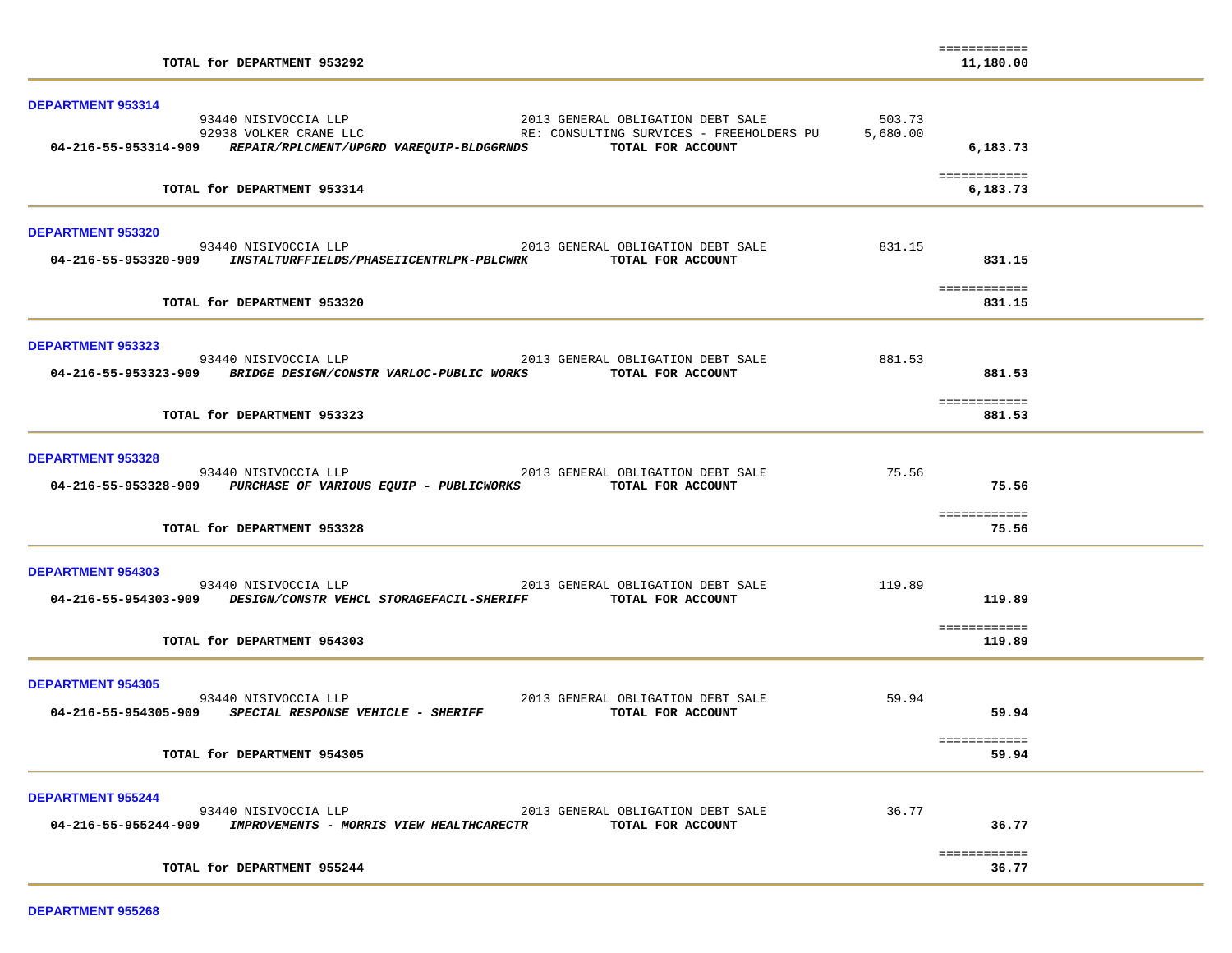| TOTAL for DEPARTMENT 953292                                                                                                                                           |        | ============<br>11,180.00    |  |
|-----------------------------------------------------------------------------------------------------------------------------------------------------------------------|--------|------------------------------|--|
| DEPARTMENT 953314                                                                                                                                                     |        |                              |  |
| 04-216-55-953314-909 REPAIR/RPLCMENT/UPGRD VAREQUIP-BLDGGRNDS TOTAL FOR ACCOUNT                                                                                       |        | 6,183.73                     |  |
| TOTAL for DEPARTMENT 953314                                                                                                                                           |        | ============<br>6,183.73     |  |
| <b>DEPARTMENT 953320</b>                                                                                                                                              |        |                              |  |
| 93440 NISIVOCCIA LLP 2013 GENERAL OBLIGATION DEBT SALE<br>04-216-55-953320-909 INSTALTURFFIELDS/PHASEIICENTRLPK-PBLCWRK TOTAL FOR ACCOUNT                             | 831.15 | 831.15                       |  |
| TOTAL for DEPARTMENT 953320                                                                                                                                           |        | ============<br>831.15       |  |
| <b>DEPARTMENT 953323</b><br>93440 NISIVOCCIA LLP 2013 GENERAL OBLIGATION DEBT SALE                                                                                    | 881.53 |                              |  |
| 04-216-55-953323-909 BRIDGE DESIGN/CONSTR VARLOC-PUBLIC WORKS TOTAL FOR ACCOUNT                                                                                       |        | 881.53<br><b>BEBEEBEEBEE</b> |  |
| TOTAL for DEPARTMENT 953323                                                                                                                                           |        | 881.53                       |  |
| <b>DEPARTMENT 953328</b><br>93440 NISIVOCCIA LLP 2013 GENERAL OBLIGATION DEBT SALE<br>04-216-55-953328-909 PURCHASE OF VARIOUS EQUIP - PUBLICWORKS TOTAL FOR ACCOUNT  | 75.56  | 75.56                        |  |
| TOTAL for DEPARTMENT 953328                                                                                                                                           |        | ============<br>75.56        |  |
| <b>DEPARTMENT 954303</b>                                                                                                                                              |        |                              |  |
| 93440 NISIVOCCIA LLP 2013 GENERAL OBLIGATION DEBT SALE<br>04-216-55-954303-909 DESIGN/CONSTR VEHCL STORAGEFACIL-SHERIFF TOTAL FOR ACCOUNT                             | 119.89 | 119.89                       |  |
| TOTAL for DEPARTMENT 954303                                                                                                                                           |        | ============<br>119.89       |  |
| <b>DEPARTMENT 954305</b><br>93440 NISIVOCCIA LLP<br>2013 GENERAL OBLIGATION DEBT SALE<br>04-216-55-954305-909 SPECIAL RESPONSE VEHICLE - SHERIFF<br>TOTAL FOR ACCOUNT | 59.94  | 59.94                        |  |
| TOTAL for DEPARTMENT 954305                                                                                                                                           |        | ============<br>59.94        |  |
| <b>DEPARTMENT 955244</b>                                                                                                                                              |        |                              |  |
| 93440 NISIVOCCIA LLP<br>2013 GENERAL OBLIGATION DEBT SALE<br>04-216-55-955244-909 IMPROVEMENTS - MORRIS VIEW HEALTHCARECTR<br>TOTAL FOR ACCOUNT                       | 36.77  | 36.77                        |  |
| TOTAL for DEPARTMENT 955244                                                                                                                                           |        | ============<br>36.77        |  |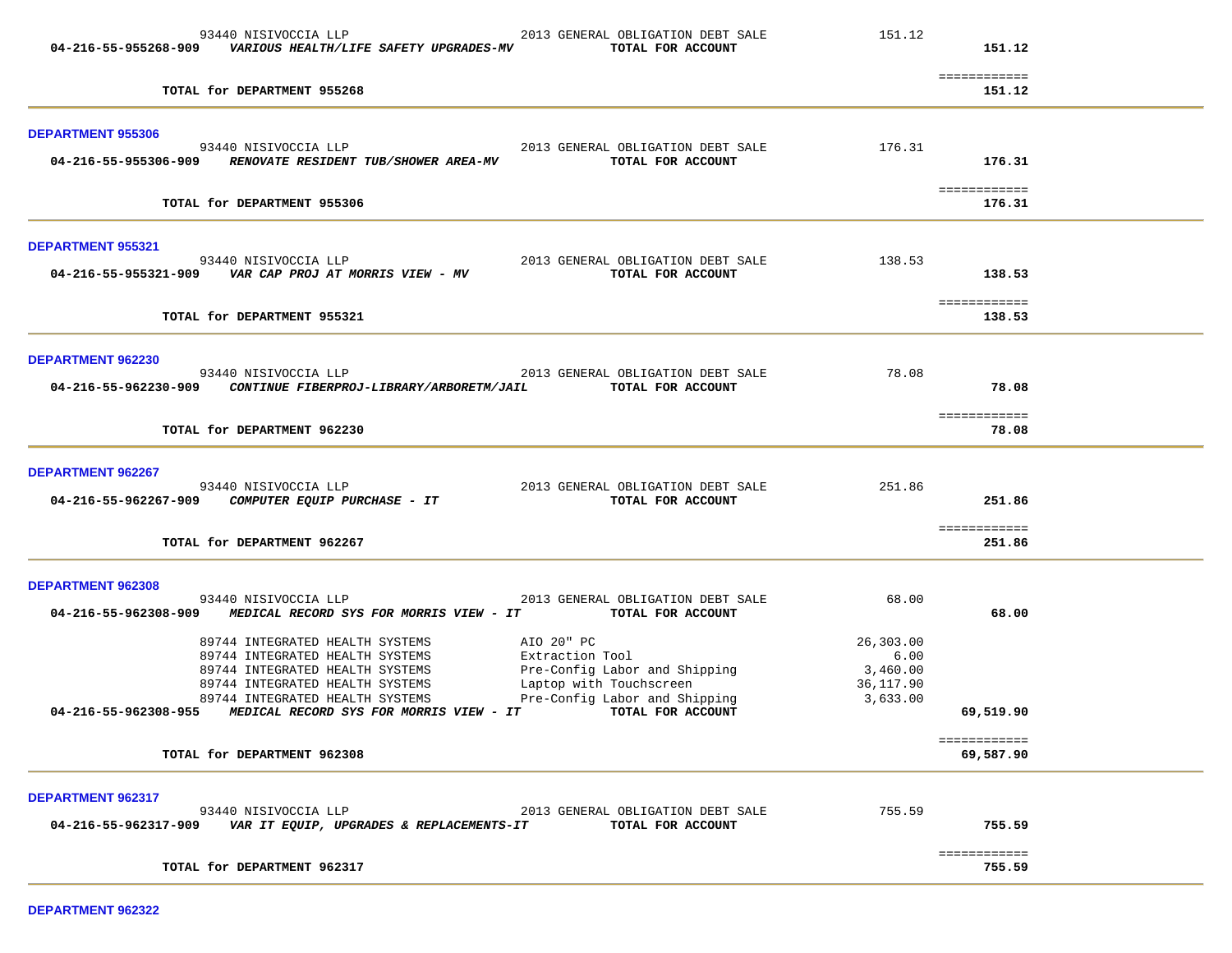| 04-216-55-955268-909     | 93440 NISIVOCCIA LLP<br>VARIOUS HEALTH/LIFE SAFETY UPGRADES-MV                                                                                                              | 2013 GENERAL OBLIGATION DEBT SALE<br>TOTAL FOR ACCOUNT                                                                     | 151.12                                                 | 151.12                    |  |
|--------------------------|-----------------------------------------------------------------------------------------------------------------------------------------------------------------------------|----------------------------------------------------------------------------------------------------------------------------|--------------------------------------------------------|---------------------------|--|
|                          | TOTAL for DEPARTMENT 955268                                                                                                                                                 |                                                                                                                            |                                                        | ============<br>151.12    |  |
| <b>DEPARTMENT 955306</b> |                                                                                                                                                                             |                                                                                                                            |                                                        |                           |  |
|                          | 93440 NISIVOCCIA LLP<br>04-216-55-955306-909 RENOVATE RESIDENT TUB/SHOWER AREA-MV                                                                                           | 2013 GENERAL OBLIGATION DEBT SALE<br>TOTAL FOR ACCOUNT                                                                     | 176.31                                                 | 176.31                    |  |
|                          | TOTAL for DEPARTMENT 955306                                                                                                                                                 |                                                                                                                            |                                                        | ============<br>176.31    |  |
| <b>DEPARTMENT 955321</b> | 93440 NISIVOCCIA LLP                                                                                                                                                        | 2013 GENERAL OBLIGATION DEBT SALE                                                                                          | 138.53                                                 |                           |  |
|                          |                                                                                                                                                                             | TOTAL FOR ACCOUNT                                                                                                          |                                                        | 138.53<br>============    |  |
|                          | TOTAL for DEPARTMENT 955321                                                                                                                                                 |                                                                                                                            |                                                        | 138.53                    |  |
| <b>DEPARTMENT 962230</b> | 93440 NISIVOCCIA LLP                                                                                                                                                        |                                                                                                                            | 78.08                                                  |                           |  |
| 04-216-55-962230-909     | CONTINUE FIBERPROJ-LIBRARY/ARBORETM/JAIL                                                                                                                                    | 2013 GENERAL OBLIGATION DEBT SALE<br>TOTAL FOR ACCOUNT                                                                     |                                                        | 78.08                     |  |
|                          | TOTAL for DEPARTMENT 962230                                                                                                                                                 |                                                                                                                            |                                                        | ============<br>78.08     |  |
| DEPARTMENT 962267        |                                                                                                                                                                             |                                                                                                                            |                                                        |                           |  |
|                          | 93440 NISIVOCCIA LLP<br>04-216-55-962267-909 COMPUTER EQUIP PURCHASE - IT                                                                                                   | 2013 GENERAL OBLIGATION DEBT SALE<br>TOTAL FOR ACCOUNT                                                                     | 251.86                                                 | 251.86                    |  |
|                          | TOTAL for DEPARTMENT 962267                                                                                                                                                 |                                                                                                                            |                                                        | ============<br>251.86    |  |
| <b>DEPARTMENT 962308</b> |                                                                                                                                                                             |                                                                                                                            |                                                        |                           |  |
| 04-216-55-962308-909     | 93440 NISIVOCCIA LLP<br>MEDICAL RECORD SYS FOR MORRIS VIEW - IT                                                                                                             | 2013 GENERAL OBLIGATION DEBT SALE<br>TOTAL FOR ACCOUNT                                                                     | 68.00                                                  | 68.00                     |  |
|                          | 89744 INTEGRATED HEALTH SYSTEMS<br>89744 INTEGRATED HEALTH SYSTEMS<br>89744 INTEGRATED HEALTH SYSTEMS<br>89744 INTEGRATED HEALTH SYSTEMS<br>89744 INTEGRATED HEALTH SYSTEMS | AIO 20" PC<br>Extraction Tool<br>Pre-Config Labor and Shipping<br>Laptop with Touchscreen<br>Pre-Config Labor and Shipping | 26,303.00<br>6.00<br>3,460.00<br>36,117.90<br>3,633.00 |                           |  |
| 04-216-55-962308-955     | MEDICAL RECORD SYS FOR MORRIS VIEW - IT                                                                                                                                     | TOTAL FOR ACCOUNT                                                                                                          |                                                        | 69,519.90                 |  |
|                          | TOTAL for DEPARTMENT 962308                                                                                                                                                 |                                                                                                                            |                                                        | ============<br>69,587.90 |  |
| <b>DEPARTMENT 962317</b> |                                                                                                                                                                             |                                                                                                                            |                                                        |                           |  |
|                          | 93440 NISIVOCCIA LLP<br>04-216-55-962317-909 VAR IT EQUIP, UPGRADES & REPLACEMENTS-IT                                                                                       | 2013 GENERAL OBLIGATION DEBT SALE<br>TOTAL FOR ACCOUNT                                                                     | 755.59                                                 | 755.59                    |  |
|                          | TOTAL for DEPARTMENT 962317                                                                                                                                                 |                                                                                                                            |                                                        | ============<br>755.59    |  |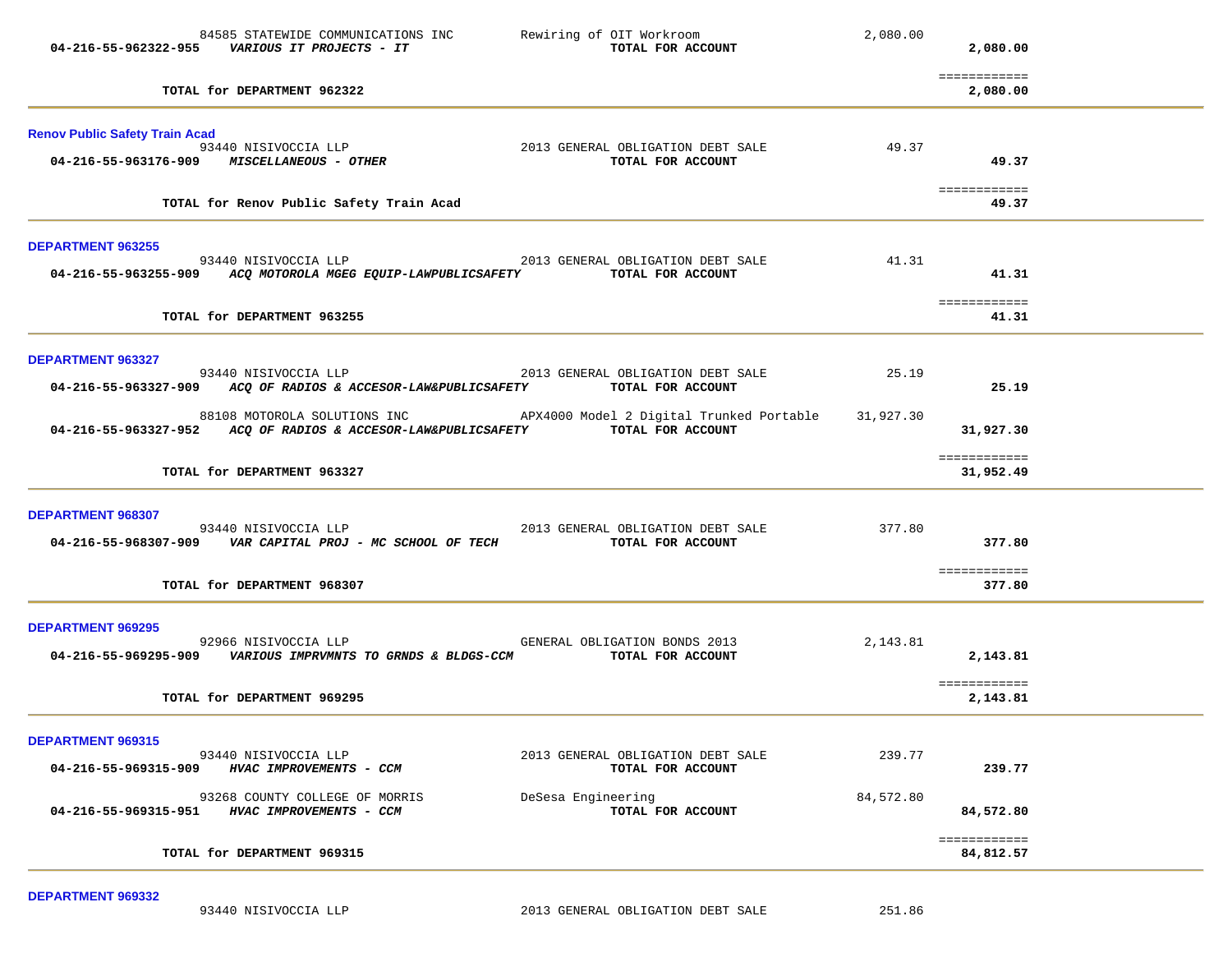| 84585 STATEWIDE COMMUNICATIONS INC<br>Rewiring of OIT Workroom<br>04-216-55-962322-955    VARIOUS IT PROJECTS - IT                                                       | 2,080.00<br>TOTAL FOR ACCOUNT<br>2,080.00                                  |
|--------------------------------------------------------------------------------------------------------------------------------------------------------------------------|----------------------------------------------------------------------------|
| TOTAL for DEPARTMENT 962322                                                                                                                                              | ============<br>2,080.00                                                   |
| <b>Renov Public Safety Train Acad</b><br>93440 NISIVOCCIA LLP<br>04-216-55-963176-909 MISCELLANEOUS - OTHER                                                              | 2013 GENERAL OBLIGATION DEBT SALE<br>49.37<br>TOTAL FOR ACCOUNT<br>49.37   |
| TOTAL for Renov Public Safety Train Acad                                                                                                                                 | ============<br>49.37                                                      |
| <b>DEPARTMENT 963255</b><br>2013 GENERAL OBLIGATION DEBT SALE<br>93440 NISIVOCCIA LLP<br>04-216-55-963255-909 ACQ MOTOROLA MGEG EQUIP-LAWPUBLICSAFETY TOTAL FOR ACCOUNT  | 41.31<br>41.31                                                             |
| TOTAL for DEPARTMENT 963255                                                                                                                                              | ============<br>41.31                                                      |
| <b>DEPARTMENT 963327</b><br>2013 GENERAL OBLIGATION DEBT SALE<br>93440 NISIVOCCIA LLP<br>04-216-55-963327-909 ACQ OF RADIOS & ACCESOR-LAW&PUBLICSAFETY TOTAL FOR ACCOUNT | 25.19<br>25.19                                                             |
| 88108 MOTOROLA SOLUTIONS INC<br>APX4000 Model 2 Digital Trunked Portable 31,927.30<br>04-216-55-963327-952 ACQ OF RADIOS & ACCESOR-LAW&PUBLICSAFETY TOTAL FOR ACCOUNT    | 31,927.30                                                                  |
| TOTAL for DEPARTMENT 963327                                                                                                                                              | ============<br>31,952.49                                                  |
| DEPARTMENT 968307<br>93440 NISIVOCCIA LLP                                                                                                                                | 377.80<br>2013 GENERAL OBLIGATION DEBT SALE<br>377.80<br>TOTAL FOR ACCOUNT |
| TOTAL for DEPARTMENT 968307                                                                                                                                              | ============<br>377.80                                                     |
| <b>DEPARTMENT 969295</b><br>92966 NISIVOCCIA LLP GENERAL OBLIGATION BONDS 2013<br>04-216-55-969295-909 VARIOUS IMPRVMNTS TO GRNDS & BLDGS-CCM                            | 2,143.81<br>2,143.81<br>TOTAL FOR ACCOUNT<br>============                  |
| TOTAL for DEPARTMENT 969295                                                                                                                                              | 2,143.81                                                                   |
| <b>DEPARTMENT 969315</b><br>93440 NISIVOCCIA LLP<br>04-216-55-969315-909<br>HVAC IMPROVEMENTS - CCM                                                                      | 239.77<br>2013 GENERAL OBLIGATION DEBT SALE<br>239.77<br>TOTAL FOR ACCOUNT |
| 93268 COUNTY COLLEGE OF MORRIS<br>DeSesa Engineering<br>04-216-55-969315-951<br>HVAC IMPROVEMENTS - CCM                                                                  | 84,572.80<br>84,572.80<br>TOTAL FOR ACCOUNT                                |
| TOTAL for DEPARTMENT 969315                                                                                                                                              | ============<br>84,812.57                                                  |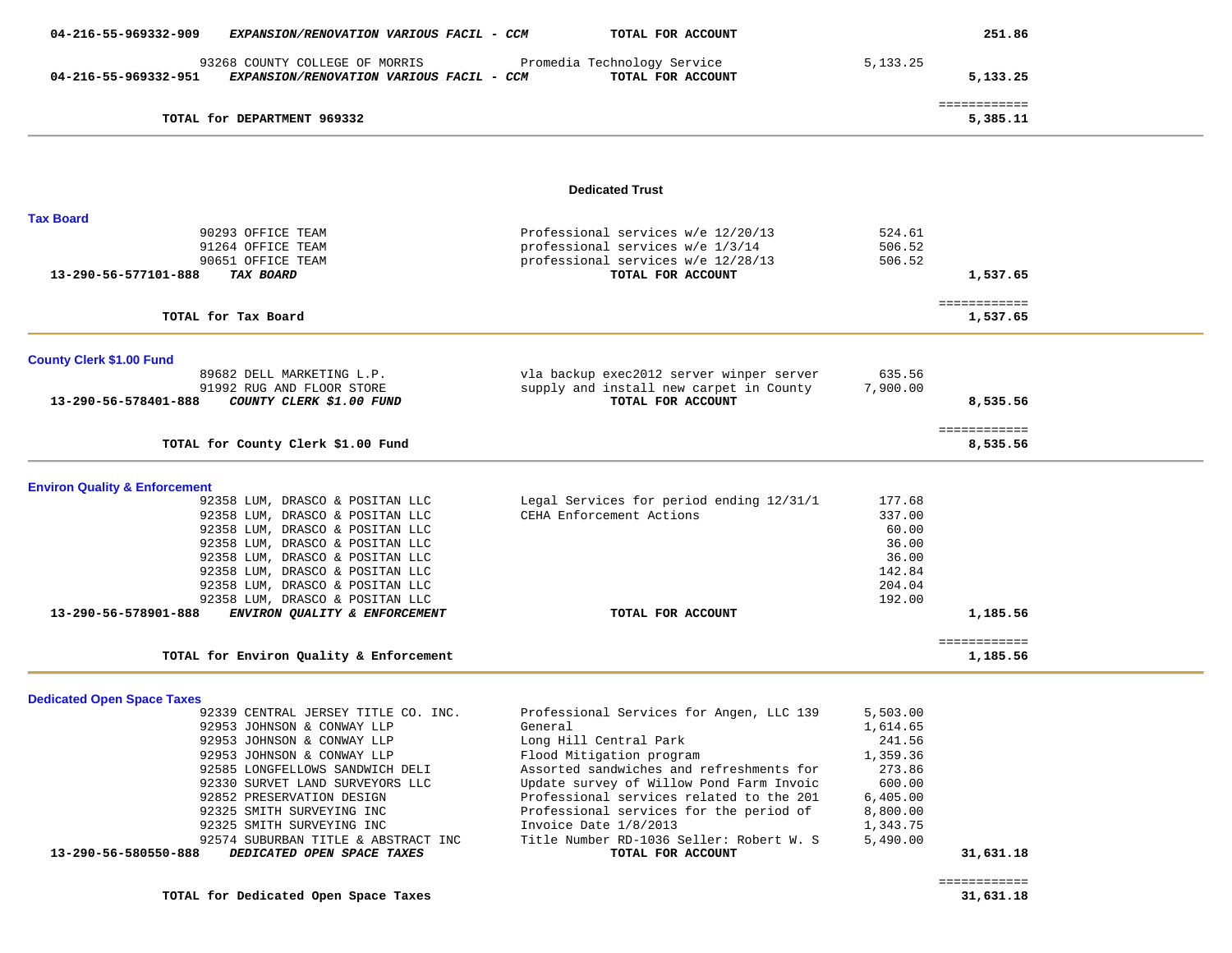| 04-216-55-969332-909<br>EXPANSION/RENOVATION VARIOUS FACIL - CCM                                   | TOTAL FOR ACCOUNT                                                                                                                 |                            | 251.86                   |  |
|----------------------------------------------------------------------------------------------------|-----------------------------------------------------------------------------------------------------------------------------------|----------------------------|--------------------------|--|
| 93268 COUNTY COLLEGE OF MORRIS<br>EXPANSION/RENOVATION VARIOUS FACIL - CCM<br>04-216-55-969332-951 | Promedia Technology Service<br>TOTAL FOR ACCOUNT                                                                                  | 5, 133. 25                 | 5,133.25                 |  |
| TOTAL for DEPARTMENT 969332                                                                        |                                                                                                                                   |                            | ============<br>5,385.11 |  |
|                                                                                                    |                                                                                                                                   |                            |                          |  |
|                                                                                                    | <b>Dedicated Trust</b>                                                                                                            |                            |                          |  |
| <b>Tax Board</b>                                                                                   |                                                                                                                                   |                            |                          |  |
| 90293 OFFICE TEAM<br>91264 OFFICE TEAM<br>90651 OFFICE TEAM<br>13-290-56-577101-888<br>TAX BOARD   | Professional services w/e 12/20/13<br>professional services w/e 1/3/14<br>professional services w/e 12/28/13<br>TOTAL FOR ACCOUNT | 524.61<br>506.52<br>506.52 | 1,537.65                 |  |
| TOTAL for Tax Board                                                                                |                                                                                                                                   |                            | ============<br>1,537.65 |  |
| <b>County Clerk \$1.00 Fund</b>                                                                    |                                                                                                                                   |                            |                          |  |
| 89682 DELL MARKETING L.P.<br>91992 RUG AND FLOOR STORE                                             | vla backup exec2012 server winper server<br>supply and install new carpet in County                                               | 635.56<br>7,900.00         |                          |  |
| 13-290-56-578401-888<br>COUNTY CLERK \$1.00 FUND                                                   | TOTAL FOR ACCOUNT                                                                                                                 |                            | 8,535.56                 |  |
| TOTAL for County Clerk \$1.00 Fund                                                                 |                                                                                                                                   |                            | ============<br>8,535.56 |  |
| <b>Environ Quality &amp; Enforcement</b>                                                           |                                                                                                                                   |                            |                          |  |
| 92358 LUM, DRASCO & POSITAN LLC                                                                    | Legal Services for period ending 12/31/1                                                                                          | 177.68                     |                          |  |
| 92358 LUM, DRASCO & POSITAN LLC                                                                    | CEHA Enforcement Actions                                                                                                          | 337.00                     |                          |  |
| 92358 LUM, DRASCO & POSITAN LLC                                                                    |                                                                                                                                   | 60.00                      |                          |  |
| 92358 LUM, DRASCO & POSITAN LLC                                                                    |                                                                                                                                   | 36.00                      |                          |  |
| 92358 LUM, DRASCO & POSITAN LLC                                                                    |                                                                                                                                   | 36.00                      |                          |  |
| 92358 LUM, DRASCO & POSITAN LLC                                                                    |                                                                                                                                   | 142.84                     |                          |  |
| 92358 LUM, DRASCO & POSITAN LLC                                                                    |                                                                                                                                   | 204.04                     |                          |  |
| 92358 LUM, DRASCO & POSITAN LLC                                                                    |                                                                                                                                   | 192.00                     |                          |  |
| 13-290-56-578901-888<br>ENVIRON QUALITY & ENFORCEMENT                                              | TOTAL FOR ACCOUNT                                                                                                                 |                            | 1,185.56                 |  |
|                                                                                                    |                                                                                                                                   |                            | ============             |  |
| TOTAL for Environ Quality & Enforcement                                                            |                                                                                                                                   |                            | 1,185.56                 |  |
| <b>Dedicated Open Space Taxes</b>                                                                  |                                                                                                                                   |                            |                          |  |
| 92339 CENTRAL JERSEY TITLE CO. INC.                                                                | Professional Services for Angen, LLC 139                                                                                          | 5,503.00                   |                          |  |
| 92953 JOHNSON & CONWAY LLP                                                                         | General                                                                                                                           | 1,614.65                   |                          |  |
| 92953 JOHNSON & CONWAY LLP                                                                         | Long Hill Central Park                                                                                                            | 241.56                     |                          |  |
| 92953 JOHNSON & CONWAY LLP                                                                         | Flood Mitigation program                                                                                                          | 1,359.36                   |                          |  |
| 92585 LONGFELLOWS SANDWICH DELI                                                                    | Assorted sandwiches and refreshments for                                                                                          | 273.86                     |                          |  |
| 92330 SURVET LAND SURVEYORS LLC                                                                    | Update survey of Willow Pond Farm Invoic                                                                                          | 600.00                     |                          |  |
| 92852 PRESERVATION DESIGN                                                                          | Professional services related to the 201                                                                                          | 6,405.00                   |                          |  |
| 92325 SMITH SURVEYING INC                                                                          | Professional services for the period of                                                                                           | 8,800.00                   |                          |  |

 92574 SUBURBAN TITLE & ABSTRACT INC Title Number RD-1036 Seller: Robert W. S 5,490.00  **13-290-56-580550-888** *DEDICATED OPEN SPACE TAXES* **TOTAL FOR ACCOUNT 31,631.18**

92325 SMITH SURVEYING INC Invoice Date 1/8/2013 1,343.75